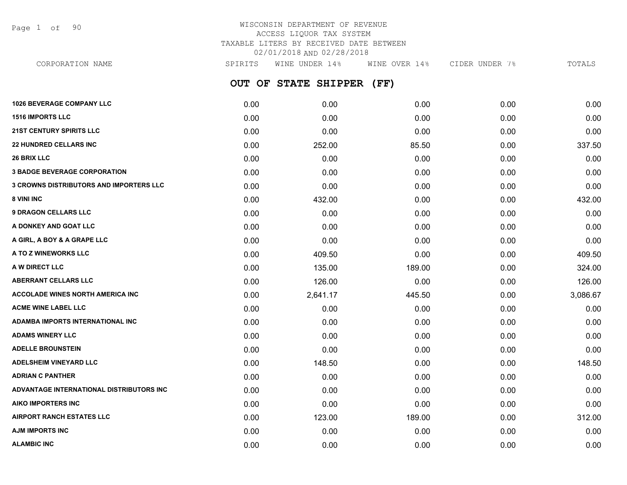Page 1 of 90

# WISCONSIN DEPARTMENT OF REVENUE ACCESS LIQUOR TAX SYSTEM TAXABLE LITERS BY RECEIVED DATE BETWEEN 02/01/2018 AND 02/28/2018

**OUT OF STATE SHIPPER (FF) 1026 BEVERAGE COMPANY LLC** 0.00 0.00 0.00 0.00 0.00 **1516 IMPORTS LLC** 0.00 0.00 0.00 0.00 0.00 **21ST CENTURY SPIRITS LLC** 0.00 0.00 0.00 0.00 0.00 **22 HUNDRED CELLARS INC** 0.00 252.00 85.50 0.00 337.50 **26 BRIX LLC** 0.00 0.00 0.00 0.00 0.00 **3 BADGE BEVERAGE CORPORATION** 0.00 0.00 0.00 0.00 0.00 **3 CROWNS DISTRIBUTORS AND IMPORTERS LLC** 0.00 0.00 0.00 0.00 0.00 **8 VINI INC** 6.00 **132.00 132.00 132.00 132.00 138.00 138.00 138.00 1432.00 1432.00 9 DRAGON CELLARS LLC** 0.00 0.00 0.00 0.00 0.00 **A DONKEY AND GOAT LLC** 0.00 0.00 0.00 0.00 0.00 **A GIRL, A BOY & A GRAPE LLC** 0.00 0.00 0.00 0.00 0.00 **A TO Z WINEWORKS LLC** 0.00 409.50 0.00 0.00 409.50 **A W DIRECT LLC** 0.00 135.00 189.00 0.00 324.00 **ABERRANT CELLARS LLC** 0.00 126.00 0.00 0.00 126.00 **ACCOLADE WINES NORTH AMERICA INC** 0.00 2,641.17 445.50 0.00 3,086.67 **ACME WINE LABEL LLC** 0.00 0.00 0.00 0.00 0.00 **ADAMBA IMPORTS INTERNATIONAL INC** 0.00 0.00 0.00 0.00 0.00 **ADAMS WINERY LLC** 0.00 0.00 0.00 0.00 0.00 **ADELLE BROUNSTEIN** 0.00 0.00 0.00 0.00 0.00 **ADELSHEIM VINEYARD LLC** 0.00 148.50 0.00 0.00 148.50 **ADRIAN C PANTHER** 0.00 0.00 0.00 0.00 0.00 **ADVANTAGE INTERNATIONAL DISTRIBUTORS INC** 0.00 0.00 0.00 0.00 0.00 **AIKO IMPORTERS INC** 0.00 0.00 0.00 0.00 0.00 **AIRPORT RANCH ESTATES LLC** 0.00 123.00 189.00 0.00 312.00 **AJM IMPORTS INC** 0.00 0.00 0.00 0.00 0.00 CORPORATION NAME SPIRITS WINE UNDER 14% WINE OVER 14% CIDER UNDER 7% TOTALS

**ALAMBIC INC** 0.00 0.00 0.00 0.00 0.00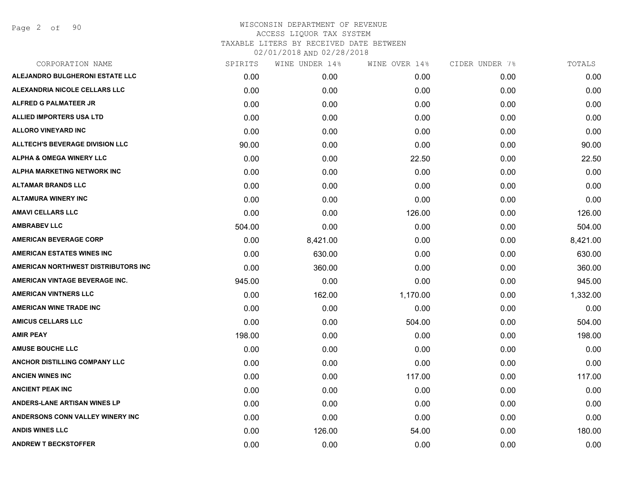Page 2 of 90

| CORPORATION NAME                       | SPIRITS | WINE UNDER 14% | WINE OVER 14% | CIDER UNDER 7% | TOTALS   |
|----------------------------------------|---------|----------------|---------------|----------------|----------|
| ALEJANDRO BULGHERONI ESTATE LLC        | 0.00    | 0.00           | 0.00          | 0.00           | 0.00     |
| ALEXANDRIA NICOLE CELLARS LLC          | 0.00    | 0.00           | 0.00          | 0.00           | 0.00     |
| <b>ALFRED G PALMATEER JR</b>           | 0.00    | 0.00           | 0.00          | 0.00           | 0.00     |
| <b>ALLIED IMPORTERS USA LTD</b>        | 0.00    | 0.00           | 0.00          | 0.00           | 0.00     |
| <b>ALLORO VINEYARD INC</b>             | 0.00    | 0.00           | 0.00          | 0.00           | 0.00     |
| <b>ALLTECH'S BEVERAGE DIVISION LLC</b> | 90.00   | 0.00           | 0.00          | 0.00           | 90.00    |
| <b>ALPHA &amp; OMEGA WINERY LLC</b>    | 0.00    | 0.00           | 22.50         | 0.00           | 22.50    |
| ALPHA MARKETING NETWORK INC            | 0.00    | 0.00           | 0.00          | 0.00           | 0.00     |
| <b>ALTAMAR BRANDS LLC</b>              | 0.00    | 0.00           | 0.00          | 0.00           | 0.00     |
| <b>ALTAMURA WINERY INC</b>             | 0.00    | 0.00           | 0.00          | 0.00           | 0.00     |
| <b>AMAVI CELLARS LLC</b>               | 0.00    | 0.00           | 126.00        | 0.00           | 126.00   |
| <b>AMBRABEV LLC</b>                    | 504.00  | 0.00           | 0.00          | 0.00           | 504.00   |
| <b>AMERICAN BEVERAGE CORP</b>          | 0.00    | 8,421.00       | 0.00          | 0.00           | 8,421.00 |
| <b>AMERICAN ESTATES WINES INC</b>      | 0.00    | 630.00         | 0.00          | 0.00           | 630.00   |
| AMERICAN NORTHWEST DISTRIBUTORS INC    | 0.00    | 360.00         | 0.00          | 0.00           | 360.00   |
| AMERICAN VINTAGE BEVERAGE INC.         | 945.00  | 0.00           | 0.00          | 0.00           | 945.00   |
| <b>AMERICAN VINTNERS LLC</b>           | 0.00    | 162.00         | 1,170.00      | 0.00           | 1,332.00 |
| <b>AMERICAN WINE TRADE INC</b>         | 0.00    | 0.00           | 0.00          | 0.00           | 0.00     |
| <b>AMICUS CELLARS LLC</b>              | 0.00    | 0.00           | 504.00        | 0.00           | 504.00   |
| <b>AMIR PEAY</b>                       | 198.00  | 0.00           | 0.00          | 0.00           | 198.00   |
| <b>AMUSE BOUCHE LLC</b>                | 0.00    | 0.00           | 0.00          | 0.00           | 0.00     |
| <b>ANCHOR DISTILLING COMPANY LLC</b>   | 0.00    | 0.00           | 0.00          | 0.00           | 0.00     |
| <b>ANCIEN WINES INC</b>                | 0.00    | 0.00           | 117.00        | 0.00           | 117.00   |
| <b>ANCIENT PEAK INC</b>                | 0.00    | 0.00           | 0.00          | 0.00           | 0.00     |
| <b>ANDERS-LANE ARTISAN WINES LP</b>    | 0.00    | 0.00           | 0.00          | 0.00           | 0.00     |
| ANDERSONS CONN VALLEY WINERY INC       | 0.00    | 0.00           | 0.00          | 0.00           | 0.00     |
| <b>ANDIS WINES LLC</b>                 | 0.00    | 126.00         | 54.00         | 0.00           | 180.00   |
| <b>ANDREW T BECKSTOFFER</b>            | 0.00    | 0.00           | 0.00          | 0.00           | 0.00     |
|                                        |         |                |               |                |          |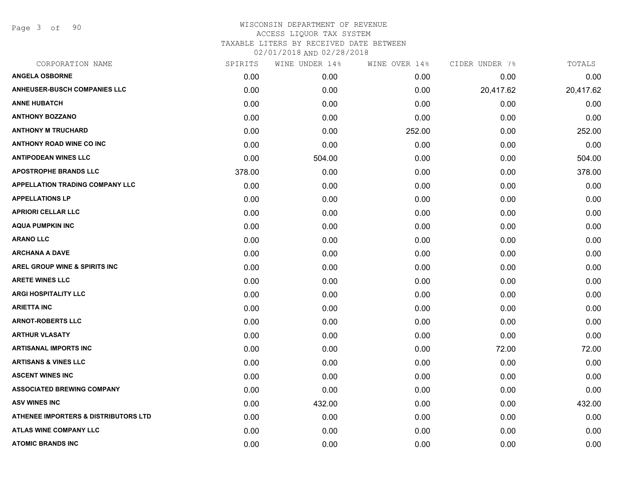Page 3 of 90

| CORPORATION NAME                                | SPIRITS | WINE UNDER 14% | WINE OVER 14% | CIDER UNDER 7% | TOTALS    |
|-------------------------------------------------|---------|----------------|---------------|----------------|-----------|
| <b>ANGELA OSBORNE</b>                           | 0.00    | 0.00           | 0.00          | 0.00           | 0.00      |
| <b>ANHEUSER-BUSCH COMPANIES LLC</b>             | 0.00    | 0.00           | 0.00          | 20,417.62      | 20,417.62 |
| <b>ANNE HUBATCH</b>                             | 0.00    | 0.00           | 0.00          | 0.00           | 0.00      |
| <b>ANTHONY BOZZANO</b>                          | 0.00    | 0.00           | 0.00          | 0.00           | 0.00      |
| <b>ANTHONY M TRUCHARD</b>                       | 0.00    | 0.00           | 252.00        | 0.00           | 252.00    |
| ANTHONY ROAD WINE CO INC                        | 0.00    | 0.00           | 0.00          | 0.00           | 0.00      |
| <b>ANTIPODEAN WINES LLC</b>                     | 0.00    | 504.00         | 0.00          | 0.00           | 504.00    |
| <b>APOSTROPHE BRANDS LLC</b>                    | 378.00  | 0.00           | 0.00          | 0.00           | 378.00    |
| <b>APPELLATION TRADING COMPANY LLC</b>          | 0.00    | 0.00           | 0.00          | 0.00           | 0.00      |
| <b>APPELLATIONS LP</b>                          | 0.00    | 0.00           | 0.00          | 0.00           | 0.00      |
| <b>APRIORI CELLAR LLC</b>                       | 0.00    | 0.00           | 0.00          | 0.00           | 0.00      |
| <b>AQUA PUMPKIN INC</b>                         | 0.00    | 0.00           | 0.00          | 0.00           | 0.00      |
| <b>ARANO LLC</b>                                | 0.00    | 0.00           | 0.00          | 0.00           | 0.00      |
| <b>ARCHANA A DAVE</b>                           | 0.00    | 0.00           | 0.00          | 0.00           | 0.00      |
| <b>AREL GROUP WINE &amp; SPIRITS INC</b>        | 0.00    | 0.00           | 0.00          | 0.00           | 0.00      |
| <b>ARETE WINES LLC</b>                          | 0.00    | 0.00           | 0.00          | 0.00           | 0.00      |
| <b>ARGI HOSPITALITY LLC</b>                     | 0.00    | 0.00           | 0.00          | 0.00           | 0.00      |
| <b>ARIETTA INC</b>                              | 0.00    | 0.00           | 0.00          | 0.00           | 0.00      |
| <b>ARNOT-ROBERTS LLC</b>                        | 0.00    | 0.00           | 0.00          | 0.00           | 0.00      |
| <b>ARTHUR VLASATY</b>                           | 0.00    | 0.00           | 0.00          | 0.00           | 0.00      |
| <b>ARTISANAL IMPORTS INC</b>                    | 0.00    | 0.00           | 0.00          | 72.00          | 72.00     |
| <b>ARTISANS &amp; VINES LLC</b>                 | 0.00    | 0.00           | 0.00          | 0.00           | 0.00      |
| <b>ASCENT WINES INC</b>                         | 0.00    | 0.00           | 0.00          | 0.00           | 0.00      |
| <b>ASSOCIATED BREWING COMPANY</b>               | 0.00    | 0.00           | 0.00          | 0.00           | 0.00      |
| <b>ASV WINES INC</b>                            | 0.00    | 432.00         | 0.00          | 0.00           | 432.00    |
| <b>ATHENEE IMPORTERS &amp; DISTRIBUTORS LTD</b> | 0.00    | 0.00           | 0.00          | 0.00           | 0.00      |
| ATLAS WINE COMPANY LLC                          | 0.00    | 0.00           | 0.00          | 0.00           | 0.00      |
| <b>ATOMIC BRANDS INC</b>                        | 0.00    | 0.00           | 0.00          | 0.00           | 0.00      |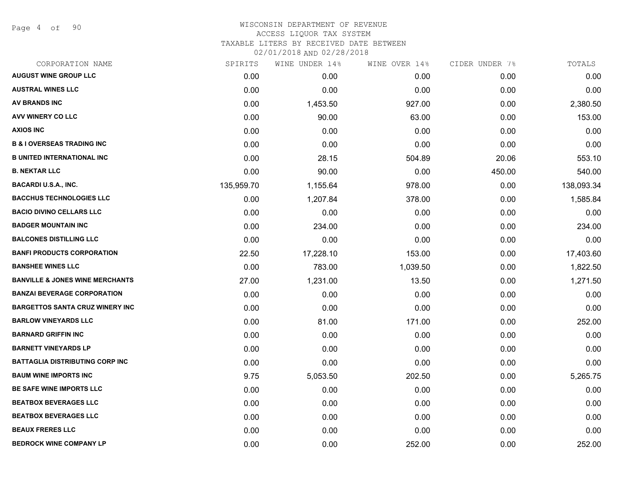Page 4 of 90

# WISCONSIN DEPARTMENT OF REVENUE ACCESS LIQUOR TAX SYSTEM

TAXABLE LITERS BY RECEIVED DATE BETWEEN

| CORPORATION NAME                           | SPIRITS    | WINE UNDER 14% | WINE OVER 14% | CIDER UNDER 7% | TOTALS     |
|--------------------------------------------|------------|----------------|---------------|----------------|------------|
| <b>AUGUST WINE GROUP LLC</b>               | 0.00       | 0.00           | 0.00          | 0.00           | 0.00       |
| <b>AUSTRAL WINES LLC</b>                   | 0.00       | 0.00           | 0.00          | 0.00           | 0.00       |
| <b>AV BRANDS INC</b>                       | 0.00       | 1,453.50       | 927.00        | 0.00           | 2,380.50   |
| AVV WINERY CO LLC                          | 0.00       | 90.00          | 63.00         | 0.00           | 153.00     |
| <b>AXIOS INC</b>                           | 0.00       | 0.00           | 0.00          | 0.00           | 0.00       |
| <b>B &amp; I OVERSEAS TRADING INC</b>      | 0.00       | 0.00           | 0.00          | 0.00           | 0.00       |
| <b>B UNITED INTERNATIONAL INC</b>          | 0.00       | 28.15          | 504.89        | 20.06          | 553.10     |
| <b>B. NEKTAR LLC</b>                       | 0.00       | 90.00          | 0.00          | 450.00         | 540.00     |
| <b>BACARDI U.S.A., INC.</b>                | 135,959.70 | 1,155.64       | 978.00        | 0.00           | 138,093.34 |
| <b>BACCHUS TECHNOLOGIES LLC</b>            | 0.00       | 1,207.84       | 378.00        | 0.00           | 1,585.84   |
| <b>BACIO DIVINO CELLARS LLC</b>            | 0.00       | 0.00           | 0.00          | 0.00           | 0.00       |
| <b>BADGER MOUNTAIN INC</b>                 | 0.00       | 234.00         | 0.00          | 0.00           | 234.00     |
| <b>BALCONES DISTILLING LLC</b>             | 0.00       | 0.00           | 0.00          | 0.00           | 0.00       |
| <b>BANFI PRODUCTS CORPORATION</b>          | 22.50      | 17,228.10      | 153.00        | 0.00           | 17,403.60  |
| <b>BANSHEE WINES LLC</b>                   | 0.00       | 783.00         | 1,039.50      | 0.00           | 1,822.50   |
| <b>BANVILLE &amp; JONES WINE MERCHANTS</b> | 27.00      | 1,231.00       | 13.50         | 0.00           | 1,271.50   |
| <b>BANZAI BEVERAGE CORPORATION</b>         | 0.00       | 0.00           | 0.00          | 0.00           | 0.00       |
| <b>BARGETTOS SANTA CRUZ WINERY INC</b>     | 0.00       | 0.00           | 0.00          | 0.00           | 0.00       |
| <b>BARLOW VINEYARDS LLC</b>                | 0.00       | 81.00          | 171.00        | 0.00           | 252.00     |
| <b>BARNARD GRIFFIN INC</b>                 | 0.00       | 0.00           | 0.00          | 0.00           | 0.00       |
| <b>BARNETT VINEYARDS LP</b>                | 0.00       | 0.00           | 0.00          | 0.00           | 0.00       |
| <b>BATTAGLIA DISTRIBUTING CORP INC</b>     | 0.00       | 0.00           | 0.00          | 0.00           | 0.00       |
| <b>BAUM WINE IMPORTS INC</b>               | 9.75       | 5,053.50       | 202.50        | 0.00           | 5,265.75   |
| <b>BE SAFE WINE IMPORTS LLC</b>            | 0.00       | 0.00           | 0.00          | 0.00           | 0.00       |
| <b>BEATBOX BEVERAGES LLC</b>               | 0.00       | 0.00           | 0.00          | 0.00           | 0.00       |
| <b>BEATBOX BEVERAGES LLC</b>               | 0.00       | 0.00           | 0.00          | 0.00           | 0.00       |
| <b>BEAUX FRERES LLC</b>                    | 0.00       | 0.00           | 0.00          | 0.00           | 0.00       |
| <b>BEDROCK WINE COMPANY LP</b>             | 0.00       | 0.00           | 252.00        | 0.00           | 252.00     |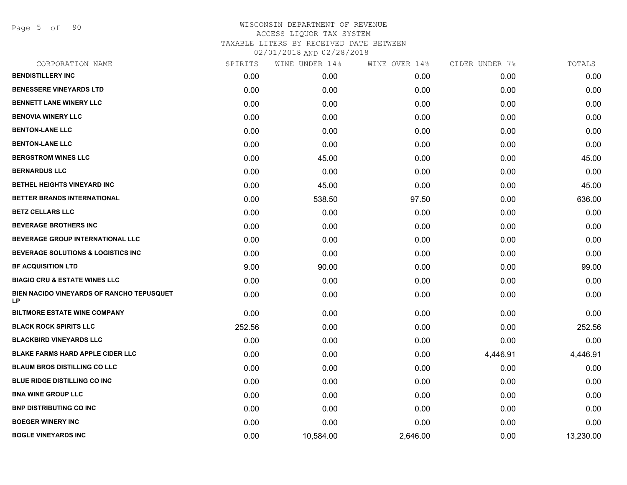Page 5 of 90

| CORPORATION NAME                                | SPIRITS | WINE UNDER 14% | WINE OVER 14% | CIDER UNDER 7% | TOTALS    |
|-------------------------------------------------|---------|----------------|---------------|----------------|-----------|
| <b>BENDISTILLERY INC</b>                        | 0.00    | 0.00           | 0.00          | 0.00           | 0.00      |
| <b>BENESSERE VINEYARDS LTD</b>                  | 0.00    | 0.00           | 0.00          | 0.00           | 0.00      |
| <b>BENNETT LANE WINERY LLC</b>                  | 0.00    | 0.00           | 0.00          | 0.00           | 0.00      |
| <b>BENOVIA WINERY LLC</b>                       | 0.00    | 0.00           | 0.00          | 0.00           | 0.00      |
| <b>BENTON-LANE LLC</b>                          | 0.00    | 0.00           | 0.00          | 0.00           | 0.00      |
| <b>BENTON-LANE LLC</b>                          | 0.00    | 0.00           | 0.00          | 0.00           | 0.00      |
| <b>BERGSTROM WINES LLC</b>                      | 0.00    | 45.00          | 0.00          | 0.00           | 45.00     |
| <b>BERNARDUS LLC</b>                            | 0.00    | 0.00           | 0.00          | 0.00           | 0.00      |
| BETHEL HEIGHTS VINEYARD INC                     | 0.00    | 45.00          | 0.00          | 0.00           | 45.00     |
| BETTER BRANDS INTERNATIONAL                     | 0.00    | 538.50         | 97.50         | 0.00           | 636.00    |
| <b>BETZ CELLARS LLC</b>                         | 0.00    | 0.00           | 0.00          | 0.00           | 0.00      |
| <b>BEVERAGE BROTHERS INC</b>                    | 0.00    | 0.00           | 0.00          | 0.00           | 0.00      |
| <b>BEVERAGE GROUP INTERNATIONAL LLC</b>         | 0.00    | 0.00           | 0.00          | 0.00           | 0.00      |
| <b>BEVERAGE SOLUTIONS &amp; LOGISTICS INC</b>   | 0.00    | 0.00           | 0.00          | 0.00           | 0.00      |
| <b>BF ACQUISITION LTD</b>                       | 9.00    | 90.00          | 0.00          | 0.00           | 99.00     |
| <b>BIAGIO CRU &amp; ESTATE WINES LLC</b>        | 0.00    | 0.00           | 0.00          | 0.00           | 0.00      |
| BIEN NACIDO VINEYARDS OF RANCHO TEPUSQUET<br>LP | 0.00    | 0.00           | 0.00          | 0.00           | 0.00      |
| <b>BILTMORE ESTATE WINE COMPANY</b>             | 0.00    | 0.00           | 0.00          | 0.00           | 0.00      |
| <b>BLACK ROCK SPIRITS LLC</b>                   | 252.56  | 0.00           | 0.00          | 0.00           | 252.56    |
| <b>BLACKBIRD VINEYARDS LLC</b>                  | 0.00    | 0.00           | 0.00          | 0.00           | 0.00      |
| <b>BLAKE FARMS HARD APPLE CIDER LLC</b>         | 0.00    | 0.00           | 0.00          | 4,446.91       | 4,446.91  |
| <b>BLAUM BROS DISTILLING CO LLC</b>             | 0.00    | 0.00           | 0.00          | 0.00           | 0.00      |
| <b>BLUE RIDGE DISTILLING CO INC.</b>            | 0.00    | 0.00           | 0.00          | 0.00           | 0.00      |
| <b>BNA WINE GROUP LLC</b>                       | 0.00    | 0.00           | 0.00          | 0.00           | 0.00      |
| <b>BNP DISTRIBUTING CO INC</b>                  | 0.00    | 0.00           | 0.00          | 0.00           | 0.00      |
| <b>BOEGER WINERY INC</b>                        | 0.00    | 0.00           | 0.00          | 0.00           | 0.00      |
| <b>BOGLE VINEYARDS INC</b>                      | 0.00    | 10,584.00      | 2,646.00      | 0.00           | 13,230.00 |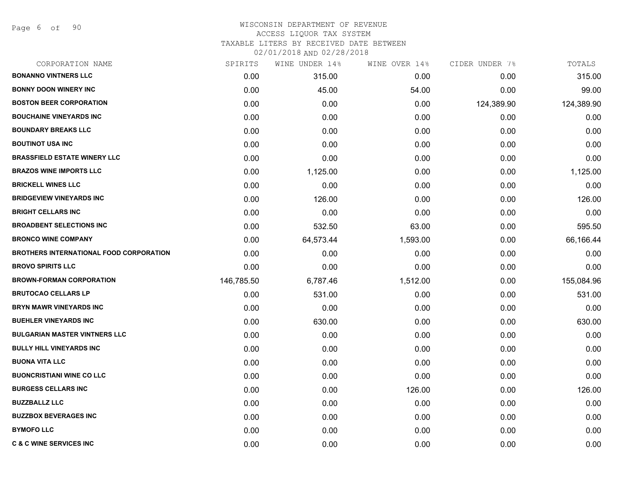Page 6 of 90

# WISCONSIN DEPARTMENT OF REVENUE ACCESS LIQUOR TAX SYSTEM TAXABLE LITERS BY RECEIVED DATE BETWEEN

| CORPORATION NAME                        | SPIRITS    | WINE UNDER 14% | WINE OVER 14% | CIDER UNDER 7% | TOTALS     |
|-----------------------------------------|------------|----------------|---------------|----------------|------------|
| <b>BONANNO VINTNERS LLC</b>             | 0.00       | 315.00         | 0.00          | 0.00           | 315.00     |
| <b>BONNY DOON WINERY INC</b>            | 0.00       | 45.00          | 54.00         | 0.00           | 99.00      |
| <b>BOSTON BEER CORPORATION</b>          | 0.00       | 0.00           | 0.00          | 124,389.90     | 124,389.90 |
| <b>BOUCHAINE VINEYARDS INC</b>          | 0.00       | 0.00           | 0.00          | 0.00           | 0.00       |
| <b>BOUNDARY BREAKS LLC</b>              | 0.00       | 0.00           | 0.00          | 0.00           | 0.00       |
| <b>BOUTINOT USA INC</b>                 | 0.00       | 0.00           | 0.00          | 0.00           | 0.00       |
| <b>BRASSFIELD ESTATE WINERY LLC</b>     | 0.00       | 0.00           | 0.00          | 0.00           | 0.00       |
| <b>BRAZOS WINE IMPORTS LLC</b>          | 0.00       | 1,125.00       | 0.00          | 0.00           | 1,125.00   |
| <b>BRICKELL WINES LLC</b>               | 0.00       | 0.00           | 0.00          | 0.00           | 0.00       |
| <b>BRIDGEVIEW VINEYARDS INC</b>         | 0.00       | 126.00         | 0.00          | 0.00           | 126.00     |
| <b>BRIGHT CELLARS INC</b>               | 0.00       | 0.00           | 0.00          | 0.00           | 0.00       |
| <b>BROADBENT SELECTIONS INC</b>         | 0.00       | 532.50         | 63.00         | 0.00           | 595.50     |
| <b>BRONCO WINE COMPANY</b>              | 0.00       | 64,573.44      | 1,593.00      | 0.00           | 66,166.44  |
| BROTHERS INTERNATIONAL FOOD CORPORATION | 0.00       | 0.00           | 0.00          | 0.00           | 0.00       |
| <b>BROVO SPIRITS LLC</b>                | 0.00       | 0.00           | 0.00          | 0.00           | 0.00       |
| <b>BROWN-FORMAN CORPORATION</b>         | 146,785.50 | 6,787.46       | 1,512.00      | 0.00           | 155,084.96 |
| <b>BRUTOCAO CELLARS LP</b>              | 0.00       | 531.00         | 0.00          | 0.00           | 531.00     |
| <b>BRYN MAWR VINEYARDS INC</b>          | 0.00       | 0.00           | 0.00          | 0.00           | 0.00       |
| <b>BUEHLER VINEYARDS INC</b>            | 0.00       | 630.00         | 0.00          | 0.00           | 630.00     |
| <b>BULGARIAN MASTER VINTNERS LLC</b>    | 0.00       | 0.00           | 0.00          | 0.00           | 0.00       |
| <b>BULLY HILL VINEYARDS INC</b>         | 0.00       | 0.00           | 0.00          | 0.00           | 0.00       |
| <b>BUONA VITA LLC</b>                   | 0.00       | 0.00           | 0.00          | 0.00           | 0.00       |
| <b>BUONCRISTIANI WINE CO LLC</b>        | 0.00       | 0.00           | 0.00          | 0.00           | 0.00       |
| <b>BURGESS CELLARS INC</b>              | 0.00       | 0.00           | 126.00        | 0.00           | 126.00     |
| <b>BUZZBALLZ LLC</b>                    | 0.00       | 0.00           | 0.00          | 0.00           | 0.00       |
| <b>BUZZBOX BEVERAGES INC</b>            | 0.00       | 0.00           | 0.00          | 0.00           | 0.00       |
| <b>BYMOFO LLC</b>                       | 0.00       | 0.00           | 0.00          | 0.00           | 0.00       |
| <b>C &amp; C WINE SERVICES INC</b>      | 0.00       | 0.00           | 0.00          | 0.00           | 0.00       |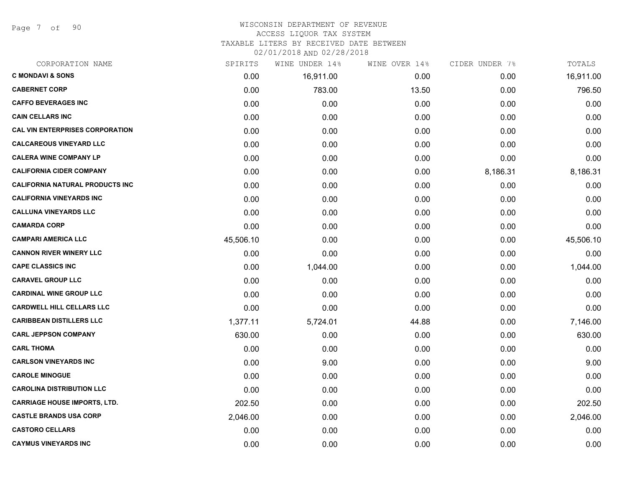Page 7 of 90

# WISCONSIN DEPARTMENT OF REVENUE ACCESS LIQUOR TAX SYSTEM

TAXABLE LITERS BY RECEIVED DATE BETWEEN

| CORPORATION NAME                       | SPIRITS   | WINE UNDER 14% | WINE OVER 14% | CIDER UNDER 7% | TOTALS    |
|----------------------------------------|-----------|----------------|---------------|----------------|-----------|
| <b>C MONDAVI &amp; SONS</b>            | 0.00      | 16,911.00      | 0.00          | 0.00           | 16,911.00 |
| <b>CABERNET CORP</b>                   | 0.00      | 783.00         | 13.50         | 0.00           | 796.50    |
| <b>CAFFO BEVERAGES INC</b>             | 0.00      | 0.00           | 0.00          | 0.00           | 0.00      |
| <b>CAIN CELLARS INC</b>                | 0.00      | 0.00           | 0.00          | 0.00           | 0.00      |
| <b>CAL VIN ENTERPRISES CORPORATION</b> | 0.00      | 0.00           | 0.00          | 0.00           | 0.00      |
| <b>CALCAREOUS VINEYARD LLC</b>         | 0.00      | 0.00           | 0.00          | 0.00           | 0.00      |
| <b>CALERA WINE COMPANY LP</b>          | 0.00      | 0.00           | 0.00          | 0.00           | 0.00      |
| <b>CALIFORNIA CIDER COMPANY</b>        | 0.00      | 0.00           | 0.00          | 8,186.31       | 8,186.31  |
| <b>CALIFORNIA NATURAL PRODUCTS INC</b> | 0.00      | 0.00           | 0.00          | 0.00           | 0.00      |
| <b>CALIFORNIA VINEYARDS INC</b>        | 0.00      | 0.00           | 0.00          | 0.00           | 0.00      |
| <b>CALLUNA VINEYARDS LLC</b>           | 0.00      | 0.00           | 0.00          | 0.00           | 0.00      |
| <b>CAMARDA CORP</b>                    | 0.00      | 0.00           | 0.00          | 0.00           | 0.00      |
| <b>CAMPARI AMERICA LLC</b>             | 45,506.10 | 0.00           | 0.00          | 0.00           | 45,506.10 |
| <b>CANNON RIVER WINERY LLC</b>         | 0.00      | 0.00           | 0.00          | 0.00           | 0.00      |
| <b>CAPE CLASSICS INC</b>               | 0.00      | 1,044.00       | 0.00          | 0.00           | 1,044.00  |
| <b>CARAVEL GROUP LLC</b>               | 0.00      | 0.00           | 0.00          | 0.00           | 0.00      |
| <b>CARDINAL WINE GROUP LLC</b>         | 0.00      | 0.00           | 0.00          | 0.00           | 0.00      |
| <b>CARDWELL HILL CELLARS LLC</b>       | 0.00      | 0.00           | 0.00          | 0.00           | 0.00      |
| <b>CARIBBEAN DISTILLERS LLC</b>        | 1,377.11  | 5,724.01       | 44.88         | 0.00           | 7,146.00  |
| <b>CARL JEPPSON COMPANY</b>            | 630.00    | 0.00           | 0.00          | 0.00           | 630.00    |
| <b>CARL THOMA</b>                      | 0.00      | 0.00           | 0.00          | 0.00           | 0.00      |
| <b>CARLSON VINEYARDS INC</b>           | 0.00      | 9.00           | 0.00          | 0.00           | 9.00      |
| <b>CAROLE MINOGUE</b>                  | 0.00      | 0.00           | 0.00          | 0.00           | 0.00      |
| <b>CAROLINA DISTRIBUTION LLC</b>       | 0.00      | 0.00           | 0.00          | 0.00           | 0.00      |
| <b>CARRIAGE HOUSE IMPORTS, LTD.</b>    | 202.50    | 0.00           | 0.00          | 0.00           | 202.50    |
| <b>CASTLE BRANDS USA CORP</b>          | 2,046.00  | 0.00           | 0.00          | 0.00           | 2,046.00  |
| <b>CASTORO CELLARS</b>                 | 0.00      | 0.00           | 0.00          | 0.00           | 0.00      |
| <b>CAYMUS VINEYARDS INC</b>            | 0.00      | 0.00           | 0.00          | 0.00           | 0.00      |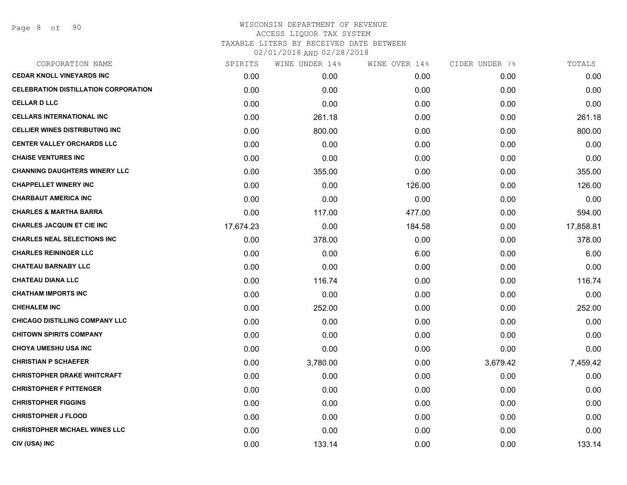| CORPORATION NAME                            | SPIRITS   | WINE UNDER 14% | WINE OVER 14% | CIDER UNDER 7% | TOTALS    |
|---------------------------------------------|-----------|----------------|---------------|----------------|-----------|
| <b>CEDAR KNOLL VINEYARDS INC</b>            | 0.00      | 0.00           | 0.00          | 0.00           | 0.00      |
| <b>CELEBRATION DISTILLATION CORPORATION</b> | 0.00      | 0.00           | 0.00          | 0.00           | 0.00      |
| <b>CELLAR D LLC</b>                         | 0.00      | 0.00           | 0.00          | 0.00           | 0.00      |
| <b>CELLARS INTERNATIONAL INC</b>            | 0.00      | 261.18         | 0.00          | 0.00           | 261.18    |
| <b>CELLIER WINES DISTRIBUTING INC</b>       | 0.00      | 800.00         | 0.00          | 0.00           | 800.00    |
| <b>CENTER VALLEY ORCHARDS LLC</b>           | 0.00      | 0.00           | 0.00          | 0.00           | 0.00      |
| <b>CHAISE VENTURES INC</b>                  | 0.00      | 0.00           | 0.00          | 0.00           | 0.00      |
| <b>CHANNING DAUGHTERS WINERY LLC</b>        | 0.00      | 355.00         | 0.00          | 0.00           | 355.00    |
| <b>CHAPPELLET WINERY INC</b>                | 0.00      | 0.00           | 126.00        | 0.00           | 126.00    |
| <b>CHARBAUT AMERICA INC</b>                 | 0.00      | 0.00           | 0.00          | 0.00           | 0.00      |
| <b>CHARLES &amp; MARTHA BARRA</b>           | 0.00      | 117.00         | 477.00        | 0.00           | 594.00    |
| <b>CHARLES JACQUIN ET CIE INC</b>           | 17,674.23 | 0.00           | 184.58        | 0.00           | 17,858.81 |
| <b>CHARLES NEAL SELECTIONS INC</b>          | 0.00      | 378.00         | 0.00          | 0.00           | 378.00    |
| <b>CHARLES REININGER LLC</b>                | 0.00      | 0.00           | 6.00          | 0.00           | 6.00      |
| <b>CHATEAU BARNABY LLC</b>                  | 0.00      | 0.00           | 0.00          | 0.00           | 0.00      |
| <b>CHATEAU DIANA LLC</b>                    | 0.00      | 116.74         | 0.00          | 0.00           | 116.74    |
| <b>CHATHAM IMPORTS INC</b>                  | 0.00      | 0.00           | 0.00          | 0.00           | 0.00      |
| <b>CHEHALEM INC</b>                         | 0.00      | 252.00         | 0.00          | 0.00           | 252.00    |
| <b>CHICAGO DISTILLING COMPANY LLC</b>       | 0.00      | 0.00           | 0.00          | 0.00           | 0.00      |
| <b>CHITOWN SPIRITS COMPANY</b>              | 0.00      | 0.00           | 0.00          | 0.00           | 0.00      |
| <b>CHOYA UMESHU USA INC</b>                 | 0.00      | 0.00           | 0.00          | 0.00           | 0.00      |
| <b>CHRISTIAN P SCHAEFER</b>                 | 0.00      | 3,780.00       | 0.00          | 3,679.42       | 7,459.42  |
| <b>CHRISTOPHER DRAKE WHITCRAFT</b>          | 0.00      | 0.00           | 0.00          | 0.00           | 0.00      |
| <b>CHRISTOPHER F PITTENGER</b>              | 0.00      | 0.00           | 0.00          | 0.00           | 0.00      |
| <b>CHRISTOPHER FIGGINS</b>                  | 0.00      | 0.00           | 0.00          | 0.00           | 0.00      |
| <b>CHRISTOPHER J FLOOD</b>                  | 0.00      | 0.00           | 0.00          | 0.00           | 0.00      |
| <b>CHRISTOPHER MICHAEL WINES LLC</b>        | 0.00      | 0.00           | 0.00          | 0.00           | 0.00      |
| CIV (USA) INC                               | 0.00      | 133.14         | 0.00          | 0.00           | 133.14    |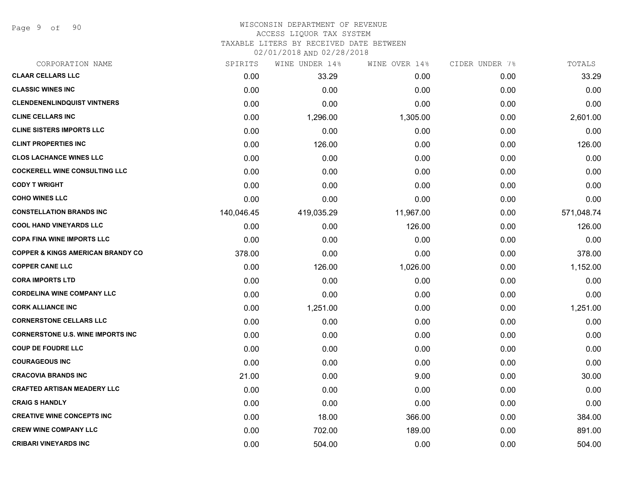Page 9 of 90

# WISCONSIN DEPARTMENT OF REVENUE ACCESS LIQUOR TAX SYSTEM

TAXABLE LITERS BY RECEIVED DATE BETWEEN

| CORPORATION NAME                             | SPIRITS    | WINE UNDER 14% | WINE OVER 14% | CIDER UNDER 7% | TOTALS     |
|----------------------------------------------|------------|----------------|---------------|----------------|------------|
| <b>CLAAR CELLARS LLC</b>                     | 0.00       | 33.29          | 0.00          | 0.00           | 33.29      |
| <b>CLASSIC WINES INC</b>                     | 0.00       | 0.00           | 0.00          | 0.00           | 0.00       |
| <b>CLENDENENLINDQUIST VINTNERS</b>           | 0.00       | 0.00           | 0.00          | 0.00           | 0.00       |
| <b>CLINE CELLARS INC</b>                     | 0.00       | 1,296.00       | 1,305.00      | 0.00           | 2,601.00   |
| <b>CLINE SISTERS IMPORTS LLC</b>             | 0.00       | 0.00           | 0.00          | 0.00           | 0.00       |
| <b>CLINT PROPERTIES INC</b>                  | 0.00       | 126.00         | 0.00          | 0.00           | 126.00     |
| <b>CLOS LACHANCE WINES LLC</b>               | 0.00       | 0.00           | 0.00          | 0.00           | 0.00       |
| <b>COCKERELL WINE CONSULTING LLC</b>         | 0.00       | 0.00           | 0.00          | 0.00           | 0.00       |
| <b>CODY T WRIGHT</b>                         | 0.00       | 0.00           | 0.00          | 0.00           | 0.00       |
| <b>COHO WINES LLC</b>                        | 0.00       | 0.00           | 0.00          | 0.00           | 0.00       |
| <b>CONSTELLATION BRANDS INC</b>              | 140,046.45 | 419,035.29     | 11,967.00     | 0.00           | 571,048.74 |
| <b>COOL HAND VINEYARDS LLC</b>               | 0.00       | 0.00           | 126.00        | 0.00           | 126.00     |
| <b>COPA FINA WINE IMPORTS LLC</b>            | 0.00       | 0.00           | 0.00          | 0.00           | 0.00       |
| <b>COPPER &amp; KINGS AMERICAN BRANDY CO</b> | 378.00     | 0.00           | 0.00          | 0.00           | 378.00     |
| <b>COPPER CANE LLC</b>                       | 0.00       | 126.00         | 1,026.00      | 0.00           | 1,152.00   |
| <b>CORA IMPORTS LTD</b>                      | 0.00       | 0.00           | 0.00          | 0.00           | 0.00       |
| <b>CORDELINA WINE COMPANY LLC</b>            | 0.00       | 0.00           | 0.00          | 0.00           | 0.00       |
| <b>CORK ALLIANCE INC</b>                     | 0.00       | 1,251.00       | 0.00          | 0.00           | 1,251.00   |
| <b>CORNERSTONE CELLARS LLC</b>               | 0.00       | 0.00           | 0.00          | 0.00           | 0.00       |
| <b>CORNERSTONE U.S. WINE IMPORTS INC</b>     | 0.00       | 0.00           | 0.00          | 0.00           | 0.00       |
| <b>COUP DE FOUDRE LLC</b>                    | 0.00       | 0.00           | 0.00          | 0.00           | 0.00       |
| <b>COURAGEOUS INC</b>                        | 0.00       | 0.00           | 0.00          | 0.00           | 0.00       |
| <b>CRACOVIA BRANDS INC</b>                   | 21.00      | 0.00           | 9.00          | 0.00           | 30.00      |
| <b>CRAFTED ARTISAN MEADERY LLC</b>           | 0.00       | 0.00           | 0.00          | 0.00           | 0.00       |
| <b>CRAIG S HANDLY</b>                        | 0.00       | 0.00           | 0.00          | 0.00           | 0.00       |
| <b>CREATIVE WINE CONCEPTS INC</b>            | 0.00       | 18.00          | 366.00        | 0.00           | 384.00     |
| <b>CREW WINE COMPANY LLC</b>                 | 0.00       | 702.00         | 189.00        | 0.00           | 891.00     |
| <b>CRIBARI VINEYARDS INC</b>                 | 0.00       | 504.00         | 0.00          | 0.00           | 504.00     |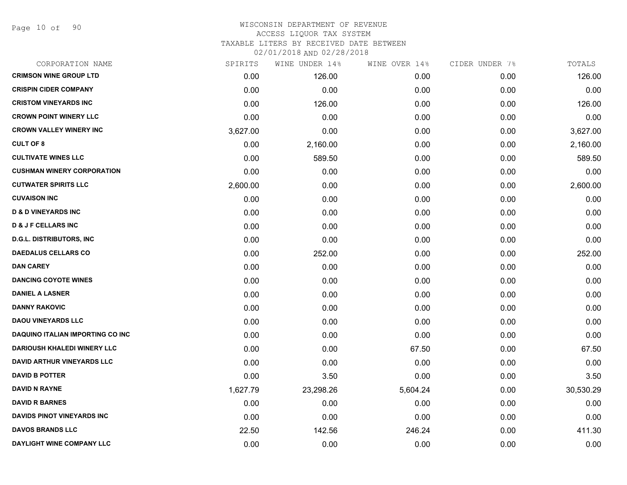Page 10 of 90

# WISCONSIN DEPARTMENT OF REVENUE ACCESS LIQUOR TAX SYSTEM TAXABLE LITERS BY RECEIVED DATE BETWEEN

| CORPORATION NAME                        | SPIRITS  | WINE UNDER 14% | WINE OVER 14% | CIDER UNDER 7% | TOTALS    |
|-----------------------------------------|----------|----------------|---------------|----------------|-----------|
| <b>CRIMSON WINE GROUP LTD</b>           | 0.00     | 126.00         | 0.00          | 0.00           | 126.00    |
| <b>CRISPIN CIDER COMPANY</b>            | 0.00     | 0.00           | 0.00          | 0.00           | 0.00      |
| <b>CRISTOM VINEYARDS INC</b>            | 0.00     | 126.00         | 0.00          | 0.00           | 126.00    |
| <b>CROWN POINT WINERY LLC</b>           | 0.00     | 0.00           | 0.00          | 0.00           | 0.00      |
| <b>CROWN VALLEY WINERY INC</b>          | 3,627.00 | 0.00           | 0.00          | 0.00           | 3,627.00  |
| <b>CULT OF 8</b>                        | 0.00     | 2,160.00       | 0.00          | 0.00           | 2,160.00  |
| <b>CULTIVATE WINES LLC</b>              | 0.00     | 589.50         | 0.00          | 0.00           | 589.50    |
| <b>CUSHMAN WINERY CORPORATION</b>       | 0.00     | 0.00           | 0.00          | 0.00           | 0.00      |
| <b>CUTWATER SPIRITS LLC</b>             | 2,600.00 | 0.00           | 0.00          | 0.00           | 2,600.00  |
| <b>CUVAISON INC</b>                     | 0.00     | 0.00           | 0.00          | 0.00           | 0.00      |
| <b>D &amp; D VINEYARDS INC</b>          | 0.00     | 0.00           | 0.00          | 0.00           | 0.00      |
| <b>D &amp; J F CELLARS INC</b>          | 0.00     | 0.00           | 0.00          | 0.00           | 0.00      |
| <b>D.G.L. DISTRIBUTORS, INC</b>         | 0.00     | 0.00           | 0.00          | 0.00           | 0.00      |
| <b>DAEDALUS CELLARS CO</b>              | 0.00     | 252.00         | 0.00          | 0.00           | 252.00    |
| <b>DAN CAREY</b>                        | 0.00     | 0.00           | 0.00          | 0.00           | 0.00      |
| <b>DANCING COYOTE WINES</b>             | 0.00     | 0.00           | 0.00          | 0.00           | 0.00      |
| <b>DANIEL A LASNER</b>                  | 0.00     | 0.00           | 0.00          | 0.00           | 0.00      |
| <b>DANNY RAKOVIC</b>                    | 0.00     | 0.00           | 0.00          | 0.00           | 0.00      |
| <b>DAOU VINEYARDS LLC</b>               | 0.00     | 0.00           | 0.00          | 0.00           | 0.00      |
| <b>DAQUINO ITALIAN IMPORTING CO INC</b> | 0.00     | 0.00           | 0.00          | 0.00           | 0.00      |
| DARIOUSH KHALEDI WINERY LLC             | 0.00     | 0.00           | 67.50         | 0.00           | 67.50     |
| <b>DAVID ARTHUR VINEYARDS LLC</b>       | 0.00     | 0.00           | 0.00          | 0.00           | 0.00      |
| <b>DAVID B POTTER</b>                   | 0.00     | 3.50           | 0.00          | 0.00           | 3.50      |
| <b>DAVID N RAYNE</b>                    | 1,627.79 | 23,298.26      | 5,604.24      | 0.00           | 30,530.29 |
| <b>DAVID R BARNES</b>                   | 0.00     | 0.00           | 0.00          | 0.00           | 0.00      |
| <b>DAVIDS PINOT VINEYARDS INC</b>       | 0.00     | 0.00           | 0.00          | 0.00           | 0.00      |
| <b>DAVOS BRANDS LLC</b>                 | 22.50    | 142.56         | 246.24        | 0.00           | 411.30    |
| DAYLIGHT WINE COMPANY LLC               | 0.00     | 0.00           | 0.00          | 0.00           | 0.00      |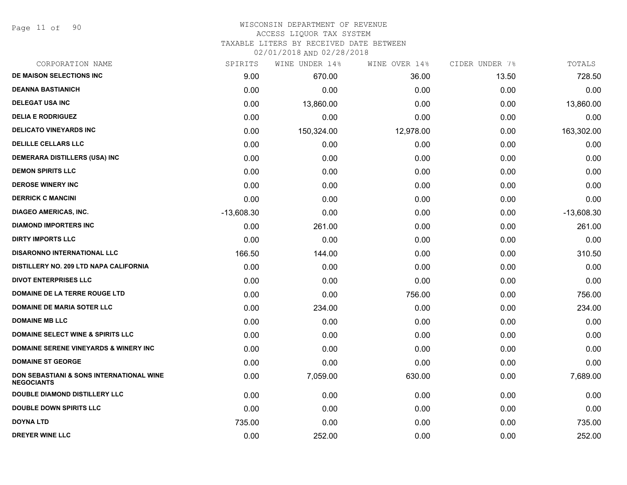# WISCONSIN DEPARTMENT OF REVENUE ACCESS LIQUOR TAX SYSTEM

TAXABLE LITERS BY RECEIVED DATE BETWEEN

| CORPORATION NAME                                                         | SPIRITS      | WINE UNDER 14% | WINE OVER 14% | CIDER UNDER 7% | TOTALS       |
|--------------------------------------------------------------------------|--------------|----------------|---------------|----------------|--------------|
| DE MAISON SELECTIONS INC                                                 | 9.00         | 670.00         | 36.00         | 13.50          | 728.50       |
| <b>DEANNA BASTIANICH</b>                                                 | 0.00         | 0.00           | 0.00          | 0.00           | 0.00         |
| <b>DELEGAT USA INC</b>                                                   | 0.00         | 13,860.00      | 0.00          | 0.00           | 13,860.00    |
| <b>DELIA E RODRIGUEZ</b>                                                 | 0.00         | 0.00           | 0.00          | 0.00           | 0.00         |
| <b>DELICATO VINEYARDS INC</b>                                            | 0.00         | 150,324.00     | 12,978.00     | 0.00           | 163,302.00   |
| <b>DELILLE CELLARS LLC</b>                                               | 0.00         | 0.00           | 0.00          | 0.00           | 0.00         |
| DEMERARA DISTILLERS (USA) INC                                            | 0.00         | 0.00           | 0.00          | 0.00           | 0.00         |
| <b>DEMON SPIRITS LLC</b>                                                 | 0.00         | 0.00           | 0.00          | 0.00           | 0.00         |
| <b>DEROSE WINERY INC</b>                                                 | 0.00         | 0.00           | 0.00          | 0.00           | 0.00         |
| <b>DERRICK C MANCINI</b>                                                 | 0.00         | 0.00           | 0.00          | 0.00           | 0.00         |
| <b>DIAGEO AMERICAS, INC.</b>                                             | $-13,608.30$ | 0.00           | 0.00          | 0.00           | $-13,608.30$ |
| <b>DIAMOND IMPORTERS INC</b>                                             | 0.00         | 261.00         | 0.00          | 0.00           | 261.00       |
| <b>DIRTY IMPORTS LLC</b>                                                 | 0.00         | 0.00           | 0.00          | 0.00           | 0.00         |
| <b>DISARONNO INTERNATIONAL LLC</b>                                       | 166.50       | 144.00         | 0.00          | 0.00           | 310.50       |
| DISTILLERY NO. 209 LTD NAPA CALIFORNIA                                   | 0.00         | 0.00           | 0.00          | 0.00           | 0.00         |
| <b>DIVOT ENTERPRISES LLC</b>                                             | 0.00         | 0.00           | 0.00          | 0.00           | 0.00         |
| DOMAINE DE LA TERRE ROUGE LTD                                            | 0.00         | 0.00           | 756.00        | 0.00           | 756.00       |
| <b>DOMAINE DE MARIA SOTER LLC</b>                                        | 0.00         | 234.00         | 0.00          | 0.00           | 234.00       |
| <b>DOMAINE MB LLC</b>                                                    | 0.00         | 0.00           | 0.00          | 0.00           | 0.00         |
| <b>DOMAINE SELECT WINE &amp; SPIRITS LLC</b>                             | 0.00         | 0.00           | 0.00          | 0.00           | 0.00         |
| <b>DOMAINE SERENE VINEYARDS &amp; WINERY INC</b>                         | 0.00         | 0.00           | 0.00          | 0.00           | 0.00         |
| <b>DOMAINE ST GEORGE</b>                                                 | 0.00         | 0.00           | 0.00          | 0.00           | 0.00         |
| <b>DON SEBASTIANI &amp; SONS INTERNATIONAL WINE</b><br><b>NEGOCIANTS</b> | 0.00         | 7,059.00       | 630.00        | 0.00           | 7,689.00     |
| <b>DOUBLE DIAMOND DISTILLERY LLC</b>                                     | 0.00         | 0.00           | 0.00          | 0.00           | 0.00         |
| <b>DOUBLE DOWN SPIRITS LLC</b>                                           | 0.00         | 0.00           | 0.00          | 0.00           | 0.00         |
| <b>DOYNA LTD</b>                                                         | 735.00       | 0.00           | 0.00          | 0.00           | 735.00       |
| <b>DREYER WINE LLC</b>                                                   | 0.00         | 252.00         | 0.00          | 0.00           | 252.00       |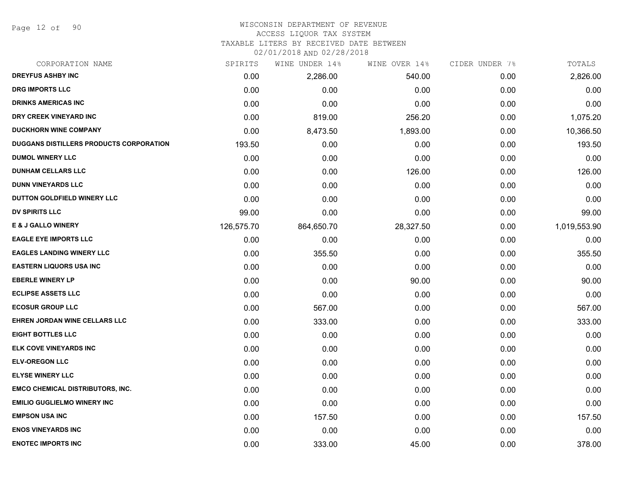Page 12 of 90

# WISCONSIN DEPARTMENT OF REVENUE

# ACCESS LIQUOR TAX SYSTEM

TAXABLE LITERS BY RECEIVED DATE BETWEEN

| CORPORATION NAME                        | SPIRITS    | WINE UNDER 14% | WINE OVER 14% | CIDER UNDER 7% | TOTALS       |
|-----------------------------------------|------------|----------------|---------------|----------------|--------------|
| <b>DREYFUS ASHBY INC</b>                | 0.00       | 2,286.00       | 540.00        | 0.00           | 2,826.00     |
| <b>DRG IMPORTS LLC</b>                  | 0.00       | 0.00           | 0.00          | 0.00           | 0.00         |
| <b>DRINKS AMERICAS INC</b>              | 0.00       | 0.00           | 0.00          | 0.00           | 0.00         |
| DRY CREEK VINEYARD INC                  | 0.00       | 819.00         | 256.20        | 0.00           | 1,075.20     |
| <b>DUCKHORN WINE COMPANY</b>            | 0.00       | 8,473.50       | 1,893.00      | 0.00           | 10,366.50    |
| DUGGANS DISTILLERS PRODUCTS CORPORATION | 193.50     | 0.00           | 0.00          | 0.00           | 193.50       |
| <b>DUMOL WINERY LLC</b>                 | 0.00       | 0.00           | 0.00          | 0.00           | 0.00         |
| <b>DUNHAM CELLARS LLC</b>               | 0.00       | 0.00           | 126.00        | 0.00           | 126.00       |
| <b>DUNN VINEYARDS LLC</b>               | 0.00       | 0.00           | 0.00          | 0.00           | 0.00         |
| DUTTON GOLDFIELD WINERY LLC             | 0.00       | 0.00           | 0.00          | 0.00           | 0.00         |
| <b>DV SPIRITS LLC</b>                   | 99.00      | 0.00           | 0.00          | 0.00           | 99.00        |
| <b>E &amp; J GALLO WINERY</b>           | 126,575.70 | 864,650.70     | 28,327.50     | 0.00           | 1,019,553.90 |
| <b>EAGLE EYE IMPORTS LLC</b>            | 0.00       | 0.00           | 0.00          | 0.00           | 0.00         |
| <b>EAGLES LANDING WINERY LLC</b>        | 0.00       | 355.50         | 0.00          | 0.00           | 355.50       |
| <b>EASTERN LIQUORS USA INC</b>          | 0.00       | 0.00           | 0.00          | 0.00           | 0.00         |
| <b>EBERLE WINERY LP</b>                 | 0.00       | 0.00           | 90.00         | 0.00           | 90.00        |
| <b>ECLIPSE ASSETS LLC</b>               | 0.00       | 0.00           | 0.00          | 0.00           | 0.00         |
| <b>ECOSUR GROUP LLC</b>                 | 0.00       | 567.00         | 0.00          | 0.00           | 567.00       |
| EHREN JORDAN WINE CELLARS LLC           | 0.00       | 333.00         | 0.00          | 0.00           | 333.00       |
| <b>EIGHT BOTTLES LLC</b>                | 0.00       | 0.00           | 0.00          | 0.00           | 0.00         |
| ELK COVE VINEYARDS INC                  | 0.00       | 0.00           | 0.00          | 0.00           | 0.00         |
| <b>ELV-OREGON LLC</b>                   | 0.00       | 0.00           | 0.00          | 0.00           | 0.00         |
| <b>ELYSE WINERY LLC</b>                 | 0.00       | 0.00           | 0.00          | 0.00           | 0.00         |
| <b>EMCO CHEMICAL DISTRIBUTORS, INC.</b> | 0.00       | 0.00           | 0.00          | 0.00           | 0.00         |
| <b>EMILIO GUGLIELMO WINERY INC</b>      | 0.00       | 0.00           | 0.00          | 0.00           | 0.00         |
| <b>EMPSON USA INC</b>                   | 0.00       | 157.50         | 0.00          | 0.00           | 157.50       |
| <b>ENOS VINEYARDS INC</b>               | 0.00       | 0.00           | 0.00          | 0.00           | 0.00         |
| <b>ENOTEC IMPORTS INC</b>               | 0.00       | 333.00         | 45.00         | 0.00           | 378.00       |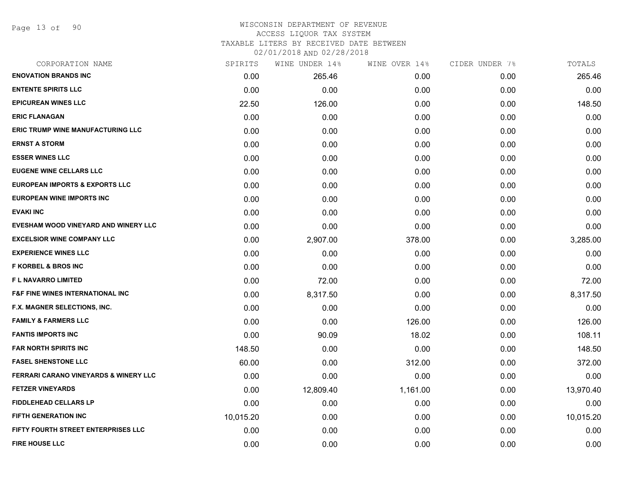Page 13 of 90

# WISCONSIN DEPARTMENT OF REVENUE ACCESS LIQUOR TAX SYSTEM

TAXABLE LITERS BY RECEIVED DATE BETWEEN

| CORPORATION NAME                                 | SPIRITS   | WINE UNDER 14% | WINE OVER 14% | CIDER UNDER 7% | TOTALS    |
|--------------------------------------------------|-----------|----------------|---------------|----------------|-----------|
| <b>ENOVATION BRANDS INC</b>                      | 0.00      | 265.46         | 0.00          | 0.00           | 265.46    |
| <b>ENTENTE SPIRITS LLC</b>                       | 0.00      | 0.00           | 0.00          | 0.00           | 0.00      |
| <b>EPICUREAN WINES LLC</b>                       | 22.50     | 126.00         | 0.00          | 0.00           | 148.50    |
| <b>ERIC FLANAGAN</b>                             | 0.00      | 0.00           | 0.00          | 0.00           | 0.00      |
| <b>ERIC TRUMP WINE MANUFACTURING LLC</b>         | 0.00      | 0.00           | 0.00          | 0.00           | 0.00      |
| <b>ERNST A STORM</b>                             | 0.00      | 0.00           | 0.00          | 0.00           | 0.00      |
| <b>ESSER WINES LLC</b>                           | 0.00      | 0.00           | 0.00          | 0.00           | 0.00      |
| <b>EUGENE WINE CELLARS LLC</b>                   | 0.00      | 0.00           | 0.00          | 0.00           | 0.00      |
| <b>EUROPEAN IMPORTS &amp; EXPORTS LLC</b>        | 0.00      | 0.00           | 0.00          | 0.00           | 0.00      |
| <b>EUROPEAN WINE IMPORTS INC</b>                 | 0.00      | 0.00           | 0.00          | 0.00           | 0.00      |
| <b>EVAKI INC</b>                                 | 0.00      | 0.00           | 0.00          | 0.00           | 0.00      |
| EVESHAM WOOD VINEYARD AND WINERY LLC             | 0.00      | 0.00           | 0.00          | 0.00           | 0.00      |
| <b>EXCELSIOR WINE COMPANY LLC</b>                | 0.00      | 2,907.00       | 378.00        | 0.00           | 3,285.00  |
| <b>EXPERIENCE WINES LLC</b>                      | 0.00      | 0.00           | 0.00          | 0.00           | 0.00      |
| <b>F KORBEL &amp; BROS INC</b>                   | 0.00      | 0.00           | 0.00          | 0.00           | 0.00      |
| <b>FL NAVARRO LIMITED</b>                        | 0.00      | 72.00          | 0.00          | 0.00           | 72.00     |
| <b>F&amp;F FINE WINES INTERNATIONAL INC</b>      | 0.00      | 8,317.50       | 0.00          | 0.00           | 8,317.50  |
| <b>F.X. MAGNER SELECTIONS, INC.</b>              | 0.00      | 0.00           | 0.00          | 0.00           | 0.00      |
| <b>FAMILY &amp; FARMERS LLC</b>                  | 0.00      | 0.00           | 126.00        | 0.00           | 126.00    |
| <b>FANTIS IMPORTS INC</b>                        | 0.00      | 90.09          | 18.02         | 0.00           | 108.11    |
| FAR NORTH SPIRITS INC                            | 148.50    | 0.00           | 0.00          | 0.00           | 148.50    |
| <b>FASEL SHENSTONE LLC</b>                       | 60.00     | 0.00           | 312.00        | 0.00           | 372.00    |
| <b>FERRARI CARANO VINEYARDS &amp; WINERY LLC</b> | 0.00      | 0.00           | 0.00          | 0.00           | 0.00      |
| <b>FETZER VINEYARDS</b>                          | 0.00      | 12,809.40      | 1,161.00      | 0.00           | 13,970.40 |
| <b>FIDDLEHEAD CELLARS LP</b>                     | 0.00      | 0.00           | 0.00          | 0.00           | 0.00      |
| <b>FIFTH GENERATION INC</b>                      | 10,015.20 | 0.00           | 0.00          | 0.00           | 10,015.20 |
| FIFTY FOURTH STREET ENTERPRISES LLC              | 0.00      | 0.00           | 0.00          | 0.00           | 0.00      |
| <b>FIRE HOUSE LLC</b>                            | 0.00      | 0.00           | 0.00          | 0.00           | 0.00      |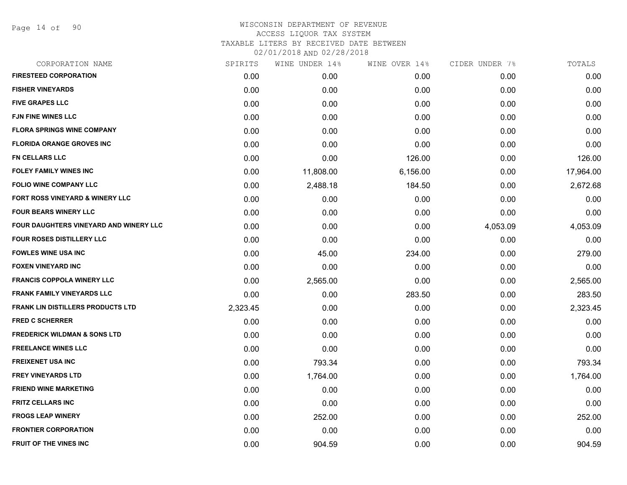| CORPORATION NAME                         | SPIRITS  | WINE UNDER 14% | WINE OVER 14% | CIDER UNDER 7% | TOTALS    |
|------------------------------------------|----------|----------------|---------------|----------------|-----------|
| <b>FIRESTEED CORPORATION</b>             | 0.00     | 0.00           | 0.00          | 0.00           | 0.00      |
| <b>FISHER VINEYARDS</b>                  | 0.00     | 0.00           | 0.00          | 0.00           | 0.00      |
| <b>FIVE GRAPES LLC</b>                   | 0.00     | 0.00           | 0.00          | 0.00           | 0.00      |
| <b>FJN FINE WINES LLC</b>                | 0.00     | 0.00           | 0.00          | 0.00           | 0.00      |
| <b>FLORA SPRINGS WINE COMPANY</b>        | 0.00     | 0.00           | 0.00          | 0.00           | 0.00      |
| <b>FLORIDA ORANGE GROVES INC</b>         | 0.00     | 0.00           | 0.00          | 0.00           | 0.00      |
| <b>FN CELLARS LLC</b>                    | 0.00     | 0.00           | 126.00        | 0.00           | 126.00    |
| <b>FOLEY FAMILY WINES INC</b>            | 0.00     | 11,808.00      | 6,156.00      | 0.00           | 17,964.00 |
| <b>FOLIO WINE COMPANY LLC</b>            | 0.00     | 2,488.18       | 184.50        | 0.00           | 2,672.68  |
| FORT ROSS VINEYARD & WINERY LLC          | 0.00     | 0.00           | 0.00          | 0.00           | 0.00      |
| <b>FOUR BEARS WINERY LLC</b>             | 0.00     | 0.00           | 0.00          | 0.00           | 0.00      |
| FOUR DAUGHTERS VINEYARD AND WINERY LLC   | 0.00     | 0.00           | 0.00          | 4,053.09       | 4,053.09  |
| FOUR ROSES DISTILLERY LLC                | 0.00     | 0.00           | 0.00          | 0.00           | 0.00      |
| <b>FOWLES WINE USA INC</b>               | 0.00     | 45.00          | 234.00        | 0.00           | 279.00    |
| <b>FOXEN VINEYARD INC</b>                | 0.00     | 0.00           | 0.00          | 0.00           | 0.00      |
| <b>FRANCIS COPPOLA WINERY LLC</b>        | 0.00     | 2,565.00       | 0.00          | 0.00           | 2,565.00  |
| <b>FRANK FAMILY VINEYARDS LLC</b>        | 0.00     | 0.00           | 283.50        | 0.00           | 283.50    |
| <b>FRANK LIN DISTILLERS PRODUCTS LTD</b> | 2,323.45 | 0.00           | 0.00          | 0.00           | 2,323.45  |
| <b>FRED C SCHERRER</b>                   | 0.00     | 0.00           | 0.00          | 0.00           | 0.00      |
| <b>FREDERICK WILDMAN &amp; SONS LTD</b>  | 0.00     | 0.00           | 0.00          | 0.00           | 0.00      |
| <b>FREELANCE WINES LLC</b>               | 0.00     | 0.00           | 0.00          | 0.00           | 0.00      |
| <b>FREIXENET USA INC</b>                 | 0.00     | 793.34         | 0.00          | 0.00           | 793.34    |
| <b>FREY VINEYARDS LTD</b>                | 0.00     | 1,764.00       | 0.00          | 0.00           | 1,764.00  |
| <b>FRIEND WINE MARKETING</b>             | 0.00     | 0.00           | 0.00          | 0.00           | 0.00      |
| <b>FRITZ CELLARS INC</b>                 | 0.00     | 0.00           | 0.00          | 0.00           | 0.00      |
| <b>FROGS LEAP WINERY</b>                 | 0.00     | 252.00         | 0.00          | 0.00           | 252.00    |
| <b>FRONTIER CORPORATION</b>              | 0.00     | 0.00           | 0.00          | 0.00           | 0.00      |
| <b>FRUIT OF THE VINES INC</b>            | 0.00     | 904.59         | 0.00          | 0.00           | 904.59    |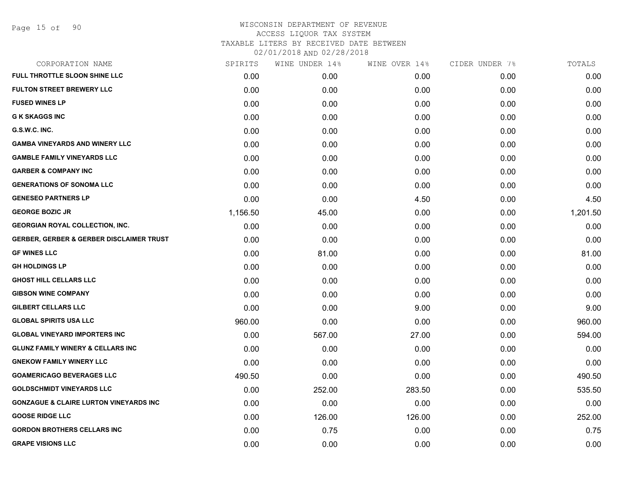Page 15 of 90

| CORPORATION NAME                                    | SPIRITS  | WINE UNDER 14% | WINE OVER 14% | CIDER UNDER 7% | TOTALS   |
|-----------------------------------------------------|----------|----------------|---------------|----------------|----------|
| FULL THROTTLE SLOON SHINE LLC                       | 0.00     | 0.00           | 0.00          | 0.00           | 0.00     |
| <b>FULTON STREET BREWERY LLC</b>                    | 0.00     | 0.00           | 0.00          | 0.00           | 0.00     |
| <b>FUSED WINES LP</b>                               | 0.00     | 0.00           | 0.00          | 0.00           | 0.00     |
| <b>G K SKAGGS INC</b>                               | 0.00     | 0.00           | 0.00          | 0.00           | 0.00     |
| G.S.W.C. INC.                                       | 0.00     | 0.00           | 0.00          | 0.00           | 0.00     |
| <b>GAMBA VINEYARDS AND WINERY LLC</b>               | 0.00     | 0.00           | 0.00          | 0.00           | 0.00     |
| <b>GAMBLE FAMILY VINEYARDS LLC</b>                  | 0.00     | 0.00           | 0.00          | 0.00           | 0.00     |
| <b>GARBER &amp; COMPANY INC</b>                     | 0.00     | 0.00           | 0.00          | 0.00           | 0.00     |
| <b>GENERATIONS OF SONOMA LLC</b>                    | 0.00     | 0.00           | 0.00          | 0.00           | 0.00     |
| <b>GENESEO PARTNERS LP</b>                          | 0.00     | 0.00           | 4.50          | 0.00           | 4.50     |
| <b>GEORGE BOZIC JR</b>                              | 1,156.50 | 45.00          | 0.00          | 0.00           | 1,201.50 |
| <b>GEORGIAN ROYAL COLLECTION, INC.</b>              | 0.00     | 0.00           | 0.00          | 0.00           | 0.00     |
| <b>GERBER, GERBER &amp; GERBER DISCLAIMER TRUST</b> | 0.00     | 0.00           | 0.00          | 0.00           | 0.00     |
| <b>GF WINES LLC</b>                                 | 0.00     | 81.00          | 0.00          | 0.00           | 81.00    |
| <b>GH HOLDINGS LP</b>                               | 0.00     | 0.00           | 0.00          | 0.00           | 0.00     |
| <b>GHOST HILL CELLARS LLC</b>                       | 0.00     | 0.00           | 0.00          | 0.00           | 0.00     |
| <b>GIBSON WINE COMPANY</b>                          | 0.00     | 0.00           | 0.00          | 0.00           | 0.00     |
| <b>GILBERT CELLARS LLC</b>                          | 0.00     | 0.00           | 9.00          | 0.00           | 9.00     |
| <b>GLOBAL SPIRITS USA LLC</b>                       | 960.00   | 0.00           | 0.00          | 0.00           | 960.00   |
| <b>GLOBAL VINEYARD IMPORTERS INC</b>                | 0.00     | 567.00         | 27.00         | 0.00           | 594.00   |
| <b>GLUNZ FAMILY WINERY &amp; CELLARS INC</b>        | 0.00     | 0.00           | 0.00          | 0.00           | 0.00     |
| <b>GNEKOW FAMILY WINERY LLC</b>                     | 0.00     | 0.00           | 0.00          | 0.00           | 0.00     |
| <b>GOAMERICAGO BEVERAGES LLC</b>                    | 490.50   | 0.00           | 0.00          | 0.00           | 490.50   |
| <b>GOLDSCHMIDT VINEYARDS LLC</b>                    | 0.00     | 252.00         | 283.50        | 0.00           | 535.50   |
| <b>GONZAGUE &amp; CLAIRE LURTON VINEYARDS INC</b>   | 0.00     | 0.00           | 0.00          | 0.00           | 0.00     |
| <b>GOOSE RIDGE LLC</b>                              | 0.00     | 126.00         | 126.00        | 0.00           | 252.00   |
| <b>GORDON BROTHERS CELLARS INC</b>                  | 0.00     | 0.75           | 0.00          | 0.00           | 0.75     |
| <b>GRAPE VISIONS LLC</b>                            | 0.00     | 0.00           | 0.00          | 0.00           | 0.00     |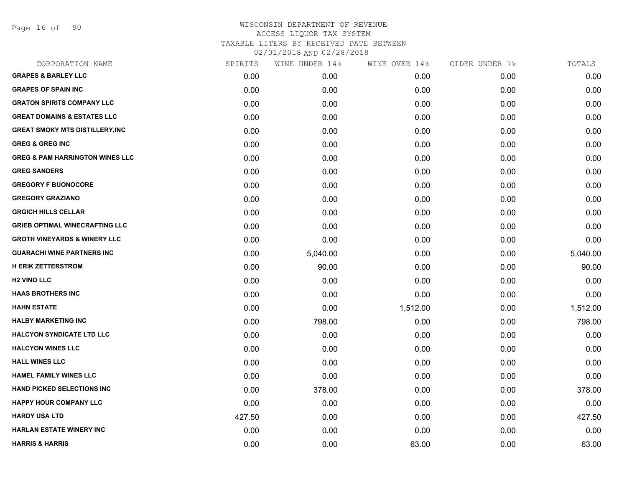Page 16 of 90

# WISCONSIN DEPARTMENT OF REVENUE ACCESS LIQUOR TAX SYSTEM TAXABLE LITERS BY RECEIVED DATE BETWEEN

| CORPORATION NAME                           | SPIRITS | WINE UNDER 14% | WINE OVER 14% | CIDER UNDER 7% | TOTALS   |
|--------------------------------------------|---------|----------------|---------------|----------------|----------|
| <b>GRAPES &amp; BARLEY LLC</b>             | 0.00    | 0.00           | 0.00          | 0.00           | 0.00     |
| <b>GRAPES OF SPAIN INC</b>                 | 0.00    | 0.00           | 0.00          | 0.00           | 0.00     |
| <b>GRATON SPIRITS COMPANY LLC</b>          | 0.00    | 0.00           | 0.00          | 0.00           | 0.00     |
| <b>GREAT DOMAINS &amp; ESTATES LLC</b>     | 0.00    | 0.00           | 0.00          | 0.00           | 0.00     |
| <b>GREAT SMOKY MTS DISTILLERY, INC</b>     | 0.00    | 0.00           | 0.00          | 0.00           | 0.00     |
| <b>GREG &amp; GREG INC</b>                 | 0.00    | 0.00           | 0.00          | 0.00           | 0.00     |
| <b>GREG &amp; PAM HARRINGTON WINES LLC</b> | 0.00    | 0.00           | 0.00          | 0.00           | 0.00     |
| <b>GREG SANDERS</b>                        | 0.00    | 0.00           | 0.00          | 0.00           | 0.00     |
| <b>GREGORY F BUONOCORE</b>                 | 0.00    | 0.00           | 0.00          | 0.00           | 0.00     |
| <b>GREGORY GRAZIANO</b>                    | 0.00    | 0.00           | 0.00          | 0.00           | 0.00     |
| <b>GRGICH HILLS CELLAR</b>                 | 0.00    | 0.00           | 0.00          | 0.00           | 0.00     |
| <b>GRIEB OPTIMAL WINECRAFTING LLC</b>      | 0.00    | 0.00           | 0.00          | 0.00           | 0.00     |
| <b>GROTH VINEYARDS &amp; WINERY LLC</b>    | 0.00    | 0.00           | 0.00          | 0.00           | 0.00     |
| <b>GUARACHI WINE PARTNERS INC</b>          | 0.00    | 5,040.00       | 0.00          | 0.00           | 5,040.00 |
| <b>H ERIK ZETTERSTROM</b>                  | 0.00    | 90.00          | 0.00          | 0.00           | 90.00    |
| <b>H2 VINO LLC</b>                         | 0.00    | 0.00           | 0.00          | 0.00           | 0.00     |
| <b>HAAS BROTHERS INC</b>                   | 0.00    | 0.00           | 0.00          | 0.00           | 0.00     |
| <b>HAHN ESTATE</b>                         | 0.00    | 0.00           | 1,512.00      | 0.00           | 1,512.00 |
| <b>HALBY MARKETING INC</b>                 | 0.00    | 798.00         | 0.00          | 0.00           | 798.00   |
| <b>HALCYON SYNDICATE LTD LLC</b>           | 0.00    | 0.00           | 0.00          | 0.00           | 0.00     |
| <b>HALCYON WINES LLC</b>                   | 0.00    | 0.00           | 0.00          | 0.00           | 0.00     |
| <b>HALL WINES LLC</b>                      | 0.00    | 0.00           | 0.00          | 0.00           | 0.00     |
| <b>HAMEL FAMILY WINES LLC</b>              | 0.00    | 0.00           | 0.00          | 0.00           | 0.00     |
| <b>HAND PICKED SELECTIONS INC</b>          | 0.00    | 378.00         | 0.00          | 0.00           | 378.00   |
| <b>HAPPY HOUR COMPANY LLC</b>              | 0.00    | 0.00           | 0.00          | 0.00           | 0.00     |
| <b>HARDY USA LTD</b>                       | 427.50  | 0.00           | 0.00          | 0.00           | 427.50   |
| <b>HARLAN ESTATE WINERY INC</b>            | 0.00    | 0.00           | 0.00          | 0.00           | 0.00     |
| <b>HARRIS &amp; HARRIS</b>                 | 0.00    | 0.00           | 63.00         | 0.00           | 63.00    |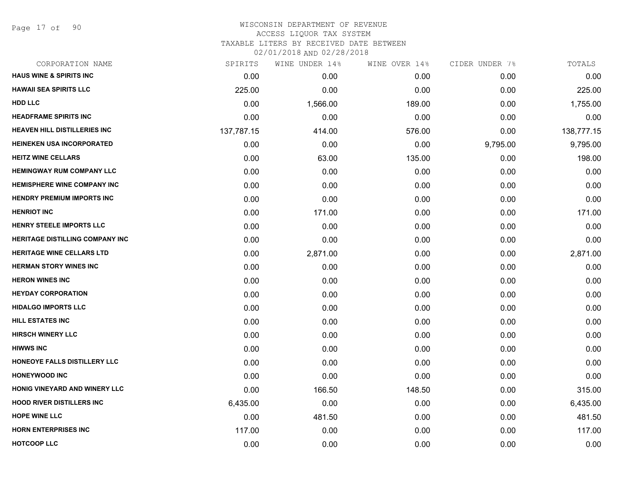Page 17 of 90

| CORPORATION NAME                       | SPIRITS    | WINE UNDER 14% | WINE OVER 14% | CIDER UNDER 7% | TOTALS     |
|----------------------------------------|------------|----------------|---------------|----------------|------------|
| <b>HAUS WINE &amp; SPIRITS INC</b>     | 0.00       | 0.00           | 0.00          | 0.00           | 0.00       |
| <b>HAWAII SEA SPIRITS LLC</b>          | 225.00     | 0.00           | 0.00          | 0.00           | 225.00     |
| <b>HDD LLC</b>                         | 0.00       | 1,566.00       | 189.00        | 0.00           | 1,755.00   |
| <b>HEADFRAME SPIRITS INC</b>           | 0.00       | 0.00           | 0.00          | 0.00           | 0.00       |
| <b>HEAVEN HILL DISTILLERIES INC</b>    | 137,787.15 | 414.00         | 576.00        | 0.00           | 138,777.15 |
| <b>HEINEKEN USA INCORPORATED</b>       | 0.00       | 0.00           | 0.00          | 9,795.00       | 9,795.00   |
| <b>HEITZ WINE CELLARS</b>              | 0.00       | 63.00          | 135.00        | 0.00           | 198.00     |
| <b>HEMINGWAY RUM COMPANY LLC</b>       | 0.00       | 0.00           | 0.00          | 0.00           | 0.00       |
| <b>HEMISPHERE WINE COMPANY INC</b>     | 0.00       | 0.00           | 0.00          | 0.00           | 0.00       |
| <b>HENDRY PREMIUM IMPORTS INC</b>      | 0.00       | 0.00           | 0.00          | 0.00           | 0.00       |
| <b>HENRIOT INC</b>                     | 0.00       | 171.00         | 0.00          | 0.00           | 171.00     |
| <b>HENRY STEELE IMPORTS LLC</b>        | 0.00       | 0.00           | 0.00          | 0.00           | 0.00       |
| <b>HERITAGE DISTILLING COMPANY INC</b> | 0.00       | 0.00           | 0.00          | 0.00           | 0.00       |
| <b>HERITAGE WINE CELLARS LTD</b>       | 0.00       | 2,871.00       | 0.00          | 0.00           | 2,871.00   |
| <b>HERMAN STORY WINES INC</b>          | 0.00       | 0.00           | 0.00          | 0.00           | 0.00       |
| <b>HERON WINES INC</b>                 | 0.00       | 0.00           | 0.00          | 0.00           | 0.00       |
| <b>HEYDAY CORPORATION</b>              | 0.00       | 0.00           | 0.00          | 0.00           | 0.00       |
| <b>HIDALGO IMPORTS LLC</b>             | 0.00       | 0.00           | 0.00          | 0.00           | 0.00       |
| <b>HILL ESTATES INC</b>                | 0.00       | 0.00           | 0.00          | 0.00           | 0.00       |
| <b>HIRSCH WINERY LLC</b>               | 0.00       | 0.00           | 0.00          | 0.00           | 0.00       |
| <b>HIWWS INC</b>                       | 0.00       | 0.00           | 0.00          | 0.00           | 0.00       |
| HONEOYE FALLS DISTILLERY LLC           | 0.00       | 0.00           | 0.00          | 0.00           | 0.00       |
| <b>HONEYWOOD INC</b>                   | 0.00       | 0.00           | 0.00          | 0.00           | 0.00       |
| HONIG VINEYARD AND WINERY LLC          | 0.00       | 166.50         | 148.50        | 0.00           | 315.00     |
| <b>HOOD RIVER DISTILLERS INC</b>       | 6,435.00   | 0.00           | 0.00          | 0.00           | 6,435.00   |
| <b>HOPE WINE LLC</b>                   | 0.00       | 481.50         | 0.00          | 0.00           | 481.50     |
| <b>HORN ENTERPRISES INC</b>            | 117.00     | 0.00           | 0.00          | 0.00           | 117.00     |
| <b>HOTCOOP LLC</b>                     | 0.00       | 0.00           | 0.00          | 0.00           | 0.00       |
|                                        |            |                |               |                |            |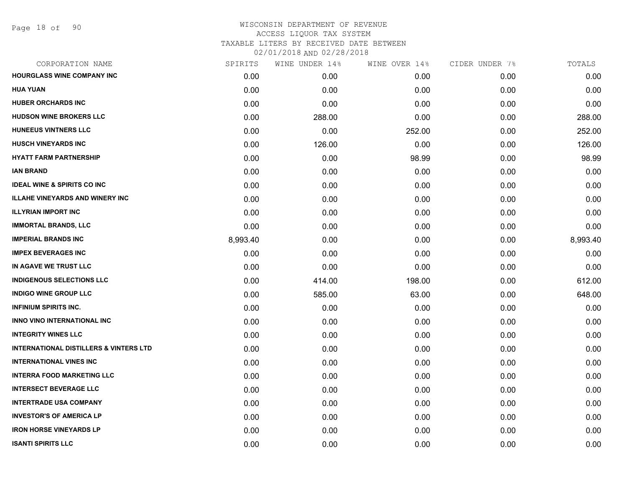| SPIRITS  | WINE UNDER 14% | WINE OVER 14% | CIDER UNDER 7% | TOTALS   |
|----------|----------------|---------------|----------------|----------|
| 0.00     | 0.00           | 0.00          | 0.00           | 0.00     |
| 0.00     | 0.00           | 0.00          | 0.00           | 0.00     |
| 0.00     | 0.00           | 0.00          | 0.00           | 0.00     |
| 0.00     | 288.00         | 0.00          | 0.00           | 288.00   |
| 0.00     | 0.00           | 252.00        | 0.00           | 252.00   |
| 0.00     | 126.00         | 0.00          | 0.00           | 126.00   |
| 0.00     | 0.00           | 98.99         | 0.00           | 98.99    |
| 0.00     | 0.00           | 0.00          | 0.00           | 0.00     |
| 0.00     | 0.00           | 0.00          | 0.00           | 0.00     |
| 0.00     | 0.00           | 0.00          | 0.00           | 0.00     |
| 0.00     | 0.00           | 0.00          | 0.00           | 0.00     |
| 0.00     | 0.00           | 0.00          | 0.00           | 0.00     |
| 8,993.40 | 0.00           | 0.00          | 0.00           | 8,993.40 |
| 0.00     | 0.00           | 0.00          | 0.00           | 0.00     |
| 0.00     | 0.00           | 0.00          | 0.00           | 0.00     |
| 0.00     | 414.00         | 198.00        | 0.00           | 612.00   |
| 0.00     | 585.00         | 63.00         | 0.00           | 648.00   |
| 0.00     | 0.00           | 0.00          | 0.00           | 0.00     |
| 0.00     | 0.00           | 0.00          | 0.00           | 0.00     |
| 0.00     | 0.00           | 0.00          | 0.00           | 0.00     |
| 0.00     | 0.00           | 0.00          | 0.00           | 0.00     |
| 0.00     | 0.00           | 0.00          | 0.00           | 0.00     |
| 0.00     | 0.00           | 0.00          | 0.00           | 0.00     |
| 0.00     | 0.00           | 0.00          | 0.00           | 0.00     |
| 0.00     | 0.00           | 0.00          | 0.00           | 0.00     |
| 0.00     | 0.00           | 0.00          | 0.00           | 0.00     |
| 0.00     | 0.00           | 0.00          | 0.00           | 0.00     |
| 0.00     | 0.00           | 0.00          | 0.00           | 0.00     |
|          |                |               |                |          |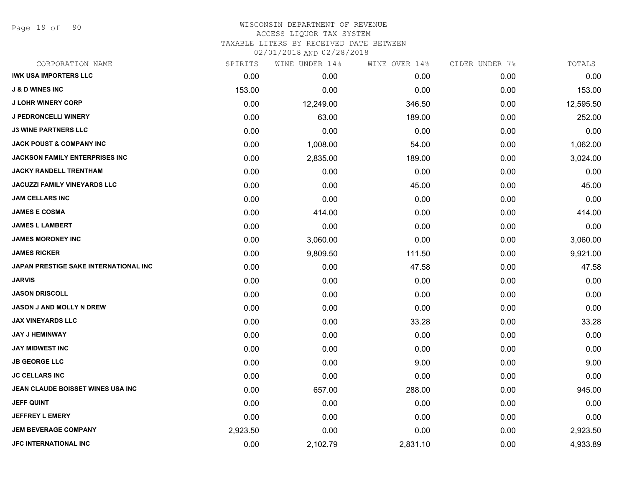Page 19 of 90

| CORPORATION NAME                      | SPIRITS  | WINE UNDER 14% | WINE OVER 14% | CIDER UNDER 7% | TOTALS    |
|---------------------------------------|----------|----------------|---------------|----------------|-----------|
| <b>IWK USA IMPORTERS LLC</b>          | 0.00     | 0.00           | 0.00          | 0.00           | 0.00      |
| <b>J &amp; D WINES INC</b>            | 153.00   | 0.00           | 0.00          | 0.00           | 153.00    |
| <b>J LOHR WINERY CORP</b>             | 0.00     | 12,249.00      | 346.50        | 0.00           | 12,595.50 |
| <b>J PEDRONCELLI WINERY</b>           | 0.00     | 63.00          | 189.00        | 0.00           | 252.00    |
| <b>J3 WINE PARTNERS LLC</b>           | 0.00     | 0.00           | 0.00          | 0.00           | 0.00      |
| <b>JACK POUST &amp; COMPANY INC</b>   | 0.00     | 1,008.00       | 54.00         | 0.00           | 1,062.00  |
| <b>JACKSON FAMILY ENTERPRISES INC</b> | 0.00     | 2,835.00       | 189.00        | 0.00           | 3,024.00  |
| <b>JACKY RANDELL TRENTHAM</b>         | 0.00     | 0.00           | 0.00          | 0.00           | 0.00      |
| <b>JACUZZI FAMILY VINEYARDS LLC</b>   | 0.00     | 0.00           | 45.00         | 0.00           | 45.00     |
| <b>JAM CELLARS INC</b>                | 0.00     | 0.00           | 0.00          | 0.00           | 0.00      |
| <b>JAMES E COSMA</b>                  | 0.00     | 414.00         | 0.00          | 0.00           | 414.00    |
| <b>JAMES L LAMBERT</b>                | 0.00     | 0.00           | 0.00          | 0.00           | 0.00      |
| <b>JAMES MORONEY INC</b>              | 0.00     | 3,060.00       | 0.00          | 0.00           | 3,060.00  |
| <b>JAMES RICKER</b>                   | 0.00     | 9,809.50       | 111.50        | 0.00           | 9,921.00  |
| JAPAN PRESTIGE SAKE INTERNATIONAL INC | 0.00     | 0.00           | 47.58         | 0.00           | 47.58     |
| <b>JARVIS</b>                         | 0.00     | 0.00           | 0.00          | 0.00           | 0.00      |
| <b>JASON DRISCOLL</b>                 | 0.00     | 0.00           | 0.00          | 0.00           | 0.00      |
| <b>JASON J AND MOLLY N DREW</b>       | 0.00     | 0.00           | 0.00          | 0.00           | 0.00      |
| <b>JAX VINEYARDS LLC</b>              | 0.00     | 0.00           | 33.28         | 0.00           | 33.28     |
| <b>JAY J HEMINWAY</b>                 | 0.00     | 0.00           | 0.00          | 0.00           | 0.00      |
| <b>JAY MIDWEST INC</b>                | 0.00     | 0.00           | 0.00          | 0.00           | 0.00      |
| <b>JB GEORGE LLC</b>                  | 0.00     | 0.00           | 9.00          | 0.00           | 9.00      |
| <b>JC CELLARS INC</b>                 | 0.00     | 0.00           | 0.00          | 0.00           | 0.00      |
| JEAN CLAUDE BOISSET WINES USA INC     | 0.00     | 657.00         | 288.00        | 0.00           | 945.00    |
| <b>JEFF QUINT</b>                     | 0.00     | 0.00           | 0.00          | 0.00           | 0.00      |
| <b>JEFFREY L EMERY</b>                | 0.00     | 0.00           | 0.00          | 0.00           | 0.00      |
| <b>JEM BEVERAGE COMPANY</b>           | 2,923.50 | 0.00           | 0.00          | 0.00           | 2,923.50  |
| <b>JFC INTERNATIONAL INC</b>          | 0.00     | 2,102.79       | 2,831.10      | 0.00           | 4,933.89  |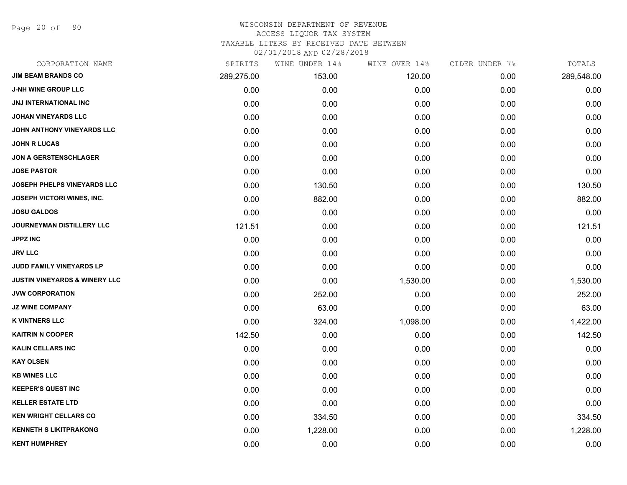Page 20 of 90

#### WISCONSIN DEPARTMENT OF REVENUE ACCESS LIQUOR TAX SYSTEM

TAXABLE LITERS BY RECEIVED DATE BETWEEN

| CORPORATION NAME                         | SPIRITS    | WINE UNDER 14% | WINE OVER 14% | CIDER UNDER 7% | TOTALS     |
|------------------------------------------|------------|----------------|---------------|----------------|------------|
| <b>JIM BEAM BRANDS CO</b>                | 289,275.00 | 153.00         | 120.00        | 0.00           | 289,548.00 |
| <b>J-NH WINE GROUP LLC</b>               | 0.00       | 0.00           | 0.00          | 0.00           | 0.00       |
| JNJ INTERNATIONAL INC                    | 0.00       | 0.00           | 0.00          | 0.00           | 0.00       |
| <b>JOHAN VINEYARDS LLC</b>               | 0.00       | 0.00           | 0.00          | 0.00           | 0.00       |
| JOHN ANTHONY VINEYARDS LLC               | 0.00       | 0.00           | 0.00          | 0.00           | 0.00       |
| <b>JOHN R LUCAS</b>                      | 0.00       | 0.00           | 0.00          | 0.00           | 0.00       |
| <b>JON A GERSTENSCHLAGER</b>             | 0.00       | 0.00           | 0.00          | 0.00           | 0.00       |
| <b>JOSE PASTOR</b>                       | 0.00       | 0.00           | 0.00          | 0.00           | 0.00       |
| JOSEPH PHELPS VINEYARDS LLC              | 0.00       | 130.50         | 0.00          | 0.00           | 130.50     |
| <b>JOSEPH VICTORI WINES, INC.</b>        | 0.00       | 882.00         | 0.00          | 0.00           | 882.00     |
| <b>JOSU GALDOS</b>                       | 0.00       | 0.00           | 0.00          | 0.00           | 0.00       |
| JOURNEYMAN DISTILLERY LLC                | 121.51     | 0.00           | 0.00          | 0.00           | 121.51     |
| <b>JPPZ INC</b>                          | 0.00       | 0.00           | 0.00          | 0.00           | 0.00       |
| <b>JRV LLC</b>                           | 0.00       | 0.00           | 0.00          | 0.00           | 0.00       |
| <b>JUDD FAMILY VINEYARDS LP</b>          | 0.00       | 0.00           | 0.00          | 0.00           | 0.00       |
| <b>JUSTIN VINEYARDS &amp; WINERY LLC</b> | 0.00       | 0.00           | 1,530.00      | 0.00           | 1,530.00   |
| <b>JVW CORPORATION</b>                   | 0.00       | 252.00         | 0.00          | 0.00           | 252.00     |
| <b>JZ WINE COMPANY</b>                   | 0.00       | 63.00          | 0.00          | 0.00           | 63.00      |
| <b>K VINTNERS LLC</b>                    | 0.00       | 324.00         | 1,098.00      | 0.00           | 1,422.00   |
| <b>KAITRIN N COOPER</b>                  | 142.50     | 0.00           | 0.00          | 0.00           | 142.50     |
| <b>KALIN CELLARS INC</b>                 | 0.00       | 0.00           | 0.00          | 0.00           | 0.00       |
| <b>KAY OLSEN</b>                         | 0.00       | 0.00           | 0.00          | 0.00           | 0.00       |
| <b>KB WINES LLC</b>                      | 0.00       | 0.00           | 0.00          | 0.00           | 0.00       |
| <b>KEEPER'S QUEST INC</b>                | 0.00       | 0.00           | 0.00          | 0.00           | 0.00       |
| <b>KELLER ESTATE LTD</b>                 | 0.00       | 0.00           | 0.00          | 0.00           | 0.00       |
| <b>KEN WRIGHT CELLARS CO</b>             | 0.00       | 334.50         | 0.00          | 0.00           | 334.50     |
| <b>KENNETH S LIKITPRAKONG</b>            | 0.00       | 1,228.00       | 0.00          | 0.00           | 1,228.00   |
| <b>KENT HUMPHREY</b>                     | 0.00       | 0.00           | 0.00          | 0.00           | 0.00       |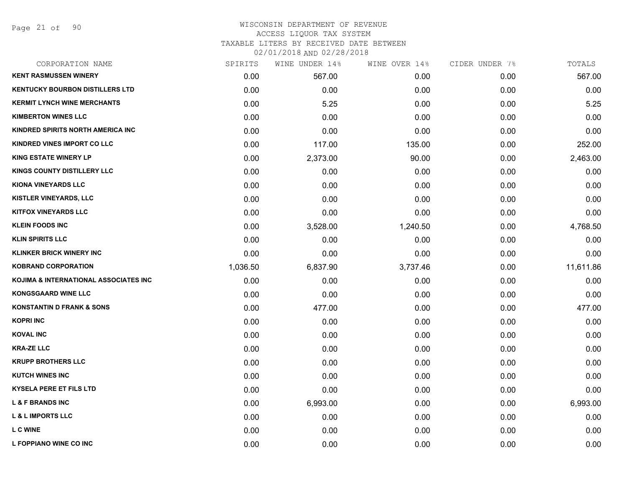Page 21 of 90

| CORPORATION NAME                       | SPIRITS  | WINE UNDER 14% | WINE OVER 14% | CIDER UNDER 7% | TOTALS    |
|----------------------------------------|----------|----------------|---------------|----------------|-----------|
| <b>KENT RASMUSSEN WINERY</b>           | 0.00     | 567.00         | 0.00          | 0.00           | 567.00    |
| <b>KENTUCKY BOURBON DISTILLERS LTD</b> | 0.00     | 0.00           | 0.00          | 0.00           | 0.00      |
| <b>KERMIT LYNCH WINE MERCHANTS</b>     | 0.00     | 5.25           | 0.00          | 0.00           | 5.25      |
| <b>KIMBERTON WINES LLC</b>             | 0.00     | 0.00           | 0.00          | 0.00           | 0.00      |
| KINDRED SPIRITS NORTH AMERICA INC      | 0.00     | 0.00           | 0.00          | 0.00           | 0.00      |
| <b>KINDRED VINES IMPORT CO LLC</b>     | 0.00     | 117.00         | 135.00        | 0.00           | 252.00    |
| <b>KING ESTATE WINERY LP</b>           | 0.00     | 2,373.00       | 90.00         | 0.00           | 2,463.00  |
| KINGS COUNTY DISTILLERY LLC            | 0.00     | 0.00           | 0.00          | 0.00           | 0.00      |
| <b>KIONA VINEYARDS LLC</b>             | 0.00     | 0.00           | 0.00          | 0.00           | 0.00      |
| <b>KISTLER VINEYARDS, LLC</b>          | 0.00     | 0.00           | 0.00          | 0.00           | 0.00      |
| <b>KITFOX VINEYARDS LLC</b>            | 0.00     | 0.00           | 0.00          | 0.00           | 0.00      |
| <b>KLEIN FOODS INC</b>                 | 0.00     | 3,528.00       | 1,240.50      | 0.00           | 4,768.50  |
| <b>KLIN SPIRITS LLC</b>                | 0.00     | 0.00           | 0.00          | 0.00           | 0.00      |
| <b>KLINKER BRICK WINERY INC</b>        | 0.00     | 0.00           | 0.00          | 0.00           | 0.00      |
| <b>KOBRAND CORPORATION</b>             | 1,036.50 | 6,837.90       | 3,737.46      | 0.00           | 11,611.86 |
| KOJIMA & INTERNATIONAL ASSOCIATES INC  | 0.00     | 0.00           | 0.00          | 0.00           | 0.00      |
| <b>KONGSGAARD WINE LLC</b>             | 0.00     | 0.00           | 0.00          | 0.00           | 0.00      |
| <b>KONSTANTIN D FRANK &amp; SONS</b>   | 0.00     | 477.00         | 0.00          | 0.00           | 477.00    |
| <b>KOPRI INC</b>                       | 0.00     | 0.00           | 0.00          | 0.00           | 0.00      |
| <b>KOVAL INC</b>                       | 0.00     | 0.00           | 0.00          | 0.00           | 0.00      |
| <b>KRA-ZE LLC</b>                      | 0.00     | 0.00           | 0.00          | 0.00           | 0.00      |
| <b>KRUPP BROTHERS LLC</b>              | 0.00     | 0.00           | 0.00          | 0.00           | 0.00      |
| <b>KUTCH WINES INC</b>                 | 0.00     | 0.00           | 0.00          | 0.00           | 0.00      |
| <b>KYSELA PERE ET FILS LTD</b>         | 0.00     | 0.00           | 0.00          | 0.00           | 0.00      |
| <b>L &amp; F BRANDS INC</b>            | 0.00     | 6,993.00       | 0.00          | 0.00           | 6,993.00  |
| <b>L &amp; L IMPORTS LLC</b>           | 0.00     | 0.00           | 0.00          | 0.00           | 0.00      |
| <b>L C WINE</b>                        | 0.00     | 0.00           | 0.00          | 0.00           | 0.00      |
| L FOPPIANO WINE CO INC                 | 0.00     | 0.00           | 0.00          | 0.00           | 0.00      |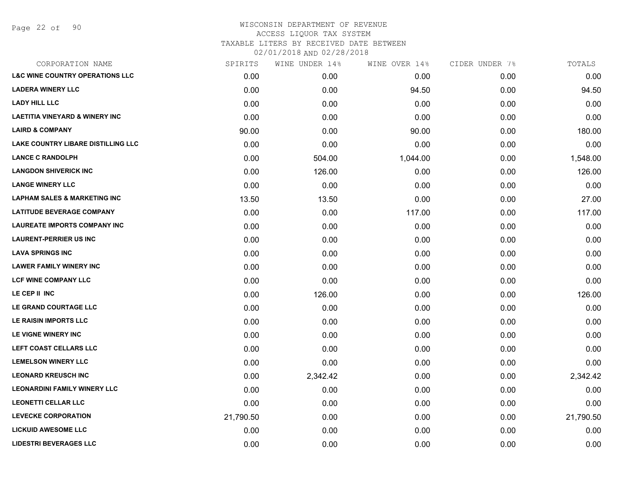Page 22 of 90

| <b>L&amp;C WINE COUNTRY OPERATIONS LLC</b><br>0.00<br>0.00<br><b>LADERA WINERY LLC</b><br>0.00<br>0.00<br><b>LADY HILL LLC</b><br>0.00<br>0.00<br><b>LAETITIA VINEYARD &amp; WINERY INC</b><br>0.00<br>0.00<br><b>LAIRD &amp; COMPANY</b><br>90.00<br>0.00<br>LAKE COUNTRY LIBARE DISTILLING LLC<br>0.00<br>0.00<br><b>LANCE C RANDOLPH</b><br>0.00<br>504.00<br>1,044.00<br><b>LANGDON SHIVERICK INC</b><br>0.00<br>126.00<br><b>LANGE WINERY LLC</b><br>0.00<br>0.00<br><b>LAPHAM SALES &amp; MARKETING INC</b><br>13.50<br>13.50<br><b>LATITUDE BEVERAGE COMPANY</b><br>0.00<br>0.00<br><b>LAUREATE IMPORTS COMPANY INC</b><br>0.00<br>0.00<br><b>LAURENT-PERRIER US INC</b><br>0.00<br>0.00<br><b>LAVA SPRINGS INC</b><br>0.00<br>0.00<br><b>LAWER FAMILY WINERY INC</b><br>0.00<br>0.00<br><b>LCF WINE COMPANY LLC</b><br>0.00<br>0.00<br>LE CEP II INC<br>0.00<br>126.00<br>LE GRAND COURTAGE LLC<br>0.00<br>0.00 | 0.00<br>0.00<br>0.00<br>94.50<br>0.00<br>94.50<br>0.00<br>0.00<br>0.00<br>0.00<br>0.00<br>0.00<br>90.00<br>0.00<br>180.00<br>0.00<br>0.00<br>0.00<br>0.00<br>1,548.00 |
|-------------------------------------------------------------------------------------------------------------------------------------------------------------------------------------------------------------------------------------------------------------------------------------------------------------------------------------------------------------------------------------------------------------------------------------------------------------------------------------------------------------------------------------------------------------------------------------------------------------------------------------------------------------------------------------------------------------------------------------------------------------------------------------------------------------------------------------------------------------------------------------------------------------------------|-----------------------------------------------------------------------------------------------------------------------------------------------------------------------|
|                                                                                                                                                                                                                                                                                                                                                                                                                                                                                                                                                                                                                                                                                                                                                                                                                                                                                                                         |                                                                                                                                                                       |
|                                                                                                                                                                                                                                                                                                                                                                                                                                                                                                                                                                                                                                                                                                                                                                                                                                                                                                                         |                                                                                                                                                                       |
|                                                                                                                                                                                                                                                                                                                                                                                                                                                                                                                                                                                                                                                                                                                                                                                                                                                                                                                         |                                                                                                                                                                       |
|                                                                                                                                                                                                                                                                                                                                                                                                                                                                                                                                                                                                                                                                                                                                                                                                                                                                                                                         |                                                                                                                                                                       |
|                                                                                                                                                                                                                                                                                                                                                                                                                                                                                                                                                                                                                                                                                                                                                                                                                                                                                                                         |                                                                                                                                                                       |
|                                                                                                                                                                                                                                                                                                                                                                                                                                                                                                                                                                                                                                                                                                                                                                                                                                                                                                                         |                                                                                                                                                                       |
|                                                                                                                                                                                                                                                                                                                                                                                                                                                                                                                                                                                                                                                                                                                                                                                                                                                                                                                         |                                                                                                                                                                       |
|                                                                                                                                                                                                                                                                                                                                                                                                                                                                                                                                                                                                                                                                                                                                                                                                                                                                                                                         | 0.00<br>0.00<br>126.00                                                                                                                                                |
|                                                                                                                                                                                                                                                                                                                                                                                                                                                                                                                                                                                                                                                                                                                                                                                                                                                                                                                         | 0.00<br>0.00<br>0.00                                                                                                                                                  |
|                                                                                                                                                                                                                                                                                                                                                                                                                                                                                                                                                                                                                                                                                                                                                                                                                                                                                                                         | 27.00<br>0.00<br>0.00                                                                                                                                                 |
|                                                                                                                                                                                                                                                                                                                                                                                                                                                                                                                                                                                                                                                                                                                                                                                                                                                                                                                         | 117.00<br>0.00<br>117.00                                                                                                                                              |
|                                                                                                                                                                                                                                                                                                                                                                                                                                                                                                                                                                                                                                                                                                                                                                                                                                                                                                                         | 0.00<br>0.00<br>0.00                                                                                                                                                  |
|                                                                                                                                                                                                                                                                                                                                                                                                                                                                                                                                                                                                                                                                                                                                                                                                                                                                                                                         | 0.00<br>0.00<br>0.00                                                                                                                                                  |
|                                                                                                                                                                                                                                                                                                                                                                                                                                                                                                                                                                                                                                                                                                                                                                                                                                                                                                                         | 0.00<br>0.00<br>0.00                                                                                                                                                  |
|                                                                                                                                                                                                                                                                                                                                                                                                                                                                                                                                                                                                                                                                                                                                                                                                                                                                                                                         | 0.00<br>0.00<br>0.00                                                                                                                                                  |
|                                                                                                                                                                                                                                                                                                                                                                                                                                                                                                                                                                                                                                                                                                                                                                                                                                                                                                                         | 0.00<br>0.00<br>0.00                                                                                                                                                  |
|                                                                                                                                                                                                                                                                                                                                                                                                                                                                                                                                                                                                                                                                                                                                                                                                                                                                                                                         | 0.00<br>0.00<br>126.00                                                                                                                                                |
|                                                                                                                                                                                                                                                                                                                                                                                                                                                                                                                                                                                                                                                                                                                                                                                                                                                                                                                         | 0.00<br>0.00<br>0.00                                                                                                                                                  |
| LE RAISIN IMPORTS LLC<br>0.00<br>0.00                                                                                                                                                                                                                                                                                                                                                                                                                                                                                                                                                                                                                                                                                                                                                                                                                                                                                   | 0.00<br>0.00<br>0.00                                                                                                                                                  |
| LE VIGNE WINERY INC<br>0.00<br>0.00                                                                                                                                                                                                                                                                                                                                                                                                                                                                                                                                                                                                                                                                                                                                                                                                                                                                                     | 0.00<br>0.00<br>0.00                                                                                                                                                  |
| LEFT COAST CELLARS LLC<br>0.00<br>0.00                                                                                                                                                                                                                                                                                                                                                                                                                                                                                                                                                                                                                                                                                                                                                                                                                                                                                  | 0.00<br>0.00<br>0.00                                                                                                                                                  |
| <b>LEMELSON WINERY LLC</b><br>0.00<br>0.00                                                                                                                                                                                                                                                                                                                                                                                                                                                                                                                                                                                                                                                                                                                                                                                                                                                                              | 0.00<br>0.00<br>0.00                                                                                                                                                  |
| <b>LEONARD KREUSCH INC</b><br>0.00<br>2,342.42                                                                                                                                                                                                                                                                                                                                                                                                                                                                                                                                                                                                                                                                                                                                                                                                                                                                          | 2,342.42<br>0.00<br>0.00                                                                                                                                              |
| <b>LEONARDINI FAMILY WINERY LLC</b><br>0.00<br>0.00                                                                                                                                                                                                                                                                                                                                                                                                                                                                                                                                                                                                                                                                                                                                                                                                                                                                     | 0.00<br>0.00<br>0.00                                                                                                                                                  |
| <b>LEONETTI CELLAR LLC</b><br>0.00<br>0.00                                                                                                                                                                                                                                                                                                                                                                                                                                                                                                                                                                                                                                                                                                                                                                                                                                                                              | 0.00<br>0.00<br>0.00                                                                                                                                                  |
| <b>LEVECKE CORPORATION</b><br>21,790.50<br>0.00                                                                                                                                                                                                                                                                                                                                                                                                                                                                                                                                                                                                                                                                                                                                                                                                                                                                         | 0.00<br>0.00<br>21,790.50                                                                                                                                             |
| <b>LICKUID AWESOME LLC</b><br>0.00<br>0.00                                                                                                                                                                                                                                                                                                                                                                                                                                                                                                                                                                                                                                                                                                                                                                                                                                                                              | 0.00<br>0.00<br>0.00                                                                                                                                                  |
| <b>LIDESTRI BEVERAGES LLC</b><br>0.00<br>0.00                                                                                                                                                                                                                                                                                                                                                                                                                                                                                                                                                                                                                                                                                                                                                                                                                                                                           | 0.00<br>0.00<br>0.00                                                                                                                                                  |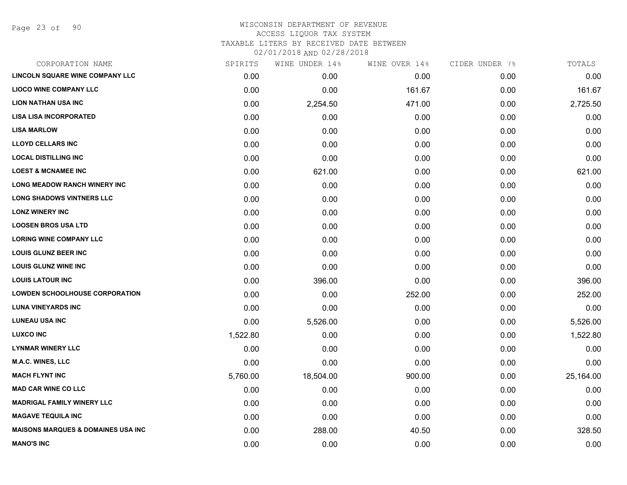Page 23 of 90

| SPIRITS  | WINE UNDER 14% | WINE OVER 14% | CIDER UNDER 7% | TOTALS    |
|----------|----------------|---------------|----------------|-----------|
| 0.00     | 0.00           | 0.00          | 0.00           | 0.00      |
| 0.00     | 0.00           | 161.67        | 0.00           | 161.67    |
| 0.00     | 2,254.50       | 471.00        | 0.00           | 2,725.50  |
| 0.00     | 0.00           | 0.00          | 0.00           | 0.00      |
| 0.00     | 0.00           | 0.00          | 0.00           | 0.00      |
| 0.00     | 0.00           | 0.00          | 0.00           | 0.00      |
| 0.00     | 0.00           | 0.00          | 0.00           | 0.00      |
| 0.00     | 621.00         | 0.00          | 0.00           | 621.00    |
| 0.00     | 0.00           | 0.00          | 0.00           | 0.00      |
| 0.00     | 0.00           | 0.00          | 0.00           | 0.00      |
| 0.00     | 0.00           | 0.00          | 0.00           | 0.00      |
| 0.00     | 0.00           | 0.00          | 0.00           | 0.00      |
| 0.00     | 0.00           | 0.00          | 0.00           | 0.00      |
| 0.00     | 0.00           | 0.00          | 0.00           | 0.00      |
| 0.00     | 0.00           | 0.00          | 0.00           | 0.00      |
| 0.00     | 396.00         | 0.00          | 0.00           | 396.00    |
| 0.00     | 0.00           | 252.00        | 0.00           | 252.00    |
| 0.00     | 0.00           | 0.00          | 0.00           | 0.00      |
| 0.00     | 5,526.00       | 0.00          | 0.00           | 5,526.00  |
| 1,522.80 | 0.00           | 0.00          | 0.00           | 1,522.80  |
| 0.00     | 0.00           | 0.00          | 0.00           | 0.00      |
| 0.00     | 0.00           | 0.00          | 0.00           | 0.00      |
| 5,760.00 | 18,504.00      | 900.00        | 0.00           | 25,164.00 |
| 0.00     | 0.00           | 0.00          | 0.00           | 0.00      |
| 0.00     | 0.00           | 0.00          | 0.00           | 0.00      |
| 0.00     | 0.00           | 0.00          | 0.00           | 0.00      |
| 0.00     | 288.00         | 40.50         | 0.00           | 328.50    |
| 0.00     | 0.00           | 0.00          | 0.00           | 0.00      |
|          |                |               |                |           |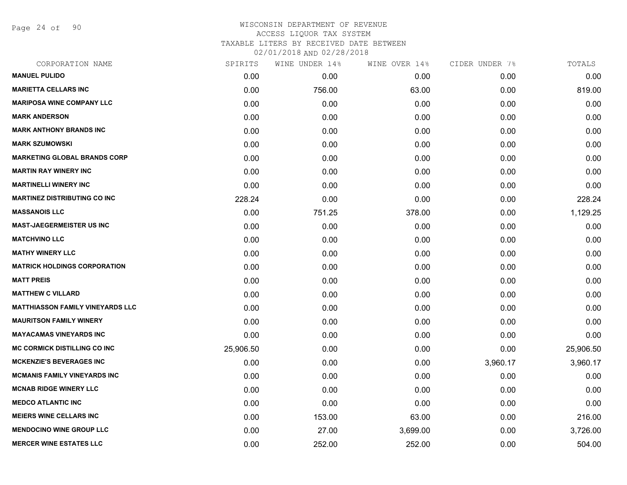Page 24 of 90

| CORPORATION NAME                        | SPIRITS   | WINE UNDER 14% | WINE OVER 14% | CIDER UNDER 7% | TOTALS    |
|-----------------------------------------|-----------|----------------|---------------|----------------|-----------|
| <b>MANUEL PULIDO</b>                    | 0.00      | 0.00           | 0.00          | 0.00           | 0.00      |
| <b>MARIETTA CELLARS INC</b>             | 0.00      | 756.00         | 63.00         | 0.00           | 819.00    |
| <b>MARIPOSA WINE COMPANY LLC</b>        | 0.00      | 0.00           | 0.00          | 0.00           | 0.00      |
| <b>MARK ANDERSON</b>                    | 0.00      | 0.00           | 0.00          | 0.00           | 0.00      |
| <b>MARK ANTHONY BRANDS INC</b>          | 0.00      | 0.00           | 0.00          | 0.00           | 0.00      |
| <b>MARK SZUMOWSKI</b>                   | 0.00      | 0.00           | 0.00          | 0.00           | 0.00      |
| <b>MARKETING GLOBAL BRANDS CORP</b>     | 0.00      | 0.00           | 0.00          | 0.00           | 0.00      |
| <b>MARTIN RAY WINERY INC</b>            | 0.00      | 0.00           | 0.00          | 0.00           | 0.00      |
| <b>MARTINELLI WINERY INC</b>            | 0.00      | 0.00           | 0.00          | 0.00           | 0.00      |
| <b>MARTINEZ DISTRIBUTING CO INC</b>     | 228.24    | 0.00           | 0.00          | 0.00           | 228.24    |
| <b>MASSANOIS LLC</b>                    | 0.00      | 751.25         | 378.00        | 0.00           | 1,129.25  |
| <b>MAST-JAEGERMEISTER US INC</b>        | 0.00      | 0.00           | 0.00          | 0.00           | 0.00      |
| <b>MATCHVINO LLC</b>                    | 0.00      | 0.00           | 0.00          | 0.00           | 0.00      |
| <b>MATHY WINERY LLC</b>                 | 0.00      | 0.00           | 0.00          | 0.00           | 0.00      |
| <b>MATRICK HOLDINGS CORPORATION</b>     | 0.00      | 0.00           | 0.00          | 0.00           | 0.00      |
| <b>MATT PREIS</b>                       | 0.00      | 0.00           | 0.00          | 0.00           | 0.00      |
| <b>MATTHEW C VILLARD</b>                | 0.00      | 0.00           | 0.00          | 0.00           | 0.00      |
| <b>MATTHIASSON FAMILY VINEYARDS LLC</b> | 0.00      | 0.00           | 0.00          | 0.00           | 0.00      |
| <b>MAURITSON FAMILY WINERY</b>          | 0.00      | 0.00           | 0.00          | 0.00           | 0.00      |
| <b>MAYACAMAS VINEYARDS INC</b>          | 0.00      | 0.00           | 0.00          | 0.00           | 0.00      |
| <b>MC CORMICK DISTILLING CO INC</b>     | 25,906.50 | 0.00           | 0.00          | 0.00           | 25,906.50 |
| <b>MCKENZIE'S BEVERAGES INC</b>         | 0.00      | 0.00           | 0.00          | 3,960.17       | 3,960.17  |
| <b>MCMANIS FAMILY VINEYARDS INC</b>     | 0.00      | 0.00           | 0.00          | 0.00           | 0.00      |
| <b>MCNAB RIDGE WINERY LLC</b>           | 0.00      | 0.00           | 0.00          | 0.00           | 0.00      |
| <b>MEDCO ATLANTIC INC</b>               | 0.00      | 0.00           | 0.00          | 0.00           | 0.00      |
| <b>MEIERS WINE CELLARS INC</b>          | 0.00      | 153.00         | 63.00         | 0.00           | 216.00    |
| <b>MENDOCINO WINE GROUP LLC</b>         | 0.00      | 27.00          | 3,699.00      | 0.00           | 3,726.00  |
| <b>MERCER WINE ESTATES LLC</b>          | 0.00      | 252.00         | 252.00        | 0.00           | 504.00    |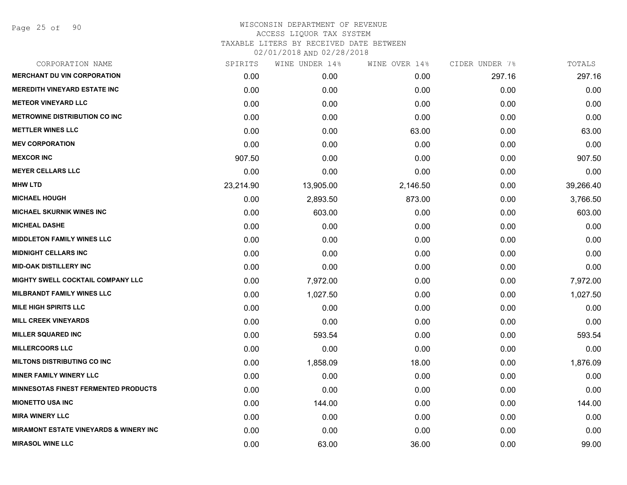Page 25 of 90

| CORPORATION NAME                                  | SPIRITS   | WINE UNDER 14% | WINE OVER 14% | CIDER UNDER 7% | TOTALS    |
|---------------------------------------------------|-----------|----------------|---------------|----------------|-----------|
| <b>MERCHANT DU VIN CORPORATION</b>                | 0.00      | 0.00           | 0.00          | 297.16         | 297.16    |
| <b>MEREDITH VINEYARD ESTATE INC</b>               | 0.00      | 0.00           | 0.00          | 0.00           | 0.00      |
| <b>METEOR VINEYARD LLC</b>                        | 0.00      | 0.00           | 0.00          | 0.00           | 0.00      |
| <b>METROWINE DISTRIBUTION CO INC</b>              | 0.00      | 0.00           | 0.00          | 0.00           | 0.00      |
| <b>METTLER WINES LLC</b>                          | 0.00      | 0.00           | 63.00         | 0.00           | 63.00     |
| <b>MEV CORPORATION</b>                            | 0.00      | 0.00           | 0.00          | 0.00           | 0.00      |
| <b>MEXCOR INC</b>                                 | 907.50    | 0.00           | 0.00          | 0.00           | 907.50    |
| <b>MEYER CELLARS LLC</b>                          | 0.00      | 0.00           | 0.00          | 0.00           | 0.00      |
| <b>MHW LTD</b>                                    | 23,214.90 | 13,905.00      | 2,146.50      | 0.00           | 39,266.40 |
| <b>MICHAEL HOUGH</b>                              | 0.00      | 2,893.50       | 873.00        | 0.00           | 3,766.50  |
| MICHAEL SKURNIK WINES INC                         | 0.00      | 603.00         | 0.00          | 0.00           | 603.00    |
| <b>MICHEAL DASHE</b>                              | 0.00      | 0.00           | 0.00          | 0.00           | 0.00      |
| <b>MIDDLETON FAMILY WINES LLC</b>                 | 0.00      | 0.00           | 0.00          | 0.00           | 0.00      |
| <b>MIDNIGHT CELLARS INC</b>                       | 0.00      | 0.00           | 0.00          | 0.00           | 0.00      |
| <b>MID-OAK DISTILLERY INC</b>                     | 0.00      | 0.00           | 0.00          | 0.00           | 0.00      |
| MIGHTY SWELL COCKTAIL COMPANY LLC                 | 0.00      | 7,972.00       | 0.00          | 0.00           | 7,972.00  |
| <b>MILBRANDT FAMILY WINES LLC</b>                 | 0.00      | 1,027.50       | 0.00          | 0.00           | 1,027.50  |
| <b>MILE HIGH SPIRITS LLC</b>                      | 0.00      | 0.00           | 0.00          | 0.00           | 0.00      |
| <b>MILL CREEK VINEYARDS</b>                       | 0.00      | 0.00           | 0.00          | 0.00           | 0.00      |
| <b>MILLER SQUARED INC</b>                         | 0.00      | 593.54         | 0.00          | 0.00           | 593.54    |
| <b>MILLERCOORS LLC</b>                            | 0.00      | 0.00           | 0.00          | 0.00           | 0.00      |
| <b>MILTONS DISTRIBUTING CO INC</b>                | 0.00      | 1,858.09       | 18.00         | 0.00           | 1,876.09  |
| <b>MINER FAMILY WINERY LLC</b>                    | 0.00      | 0.00           | 0.00          | 0.00           | 0.00      |
| <b>MINNESOTAS FINEST FERMENTED PRODUCTS</b>       | 0.00      | 0.00           | 0.00          | 0.00           | 0.00      |
| <b>MIONETTO USA INC</b>                           | 0.00      | 144.00         | 0.00          | 0.00           | 144.00    |
| <b>MIRA WINERY LLC</b>                            | 0.00      | 0.00           | 0.00          | 0.00           | 0.00      |
| <b>MIRAMONT ESTATE VINEYARDS &amp; WINERY INC</b> | 0.00      | 0.00           | 0.00          | 0.00           | 0.00      |
| <b>MIRASOL WINE LLC</b>                           | 0.00      | 63.00          | 36.00         | 0.00           | 99.00     |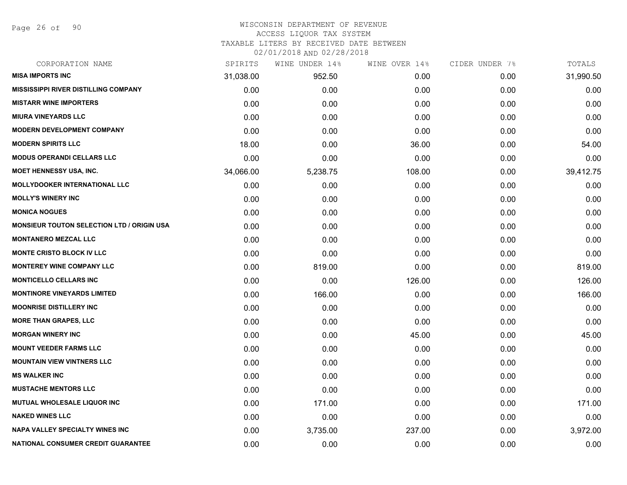Page 26 of 90

#### WISCONSIN DEPARTMENT OF REVENUE ACCESS LIQUOR TAX SYSTEM

TAXABLE LITERS BY RECEIVED DATE BETWEEN

| CORPORATION NAME                                  | SPIRITS   | WINE UNDER 14% | WINE OVER 14% | CIDER UNDER 7% | TOTALS    |
|---------------------------------------------------|-----------|----------------|---------------|----------------|-----------|
| <b>MISA IMPORTS INC</b>                           | 31,038.00 | 952.50         | 0.00          | 0.00           | 31,990.50 |
| <b>MISSISSIPPI RIVER DISTILLING COMPANY</b>       | 0.00      | 0.00           | 0.00          | 0.00           | 0.00      |
| <b>MISTARR WINE IMPORTERS</b>                     | 0.00      | 0.00           | 0.00          | 0.00           | 0.00      |
| <b>MIURA VINEYARDS LLC</b>                        | 0.00      | 0.00           | 0.00          | 0.00           | 0.00      |
| <b>MODERN DEVELOPMENT COMPANY</b>                 | 0.00      | 0.00           | 0.00          | 0.00           | 0.00      |
| <b>MODERN SPIRITS LLC</b>                         | 18.00     | 0.00           | 36.00         | 0.00           | 54.00     |
| <b>MODUS OPERANDI CELLARS LLC</b>                 | 0.00      | 0.00           | 0.00          | 0.00           | 0.00      |
| <b>MOET HENNESSY USA, INC.</b>                    | 34,066.00 | 5,238.75       | 108.00        | 0.00           | 39,412.75 |
| <b>MOLLYDOOKER INTERNATIONAL LLC</b>              | 0.00      | 0.00           | 0.00          | 0.00           | 0.00      |
| <b>MOLLY'S WINERY INC</b>                         | 0.00      | 0.00           | 0.00          | 0.00           | 0.00      |
| <b>MONICA NOGUES</b>                              | 0.00      | 0.00           | 0.00          | 0.00           | 0.00      |
| <b>MONSIEUR TOUTON SELECTION LTD / ORIGIN USA</b> | 0.00      | 0.00           | 0.00          | 0.00           | 0.00      |
| <b>MONTANERO MEZCAL LLC</b>                       | 0.00      | 0.00           | 0.00          | 0.00           | 0.00      |
| <b>MONTE CRISTO BLOCK IV LLC</b>                  | 0.00      | 0.00           | 0.00          | 0.00           | 0.00      |
| <b>MONTEREY WINE COMPANY LLC</b>                  | 0.00      | 819.00         | 0.00          | 0.00           | 819.00    |
| <b>MONTICELLO CELLARS INC</b>                     | 0.00      | 0.00           | 126.00        | 0.00           | 126.00    |
| <b>MONTINORE VINEYARDS LIMITED</b>                | 0.00      | 166.00         | 0.00          | 0.00           | 166.00    |
| <b>MOONRISE DISTILLERY INC</b>                    | 0.00      | 0.00           | 0.00          | 0.00           | 0.00      |
| <b>MORE THAN GRAPES, LLC</b>                      | 0.00      | 0.00           | 0.00          | 0.00           | 0.00      |
| <b>MORGAN WINERY INC</b>                          | 0.00      | 0.00           | 45.00         | 0.00           | 45.00     |
| <b>MOUNT VEEDER FARMS LLC</b>                     | 0.00      | 0.00           | 0.00          | 0.00           | 0.00      |
| <b>MOUNTAIN VIEW VINTNERS LLC</b>                 | 0.00      | 0.00           | 0.00          | 0.00           | 0.00      |
| <b>MS WALKER INC</b>                              | 0.00      | 0.00           | 0.00          | 0.00           | 0.00      |
| <b>MUSTACHE MENTORS LLC</b>                       | 0.00      | 0.00           | 0.00          | 0.00           | 0.00      |
| MUTUAL WHOLESALE LIQUOR INC                       | 0.00      | 171.00         | 0.00          | 0.00           | 171.00    |
| <b>NAKED WINES LLC</b>                            | 0.00      | 0.00           | 0.00          | 0.00           | 0.00      |
| <b>NAPA VALLEY SPECIALTY WINES INC</b>            | 0.00      | 3,735.00       | 237.00        | 0.00           | 3,972.00  |
| NATIONAL CONSUMER CREDIT GUARANTEE                | 0.00      | 0.00           | 0.00          | 0.00           | 0.00      |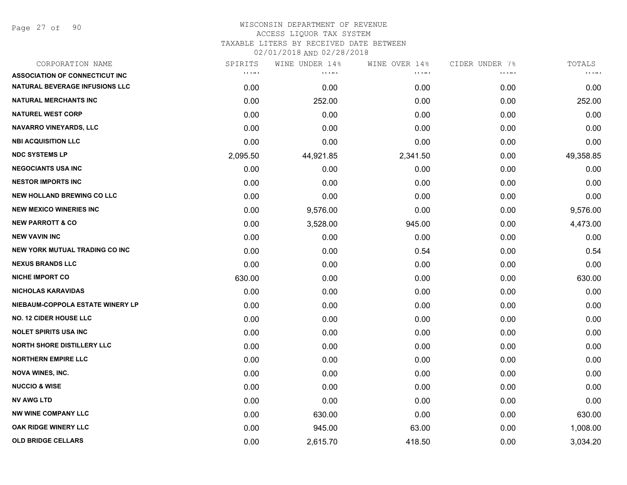Page 27 of 90

| CORPORATION NAME                      | SPIRITS                        | WINE UNDER 14% | WINE OVER 14% | CIDER UNDER 7% | TOTALS       |
|---------------------------------------|--------------------------------|----------------|---------------|----------------|--------------|
| <b>ASSOCIATION OF CONNECTICUT INC</b> | $\alpha$ , $\alpha$ , $\alpha$ | .              | .             | .              | <b>COLOR</b> |
| NATURAL BEVERAGE INFUSIONS LLC        | 0.00                           | 0.00           | 0.00          | 0.00           | 0.00         |
| <b>NATURAL MERCHANTS INC</b>          | 0.00                           | 252.00         | 0.00          | 0.00           | 252.00       |
| <b>NATUREL WEST CORP</b>              | 0.00                           | 0.00           | 0.00          | 0.00           | 0.00         |
| <b>NAVARRO VINEYARDS, LLC</b>         | 0.00                           | 0.00           | 0.00          | 0.00           | 0.00         |
| <b>NBI ACQUISITION LLC</b>            | 0.00                           | 0.00           | 0.00          | 0.00           | 0.00         |
| <b>NDC SYSTEMS LP</b>                 | 2,095.50                       | 44,921.85      | 2,341.50      | 0.00           | 49,358.85    |
| <b>NEGOCIANTS USA INC</b>             | 0.00                           | 0.00           | 0.00          | 0.00           | 0.00         |
| <b>NESTOR IMPORTS INC</b>             | 0.00                           | 0.00           | 0.00          | 0.00           | 0.00         |
| <b>NEW HOLLAND BREWING CO LLC</b>     | 0.00                           | 0.00           | 0.00          | 0.00           | 0.00         |
| <b>NEW MEXICO WINERIES INC</b>        | 0.00                           | 9,576.00       | 0.00          | 0.00           | 9,576.00     |
| <b>NEW PARROTT &amp; CO</b>           | 0.00                           | 3,528.00       | 945.00        | 0.00           | 4,473.00     |
| <b>NEW VAVIN INC</b>                  | 0.00                           | 0.00           | 0.00          | 0.00           | 0.00         |
| <b>NEW YORK MUTUAL TRADING CO INC</b> | 0.00                           | 0.00           | 0.54          | 0.00           | 0.54         |
| <b>NEXUS BRANDS LLC</b>               | 0.00                           | 0.00           | 0.00          | 0.00           | 0.00         |
| <b>NICHE IMPORT CO</b>                | 630.00                         | 0.00           | 0.00          | 0.00           | 630.00       |
| <b>NICHOLAS KARAVIDAS</b>             | 0.00                           | 0.00           | 0.00          | 0.00           | 0.00         |
| NIEBAUM-COPPOLA ESTATE WINERY LP      | 0.00                           | 0.00           | 0.00          | 0.00           | 0.00         |
| <b>NO. 12 CIDER HOUSE LLC</b>         | 0.00                           | 0.00           | 0.00          | 0.00           | 0.00         |
| <b>NOLET SPIRITS USA INC</b>          | 0.00                           | 0.00           | 0.00          | 0.00           | 0.00         |
| <b>NORTH SHORE DISTILLERY LLC</b>     | 0.00                           | 0.00           | 0.00          | 0.00           | 0.00         |
| <b>NORTHERN EMPIRE LLC</b>            | 0.00                           | 0.00           | 0.00          | 0.00           | 0.00         |
| <b>NOVA WINES, INC.</b>               | 0.00                           | 0.00           | 0.00          | 0.00           | 0.00         |
| <b>NUCCIO &amp; WISE</b>              | 0.00                           | 0.00           | 0.00          | 0.00           | 0.00         |
| <b>NV AWG LTD</b>                     | 0.00                           | 0.00           | 0.00          | 0.00           | 0.00         |
| <b>NW WINE COMPANY LLC</b>            | 0.00                           | 630.00         | 0.00          | 0.00           | 630.00       |
| OAK RIDGE WINERY LLC                  | 0.00                           | 945.00         | 63.00         | 0.00           | 1,008.00     |
| <b>OLD BRIDGE CELLARS</b>             | 0.00                           | 2,615.70       | 418.50        | 0.00           | 3,034.20     |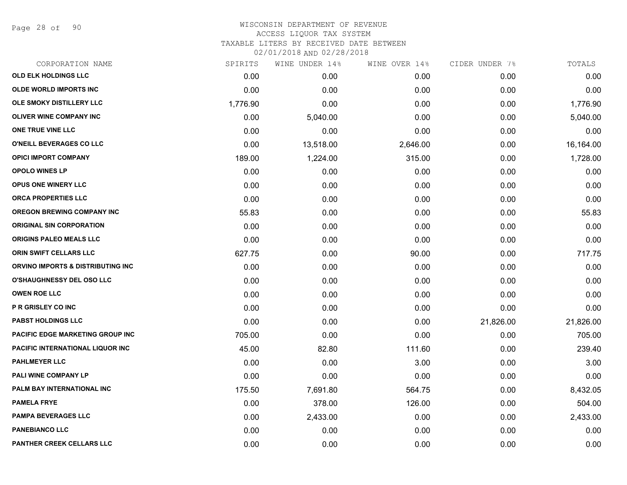Page 28 of 90

| CORPORATION NAME                        | SPIRITS  | WINE UNDER 14% | WINE OVER 14% | CIDER UNDER 7% | TOTALS    |
|-----------------------------------------|----------|----------------|---------------|----------------|-----------|
| <b>OLD ELK HOLDINGS LLC</b>             | 0.00     | 0.00           | 0.00          | 0.00           | 0.00      |
| <b>OLDE WORLD IMPORTS INC</b>           | 0.00     | 0.00           | 0.00          | 0.00           | 0.00      |
| OLE SMOKY DISTILLERY LLC                | 1,776.90 | 0.00           | 0.00          | 0.00           | 1,776.90  |
| <b>OLIVER WINE COMPANY INC</b>          | 0.00     | 5,040.00       | 0.00          | 0.00           | 5,040.00  |
| ONE TRUE VINE LLC                       | 0.00     | 0.00           | 0.00          | 0.00           | 0.00      |
| O'NEILL BEVERAGES CO LLC                | 0.00     | 13,518.00      | 2,646.00      | 0.00           | 16,164.00 |
| <b>OPICI IMPORT COMPANY</b>             | 189.00   | 1,224.00       | 315.00        | 0.00           | 1,728.00  |
| <b>OPOLO WINES LP</b>                   | 0.00     | 0.00           | 0.00          | 0.00           | 0.00      |
| OPUS ONE WINERY LLC                     | 0.00     | 0.00           | 0.00          | 0.00           | 0.00      |
| <b>ORCA PROPERTIES LLC</b>              | 0.00     | 0.00           | 0.00          | 0.00           | 0.00      |
| <b>OREGON BREWING COMPANY INC</b>       | 55.83    | 0.00           | 0.00          | 0.00           | 55.83     |
| <b>ORIGINAL SIN CORPORATION</b>         | 0.00     | 0.00           | 0.00          | 0.00           | 0.00      |
| ORIGINS PALEO MEALS LLC                 | 0.00     | 0.00           | 0.00          | 0.00           | 0.00      |
| <b>ORIN SWIFT CELLARS LLC</b>           | 627.75   | 0.00           | 90.00         | 0.00           | 717.75    |
| ORVINO IMPORTS & DISTRIBUTING INC       | 0.00     | 0.00           | 0.00          | 0.00           | 0.00      |
| O'SHAUGHNESSY DEL OSO LLC               | 0.00     | 0.00           | 0.00          | 0.00           | 0.00      |
| <b>OWEN ROE LLC</b>                     | 0.00     | 0.00           | 0.00          | 0.00           | 0.00      |
| P R GRISLEY CO INC                      | 0.00     | 0.00           | 0.00          | 0.00           | 0.00      |
| <b>PABST HOLDINGS LLC</b>               | 0.00     | 0.00           | 0.00          | 21,826.00      | 21,826.00 |
| <b>PACIFIC EDGE MARKETING GROUP INC</b> | 705.00   | 0.00           | 0.00          | 0.00           | 705.00    |
| PACIFIC INTERNATIONAL LIQUOR INC        | 45.00    | 82.80          | 111.60        | 0.00           | 239.40    |
| <b>PAHLMEYER LLC</b>                    | 0.00     | 0.00           | 3.00          | 0.00           | 3.00      |
| PALI WINE COMPANY LP                    | 0.00     | 0.00           | 0.00          | 0.00           | 0.00      |
| PALM BAY INTERNATIONAL INC              | 175.50   | 7,691.80       | 564.75        | 0.00           | 8,432.05  |
| <b>PAMELA FRYE</b>                      | 0.00     | 378.00         | 126.00        | 0.00           | 504.00    |
| <b>PAMPA BEVERAGES LLC</b>              | 0.00     | 2,433.00       | 0.00          | 0.00           | 2,433.00  |
| <b>PANEBIANCO LLC</b>                   | 0.00     | 0.00           | 0.00          | 0.00           | 0.00      |
| PANTHER CREEK CELLARS LLC               | 0.00     | 0.00           | 0.00          | 0.00           | 0.00      |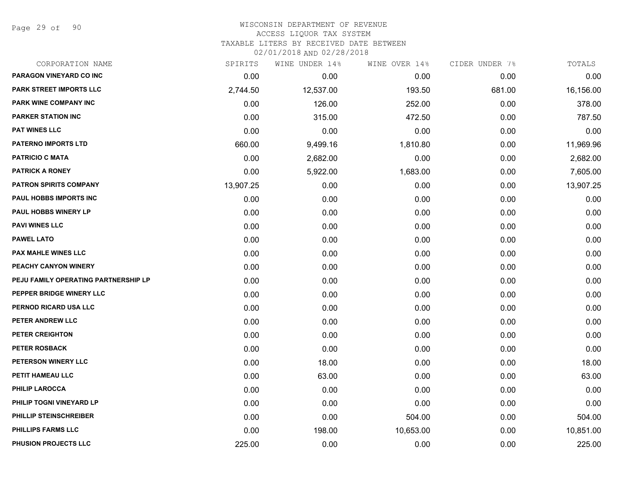Page 29 of 90

#### WISCONSIN DEPARTMENT OF REVENUE ACCESS LIQUOR TAX SYSTEM TAXABLE LITERS BY RECEIVED DATE BETWEEN

| CORPORATION NAME                     | SPIRITS   | WINE UNDER 14% | WINE OVER 14% | CIDER UNDER 7% | TOTALS    |
|--------------------------------------|-----------|----------------|---------------|----------------|-----------|
| PARAGON VINEYARD CO INC              | 0.00      | 0.00           | 0.00          | 0.00           | 0.00      |
| PARK STREET IMPORTS LLC              | 2,744.50  | 12,537.00      | 193.50        | 681.00         | 16,156.00 |
| PARK WINE COMPANY INC                | 0.00      | 126.00         | 252.00        | 0.00           | 378.00    |
| <b>PARKER STATION INC</b>            | 0.00      | 315.00         | 472.50        | 0.00           | 787.50    |
| <b>PAT WINES LLC</b>                 | 0.00      | 0.00           | 0.00          | 0.00           | 0.00      |
| <b>PATERNO IMPORTS LTD</b>           | 660.00    | 9,499.16       | 1,810.80      | 0.00           | 11,969.96 |
| <b>PATRICIO C MATA</b>               | 0.00      | 2,682.00       | 0.00          | 0.00           | 2,682.00  |
| <b>PATRICK A RONEY</b>               | 0.00      | 5,922.00       | 1,683.00      | 0.00           | 7,605.00  |
| <b>PATRON SPIRITS COMPANY</b>        | 13,907.25 | 0.00           | 0.00          | 0.00           | 13,907.25 |
| PAUL HOBBS IMPORTS INC               | 0.00      | 0.00           | 0.00          | 0.00           | 0.00      |
| PAUL HOBBS WINERY LP                 | 0.00      | 0.00           | 0.00          | 0.00           | 0.00      |
| <b>PAVI WINES LLC</b>                | 0.00      | 0.00           | 0.00          | 0.00           | 0.00      |
| <b>PAWEL LATO</b>                    | 0.00      | 0.00           | 0.00          | 0.00           | 0.00      |
| <b>PAX MAHLE WINES LLC</b>           | 0.00      | 0.00           | 0.00          | 0.00           | 0.00      |
| PEACHY CANYON WINERY                 | 0.00      | 0.00           | 0.00          | 0.00           | 0.00      |
| PEJU FAMILY OPERATING PARTNERSHIP LP | 0.00      | 0.00           | 0.00          | 0.00           | 0.00      |
| PEPPER BRIDGE WINERY LLC             | 0.00      | 0.00           | 0.00          | 0.00           | 0.00      |
| PERNOD RICARD USA LLC                | 0.00      | 0.00           | 0.00          | 0.00           | 0.00      |
| PETER ANDREW LLC                     | 0.00      | 0.00           | 0.00          | 0.00           | 0.00      |
| PETER CREIGHTON                      | 0.00      | 0.00           | 0.00          | 0.00           | 0.00      |
| PETER ROSBACK                        | 0.00      | 0.00           | 0.00          | 0.00           | 0.00      |
| PETERSON WINERY LLC                  | 0.00      | 18.00          | 0.00          | 0.00           | 18.00     |
| PETIT HAMEAU LLC                     | 0.00      | 63.00          | 0.00          | 0.00           | 63.00     |
| <b>PHILIP LAROCCA</b>                | 0.00      | 0.00           | 0.00          | 0.00           | 0.00      |
| PHILIP TOGNI VINEYARD LP             | 0.00      | 0.00           | 0.00          | 0.00           | 0.00      |
| PHILLIP STEINSCHREIBER               | 0.00      | 0.00           | 504.00        | 0.00           | 504.00    |
| PHILLIPS FARMS LLC                   | 0.00      | 198.00         | 10,653.00     | 0.00           | 10,851.00 |
| PHUSION PROJECTS LLC                 | 225.00    | 0.00           | 0.00          | 0.00           | 225.00    |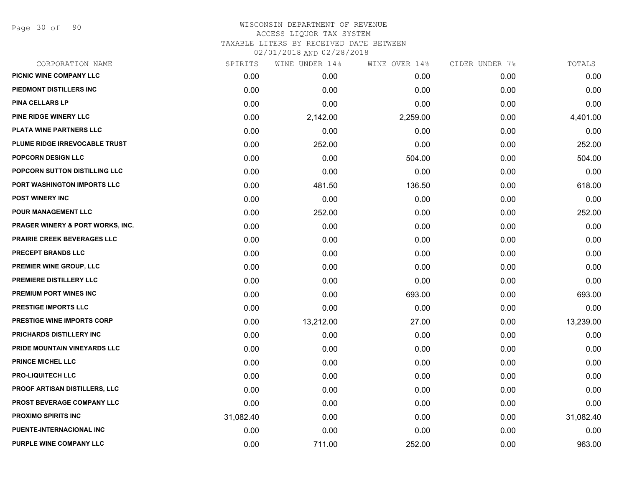Page 30 of 90

| CORPORATION NAME                     | SPIRITS   | WINE UNDER 14% | WINE OVER 14% | CIDER UNDER 7% | TOTALS    |
|--------------------------------------|-----------|----------------|---------------|----------------|-----------|
| PICNIC WINE COMPANY LLC              | 0.00      | 0.00           | 0.00          | 0.00           | 0.00      |
| PIEDMONT DISTILLERS INC              | 0.00      | 0.00           | 0.00          | 0.00           | 0.00      |
| PINA CELLARS LP                      | 0.00      | 0.00           | 0.00          | 0.00           | 0.00      |
| PINE RIDGE WINERY LLC                | 0.00      | 2,142.00       | 2,259.00      | 0.00           | 4,401.00  |
| PLATA WINE PARTNERS LLC              | 0.00      | 0.00           | 0.00          | 0.00           | 0.00      |
| PLUME RIDGE IRREVOCABLE TRUST        | 0.00      | 252.00         | 0.00          | 0.00           | 252.00    |
| POPCORN DESIGN LLC                   | 0.00      | 0.00           | 504.00        | 0.00           | 504.00    |
| POPCORN SUTTON DISTILLING LLC        | 0.00      | 0.00           | 0.00          | 0.00           | 0.00      |
| PORT WASHINGTON IMPORTS LLC          | 0.00      | 481.50         | 136.50        | 0.00           | 618.00    |
| <b>POST WINERY INC</b>               | 0.00      | 0.00           | 0.00          | 0.00           | 0.00      |
| POUR MANAGEMENT LLC                  | 0.00      | 252.00         | 0.00          | 0.00           | 252.00    |
| PRAGER WINERY & PORT WORKS, INC.     | 0.00      | 0.00           | 0.00          | 0.00           | 0.00      |
| PRAIRIE CREEK BEVERAGES LLC          | 0.00      | 0.00           | 0.00          | 0.00           | 0.00      |
| PRECEPT BRANDS LLC                   | 0.00      | 0.00           | 0.00          | 0.00           | 0.00      |
| PREMIER WINE GROUP, LLC              | 0.00      | 0.00           | 0.00          | 0.00           | 0.00      |
| PREMIERE DISTILLERY LLC              | 0.00      | 0.00           | 0.00          | 0.00           | 0.00      |
| PREMIUM PORT WINES INC               | 0.00      | 0.00           | 693.00        | 0.00           | 693.00    |
| PRESTIGE IMPORTS LLC                 | 0.00      | 0.00           | 0.00          | 0.00           | 0.00      |
| PRESTIGE WINE IMPORTS CORP           | 0.00      | 13,212.00      | 27.00         | 0.00           | 13,239.00 |
| PRICHARDS DISTILLERY INC             | 0.00      | 0.00           | 0.00          | 0.00           | 0.00      |
| PRIDE MOUNTAIN VINEYARDS LLC         | 0.00      | 0.00           | 0.00          | 0.00           | 0.00      |
| PRINCE MICHEL LLC                    | 0.00      | 0.00           | 0.00          | 0.00           | 0.00      |
| <b>PRO-LIQUITECH LLC</b>             | 0.00      | 0.00           | 0.00          | 0.00           | 0.00      |
| <b>PROOF ARTISAN DISTILLERS, LLC</b> | 0.00      | 0.00           | 0.00          | 0.00           | 0.00      |
| PROST BEVERAGE COMPANY LLC           | 0.00      | 0.00           | 0.00          | 0.00           | 0.00      |
| PROXIMO SPIRITS INC                  | 31,082.40 | 0.00           | 0.00          | 0.00           | 31,082.40 |
| PUENTE-INTERNACIONAL INC             | 0.00      | 0.00           | 0.00          | 0.00           | 0.00      |
| PURPLE WINE COMPANY LLC              | 0.00      | 711.00         | 252.00        | 0.00           | 963.00    |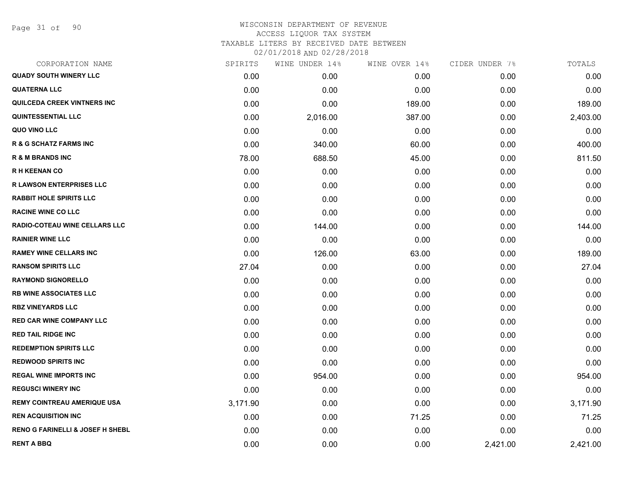Page 31 of 90

| SPIRITS  | WINE UNDER 14% | WINE OVER 14% | CIDER UNDER 7% | TOTALS   |
|----------|----------------|---------------|----------------|----------|
| 0.00     | 0.00           | 0.00          | 0.00           | 0.00     |
| 0.00     | 0.00           | 0.00          | 0.00           | 0.00     |
| 0.00     | 0.00           | 189.00        | 0.00           | 189.00   |
| 0.00     | 2,016.00       | 387.00        | 0.00           | 2,403.00 |
| 0.00     | 0.00           | 0.00          | 0.00           | 0.00     |
| 0.00     | 340.00         | 60.00         | 0.00           | 400.00   |
| 78.00    | 688.50         | 45.00         | 0.00           | 811.50   |
| 0.00     | 0.00           | 0.00          | 0.00           | 0.00     |
| 0.00     | 0.00           | 0.00          | 0.00           | 0.00     |
| 0.00     | 0.00           | 0.00          | 0.00           | 0.00     |
| 0.00     | 0.00           | 0.00          | 0.00           | 0.00     |
| 0.00     | 144.00         | 0.00          | 0.00           | 144.00   |
| 0.00     | 0.00           | 0.00          | 0.00           | 0.00     |
| 0.00     | 126.00         | 63.00         | 0.00           | 189.00   |
| 27.04    | 0.00           | 0.00          | 0.00           | 27.04    |
| 0.00     | 0.00           | 0.00          | 0.00           | 0.00     |
| 0.00     | 0.00           | 0.00          | 0.00           | 0.00     |
| 0.00     | 0.00           | 0.00          | 0.00           | 0.00     |
| 0.00     | 0.00           | 0.00          | 0.00           | 0.00     |
| 0.00     | 0.00           | 0.00          | 0.00           | 0.00     |
| 0.00     | 0.00           | 0.00          | 0.00           | 0.00     |
| 0.00     | 0.00           | 0.00          | 0.00           | 0.00     |
| 0.00     | 954.00         | 0.00          | 0.00           | 954.00   |
| 0.00     | 0.00           | 0.00          | 0.00           | 0.00     |
| 3,171.90 | 0.00           | 0.00          | 0.00           | 3,171.90 |
| 0.00     | 0.00           | 71.25         | 0.00           | 71.25    |
| 0.00     | 0.00           | 0.00          | 0.00           | 0.00     |
| 0.00     | 0.00           | 0.00          | 2,421.00       | 2,421.00 |
|          |                |               |                |          |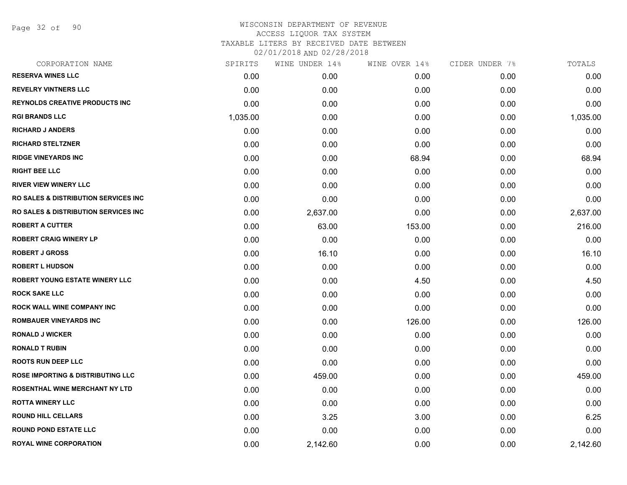Page 32 of 90

| CORPORATION NAME                                 | SPIRITS  | WINE UNDER 14% | WINE OVER 14% | CIDER UNDER 7% | TOTALS   |
|--------------------------------------------------|----------|----------------|---------------|----------------|----------|
| <b>RESERVA WINES LLC</b>                         | 0.00     | 0.00           | 0.00          | 0.00           | 0.00     |
| <b>REVELRY VINTNERS LLC</b>                      | 0.00     | 0.00           | 0.00          | 0.00           | 0.00     |
| <b>REYNOLDS CREATIVE PRODUCTS INC</b>            | 0.00     | 0.00           | 0.00          | 0.00           | 0.00     |
| <b>RGI BRANDS LLC</b>                            | 1,035.00 | 0.00           | 0.00          | 0.00           | 1,035.00 |
| <b>RICHARD J ANDERS</b>                          | 0.00     | 0.00           | 0.00          | 0.00           | 0.00     |
| <b>RICHARD STELTZNER</b>                         | 0.00     | 0.00           | 0.00          | 0.00           | 0.00     |
| <b>RIDGE VINEYARDS INC</b>                       | 0.00     | 0.00           | 68.94         | 0.00           | 68.94    |
| <b>RIGHT BEE LLC</b>                             | 0.00     | 0.00           | 0.00          | 0.00           | 0.00     |
| <b>RIVER VIEW WINERY LLC</b>                     | 0.00     | 0.00           | 0.00          | 0.00           | 0.00     |
| <b>RO SALES &amp; DISTRIBUTION SERVICES INC.</b> | 0.00     | 0.00           | 0.00          | 0.00           | 0.00     |
| <b>RO SALES &amp; DISTRIBUTION SERVICES INC.</b> | 0.00     | 2,637.00       | 0.00          | 0.00           | 2,637.00 |
| <b>ROBERT A CUTTER</b>                           | 0.00     | 63.00          | 153.00        | 0.00           | 216.00   |
| <b>ROBERT CRAIG WINERY LP</b>                    | 0.00     | 0.00           | 0.00          | 0.00           | 0.00     |
| <b>ROBERT J GROSS</b>                            | 0.00     | 16.10          | 0.00          | 0.00           | 16.10    |
| <b>ROBERT L HUDSON</b>                           | 0.00     | 0.00           | 0.00          | 0.00           | 0.00     |
| ROBERT YOUNG ESTATE WINERY LLC                   | 0.00     | 0.00           | 4.50          | 0.00           | 4.50     |
| <b>ROCK SAKE LLC</b>                             | 0.00     | 0.00           | 0.00          | 0.00           | 0.00     |
| ROCK WALL WINE COMPANY INC                       | 0.00     | 0.00           | 0.00          | 0.00           | 0.00     |
| <b>ROMBAUER VINEYARDS INC</b>                    | 0.00     | 0.00           | 126.00        | 0.00           | 126.00   |
| <b>RONALD J WICKER</b>                           | 0.00     | 0.00           | 0.00          | 0.00           | 0.00     |
| <b>RONALD T RUBIN</b>                            | 0.00     | 0.00           | 0.00          | 0.00           | 0.00     |
| <b>ROOTS RUN DEEP LLC</b>                        | 0.00     | 0.00           | 0.00          | 0.00           | 0.00     |
| <b>ROSE IMPORTING &amp; DISTRIBUTING LLC</b>     | 0.00     | 459.00         | 0.00          | 0.00           | 459.00   |
| ROSENTHAL WINE MERCHANT NY LTD                   | 0.00     | 0.00           | 0.00          | 0.00           | 0.00     |
| <b>ROTTA WINERY LLC</b>                          | 0.00     | 0.00           | 0.00          | 0.00           | 0.00     |
| <b>ROUND HILL CELLARS</b>                        | 0.00     | 3.25           | 3.00          | 0.00           | 6.25     |
| <b>ROUND POND ESTATE LLC</b>                     | 0.00     | 0.00           | 0.00          | 0.00           | 0.00     |
| <b>ROYAL WINE CORPORATION</b>                    | 0.00     | 2,142.60       | 0.00          | 0.00           | 2,142.60 |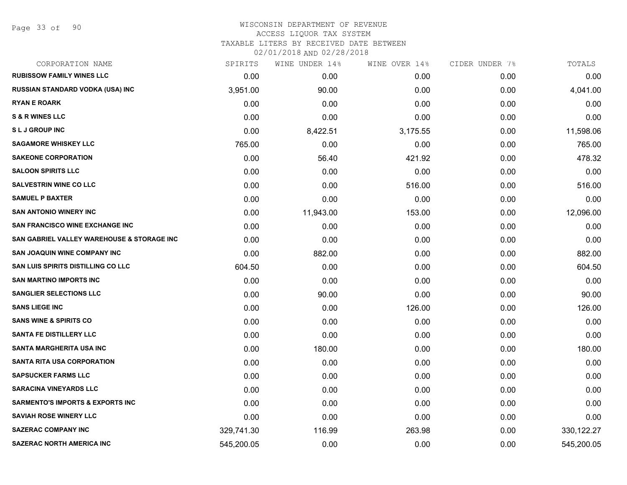Page 33 of 90

#### WISCONSIN DEPARTMENT OF REVENUE ACCESS LIQUOR TAX SYSTEM

TAXABLE LITERS BY RECEIVED DATE BETWEEN

| CORPORATION NAME                            | SPIRITS    | WINE UNDER 14% | WINE OVER 14% | CIDER UNDER 7% | TOTALS       |
|---------------------------------------------|------------|----------------|---------------|----------------|--------------|
| <b>RUBISSOW FAMILY WINES LLC</b>            | 0.00       | 0.00           | 0.00          | 0.00           | 0.00         |
| RUSSIAN STANDARD VODKA (USA) INC            | 3,951.00   | 90.00          | 0.00          | 0.00           | 4,041.00     |
| <b>RYAN E ROARK</b>                         | 0.00       | 0.00           | 0.00          | 0.00           | 0.00         |
| <b>S &amp; R WINES LLC</b>                  | 0.00       | 0.00           | 0.00          | 0.00           | 0.00         |
| <b>SLJ GROUP INC</b>                        | 0.00       | 8,422.51       | 3,175.55      | 0.00           | 11,598.06    |
| <b>SAGAMORE WHISKEY LLC</b>                 | 765.00     | 0.00           | 0.00          | 0.00           | 765.00       |
| <b>SAKEONE CORPORATION</b>                  | 0.00       | 56.40          | 421.92        | 0.00           | 478.32       |
| <b>SALOON SPIRITS LLC</b>                   | 0.00       | 0.00           | 0.00          | 0.00           | 0.00         |
| <b>SALVESTRIN WINE CO LLC</b>               | 0.00       | 0.00           | 516.00        | 0.00           | 516.00       |
| <b>SAMUEL P BAXTER</b>                      | 0.00       | 0.00           | 0.00          | 0.00           | 0.00         |
| <b>SAN ANTONIO WINERY INC</b>               | 0.00       | 11,943.00      | 153.00        | 0.00           | 12,096.00    |
| <b>SAN FRANCISCO WINE EXCHANGE INC</b>      | 0.00       | 0.00           | 0.00          | 0.00           | 0.00         |
| SAN GABRIEL VALLEY WAREHOUSE & STORAGE INC  | 0.00       | 0.00           | 0.00          | 0.00           | 0.00         |
| <b>SAN JOAQUIN WINE COMPANY INC</b>         | 0.00       | 882.00         | 0.00          | 0.00           | 882.00       |
| <b>SAN LUIS SPIRITS DISTILLING CO LLC</b>   | 604.50     | 0.00           | 0.00          | 0.00           | 604.50       |
| <b>SAN MARTINO IMPORTS INC</b>              | 0.00       | 0.00           | 0.00          | 0.00           | 0.00         |
| <b>SANGLIER SELECTIONS LLC</b>              | 0.00       | 90.00          | 0.00          | 0.00           | 90.00        |
| <b>SANS LIEGE INC</b>                       | 0.00       | 0.00           | 126.00        | 0.00           | 126.00       |
| <b>SANS WINE &amp; SPIRITS CO</b>           | 0.00       | 0.00           | 0.00          | 0.00           | 0.00         |
| <b>SANTA FE DISTILLERY LLC</b>              | 0.00       | 0.00           | 0.00          | 0.00           | 0.00         |
| <b>SANTA MARGHERITA USA INC</b>             | 0.00       | 180.00         | 0.00          | 0.00           | 180.00       |
| <b>SANTA RITA USA CORPORATION</b>           | 0.00       | 0.00           | 0.00          | 0.00           | 0.00         |
| <b>SAPSUCKER FARMS LLC</b>                  | 0.00       | 0.00           | 0.00          | 0.00           | 0.00         |
| <b>SARACINA VINEYARDS LLC</b>               | 0.00       | 0.00           | 0.00          | 0.00           | 0.00         |
| <b>SARMENTO'S IMPORTS &amp; EXPORTS INC</b> | 0.00       | 0.00           | 0.00          | 0.00           | 0.00         |
| <b>SAVIAH ROSE WINERY LLC</b>               | 0.00       | 0.00           | 0.00          | 0.00           | 0.00         |
| <b>SAZERAC COMPANY INC</b>                  | 329,741.30 | 116.99         | 263.98        | 0.00           | 330, 122. 27 |
| <b>SAZERAC NORTH AMERICA INC</b>            | 545,200.05 | 0.00           | 0.00          | 0.00           | 545,200.05   |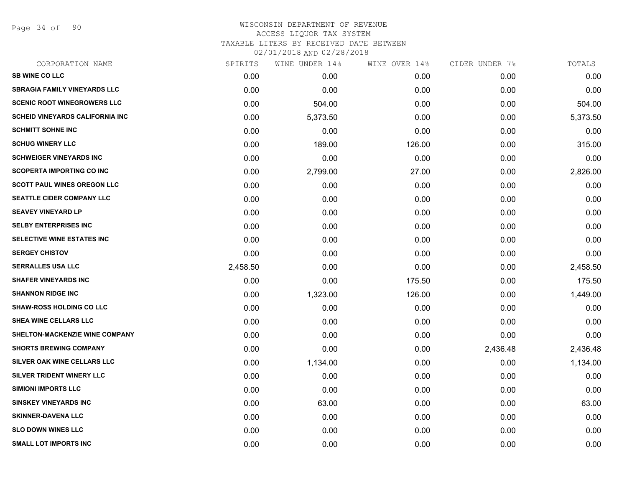Page 34 of 90

| CORPORATION NAME                        | SPIRITS  | WINE UNDER 14% | WINE OVER 14% | CIDER UNDER 7% | TOTALS   |
|-----------------------------------------|----------|----------------|---------------|----------------|----------|
| <b>SB WINE CO LLC</b>                   | 0.00     | 0.00           | 0.00          | 0.00           | 0.00     |
| <b>SBRAGIA FAMILY VINEYARDS LLC</b>     | 0.00     | 0.00           | 0.00          | 0.00           | 0.00     |
| <b>SCENIC ROOT WINEGROWERS LLC</b>      | 0.00     | 504.00         | 0.00          | 0.00           | 504.00   |
| <b>SCHEID VINEYARDS CALIFORNIA INC.</b> | 0.00     | 5,373.50       | 0.00          | 0.00           | 5,373.50 |
| <b>SCHMITT SOHNE INC</b>                | 0.00     | 0.00           | 0.00          | 0.00           | 0.00     |
| <b>SCHUG WINERY LLC</b>                 | 0.00     | 189.00         | 126.00        | 0.00           | 315.00   |
| <b>SCHWEIGER VINEYARDS INC</b>          | 0.00     | 0.00           | 0.00          | 0.00           | 0.00     |
| <b>SCOPERTA IMPORTING CO INC</b>        | 0.00     | 2,799.00       | 27.00         | 0.00           | 2,826.00 |
| <b>SCOTT PAUL WINES OREGON LLC</b>      | 0.00     | 0.00           | 0.00          | 0.00           | 0.00     |
| <b>SEATTLE CIDER COMPANY LLC</b>        | 0.00     | 0.00           | 0.00          | 0.00           | 0.00     |
| <b>SEAVEY VINEYARD LP</b>               | 0.00     | 0.00           | 0.00          | 0.00           | 0.00     |
| <b>SELBY ENTERPRISES INC</b>            | 0.00     | 0.00           | 0.00          | 0.00           | 0.00     |
| SELECTIVE WINE ESTATES INC              | 0.00     | 0.00           | 0.00          | 0.00           | 0.00     |
| <b>SERGEY CHISTOV</b>                   | 0.00     | 0.00           | 0.00          | 0.00           | 0.00     |
| <b>SERRALLES USA LLC</b>                | 2,458.50 | 0.00           | 0.00          | 0.00           | 2,458.50 |
| <b>SHAFER VINEYARDS INC</b>             | 0.00     | 0.00           | 175.50        | 0.00           | 175.50   |
| <b>SHANNON RIDGE INC</b>                | 0.00     | 1,323.00       | 126.00        | 0.00           | 1,449.00 |
| <b>SHAW-ROSS HOLDING CO LLC</b>         | 0.00     | 0.00           | 0.00          | 0.00           | 0.00     |
| SHEA WINE CELLARS LLC                   | 0.00     | 0.00           | 0.00          | 0.00           | 0.00     |
| SHELTON-MACKENZIE WINE COMPANY          | 0.00     | 0.00           | 0.00          | 0.00           | 0.00     |
| <b>SHORTS BREWING COMPANY</b>           | 0.00     | 0.00           | 0.00          | 2,436.48       | 2,436.48 |
| SILVER OAK WINE CELLARS LLC             | 0.00     | 1,134.00       | 0.00          | 0.00           | 1,134.00 |
| SILVER TRIDENT WINERY LLC               | 0.00     | 0.00           | 0.00          | 0.00           | 0.00     |
| <b>SIMIONI IMPORTS LLC</b>              | 0.00     | 0.00           | 0.00          | 0.00           | 0.00     |
| <b>SINSKEY VINEYARDS INC</b>            | 0.00     | 63.00          | 0.00          | 0.00           | 63.00    |
| <b>SKINNER-DAVENA LLC</b>               | 0.00     | 0.00           | 0.00          | 0.00           | 0.00     |
| <b>SLO DOWN WINES LLC</b>               | 0.00     | 0.00           | 0.00          | 0.00           | 0.00     |
| <b>SMALL LOT IMPORTS INC</b>            | 0.00     | 0.00           | 0.00          | 0.00           | 0.00     |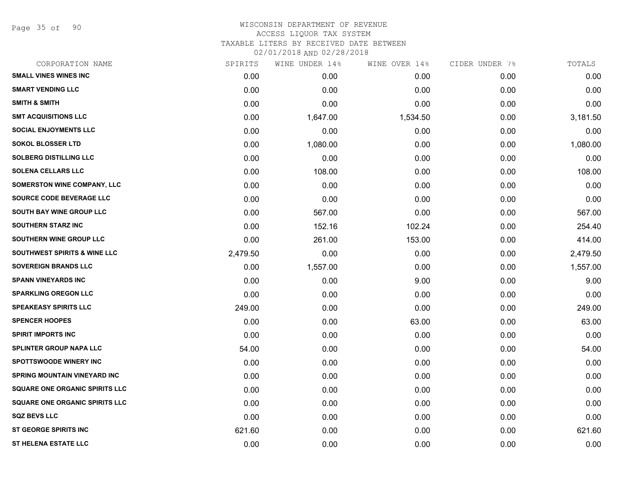Page 35 of 90

| CORPORATION NAME                        | SPIRITS  | WINE UNDER 14% | WINE OVER 14% | CIDER UNDER 7% | TOTALS   |
|-----------------------------------------|----------|----------------|---------------|----------------|----------|
| <b>SMALL VINES WINES INC</b>            | 0.00     | 0.00           | 0.00          | 0.00           | 0.00     |
| <b>SMART VENDING LLC</b>                | 0.00     | 0.00           | 0.00          | 0.00           | 0.00     |
| <b>SMITH &amp; SMITH</b>                | 0.00     | 0.00           | 0.00          | 0.00           | 0.00     |
| <b>SMT ACQUISITIONS LLC</b>             | 0.00     | 1,647.00       | 1,534.50      | 0.00           | 3,181.50 |
| <b>SOCIAL ENJOYMENTS LLC</b>            | 0.00     | 0.00           | 0.00          | 0.00           | 0.00     |
| <b>SOKOL BLOSSER LTD</b>                | 0.00     | 1,080.00       | 0.00          | 0.00           | 1,080.00 |
| <b>SOLBERG DISTILLING LLC</b>           | 0.00     | 0.00           | 0.00          | 0.00           | 0.00     |
| <b>SOLENA CELLARS LLC</b>               | 0.00     | 108.00         | 0.00          | 0.00           | 108.00   |
| SOMERSTON WINE COMPANY, LLC             | 0.00     | 0.00           | 0.00          | 0.00           | 0.00     |
| SOURCE CODE BEVERAGE LLC                | 0.00     | 0.00           | 0.00          | 0.00           | 0.00     |
| SOUTH BAY WINE GROUP LLC                | 0.00     | 567.00         | 0.00          | 0.00           | 567.00   |
| <b>SOUTHERN STARZ INC</b>               | 0.00     | 152.16         | 102.24        | 0.00           | 254.40   |
| SOUTHERN WINE GROUP LLC                 | 0.00     | 261.00         | 153.00        | 0.00           | 414.00   |
| <b>SOUTHWEST SPIRITS &amp; WINE LLC</b> | 2,479.50 | 0.00           | 0.00          | 0.00           | 2,479.50 |
| <b>SOVEREIGN BRANDS LLC</b>             | 0.00     | 1,557.00       | 0.00          | 0.00           | 1,557.00 |
| <b>SPANN VINEYARDS INC</b>              | 0.00     | 0.00           | 9.00          | 0.00           | 9.00     |
| <b>SPARKLING OREGON LLC</b>             | 0.00     | 0.00           | 0.00          | 0.00           | 0.00     |
| <b>SPEAKEASY SPIRITS LLC</b>            | 249.00   | 0.00           | 0.00          | 0.00           | 249.00   |
| <b>SPENCER HOOPES</b>                   | 0.00     | 0.00           | 63.00         | 0.00           | 63.00    |
| <b>SPIRIT IMPORTS INC</b>               | 0.00     | 0.00           | 0.00          | 0.00           | 0.00     |
| <b>SPLINTER GROUP NAPA LLC</b>          | 54.00    | 0.00           | 0.00          | 0.00           | 54.00    |
| <b>SPOTTSWOODE WINERY INC</b>           | 0.00     | 0.00           | 0.00          | 0.00           | 0.00     |
| SPRING MOUNTAIN VINEYARD INC            | 0.00     | 0.00           | 0.00          | 0.00           | 0.00     |
| <b>SQUARE ONE ORGANIC SPIRITS LLC</b>   | 0.00     | 0.00           | 0.00          | 0.00           | 0.00     |
| <b>SQUARE ONE ORGANIC SPIRITS LLC</b>   | 0.00     | 0.00           | 0.00          | 0.00           | 0.00     |
| <b>SQZ BEVS LLC</b>                     | 0.00     | 0.00           | 0.00          | 0.00           | 0.00     |
| <b>ST GEORGE SPIRITS INC</b>            | 621.60   | 0.00           | 0.00          | 0.00           | 621.60   |
| <b>ST HELENA ESTATE LLC</b>             | 0.00     | 0.00           | 0.00          | 0.00           | 0.00     |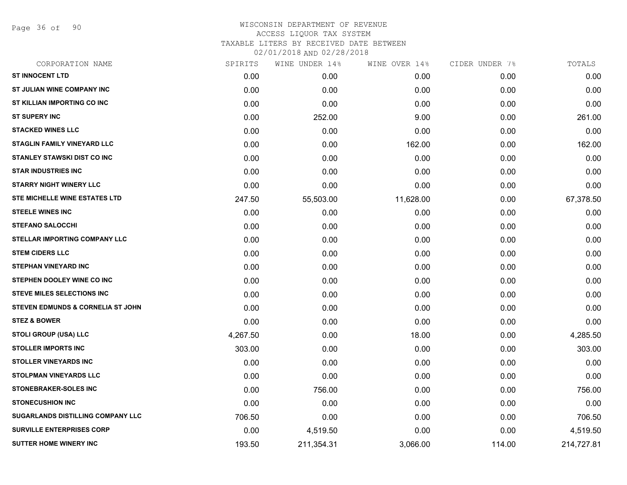Page 36 of 90

| CORPORATION NAME                             | SPIRITS  | WINE UNDER 14% | WINE OVER 14% | CIDER UNDER 7% | TOTALS     |
|----------------------------------------------|----------|----------------|---------------|----------------|------------|
| <b>ST INNOCENT LTD</b>                       | 0.00     | 0.00           | 0.00          | 0.00           | 0.00       |
| ST JULIAN WINE COMPANY INC                   | 0.00     | 0.00           | 0.00          | 0.00           | 0.00       |
| ST KILLIAN IMPORTING CO INC                  | 0.00     | 0.00           | 0.00          | 0.00           | 0.00       |
| <b>ST SUPERY INC</b>                         | 0.00     | 252.00         | 9.00          | 0.00           | 261.00     |
| <b>STACKED WINES LLC</b>                     | 0.00     | 0.00           | 0.00          | 0.00           | 0.00       |
| STAGLIN FAMILY VINEYARD LLC                  | 0.00     | 0.00           | 162.00        | 0.00           | 162.00     |
| <b>STANLEY STAWSKI DIST CO INC</b>           | 0.00     | 0.00           | 0.00          | 0.00           | 0.00       |
| <b>STAR INDUSTRIES INC</b>                   | 0.00     | 0.00           | 0.00          | 0.00           | 0.00       |
| <b>STARRY NIGHT WINERY LLC</b>               | 0.00     | 0.00           | 0.00          | 0.00           | 0.00       |
| STE MICHELLE WINE ESTATES LTD                | 247.50   | 55,503.00      | 11,628.00     | 0.00           | 67,378.50  |
| <b>STEELE WINES INC</b>                      | 0.00     | 0.00           | 0.00          | 0.00           | 0.00       |
| <b>STEFANO SALOCCHI</b>                      | 0.00     | 0.00           | 0.00          | 0.00           | 0.00       |
| STELLAR IMPORTING COMPANY LLC                | 0.00     | 0.00           | 0.00          | 0.00           | 0.00       |
| <b>STEM CIDERS LLC</b>                       | 0.00     | 0.00           | 0.00          | 0.00           | 0.00       |
| <b>STEPHAN VINEYARD INC</b>                  | 0.00     | 0.00           | 0.00          | 0.00           | 0.00       |
| STEPHEN DOOLEY WINE CO INC                   | 0.00     | 0.00           | 0.00          | 0.00           | 0.00       |
| <b>STEVE MILES SELECTIONS INC</b>            | 0.00     | 0.00           | 0.00          | 0.00           | 0.00       |
| <b>STEVEN EDMUNDS &amp; CORNELIA ST JOHN</b> | 0.00     | 0.00           | 0.00          | 0.00           | 0.00       |
| <b>STEZ &amp; BOWER</b>                      | 0.00     | 0.00           | 0.00          | 0.00           | 0.00       |
| <b>STOLI GROUP (USA) LLC</b>                 | 4,267.50 | 0.00           | 18.00         | 0.00           | 4,285.50   |
| <b>STOLLER IMPORTS INC</b>                   | 303.00   | 0.00           | 0.00          | 0.00           | 303.00     |
| <b>STOLLER VINEYARDS INC</b>                 | 0.00     | 0.00           | 0.00          | 0.00           | 0.00       |
| <b>STOLPMAN VINEYARDS LLC</b>                | 0.00     | 0.00           | 0.00          | 0.00           | 0.00       |
| <b>STONEBRAKER-SOLES INC</b>                 | 0.00     | 756.00         | 0.00          | 0.00           | 756.00     |
| <b>STONECUSHION INC</b>                      | 0.00     | 0.00           | 0.00          | 0.00           | 0.00       |
| SUGARLANDS DISTILLING COMPANY LLC            | 706.50   | 0.00           | 0.00          | 0.00           | 706.50     |
| <b>SURVILLE ENTERPRISES CORP</b>             | 0.00     | 4,519.50       | 0.00          | 0.00           | 4,519.50   |
| <b>SUTTER HOME WINERY INC</b>                | 193.50   | 211,354.31     | 3,066.00      | 114.00         | 214,727.81 |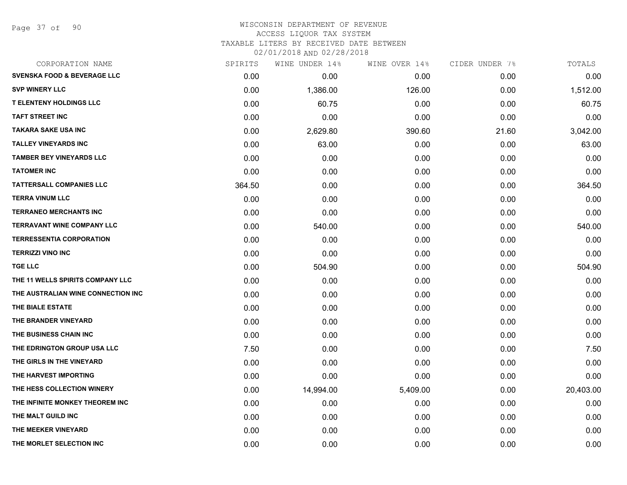Page 37 of 90

| CORPORATION NAME                       | SPIRITS | WINE UNDER 14% | WINE OVER 14% | CIDER UNDER 7% | TOTALS    |
|----------------------------------------|---------|----------------|---------------|----------------|-----------|
| <b>SVENSKA FOOD &amp; BEVERAGE LLC</b> | 0.00    | 0.00           | 0.00          | 0.00           | 0.00      |
| <b>SVP WINERY LLC</b>                  | 0.00    | 1,386.00       | 126.00        | 0.00           | 1,512.00  |
| <b>T ELENTENY HOLDINGS LLC</b>         | 0.00    | 60.75          | 0.00          | 0.00           | 60.75     |
| <b>TAFT STREET INC</b>                 | 0.00    | 0.00           | 0.00          | 0.00           | 0.00      |
| TAKARA SAKE USA INC                    | 0.00    | 2,629.80       | 390.60        | 21.60          | 3,042.00  |
| <b>TALLEY VINEYARDS INC</b>            | 0.00    | 63.00          | 0.00          | 0.00           | 63.00     |
| <b>TAMBER BEY VINEYARDS LLC</b>        | 0.00    | 0.00           | 0.00          | 0.00           | 0.00      |
| <b>TATOMER INC</b>                     | 0.00    | 0.00           | 0.00          | 0.00           | 0.00      |
| <b>TATTERSALL COMPANIES LLC</b>        | 364.50  | 0.00           | 0.00          | 0.00           | 364.50    |
| <b>TERRA VINUM LLC</b>                 | 0.00    | 0.00           | 0.00          | 0.00           | 0.00      |
| <b>TERRANEO MERCHANTS INC</b>          | 0.00    | 0.00           | 0.00          | 0.00           | 0.00      |
| <b>TERRAVANT WINE COMPANY LLC</b>      | 0.00    | 540.00         | 0.00          | 0.00           | 540.00    |
| <b>TERRESSENTIA CORPORATION</b>        | 0.00    | 0.00           | 0.00          | 0.00           | 0.00      |
| <b>TERRIZZI VINO INC</b>               | 0.00    | 0.00           | 0.00          | 0.00           | 0.00      |
| <b>TGE LLC</b>                         | 0.00    | 504.90         | 0.00          | 0.00           | 504.90    |
| THE 11 WELLS SPIRITS COMPANY LLC       | 0.00    | 0.00           | 0.00          | 0.00           | 0.00      |
| THE AUSTRALIAN WINE CONNECTION INC     | 0.00    | 0.00           | 0.00          | 0.00           | 0.00      |
| THE BIALE ESTATE                       | 0.00    | 0.00           | 0.00          | 0.00           | 0.00      |
| THE BRANDER VINEYARD                   | 0.00    | 0.00           | 0.00          | 0.00           | 0.00      |
| THE BUSINESS CHAIN INC                 | 0.00    | 0.00           | 0.00          | 0.00           | 0.00      |
| THE EDRINGTON GROUP USA LLC            | 7.50    | 0.00           | 0.00          | 0.00           | 7.50      |
| THE GIRLS IN THE VINEYARD              | 0.00    | 0.00           | 0.00          | 0.00           | 0.00      |
| THE HARVEST IMPORTING                  | 0.00    | 0.00           | 0.00          | 0.00           | 0.00      |
| THE HESS COLLECTION WINERY             | 0.00    | 14,994.00      | 5,409.00      | 0.00           | 20,403.00 |
| THE INFINITE MONKEY THEOREM INC        | 0.00    | 0.00           | 0.00          | 0.00           | 0.00      |
| THE MALT GUILD INC                     | 0.00    | 0.00           | 0.00          | 0.00           | 0.00      |
| THE MEEKER VINEYARD                    | 0.00    | 0.00           | 0.00          | 0.00           | 0.00      |
| THE MORLET SELECTION INC               | 0.00    | 0.00           | 0.00          | 0.00           | 0.00      |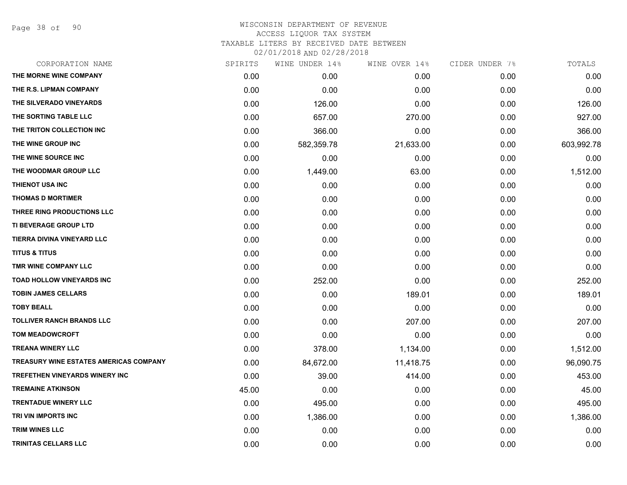Page 38 of 90

| CORPORATION NAME                              | SPIRITS | WINE UNDER 14% | WINE OVER 14% | CIDER UNDER 7% | TOTALS     |
|-----------------------------------------------|---------|----------------|---------------|----------------|------------|
| THE MORNE WINE COMPANY                        | 0.00    | 0.00           | 0.00          | 0.00           | 0.00       |
| THE R.S. LIPMAN COMPANY                       | 0.00    | 0.00           | 0.00          | 0.00           | 0.00       |
| THE SILVERADO VINEYARDS                       | 0.00    | 126.00         | 0.00          | 0.00           | 126.00     |
| THE SORTING TABLE LLC                         | 0.00    | 657.00         | 270.00        | 0.00           | 927.00     |
| THE TRITON COLLECTION INC                     | 0.00    | 366.00         | 0.00          | 0.00           | 366.00     |
| THE WINE GROUP INC                            | 0.00    | 582,359.78     | 21,633.00     | 0.00           | 603,992.78 |
| THE WINE SOURCE INC                           | 0.00    | 0.00           | 0.00          | 0.00           | 0.00       |
| THE WOODMAR GROUP LLC                         | 0.00    | 1,449.00       | 63.00         | 0.00           | 1,512.00   |
| THIENOT USA INC                               | 0.00    | 0.00           | 0.00          | 0.00           | 0.00       |
| <b>THOMAS D MORTIMER</b>                      | 0.00    | 0.00           | 0.00          | 0.00           | 0.00       |
| THREE RING PRODUCTIONS LLC                    | 0.00    | 0.00           | 0.00          | 0.00           | 0.00       |
| <b>TI BEVERAGE GROUP LTD</b>                  | 0.00    | 0.00           | 0.00          | 0.00           | 0.00       |
| TIERRA DIVINA VINEYARD LLC                    | 0.00    | 0.00           | 0.00          | 0.00           | 0.00       |
| <b>TITUS &amp; TITUS</b>                      | 0.00    | 0.00           | 0.00          | 0.00           | 0.00       |
| TMR WINE COMPANY LLC                          | 0.00    | 0.00           | 0.00          | 0.00           | 0.00       |
| TOAD HOLLOW VINEYARDS INC                     | 0.00    | 252.00         | 0.00          | 0.00           | 252.00     |
| <b>TOBIN JAMES CELLARS</b>                    | 0.00    | 0.00           | 189.01        | 0.00           | 189.01     |
| <b>TOBY BEALL</b>                             | 0.00    | 0.00           | 0.00          | 0.00           | 0.00       |
| <b>TOLLIVER RANCH BRANDS LLC</b>              | 0.00    | 0.00           | 207.00        | 0.00           | 207.00     |
| <b>TOM MEADOWCROFT</b>                        | 0.00    | 0.00           | 0.00          | 0.00           | 0.00       |
| <b>TREANA WINERY LLC</b>                      | 0.00    | 378.00         | 1,134.00      | 0.00           | 1,512.00   |
| <b>TREASURY WINE ESTATES AMERICAS COMPANY</b> | 0.00    | 84,672.00      | 11,418.75     | 0.00           | 96,090.75  |
| TREFETHEN VINEYARDS WINERY INC                | 0.00    | 39.00          | 414.00        | 0.00           | 453.00     |
| <b>TREMAINE ATKINSON</b>                      | 45.00   | 0.00           | 0.00          | 0.00           | 45.00      |
| <b>TRENTADUE WINERY LLC</b>                   | 0.00    | 495.00         | 0.00          | 0.00           | 495.00     |
| TRI VIN IMPORTS INC                           | 0.00    | 1,386.00       | 0.00          | 0.00           | 1,386.00   |
| <b>TRIM WINES LLC</b>                         | 0.00    | 0.00           | 0.00          | 0.00           | 0.00       |
| <b>TRINITAS CELLARS LLC</b>                   | 0.00    | 0.00           | 0.00          | 0.00           | 0.00       |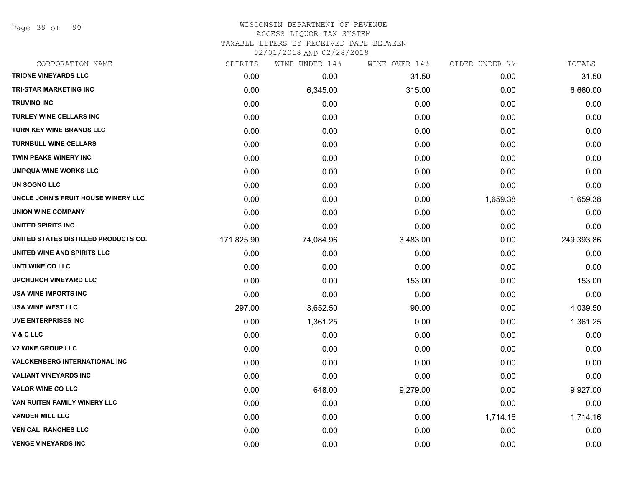Page 39 of 90

| CORPORATION NAME                     | SPIRITS    | WINE UNDER 14% | WINE OVER 14% | CIDER UNDER 7% | TOTALS     |
|--------------------------------------|------------|----------------|---------------|----------------|------------|
| <b>TRIONE VINEYARDS LLC</b>          | 0.00       | 0.00           | 31.50         | 0.00           | 31.50      |
| <b>TRI-STAR MARKETING INC</b>        | 0.00       | 6,345.00       | 315.00        | 0.00           | 6,660.00   |
| <b>TRUVINO INC</b>                   | 0.00       | 0.00           | 0.00          | 0.00           | 0.00       |
| <b>TURLEY WINE CELLARS INC</b>       | 0.00       | 0.00           | 0.00          | 0.00           | 0.00       |
| <b>TURN KEY WINE BRANDS LLC</b>      | 0.00       | 0.00           | 0.00          | 0.00           | 0.00       |
| <b>TURNBULL WINE CELLARS</b>         | 0.00       | 0.00           | 0.00          | 0.00           | 0.00       |
| <b>TWIN PEAKS WINERY INC</b>         | 0.00       | 0.00           | 0.00          | 0.00           | 0.00       |
| <b>UMPQUA WINE WORKS LLC</b>         | 0.00       | 0.00           | 0.00          | 0.00           | 0.00       |
| UN SOGNO LLC                         | 0.00       | 0.00           | 0.00          | 0.00           | 0.00       |
| UNCLE JOHN'S FRUIT HOUSE WINERY LLC  | 0.00       | 0.00           | 0.00          | 1,659.38       | 1,659.38   |
| <b>UNION WINE COMPANY</b>            | 0.00       | 0.00           | 0.00          | 0.00           | 0.00       |
| UNITED SPIRITS INC                   | 0.00       | 0.00           | 0.00          | 0.00           | 0.00       |
| UNITED STATES DISTILLED PRODUCTS CO. | 171,825.90 | 74,084.96      | 3,483.00      | 0.00           | 249,393.86 |
| UNITED WINE AND SPIRITS LLC          | 0.00       | 0.00           | 0.00          | 0.00           | 0.00       |
| UNTI WINE CO LLC                     | 0.00       | 0.00           | 0.00          | 0.00           | 0.00       |
| <b>UPCHURCH VINEYARD LLC</b>         | 0.00       | 0.00           | 153.00        | 0.00           | 153.00     |
| USA WINE IMPORTS INC                 | 0.00       | 0.00           | 0.00          | 0.00           | 0.00       |
| <b>USA WINE WEST LLC</b>             | 297.00     | 3,652.50       | 90.00         | 0.00           | 4,039.50   |
| <b>UVE ENTERPRISES INC</b>           | 0.00       | 1,361.25       | 0.00          | 0.00           | 1,361.25   |
| <b>V&amp;CLLC</b>                    | 0.00       | 0.00           | 0.00          | 0.00           | 0.00       |
| <b>V2 WINE GROUP LLC</b>             | 0.00       | 0.00           | 0.00          | 0.00           | 0.00       |
| <b>VALCKENBERG INTERNATIONAL INC</b> | 0.00       | 0.00           | 0.00          | 0.00           | 0.00       |
| <b>VALIANT VINEYARDS INC</b>         | 0.00       | 0.00           | 0.00          | 0.00           | 0.00       |
| <b>VALOR WINE CO LLC</b>             | 0.00       | 648.00         | 9,279.00      | 0.00           | 9,927.00   |
| VAN RUITEN FAMILY WINERY LLC         | 0.00       | 0.00           | 0.00          | 0.00           | 0.00       |
| <b>VANDER MILL LLC</b>               | 0.00       | 0.00           | 0.00          | 1,714.16       | 1,714.16   |
| <b>VEN CAL RANCHES LLC</b>           | 0.00       | 0.00           | 0.00          | 0.00           | 0.00       |
| <b>VENGE VINEYARDS INC</b>           | 0.00       | 0.00           | 0.00          | 0.00           | 0.00       |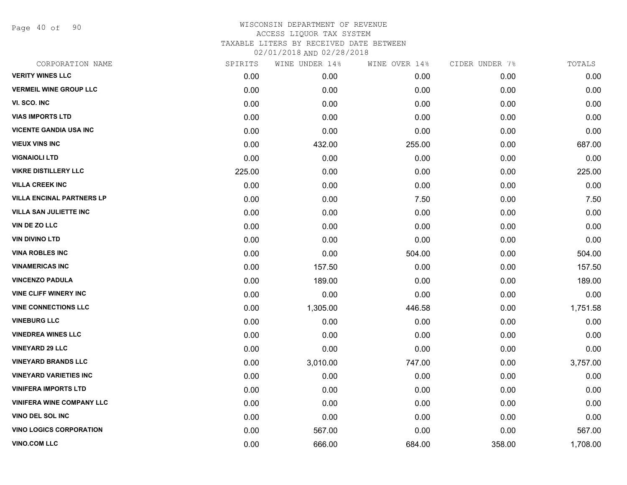Page 40 of 90

| CORPORATION NAME                 | SPIRITS | WINE UNDER 14% | WINE OVER 14% | CIDER UNDER 7% | TOTALS   |
|----------------------------------|---------|----------------|---------------|----------------|----------|
| <b>VERITY WINES LLC</b>          | 0.00    | 0.00           | 0.00          | 0.00           | 0.00     |
| <b>VERMEIL WINE GROUP LLC</b>    | 0.00    | 0.00           | 0.00          | 0.00           | 0.00     |
| VI. SCO. INC                     | 0.00    | 0.00           | 0.00          | 0.00           | 0.00     |
| <b>VIAS IMPORTS LTD</b>          | 0.00    | 0.00           | 0.00          | 0.00           | 0.00     |
| <b>VICENTE GANDIA USA INC</b>    | 0.00    | 0.00           | 0.00          | 0.00           | 0.00     |
| <b>VIEUX VINS INC</b>            | 0.00    | 432.00         | 255.00        | 0.00           | 687.00   |
| <b>VIGNAIOLI LTD</b>             | 0.00    | 0.00           | 0.00          | 0.00           | 0.00     |
| <b>VIKRE DISTILLERY LLC</b>      | 225.00  | 0.00           | 0.00          | 0.00           | 225.00   |
| <b>VILLA CREEK INC</b>           | 0.00    | 0.00           | 0.00          | 0.00           | 0.00     |
| <b>VILLA ENCINAL PARTNERS LP</b> | 0.00    | 0.00           | 7.50          | 0.00           | 7.50     |
| <b>VILLA SAN JULIETTE INC</b>    | 0.00    | 0.00           | 0.00          | 0.00           | 0.00     |
| <b>VIN DE ZO LLC</b>             | 0.00    | 0.00           | 0.00          | 0.00           | 0.00     |
| <b>VIN DIVINO LTD</b>            | 0.00    | 0.00           | 0.00          | 0.00           | 0.00     |
| <b>VINA ROBLES INC</b>           | 0.00    | 0.00           | 504.00        | 0.00           | 504.00   |
| <b>VINAMERICAS INC</b>           | 0.00    | 157.50         | 0.00          | 0.00           | 157.50   |
| <b>VINCENZO PADULA</b>           | 0.00    | 189.00         | 0.00          | 0.00           | 189.00   |
| <b>VINE CLIFF WINERY INC</b>     | 0.00    | 0.00           | 0.00          | 0.00           | 0.00     |
| <b>VINE CONNECTIONS LLC</b>      | 0.00    | 1,305.00       | 446.58        | 0.00           | 1,751.58 |
| <b>VINEBURG LLC</b>              | 0.00    | 0.00           | 0.00          | 0.00           | 0.00     |
| <b>VINEDREA WINES LLC</b>        | 0.00    | 0.00           | 0.00          | 0.00           | 0.00     |
| <b>VINEYARD 29 LLC</b>           | 0.00    | 0.00           | 0.00          | 0.00           | 0.00     |
| <b>VINEYARD BRANDS LLC</b>       | 0.00    | 3,010.00       | 747.00        | 0.00           | 3,757.00 |
| <b>VINEYARD VARIETIES INC</b>    | 0.00    | 0.00           | 0.00          | 0.00           | 0.00     |
| <b>VINIFERA IMPORTS LTD</b>      | 0.00    | 0.00           | 0.00          | 0.00           | 0.00     |
| <b>VINIFERA WINE COMPANY LLC</b> | 0.00    | 0.00           | 0.00          | 0.00           | 0.00     |
| VINO DEL SOL INC                 | 0.00    | 0.00           | 0.00          | 0.00           | 0.00     |
| <b>VINO LOGICS CORPORATION</b>   | 0.00    | 567.00         | 0.00          | 0.00           | 567.00   |
| <b>VINO.COM LLC</b>              | 0.00    | 666.00         | 684.00        | 358.00         | 1,708.00 |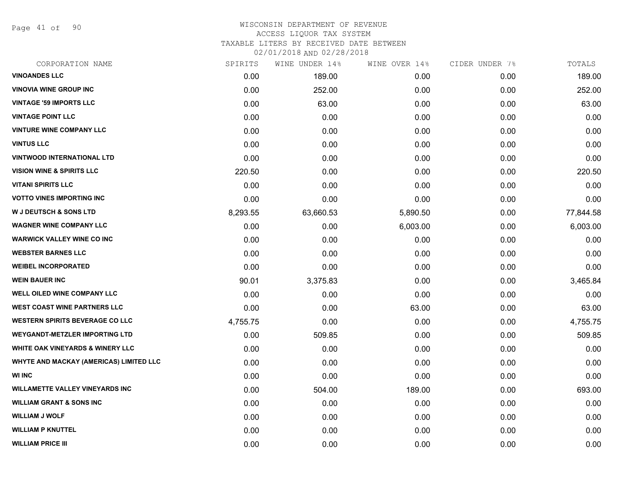Page 41 of 90

# WISCONSIN DEPARTMENT OF REVENUE ACCESS LIQUOR TAX SYSTEM TAXABLE LITERS BY RECEIVED DATE BETWEEN

02/01/2018 AND 02/28/2018

| CORPORATION NAME                        | SPIRITS  | WINE UNDER 14% | WINE OVER 14% | CIDER UNDER 7% | TOTALS    |
|-----------------------------------------|----------|----------------|---------------|----------------|-----------|
| <b>VINOANDES LLC</b>                    | 0.00     | 189.00         | 0.00          | 0.00           | 189.00    |
| <b>VINOVIA WINE GROUP INC</b>           | 0.00     | 252.00         | 0.00          | 0.00           | 252.00    |
| <b>VINTAGE '59 IMPORTS LLC</b>          | 0.00     | 63.00          | 0.00          | 0.00           | 63.00     |
| <b>VINTAGE POINT LLC</b>                | 0.00     | 0.00           | 0.00          | 0.00           | 0.00      |
| <b>VINTURE WINE COMPANY LLC</b>         | 0.00     | 0.00           | 0.00          | 0.00           | 0.00      |
| <b>VINTUS LLC</b>                       | 0.00     | 0.00           | 0.00          | 0.00           | 0.00      |
| <b>VINTWOOD INTERNATIONAL LTD</b>       | 0.00     | 0.00           | 0.00          | 0.00           | 0.00      |
| <b>VISION WINE &amp; SPIRITS LLC</b>    | 220.50   | 0.00           | 0.00          | 0.00           | 220.50    |
| <b>VITANI SPIRITS LLC</b>               | 0.00     | 0.00           | 0.00          | 0.00           | 0.00      |
| <b>VOTTO VINES IMPORTING INC</b>        | 0.00     | 0.00           | 0.00          | 0.00           | 0.00      |
| <b>W J DEUTSCH &amp; SONS LTD</b>       | 8,293.55 | 63,660.53      | 5,890.50      | 0.00           | 77,844.58 |
| <b>WAGNER WINE COMPANY LLC</b>          | 0.00     | 0.00           | 6,003.00      | 0.00           | 6,003.00  |
| <b>WARWICK VALLEY WINE CO INC</b>       | 0.00     | 0.00           | 0.00          | 0.00           | 0.00      |
| <b>WEBSTER BARNES LLC</b>               | 0.00     | 0.00           | 0.00          | 0.00           | 0.00      |
| <b>WEIBEL INCORPORATED</b>              | 0.00     | 0.00           | 0.00          | 0.00           | 0.00      |
| <b>WEIN BAUER INC</b>                   | 90.01    | 3,375.83       | 0.00          | 0.00           | 3,465.84  |
| <b>WELL OILED WINE COMPANY LLC</b>      | 0.00     | 0.00           | 0.00          | 0.00           | 0.00      |
| <b>WEST COAST WINE PARTNERS LLC</b>     | 0.00     | 0.00           | 63.00         | 0.00           | 63.00     |
| <b>WESTERN SPIRITS BEVERAGE CO LLC</b>  | 4,755.75 | 0.00           | 0.00          | 0.00           | 4,755.75  |
| <b>WEYGANDT-METZLER IMPORTING LTD</b>   | 0.00     | 509.85         | 0.00          | 0.00           | 509.85    |
| WHITE OAK VINEYARDS & WINERY LLC        | 0.00     | 0.00           | 0.00          | 0.00           | 0.00      |
| WHYTE AND MACKAY (AMERICAS) LIMITED LLC | 0.00     | 0.00           | 0.00          | 0.00           | 0.00      |
| <b>WI INC</b>                           | 0.00     | 0.00           | 0.00          | 0.00           | 0.00      |
| <b>WILLAMETTE VALLEY VINEYARDS INC</b>  | 0.00     | 504.00         | 189.00        | 0.00           | 693.00    |
| <b>WILLIAM GRANT &amp; SONS INC</b>     | 0.00     | 0.00           | 0.00          | 0.00           | 0.00      |
| <b>WILLIAM J WOLF</b>                   | 0.00     | 0.00           | 0.00          | 0.00           | 0.00      |
| <b>WILLIAM P KNUTTEL</b>                | 0.00     | 0.00           | 0.00          | 0.00           | 0.00      |
| <b>WILLIAM PRICE III</b>                | 0.00     | 0.00           | 0.00          | 0.00           | 0.00      |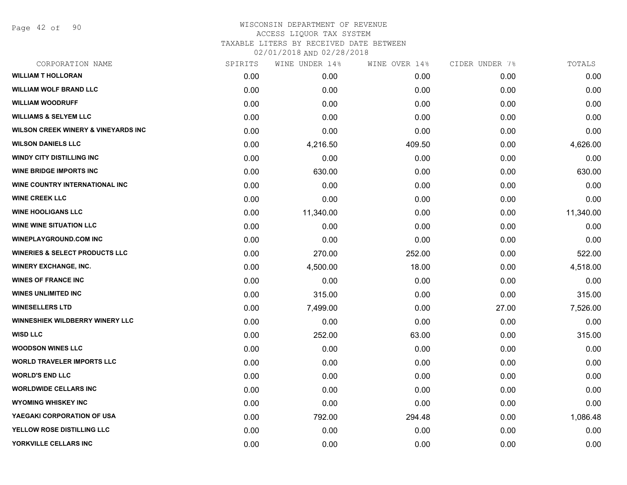Page 42 of 90

# WISCONSIN DEPARTMENT OF REVENUE ACCESS LIQUOR TAX SYSTEM TAXABLE LITERS BY RECEIVED DATE BETWEEN

02/01/2018 AND 02/28/2018

| CORPORATION NAME                               | SPIRITS | WINE UNDER 14% | WINE OVER 14% | CIDER UNDER 7% | TOTALS    |
|------------------------------------------------|---------|----------------|---------------|----------------|-----------|
| <b>WILLIAM T HOLLORAN</b>                      | 0.00    | 0.00           | 0.00          | 0.00           | 0.00      |
| <b>WILLIAM WOLF BRAND LLC</b>                  | 0.00    | 0.00           | 0.00          | 0.00           | 0.00      |
| <b>WILLIAM WOODRUFF</b>                        | 0.00    | 0.00           | 0.00          | 0.00           | 0.00      |
| <b>WILLIAMS &amp; SELYEM LLC</b>               | 0.00    | 0.00           | 0.00          | 0.00           | 0.00      |
| <b>WILSON CREEK WINERY &amp; VINEYARDS INC</b> | 0.00    | 0.00           | 0.00          | 0.00           | 0.00      |
| <b>WILSON DANIELS LLC</b>                      | 0.00    | 4,216.50       | 409.50        | 0.00           | 4,626.00  |
| <b>WINDY CITY DISTILLING INC</b>               | 0.00    | 0.00           | 0.00          | 0.00           | 0.00      |
| <b>WINE BRIDGE IMPORTS INC</b>                 | 0.00    | 630.00         | 0.00          | 0.00           | 630.00    |
| WINE COUNTRY INTERNATIONAL INC                 | 0.00    | 0.00           | 0.00          | 0.00           | 0.00      |
| <b>WINE CREEK LLC</b>                          | 0.00    | 0.00           | 0.00          | 0.00           | 0.00      |
| <b>WINE HOOLIGANS LLC</b>                      | 0.00    | 11,340.00      | 0.00          | 0.00           | 11,340.00 |
| <b>WINE WINE SITUATION LLC</b>                 | 0.00    | 0.00           | 0.00          | 0.00           | 0.00      |
| <b>WINEPLAYGROUND.COM INC</b>                  | 0.00    | 0.00           | 0.00          | 0.00           | 0.00      |
| <b>WINERIES &amp; SELECT PRODUCTS LLC</b>      | 0.00    | 270.00         | 252.00        | 0.00           | 522.00    |
| <b>WINERY EXCHANGE, INC.</b>                   | 0.00    | 4,500.00       | 18.00         | 0.00           | 4,518.00  |
| <b>WINES OF FRANCE INC</b>                     | 0.00    | 0.00           | 0.00          | 0.00           | 0.00      |
| <b>WINES UNLIMITED INC</b>                     | 0.00    | 315.00         | 0.00          | 0.00           | 315.00    |
| <b>WINESELLERS LTD</b>                         | 0.00    | 7,499.00       | 0.00          | 27.00          | 7,526.00  |
| <b>WINNESHIEK WILDBERRY WINERY LLC</b>         | 0.00    | 0.00           | 0.00          | 0.00           | 0.00      |
| <b>WISD LLC</b>                                | 0.00    | 252.00         | 63.00         | 0.00           | 315.00    |
| <b>WOODSON WINES LLC</b>                       | 0.00    | 0.00           | 0.00          | 0.00           | 0.00      |
| <b>WORLD TRAVELER IMPORTS LLC</b>              | 0.00    | 0.00           | 0.00          | 0.00           | 0.00      |
| <b>WORLD'S END LLC</b>                         | 0.00    | 0.00           | 0.00          | 0.00           | 0.00      |
| <b>WORLDWIDE CELLARS INC</b>                   | 0.00    | 0.00           | 0.00          | 0.00           | 0.00      |
| <b>WYOMING WHISKEY INC</b>                     | 0.00    | 0.00           | 0.00          | 0.00           | 0.00      |
| YAEGAKI CORPORATION OF USA                     | 0.00    | 792.00         | 294.48        | 0.00           | 1,086.48  |
| YELLOW ROSE DISTILLING LLC                     | 0.00    | 0.00           | 0.00          | 0.00           | 0.00      |
| YORKVILLE CELLARS INC                          | 0.00    | 0.00           | 0.00          | 0.00           | 0.00      |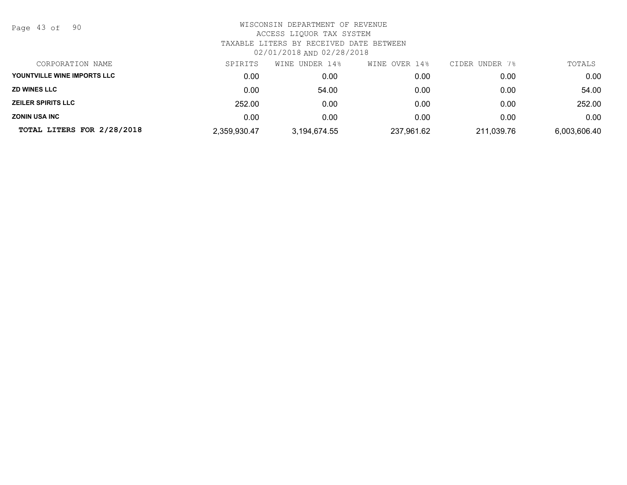Page 43 of 90

| CORPORATION NAME            | SPIRITS      | WINE UNDER 14% | WINE OVER 14% | CIDER UNDER 7% | TOTALS       |
|-----------------------------|--------------|----------------|---------------|----------------|--------------|
| YOUNTVILLE WINE IMPORTS LLC | 0.00         | 0.00           | 0.00          | 0.00           | 0.00         |
| <b>ZD WINES LLC</b>         | 0.00         | 54.00          | 0.00          | 0.00           | 54.00        |
| <b>ZEILER SPIRITS LLC</b>   | 252.00       | 0.00           | 0.00          | 0.00           | 252.00       |
| <b>ZONIN USA INC</b>        | 0.00         | 0.00           | 0.00          | 0.00           | 0.00         |
| TOTAL LITERS FOR 2/28/2018  | 2,359,930.47 | 3,194,674.55   | 237,961.62    | 211,039.76     | 6,003,606.40 |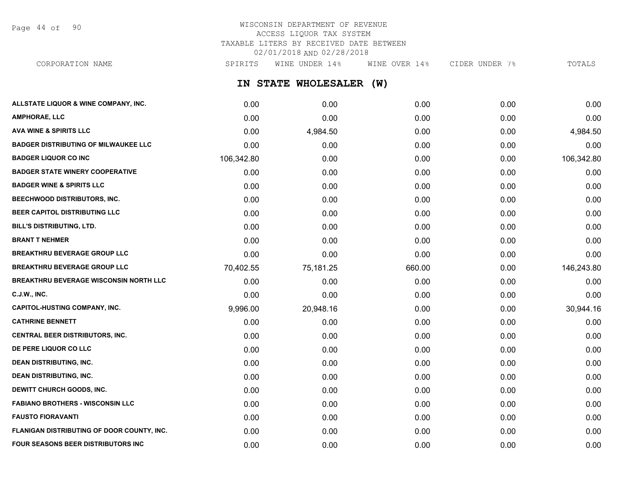Page 44 of 90

# WISCONSIN DEPARTMENT OF REVENUE ACCESS LIQUOR TAX SYSTEM TAXABLE LITERS BY RECEIVED DATE BETWEEN 02/01/2018 AND 02/28/2018

CORPORATION NAME SPIRITS WINE UNDER 14% WINE OVER 14% CIDER UNDER 7% TOTALS

**IN STATE WHOLESALER (W)**

| ALLSTATE LIQUOR & WINE COMPANY, INC.          | 0.00       | 0.00      | 0.00   | 0.00 | 0.00       |
|-----------------------------------------------|------------|-----------|--------|------|------------|
| <b>AMPHORAE, LLC</b>                          | 0.00       | 0.00      | 0.00   | 0.00 | 0.00       |
| <b>AVA WINE &amp; SPIRITS LLC</b>             | 0.00       | 4,984.50  | 0.00   | 0.00 | 4,984.50   |
| <b>BADGER DISTRIBUTING OF MILWAUKEE LLC</b>   | 0.00       | 0.00      | 0.00   | 0.00 | 0.00       |
| <b>BADGER LIQUOR CO INC</b>                   | 106,342.80 | 0.00      | 0.00   | 0.00 | 106,342.80 |
| <b>BADGER STATE WINERY COOPERATIVE</b>        | 0.00       | 0.00      | 0.00   | 0.00 | 0.00       |
| <b>BADGER WINE &amp; SPIRITS LLC</b>          | 0.00       | 0.00      | 0.00   | 0.00 | 0.00       |
| BEECHWOOD DISTRIBUTORS, INC.                  | 0.00       | 0.00      | 0.00   | 0.00 | 0.00       |
| <b>BEER CAPITOL DISTRIBUTING LLC</b>          | 0.00       | 0.00      | 0.00   | 0.00 | 0.00       |
| <b>BILL'S DISTRIBUTING, LTD.</b>              | 0.00       | 0.00      | 0.00   | 0.00 | 0.00       |
| <b>BRANT T NEHMER</b>                         | 0.00       | 0.00      | 0.00   | 0.00 | 0.00       |
| <b>BREAKTHRU BEVERAGE GROUP LLC</b>           | 0.00       | 0.00      | 0.00   | 0.00 | 0.00       |
| <b>BREAKTHRU BEVERAGE GROUP LLC</b>           | 70,402.55  | 75,181.25 | 660.00 | 0.00 | 146,243.80 |
| <b>BREAKTHRU BEVERAGE WISCONSIN NORTH LLC</b> | 0.00       | 0.00      | 0.00   | 0.00 | 0.00       |
| C.J.W., INC.                                  | 0.00       | 0.00      | 0.00   | 0.00 | 0.00       |
| <b>CAPITOL-HUSTING COMPANY, INC.</b>          | 9,996.00   | 20,948.16 | 0.00   | 0.00 | 30,944.16  |
| <b>CATHRINE BENNETT</b>                       | 0.00       | 0.00      | 0.00   | 0.00 | 0.00       |
| CENTRAL BEER DISTRIBUTORS, INC.               | 0.00       | 0.00      | 0.00   | 0.00 | 0.00       |
| DE PERE LIQUOR CO LLC                         | 0.00       | 0.00      | 0.00   | 0.00 | 0.00       |
| <b>DEAN DISTRIBUTING, INC.</b>                | 0.00       | 0.00      | 0.00   | 0.00 | 0.00       |
| <b>DEAN DISTRIBUTING, INC.</b>                | 0.00       | 0.00      | 0.00   | 0.00 | 0.00       |
| DEWITT CHURCH GOODS, INC.                     | 0.00       | 0.00      | 0.00   | 0.00 | 0.00       |
| <b>FABIANO BROTHERS - WISCONSIN LLC</b>       | 0.00       | 0.00      | 0.00   | 0.00 | 0.00       |
| <b>FAUSTO FIORAVANTI</b>                      | 0.00       | 0.00      | 0.00   | 0.00 | 0.00       |
| FLANIGAN DISTRIBUTING OF DOOR COUNTY, INC.    | 0.00       | 0.00      | 0.00   | 0.00 | 0.00       |
| <b>FOUR SEASONS BEER DISTRIBUTORS INC</b>     | 0.00       | 0.00      | 0.00   | 0.00 | 0.00       |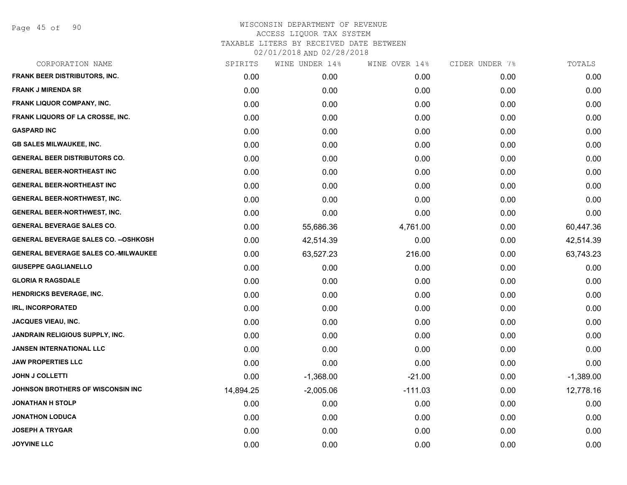Page 45 of 90

| CORPORATION NAME                             | SPIRITS   | WINE UNDER 14% | WINE OVER 14% | CIDER UNDER 7% | TOTALS      |
|----------------------------------------------|-----------|----------------|---------------|----------------|-------------|
| <b>FRANK BEER DISTRIBUTORS, INC.</b>         | 0.00      | 0.00           | 0.00          | 0.00           | 0.00        |
| <b>FRANK J MIRENDA SR</b>                    | 0.00      | 0.00           | 0.00          | 0.00           | 0.00        |
| FRANK LIQUOR COMPANY, INC.                   | 0.00      | 0.00           | 0.00          | 0.00           | 0.00        |
| FRANK LIQUORS OF LA CROSSE, INC.             | 0.00      | 0.00           | 0.00          | 0.00           | 0.00        |
| <b>GASPARD INC</b>                           | 0.00      | 0.00           | 0.00          | 0.00           | 0.00        |
| <b>GB SALES MILWAUKEE, INC.</b>              | 0.00      | 0.00           | 0.00          | 0.00           | 0.00        |
| <b>GENERAL BEER DISTRIBUTORS CO.</b>         | 0.00      | 0.00           | 0.00          | 0.00           | 0.00        |
| <b>GENERAL BEER-NORTHEAST INC</b>            | 0.00      | 0.00           | 0.00          | 0.00           | 0.00        |
| <b>GENERAL BEER-NORTHEAST INC</b>            | 0.00      | 0.00           | 0.00          | 0.00           | 0.00        |
| GENERAL BEER-NORTHWEST, INC.                 | 0.00      | 0.00           | 0.00          | 0.00           | 0.00        |
| <b>GENERAL BEER-NORTHWEST, INC.</b>          | 0.00      | 0.00           | 0.00          | 0.00           | 0.00        |
| <b>GENERAL BEVERAGE SALES CO.</b>            | 0.00      | 55,686.36      | 4,761.00      | 0.00           | 60,447.36   |
| <b>GENERAL BEVERAGE SALES CO. -- OSHKOSH</b> | 0.00      | 42,514.39      | 0.00          | 0.00           | 42,514.39   |
| <b>GENERAL BEVERAGE SALES CO.-MILWAUKEE</b>  | 0.00      | 63,527.23      | 216.00        | 0.00           | 63,743.23   |
| <b>GIUSEPPE GAGLIANELLO</b>                  | 0.00      | 0.00           | 0.00          | 0.00           | 0.00        |
| <b>GLORIA R RAGSDALE</b>                     | 0.00      | 0.00           | 0.00          | 0.00           | 0.00        |
| <b>HENDRICKS BEVERAGE, INC.</b>              | 0.00      | 0.00           | 0.00          | 0.00           | 0.00        |
| IRL, INCORPORATED                            | 0.00      | 0.00           | 0.00          | 0.00           | 0.00        |
| <b>JACQUES VIEAU, INC.</b>                   | 0.00      | 0.00           | 0.00          | 0.00           | 0.00        |
| JANDRAIN RELIGIOUS SUPPLY, INC.              | 0.00      | 0.00           | 0.00          | 0.00           | 0.00        |
| <b>JANSEN INTERNATIONAL LLC</b>              | 0.00      | 0.00           | 0.00          | 0.00           | 0.00        |
| <b>JAW PROPERTIES LLC</b>                    | 0.00      | 0.00           | 0.00          | 0.00           | 0.00        |
| <b>JOHN J COLLETTI</b>                       | 0.00      | $-1,368.00$    | $-21.00$      | 0.00           | $-1,389.00$ |
| <b>JOHNSON BROTHERS OF WISCONSIN INC</b>     | 14,894.25 | $-2,005.06$    | $-111.03$     | 0.00           | 12,778.16   |
| <b>JONATHAN H STOLP</b>                      | 0.00      | 0.00           | 0.00          | 0.00           | 0.00        |
| <b>JONATHON LODUCA</b>                       | 0.00      | 0.00           | 0.00          | 0.00           | 0.00        |
| <b>JOSEPH A TRYGAR</b>                       | 0.00      | 0.00           | 0.00          | 0.00           | 0.00        |
| <b>JOYVINE LLC</b>                           | 0.00      | 0.00           | 0.00          | 0.00           | 0.00        |
|                                              |           |                |               |                |             |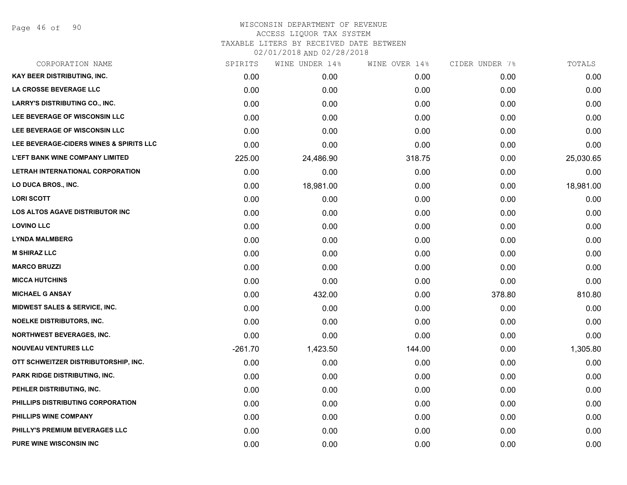Page 46 of 90

| CORPORATION NAME                         | SPIRITS   | WINE UNDER 14% | WINE OVER 14% | CIDER UNDER 7% | TOTALS    |
|------------------------------------------|-----------|----------------|---------------|----------------|-----------|
| <b>KAY BEER DISTRIBUTING, INC.</b>       | 0.00      | 0.00           | 0.00          | 0.00           | 0.00      |
| LA CROSSE BEVERAGE LLC                   | 0.00      | 0.00           | 0.00          | 0.00           | 0.00      |
| <b>LARRY'S DISTRIBUTING CO., INC.</b>    | 0.00      | 0.00           | 0.00          | 0.00           | 0.00      |
| LEE BEVERAGE OF WISCONSIN LLC            | 0.00      | 0.00           | 0.00          | 0.00           | 0.00      |
| <b>LEE BEVERAGE OF WISCONSIN LLC</b>     | 0.00      | 0.00           | 0.00          | 0.00           | 0.00      |
| LEE BEVERAGE-CIDERS WINES & SPIRITS LLC  | 0.00      | 0.00           | 0.00          | 0.00           | 0.00      |
| <b>L'EFT BANK WINE COMPANY LIMITED</b>   | 225.00    | 24,486.90      | 318.75        | 0.00           | 25,030.65 |
| LETRAH INTERNATIONAL CORPORATION         | 0.00      | 0.00           | 0.00          | 0.00           | 0.00      |
| LO DUCA BROS., INC.                      | 0.00      | 18,981.00      | 0.00          | 0.00           | 18,981.00 |
| <b>LORI SCOTT</b>                        | 0.00      | 0.00           | 0.00          | 0.00           | 0.00      |
| LOS ALTOS AGAVE DISTRIBUTOR INC          | 0.00      | 0.00           | 0.00          | 0.00           | 0.00      |
| <b>LOVINO LLC</b>                        | 0.00      | 0.00           | 0.00          | 0.00           | 0.00      |
| <b>LYNDA MALMBERG</b>                    | 0.00      | 0.00           | 0.00          | 0.00           | 0.00      |
| <b>M SHIRAZ LLC</b>                      | 0.00      | 0.00           | 0.00          | 0.00           | 0.00      |
| <b>MARCO BRUZZI</b>                      | 0.00      | 0.00           | 0.00          | 0.00           | 0.00      |
| <b>MICCA HUTCHINS</b>                    | 0.00      | 0.00           | 0.00          | 0.00           | 0.00      |
| <b>MICHAEL G ANSAY</b>                   | 0.00      | 432.00         | 0.00          | 378.80         | 810.80    |
| <b>MIDWEST SALES &amp; SERVICE, INC.</b> | 0.00      | 0.00           | 0.00          | 0.00           | 0.00      |
| <b>NOELKE DISTRIBUTORS, INC.</b>         | 0.00      | 0.00           | 0.00          | 0.00           | 0.00      |
| <b>NORTHWEST BEVERAGES, INC.</b>         | 0.00      | 0.00           | 0.00          | 0.00           | 0.00      |
| <b>NOUVEAU VENTURES LLC</b>              | $-261.70$ | 1,423.50       | 144.00        | 0.00           | 1,305.80  |
| OTT SCHWEITZER DISTRIBUTORSHIP, INC.     | 0.00      | 0.00           | 0.00          | 0.00           | 0.00      |
| PARK RIDGE DISTRIBUTING, INC.            | 0.00      | 0.00           | 0.00          | 0.00           | 0.00      |
| PEHLER DISTRIBUTING, INC.                | 0.00      | 0.00           | 0.00          | 0.00           | 0.00      |
| PHILLIPS DISTRIBUTING CORPORATION        | 0.00      | 0.00           | 0.00          | 0.00           | 0.00      |
| PHILLIPS WINE COMPANY                    | 0.00      | 0.00           | 0.00          | 0.00           | 0.00      |
| PHILLY'S PREMIUM BEVERAGES LLC           | 0.00      | 0.00           | 0.00          | 0.00           | 0.00      |
| <b>PURE WINE WISCONSIN INC</b>           | 0.00      | 0.00           | 0.00          | 0.00           | 0.00      |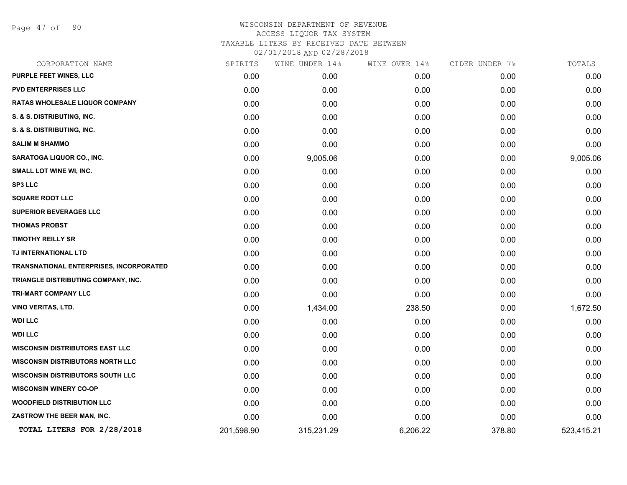Page 47 of 90

| CORPORATION NAME                        | SPIRITS    | WINE UNDER 14% | WINE OVER 14% | CIDER UNDER 7% | TOTALS     |
|-----------------------------------------|------------|----------------|---------------|----------------|------------|
| PURPLE FEET WINES, LLC                  | 0.00       | 0.00           | 0.00          | 0.00           | 0.00       |
| <b>PVD ENTERPRISES LLC</b>              | 0.00       | 0.00           | 0.00          | 0.00           | 0.00       |
| <b>RATAS WHOLESALE LIQUOR COMPANY</b>   | 0.00       | 0.00           | 0.00          | 0.00           | 0.00       |
| S. & S. DISTRIBUTING, INC.              | 0.00       | 0.00           | 0.00          | 0.00           | 0.00       |
| S. & S. DISTRIBUTING, INC.              | 0.00       | 0.00           | 0.00          | 0.00           | 0.00       |
| <b>SALIM M SHAMMO</b>                   | 0.00       | 0.00           | 0.00          | 0.00           | 0.00       |
| <b>SARATOGA LIQUOR CO., INC.</b>        | 0.00       | 9,005.06       | 0.00          | 0.00           | 9,005.06   |
| SMALL LOT WINE WI, INC.                 | 0.00       | 0.00           | 0.00          | 0.00           | 0.00       |
| <b>SP3 LLC</b>                          | 0.00       | 0.00           | 0.00          | 0.00           | 0.00       |
| <b>SQUARE ROOT LLC</b>                  | 0.00       | 0.00           | 0.00          | 0.00           | 0.00       |
| SUPERIOR BEVERAGES LLC                  | 0.00       | 0.00           | 0.00          | 0.00           | 0.00       |
| <b>THOMAS PROBST</b>                    | 0.00       | 0.00           | 0.00          | 0.00           | 0.00       |
| <b>TIMOTHY REILLY SR</b>                | 0.00       | 0.00           | 0.00          | 0.00           | 0.00       |
| TJ INTERNATIONAL LTD                    | 0.00       | 0.00           | 0.00          | 0.00           | 0.00       |
| TRANSNATIONAL ENTERPRISES, INCORPORATED | 0.00       | 0.00           | 0.00          | 0.00           | 0.00       |
| TRIANGLE DISTRIBUTING COMPANY, INC.     | 0.00       | 0.00           | 0.00          | 0.00           | 0.00       |
| <b>TRI-MART COMPANY LLC</b>             | 0.00       | 0.00           | 0.00          | 0.00           | 0.00       |
| <b>VINO VERITAS, LTD.</b>               | 0.00       | 1,434.00       | 238.50        | 0.00           | 1,672.50   |
| <b>WDI LLC</b>                          | 0.00       | 0.00           | 0.00          | 0.00           | 0.00       |
| <b>WDI LLC</b>                          | 0.00       | 0.00           | 0.00          | 0.00           | 0.00       |
| <b>WISCONSIN DISTRIBUTORS EAST LLC</b>  | 0.00       | 0.00           | 0.00          | 0.00           | 0.00       |
| <b>WISCONSIN DISTRIBUTORS NORTH LLC</b> | 0.00       | 0.00           | 0.00          | 0.00           | 0.00       |
| <b>WISCONSIN DISTRIBUTORS SOUTH LLC</b> | 0.00       | 0.00           | 0.00          | 0.00           | 0.00       |
| <b>WISCONSIN WINERY CO-OP</b>           | 0.00       | 0.00           | 0.00          | 0.00           | 0.00       |
| <b>WOODFIELD DISTRIBUTION LLC</b>       | 0.00       | 0.00           | 0.00          | 0.00           | 0.00       |
| ZASTROW THE BEER MAN, INC.              | 0.00       | 0.00           | 0.00          | 0.00           | 0.00       |
| TOTAL LITERS FOR 2/28/2018              | 201,598.90 | 315,231.29     | 6,206.22      | 378.80         | 523,415.21 |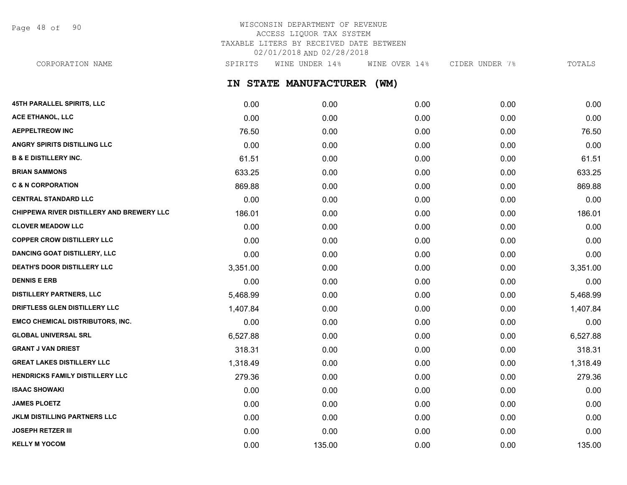Page 48 of 90

# WISCONSIN DEPARTMENT OF REVENUE ACCESS LIQUOR TAX SYSTEM TAXABLE LITERS BY RECEIVED DATE BETWEEN 02/01/2018 AND 02/28/2018

CORPORATION NAME SPIRITS WINE UNDER 14% WINE OVER 14% CIDER UNDER 7% TOTALS

**IN STATE MANUFACTURER (WM)**

| 45TH PARALLEL SPIRITS, LLC                | 0.00     | 0.00   | 0.00 | 0.00 | 0.00     |
|-------------------------------------------|----------|--------|------|------|----------|
| <b>ACE ETHANOL, LLC</b>                   | 0.00     | 0.00   | 0.00 | 0.00 | 0.00     |
| <b>AEPPELTREOW INC</b>                    | 76.50    | 0.00   | 0.00 | 0.00 | 76.50    |
| ANGRY SPIRITS DISTILLING LLC              | 0.00     | 0.00   | 0.00 | 0.00 | 0.00     |
| <b>B &amp; E DISTILLERY INC.</b>          | 61.51    | 0.00   | 0.00 | 0.00 | 61.51    |
| <b>BRIAN SAMMONS</b>                      | 633.25   | 0.00   | 0.00 | 0.00 | 633.25   |
| <b>C &amp; N CORPORATION</b>              | 869.88   | 0.00   | 0.00 | 0.00 | 869.88   |
| <b>CENTRAL STANDARD LLC</b>               | 0.00     | 0.00   | 0.00 | 0.00 | 0.00     |
| CHIPPEWA RIVER DISTILLERY AND BREWERY LLC | 186.01   | 0.00   | 0.00 | 0.00 | 186.01   |
| <b>CLOVER MEADOW LLC</b>                  | 0.00     | 0.00   | 0.00 | 0.00 | 0.00     |
| <b>COPPER CROW DISTILLERY LLC</b>         | 0.00     | 0.00   | 0.00 | 0.00 | 0.00     |
| <b>DANCING GOAT DISTILLERY, LLC</b>       | 0.00     | 0.00   | 0.00 | 0.00 | 0.00     |
| DEATH'S DOOR DISTILLERY LLC               | 3,351.00 | 0.00   | 0.00 | 0.00 | 3,351.00 |
| <b>DENNIS E ERB</b>                       | 0.00     | 0.00   | 0.00 | 0.00 | 0.00     |
| <b>DISTILLERY PARTNERS, LLC</b>           | 5,468.99 | 0.00   | 0.00 | 0.00 | 5,468.99 |
| DRIFTLESS GLEN DISTILLERY LLC             | 1,407.84 | 0.00   | 0.00 | 0.00 | 1,407.84 |
| <b>EMCO CHEMICAL DISTRIBUTORS, INC.</b>   | 0.00     | 0.00   | 0.00 | 0.00 | 0.00     |
| <b>GLOBAL UNIVERSAL SRL</b>               | 6,527.88 | 0.00   | 0.00 | 0.00 | 6,527.88 |
| <b>GRANT J VAN DRIEST</b>                 | 318.31   | 0.00   | 0.00 | 0.00 | 318.31   |
| <b>GREAT LAKES DISTILLERY LLC</b>         | 1,318.49 | 0.00   | 0.00 | 0.00 | 1,318.49 |
| HENDRICKS FAMILY DISTILLERY LLC           | 279.36   | 0.00   | 0.00 | 0.00 | 279.36   |
| <b>ISAAC SHOWAKI</b>                      | 0.00     | 0.00   | 0.00 | 0.00 | 0.00     |
| <b>JAMES PLOETZ</b>                       | 0.00     | 0.00   | 0.00 | 0.00 | 0.00     |
| <b>JKLM DISTILLING PARTNERS LLC</b>       | 0.00     | 0.00   | 0.00 | 0.00 | 0.00     |
| <b>JOSEPH RETZER III</b>                  | 0.00     | 0.00   | 0.00 | 0.00 | 0.00     |
| <b>KELLY M YOCOM</b>                      | 0.00     | 135.00 | 0.00 | 0.00 | 135.00   |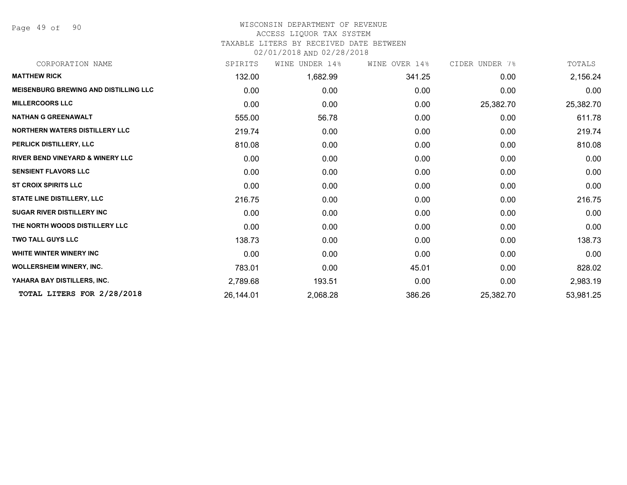Page 49 of 90

#### WISCONSIN DEPARTMENT OF REVENUE ACCESS LIQUOR TAX SYSTEM

# TAXABLE LITERS BY RECEIVED DATE BETWEEN

02/01/2018 AND 02/28/2018

| CORPORATION NAME                             | SPIRITS   | WINE UNDER 14% | WINE OVER 14% | CIDER UNDER 7% | TOTALS    |
|----------------------------------------------|-----------|----------------|---------------|----------------|-----------|
| <b>MATTHEW RICK</b>                          | 132.00    | 1,682.99       | 341.25        | 0.00           | 2,156.24  |
| <b>MEISENBURG BREWING AND DISTILLING LLC</b> | 0.00      | 0.00           | 0.00          | 0.00           | 0.00      |
| <b>MILLERCOORS LLC</b>                       | 0.00      | 0.00           | 0.00          | 25,382.70      | 25,382.70 |
| <b>NATHAN G GREENAWALT</b>                   | 555.00    | 56.78          | 0.00          | 0.00           | 611.78    |
| <b>NORTHERN WATERS DISTILLERY LLC</b>        | 219.74    | 0.00           | 0.00          | 0.00           | 219.74    |
| PERLICK DISTILLERY, LLC                      | 810.08    | 0.00           | 0.00          | 0.00           | 810.08    |
| <b>RIVER BEND VINEYARD &amp; WINERY LLC</b>  | 0.00      | 0.00           | 0.00          | 0.00           | 0.00      |
| <b>SENSIENT FLAVORS LLC</b>                  | 0.00      | 0.00           | 0.00          | 0.00           | 0.00      |
| <b>ST CROIX SPIRITS LLC</b>                  | 0.00      | 0.00           | 0.00          | 0.00           | 0.00      |
| <b>STATE LINE DISTILLERY, LLC</b>            | 216.75    | 0.00           | 0.00          | 0.00           | 216.75    |
| <b>SUGAR RIVER DISTILLERY INC</b>            | 0.00      | 0.00           | 0.00          | 0.00           | 0.00      |
| THE NORTH WOODS DISTILLERY LLC               | 0.00      | 0.00           | 0.00          | 0.00           | 0.00      |
| <b>TWO TALL GUYS LLC</b>                     | 138.73    | 0.00           | 0.00          | 0.00           | 138.73    |
| WHITE WINTER WINERY INC                      | 0.00      | 0.00           | 0.00          | 0.00           | 0.00      |
| <b>WOLLERSHEIM WINERY, INC.</b>              | 783.01    | 0.00           | 45.01         | 0.00           | 828.02    |
| YAHARA BAY DISTILLERS, INC.                  | 2,789.68  | 193.51         | 0.00          | 0.00           | 2,983.19  |
| TOTAL LITERS FOR 2/28/2018                   | 26,144.01 | 2,068.28       | 386.26        | 25,382.70      | 53,981.25 |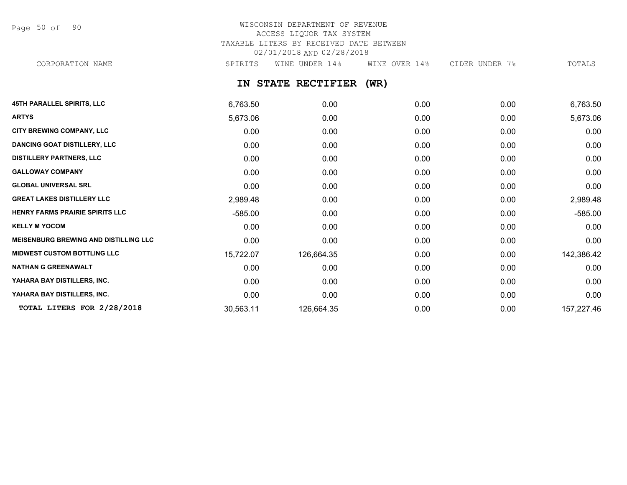Page 50 of 90

## WISCONSIN DEPARTMENT OF REVENUE ACCESS LIQUOR TAX SYSTEM TAXABLE LITERS BY RECEIVED DATE BETWEEN 02/01/2018 AND 02/28/2018 CORPORATION NAME SPIRITS WINE UNDER 14% WINE OVER 14% CIDER UNDER 7% TOTALS

**IN STATE RECTIFIER (WR)**

| <b>45TH PARALLEL SPIRITS, LLC</b>            | 6,763.50  | 0.00       | 0.00 | 0.00 | 6,763.50   |
|----------------------------------------------|-----------|------------|------|------|------------|
| <b>ARTYS</b>                                 | 5,673.06  | 0.00       | 0.00 | 0.00 | 5,673.06   |
| CITY BREWING COMPANY, LLC                    | 0.00      | 0.00       | 0.00 | 0.00 | 0.00       |
| <b>DANCING GOAT DISTILLERY, LLC</b>          | 0.00      | 0.00       | 0.00 | 0.00 | 0.00       |
| <b>DISTILLERY PARTNERS, LLC</b>              | 0.00      | 0.00       | 0.00 | 0.00 | 0.00       |
| <b>GALLOWAY COMPANY</b>                      | 0.00      | 0.00       | 0.00 | 0.00 | 0.00       |
| <b>GLOBAL UNIVERSAL SRL</b>                  | 0.00      | 0.00       | 0.00 | 0.00 | 0.00       |
| <b>GREAT LAKES DISTILLERY LLC</b>            | 2,989.48  | 0.00       | 0.00 | 0.00 | 2,989.48   |
| HENRY FARMS PRAIRIE SPIRITS LLC              | $-585.00$ | 0.00       | 0.00 | 0.00 | $-585.00$  |
| <b>KELLY M YOCOM</b>                         | 0.00      | 0.00       | 0.00 | 0.00 | 0.00       |
| <b>MEISENBURG BREWING AND DISTILLING LLC</b> | 0.00      | 0.00       | 0.00 | 0.00 | 0.00       |
| <b>MIDWEST CUSTOM BOTTLING LLC</b>           | 15,722.07 | 126,664.35 | 0.00 | 0.00 | 142,386.42 |
| <b>NATHAN G GREENAWALT</b>                   | 0.00      | 0.00       | 0.00 | 0.00 | 0.00       |
| YAHARA BAY DISTILLERS, INC.                  | 0.00      | 0.00       | 0.00 | 0.00 | 0.00       |
| YAHARA BAY DISTILLERS, INC.                  | 0.00      | 0.00       | 0.00 | 0.00 | 0.00       |
| TOTAL LITERS FOR 2/28/2018                   | 30,563.11 | 126,664.35 | 0.00 | 0.00 | 157,227.46 |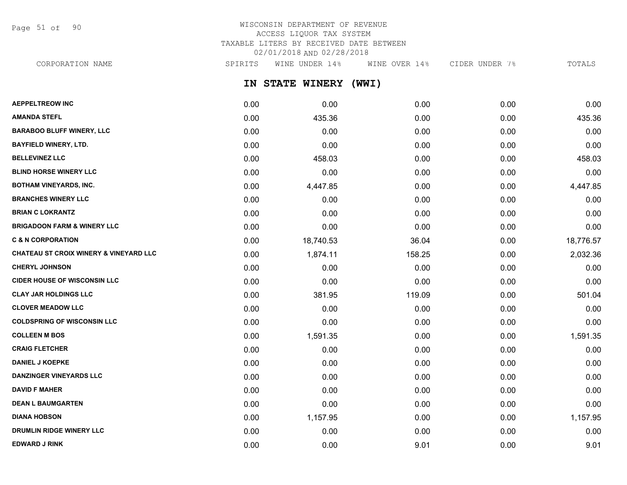Page 51 of 90

# WISCONSIN DEPARTMENT OF REVENUE ACCESS LIQUOR TAX SYSTEM TAXABLE LITERS BY RECEIVED DATE BETWEEN 02/01/2018 AND 02/28/2018

**IN STATE WINERY (WWI) AEPPELTREOW INC** 0.00 0.00 0.00 0.00 0.00 **AMANDA STEFL** 0.00 435.36 0.00 0.00 435.36 **BARABOO BLUFF WINERY, LLC** 0.00 0.00 0.00 0.00 0.00 CORPORATION NAME SPIRITS WINE UNDER 14% WINE OVER 14% CIDER UNDER 7% TOTALS

| <b>BAYFIELD WINERY, LTD.</b>           | 0.00 | 0.00      | 0.00   | 0.00 | 0.00      |
|----------------------------------------|------|-----------|--------|------|-----------|
| <b>BELLEVINEZ LLC</b>                  | 0.00 | 458.03    | 0.00   | 0.00 | 458.03    |
| <b>BLIND HORSE WINERY LLC</b>          | 0.00 | 0.00      | 0.00   | 0.00 | 0.00      |
| <b>BOTHAM VINEYARDS, INC.</b>          | 0.00 | 4,447.85  | 0.00   | 0.00 | 4,447.85  |
| <b>BRANCHES WINERY LLC</b>             | 0.00 | 0.00      | 0.00   | 0.00 | 0.00      |
| <b>BRIAN C LOKRANTZ</b>                | 0.00 | 0.00      | 0.00   | 0.00 | 0.00      |
| <b>BRIGADOON FARM &amp; WINERY LLC</b> | 0.00 | 0.00      | 0.00   | 0.00 | 0.00      |
| <b>C &amp; N CORPORATION</b>           | 0.00 | 18,740.53 | 36.04  | 0.00 | 18,776.57 |
| CHATEAU ST CROIX WINERY & VINEYARD LLC | 0.00 | 1,874.11  | 158.25 | 0.00 | 2,032.36  |
| <b>CHERYL JOHNSON</b>                  | 0.00 | 0.00      | 0.00   | 0.00 | 0.00      |
| <b>CIDER HOUSE OF WISCONSIN LLC</b>    | 0.00 | 0.00      | 0.00   | 0.00 | 0.00      |
| <b>CLAY JAR HOLDINGS LLC</b>           | 0.00 | 381.95    | 119.09 | 0.00 | 501.04    |
| <b>CLOVER MEADOW LLC</b>               | 0.00 | 0.00      | 0.00   | 0.00 | 0.00      |
| <b>COLDSPRING OF WISCONSIN LLC</b>     | 0.00 | 0.00      | 0.00   | 0.00 | 0.00      |
| <b>COLLEEN M BOS</b>                   | 0.00 | 1,591.35  | 0.00   | 0.00 | 1,591.35  |
| <b>CRAIG FLETCHER</b>                  | 0.00 | 0.00      | 0.00   | 0.00 | 0.00      |
| <b>DANIEL J KOEPKE</b>                 | 0.00 | 0.00      | 0.00   | 0.00 | 0.00      |
| <b>DANZINGER VINEYARDS LLC</b>         | 0.00 | 0.00      | 0.00   | 0.00 | 0.00      |
| <b>DAVID F MAHER</b>                   | 0.00 | 0.00      | 0.00   | 0.00 | 0.00      |
| <b>DEAN L BAUMGARTEN</b>               | 0.00 | 0.00      | 0.00   | 0.00 | 0.00      |
| <b>DIANA HOBSON</b>                    | 0.00 | 1,157.95  | 0.00   | 0.00 | 1,157.95  |
| <b>DRUMLIN RIDGE WINERY LLC</b>        | 0.00 | 0.00      | 0.00   | 0.00 | 0.00      |
| <b>EDWARD J RINK</b>                   | 0.00 | 0.00      | 9.01   | 0.00 | 9.01      |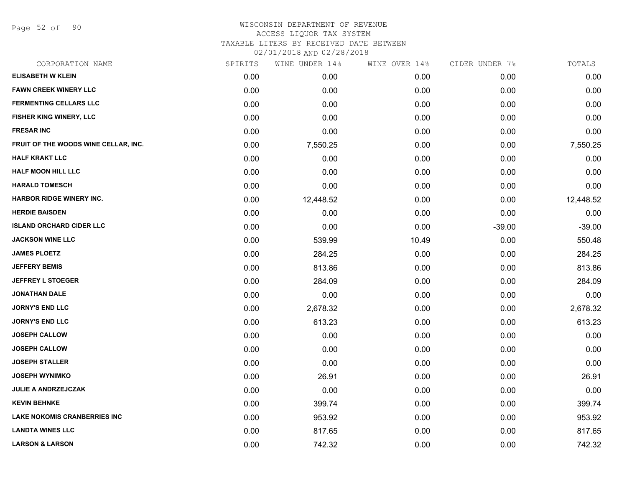Page 52 of 90

# WISCONSIN DEPARTMENT OF REVENUE ACCESS LIQUOR TAX SYSTEM TAXABLE LITERS BY RECEIVED DATE BETWEEN

02/01/2018 AND 02/28/2018

| CORPORATION NAME                     | SPIRITS | WINE UNDER 14% | WINE OVER 14% | CIDER UNDER 7% | TOTALS    |
|--------------------------------------|---------|----------------|---------------|----------------|-----------|
| <b>ELISABETH W KLEIN</b>             | 0.00    | 0.00           | 0.00          | 0.00           | 0.00      |
| <b>FAWN CREEK WINERY LLC</b>         | 0.00    | 0.00           | 0.00          | 0.00           | 0.00      |
| <b>FERMENTING CELLARS LLC</b>        | 0.00    | 0.00           | 0.00          | 0.00           | 0.00      |
| FISHER KING WINERY, LLC              | 0.00    | 0.00           | 0.00          | 0.00           | 0.00      |
| <b>FRESAR INC</b>                    | 0.00    | 0.00           | 0.00          | 0.00           | 0.00      |
| FRUIT OF THE WOODS WINE CELLAR, INC. | 0.00    | 7,550.25       | 0.00          | 0.00           | 7,550.25  |
| <b>HALF KRAKT LLC</b>                | 0.00    | 0.00           | 0.00          | 0.00           | 0.00      |
| <b>HALF MOON HILL LLC</b>            | 0.00    | 0.00           | 0.00          | 0.00           | 0.00      |
| <b>HARALD TOMESCH</b>                | 0.00    | 0.00           | 0.00          | 0.00           | 0.00      |
| <b>HARBOR RIDGE WINERY INC.</b>      | 0.00    | 12,448.52      | 0.00          | 0.00           | 12,448.52 |
| <b>HERDIE BAISDEN</b>                | 0.00    | 0.00           | 0.00          | 0.00           | 0.00      |
| <b>ISLAND ORCHARD CIDER LLC</b>      | 0.00    | 0.00           | 0.00          | $-39.00$       | $-39.00$  |
| <b>JACKSON WINE LLC</b>              | 0.00    | 539.99         | 10.49         | 0.00           | 550.48    |
| <b>JAMES PLOETZ</b>                  | 0.00    | 284.25         | 0.00          | 0.00           | 284.25    |
| <b>JEFFERY BEMIS</b>                 | 0.00    | 813.86         | 0.00          | 0.00           | 813.86    |
| <b>JEFFREY L STOEGER</b>             | 0.00    | 284.09         | 0.00          | 0.00           | 284.09    |
| <b>JONATHAN DALE</b>                 | 0.00    | 0.00           | 0.00          | 0.00           | 0.00      |
| <b>JORNY'S END LLC</b>               | 0.00    | 2,678.32       | 0.00          | 0.00           | 2,678.32  |
| <b>JORNY'S END LLC</b>               | 0.00    | 613.23         | 0.00          | 0.00           | 613.23    |
| <b>JOSEPH CALLOW</b>                 | 0.00    | 0.00           | 0.00          | 0.00           | 0.00      |
| <b>JOSEPH CALLOW</b>                 | 0.00    | 0.00           | 0.00          | 0.00           | 0.00      |
| <b>JOSEPH STALLER</b>                | 0.00    | 0.00           | 0.00          | 0.00           | 0.00      |
| <b>JOSEPH WYNIMKO</b>                | 0.00    | 26.91          | 0.00          | 0.00           | 26.91     |
| <b>JULIE A ANDRZEJCZAK</b>           | 0.00    | 0.00           | 0.00          | 0.00           | 0.00      |
| <b>KEVIN BEHNKE</b>                  | 0.00    | 399.74         | 0.00          | 0.00           | 399.74    |
| <b>LAKE NOKOMIS CRANBERRIES INC</b>  | 0.00    | 953.92         | 0.00          | 0.00           | 953.92    |
| <b>LANDTA WINES LLC</b>              | 0.00    | 817.65         | 0.00          | 0.00           | 817.65    |
| <b>LARSON &amp; LARSON</b>           | 0.00    | 742.32         | 0.00          | 0.00           | 742.32    |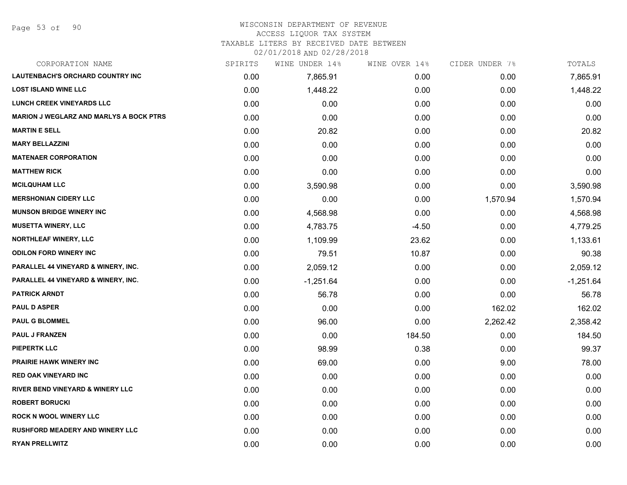#### WISCONSIN DEPARTMENT OF REVENUE ACCESS LIQUOR TAX SYSTEM

TAXABLE LITERS BY RECEIVED DATE BETWEEN

02/01/2018 AND 02/28/2018

| CORPORATION NAME                               | SPIRITS | WINE UNDER 14% | WINE OVER 14% | CIDER UNDER 7% | TOTALS      |
|------------------------------------------------|---------|----------------|---------------|----------------|-------------|
| <b>LAUTENBACH'S ORCHARD COUNTRY INC</b>        | 0.00    | 7,865.91       | 0.00          | 0.00           | 7,865.91    |
| <b>LOST ISLAND WINE LLC</b>                    | 0.00    | 1,448.22       | 0.00          | 0.00           | 1,448.22    |
| <b>LUNCH CREEK VINEYARDS LLC</b>               | 0.00    | 0.00           | 0.00          | 0.00           | 0.00        |
| <b>MARION J WEGLARZ AND MARLYS A BOCK PTRS</b> | 0.00    | 0.00           | 0.00          | 0.00           | 0.00        |
| <b>MARTIN E SELL</b>                           | 0.00    | 20.82          | 0.00          | 0.00           | 20.82       |
| <b>MARY BELLAZZINI</b>                         | 0.00    | 0.00           | 0.00          | 0.00           | 0.00        |
| <b>MATENAER CORPORATION</b>                    | 0.00    | 0.00           | 0.00          | 0.00           | 0.00        |
| <b>MATTHEW RICK</b>                            | 0.00    | 0.00           | 0.00          | 0.00           | 0.00        |
| <b>MCILQUHAM LLC</b>                           | 0.00    | 3,590.98       | 0.00          | 0.00           | 3,590.98    |
| <b>MERSHONIAN CIDERY LLC</b>                   | 0.00    | 0.00           | 0.00          | 1,570.94       | 1,570.94    |
| <b>MUNSON BRIDGE WINERY INC</b>                | 0.00    | 4,568.98       | 0.00          | 0.00           | 4,568.98    |
| <b>MUSETTA WINERY, LLC</b>                     | 0.00    | 4,783.75       | $-4.50$       | 0.00           | 4,779.25    |
| NORTHLEAF WINERY, LLC                          | 0.00    | 1,109.99       | 23.62         | 0.00           | 1,133.61    |
| <b>ODILON FORD WINERY INC</b>                  | 0.00    | 79.51          | 10.87         | 0.00           | 90.38       |
| PARALLEL 44 VINEYARD & WINERY, INC.            | 0.00    | 2,059.12       | 0.00          | 0.00           | 2,059.12    |
| <b>PARALLEL 44 VINEYARD &amp; WINERY, INC.</b> | 0.00    | $-1,251.64$    | 0.00          | 0.00           | $-1,251.64$ |
| <b>PATRICK ARNDT</b>                           | 0.00    | 56.78          | 0.00          | 0.00           | 56.78       |
| <b>PAUL D ASPER</b>                            | 0.00    | 0.00           | 0.00          | 162.02         | 162.02      |
| <b>PAUL G BLOMMEL</b>                          | 0.00    | 96.00          | 0.00          | 2,262.42       | 2,358.42    |
| <b>PAUL J FRANZEN</b>                          | 0.00    | 0.00           | 184.50        | 0.00           | 184.50      |
| <b>PIEPERTK LLC</b>                            | 0.00    | 98.99          | 0.38          | 0.00           | 99.37       |
| PRAIRIE HAWK WINERY INC                        | 0.00    | 69.00          | 0.00          | 9.00           | 78.00       |
| <b>RED OAK VINEYARD INC</b>                    | 0.00    | 0.00           | 0.00          | 0.00           | 0.00        |
| RIVER BEND VINEYARD & WINERY LLC               | 0.00    | 0.00           | 0.00          | 0.00           | 0.00        |
| <b>ROBERT BORUCKI</b>                          | 0.00    | 0.00           | 0.00          | 0.00           | 0.00        |
| <b>ROCK N WOOL WINERY LLC</b>                  | 0.00    | 0.00           | 0.00          | 0.00           | 0.00        |
| <b>RUSHFORD MEADERY AND WINERY LLC</b>         | 0.00    | 0.00           | 0.00          | 0.00           | 0.00        |
| <b>RYAN PRELLWITZ</b>                          | 0.00    | 0.00           | 0.00          | 0.00           | 0.00        |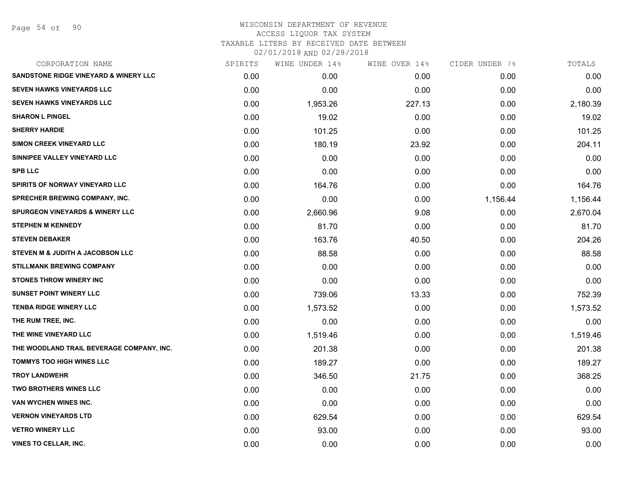Page 54 of 90

| CORPORATION NAME                                 | SPIRITS | WINE UNDER 14% | WINE OVER 14% | CIDER UNDER 7% | TOTALS   |
|--------------------------------------------------|---------|----------------|---------------|----------------|----------|
| <b>SANDSTONE RIDGE VINEYARD &amp; WINERY LLC</b> | 0.00    | 0.00           | 0.00          | 0.00           | 0.00     |
| <b>SEVEN HAWKS VINEYARDS LLC</b>                 | 0.00    | 0.00           | 0.00          | 0.00           | 0.00     |
| <b>SEVEN HAWKS VINEYARDS LLC</b>                 | 0.00    | 1,953.26       | 227.13        | 0.00           | 2,180.39 |
| <b>SHARON L PINGEL</b>                           | 0.00    | 19.02          | 0.00          | 0.00           | 19.02    |
| <b>SHERRY HARDIE</b>                             | 0.00    | 101.25         | 0.00          | 0.00           | 101.25   |
| <b>SIMON CREEK VINEYARD LLC</b>                  | 0.00    | 180.19         | 23.92         | 0.00           | 204.11   |
| SINNIPEE VALLEY VINEYARD LLC                     | 0.00    | 0.00           | 0.00          | 0.00           | 0.00     |
| <b>SPB LLC</b>                                   | 0.00    | 0.00           | 0.00          | 0.00           | 0.00     |
| SPIRITS OF NORWAY VINEYARD LLC                   | 0.00    | 164.76         | 0.00          | 0.00           | 164.76   |
| <b>SPRECHER BREWING COMPANY, INC.</b>            | 0.00    | 0.00           | 0.00          | 1,156.44       | 1,156.44 |
| <b>SPURGEON VINEYARDS &amp; WINERY LLC</b>       | 0.00    | 2,660.96       | 9.08          | 0.00           | 2,670.04 |
| <b>STEPHEN M KENNEDY</b>                         | 0.00    | 81.70          | 0.00          | 0.00           | 81.70    |
| <b>STEVEN DEBAKER</b>                            | 0.00    | 163.76         | 40.50         | 0.00           | 204.26   |
| STEVEN M & JUDITH A JACOBSON LLC                 | 0.00    | 88.58          | 0.00          | 0.00           | 88.58    |
| <b>STILLMANK BREWING COMPANY</b>                 | 0.00    | 0.00           | 0.00          | 0.00           | 0.00     |
| <b>STONES THROW WINERY INC</b>                   | 0.00    | 0.00           | 0.00          | 0.00           | 0.00     |
| <b>SUNSET POINT WINERY LLC</b>                   | 0.00    | 739.06         | 13.33         | 0.00           | 752.39   |
| <b>TENBA RIDGE WINERY LLC</b>                    | 0.00    | 1,573.52       | 0.00          | 0.00           | 1,573.52 |
| THE RUM TREE, INC.                               | 0.00    | 0.00           | 0.00          | 0.00           | 0.00     |
| THE WINE VINEYARD LLC                            | 0.00    | 1,519.46       | 0.00          | 0.00           | 1,519.46 |
| THE WOODLAND TRAIL BEVERAGE COMPANY, INC.        | 0.00    | 201.38         | 0.00          | 0.00           | 201.38   |
| <b>TOMMYS TOO HIGH WINES LLC</b>                 | 0.00    | 189.27         | 0.00          | 0.00           | 189.27   |
| <b>TROY LANDWEHR</b>                             | 0.00    | 346.50         | 21.75         | 0.00           | 368.25   |
| <b>TWO BROTHERS WINES LLC</b>                    | 0.00    | 0.00           | 0.00          | 0.00           | 0.00     |
| VAN WYCHEN WINES INC.                            | 0.00    | 0.00           | 0.00          | 0.00           | 0.00     |
| <b>VERNON VINEYARDS LTD</b>                      | 0.00    | 629.54         | 0.00          | 0.00           | 629.54   |
| <b>VETRO WINERY LLC</b>                          | 0.00    | 93.00          | 0.00          | 0.00           | 93.00    |
| <b>VINES TO CELLAR, INC.</b>                     | 0.00    | 0.00           | 0.00          | 0.00           | 0.00     |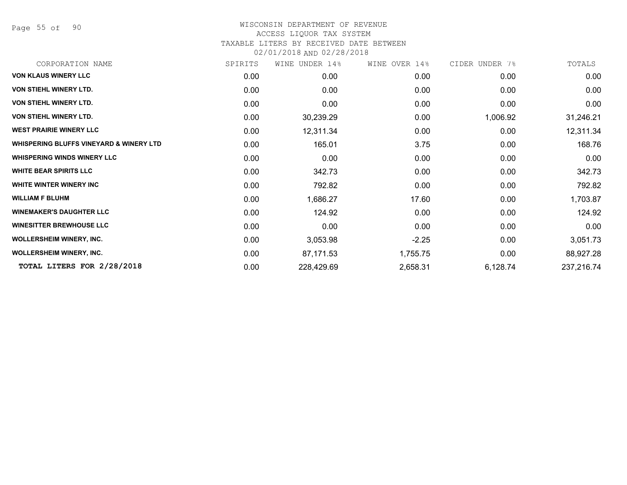Page 55 of 90

#### WISCONSIN DEPARTMENT OF REVENUE ACCESS LIQUOR TAX SYSTEM

# TAXABLE LITERS BY RECEIVED DATE BETWEEN

02/01/2018 AND 02/28/2018

| CORPORATION NAME                                   | SPIRITS | WINE UNDER 14% | WINE OVER 14% | CIDER UNDER 7% | TOTALS     |
|----------------------------------------------------|---------|----------------|---------------|----------------|------------|
| <b>VON KLAUS WINERY LLC</b>                        | 0.00    | 0.00           | 0.00          | 0.00           | 0.00       |
| <b>VON STIEHL WINERY LTD.</b>                      | 0.00    | 0.00           | 0.00          | 0.00           | 0.00       |
| <b>VON STIEHL WINERY LTD.</b>                      | 0.00    | 0.00           | 0.00          | 0.00           | 0.00       |
| <b>VON STIEHL WINERY LTD.</b>                      | 0.00    | 30,239.29      | 0.00          | 1,006.92       | 31,246.21  |
| <b>WEST PRAIRIE WINERY LLC</b>                     | 0.00    | 12,311.34      | 0.00          | 0.00           | 12,311.34  |
| <b>WHISPERING BLUFFS VINEYARD &amp; WINERY LTD</b> | 0.00    | 165.01         | 3.75          | 0.00           | 168.76     |
| <b>WHISPERING WINDS WINERY LLC</b>                 | 0.00    | 0.00           | 0.00          | 0.00           | 0.00       |
| <b>WHITE BEAR SPIRITS LLC</b>                      | 0.00    | 342.73         | 0.00          | 0.00           | 342.73     |
| WHITE WINTER WINERY INC                            | 0.00    | 792.82         | 0.00          | 0.00           | 792.82     |
| <b>WILLIAM F BLUHM</b>                             | 0.00    | 1,686.27       | 17.60         | 0.00           | 1,703.87   |
| <b>WINEMAKER'S DAUGHTER LLC</b>                    | 0.00    | 124.92         | 0.00          | 0.00           | 124.92     |
| <b>WINESITTER BREWHOUSE LLC</b>                    | 0.00    | 0.00           | 0.00          | 0.00           | 0.00       |
| <b>WOLLERSHEIM WINERY, INC.</b>                    | 0.00    | 3,053.98       | $-2.25$       | 0.00           | 3,051.73   |
| <b>WOLLERSHEIM WINERY, INC.</b>                    | 0.00    | 87,171.53      | 1,755.75      | 0.00           | 88,927.28  |
| TOTAL LITERS FOR 2/28/2018                         | 0.00    | 228,429.69     | 2,658.31      | 6,128.74       | 237,216.74 |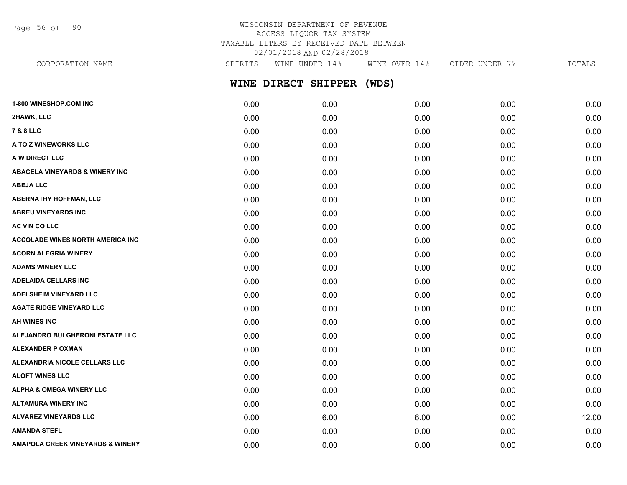Page 56 of 90

# WISCONSIN DEPARTMENT OF REVENUE ACCESS LIQUOR TAX SYSTEM TAXABLE LITERS BY RECEIVED DATE BETWEEN 02/01/2018 AND 02/28/2018

**WINE DIRECT SHIPPER (WDS) 1-800 WINESHOP.COM INC** 0.00 0.00 0.00 0.00 0.00 **2HAWK, LLC** 0.00 0.00 0.00 0.00 0.00 **7 & 8 LLC** 0.00 0.00 0.00 0.00 0.00 **A TO Z WINEWORKS LLC** 0.00 0.00 0.00 0.00 0.00 **A W DIRECT LLC** 0.00 0.00 0.00 0.00 0.00 **ABACELA VINEYARDS & WINERY INC** 0.00 0.00 0.00 0.00 0.00 **ABEJA LLC** 0.00 0.00 0.00 0.00 0.00 **ABERNATHY HOFFMAN, LLC** 0.00 0.00 0.00 0.00 0.00 **ABREU VINEYARDS INC** 0.00 0.00 0.00 0.00 0.00 CORPORATION NAME SPIRITS WINE UNDER 14% WINE OVER 14% CIDER UNDER 7% TOTALS

**AC VIN CO LLC** 0.00 0.00 0.00 0.00 0.00 **ACCOLADE WINES NORTH AMERICA INC** 0.00 0.00 0.00 0.00 0.00 **ACORN ALEGRIA WINERY** 0.00 0.00 0.00 0.00 0.00 **ADAMS WINERY LLC** 0.00 0.00 0.00 0.00 0.00 **ADELAIDA CELLARS INC** 0.00 0.00 0.00 0.00 0.00 **ADELSHEIM VINEYARD LLC** 0.00 0.00 0.00 0.00 0.00 **AGATE RIDGE VINEYARD LLC** 0.00 0.00 0.00 0.00 0.00 **AH WINES INC** 0.00 0.00 0.00 0.00 0.00 **ALEJANDRO BULGHERONI ESTATE LLC** 0.00 0.00 0.00 0.00 0.00 **ALEXANDER P OXMAN** 0.00 0.00 0.00 0.00 0.00 **ALEXANDRIA NICOLE CELLARS LLC** 0.00 0.00 0.00 0.00 0.00 **ALOFT WINES LLC** 0.00 0.00 0.00 0.00 0.00 **ALPHA & OMEGA WINERY LLC** 0.00 0.00 0.00 0.00 0.00 **ALTAMURA WINERY INC** 0.00 0.00 0.00 0.00 0.00 **ALVAREZ VINEYARDS LLC** 0.00 6.00 6.00 0.00 12.00 **AMANDA STEFL** 0.00 0.00 0.00 0.00 0.00 **AMAPOLA CREEK VINEYARDS & WINERY** 0.00 0.00 0.00 0.00 0.00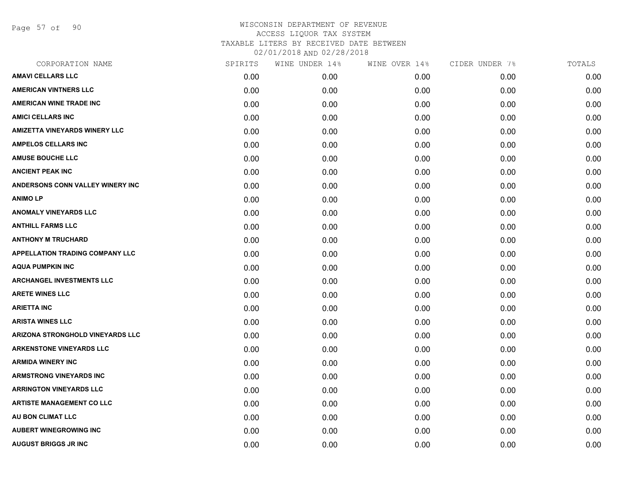Page 57 of 90

| SPIRITS | WINE UNDER 14% | WINE OVER 14% | CIDER UNDER 7% | TOTALS |
|---------|----------------|---------------|----------------|--------|
| 0.00    | 0.00           | 0.00          | 0.00           | 0.00   |
| 0.00    | 0.00           | 0.00          | 0.00           | 0.00   |
| 0.00    | 0.00           | 0.00          | 0.00           | 0.00   |
| 0.00    | 0.00           | 0.00          | 0.00           | 0.00   |
| 0.00    | 0.00           | 0.00          | 0.00           | 0.00   |
| 0.00    | 0.00           | 0.00          | 0.00           | 0.00   |
| 0.00    | 0.00           | 0.00          | 0.00           | 0.00   |
| 0.00    | 0.00           | 0.00          | 0.00           | 0.00   |
| 0.00    | 0.00           | 0.00          | 0.00           | 0.00   |
| 0.00    | 0.00           | 0.00          | 0.00           | 0.00   |
| 0.00    | 0.00           | 0.00          | 0.00           | 0.00   |
| 0.00    | 0.00           | 0.00          | 0.00           | 0.00   |
| 0.00    | 0.00           | 0.00          | 0.00           | 0.00   |
| 0.00    | 0.00           | 0.00          | 0.00           | 0.00   |
| 0.00    | 0.00           | 0.00          | 0.00           | 0.00   |
| 0.00    | 0.00           | 0.00          | 0.00           | 0.00   |
| 0.00    | 0.00           | 0.00          | 0.00           | 0.00   |
| 0.00    | 0.00           | 0.00          | 0.00           | 0.00   |
| 0.00    | 0.00           | 0.00          | 0.00           | 0.00   |
| 0.00    | 0.00           | 0.00          | 0.00           | 0.00   |
| 0.00    | 0.00           | 0.00          | 0.00           | 0.00   |
| 0.00    | 0.00           | 0.00          | 0.00           | 0.00   |
| 0.00    | 0.00           | 0.00          | 0.00           | 0.00   |
| 0.00    | 0.00           | 0.00          | 0.00           | 0.00   |
| 0.00    | 0.00           | 0.00          | 0.00           | 0.00   |
| 0.00    | 0.00           | 0.00          | 0.00           | 0.00   |
| 0.00    | 0.00           | 0.00          | 0.00           | 0.00   |
| 0.00    | 0.00           | 0.00          | 0.00           | 0.00   |
|         |                |               |                |        |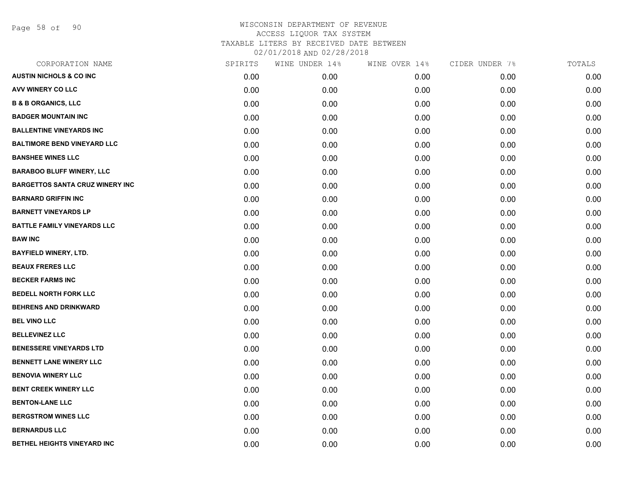Page 58 of 90

| CORPORATION NAME                       | SPIRITS | WINE UNDER 14% | WINE OVER 14% | CIDER UNDER 7% | TOTALS |
|----------------------------------------|---------|----------------|---------------|----------------|--------|
| <b>AUSTIN NICHOLS &amp; CO INC</b>     | 0.00    | 0.00           | 0.00          | 0.00           | 0.00   |
| AVV WINERY CO LLC                      | 0.00    | 0.00           | 0.00          | 0.00           | 0.00   |
| <b>B &amp; B ORGANICS, LLC</b>         | 0.00    | 0.00           | 0.00          | 0.00           | 0.00   |
| <b>BADGER MOUNTAIN INC</b>             | 0.00    | 0.00           | 0.00          | 0.00           | 0.00   |
| <b>BALLENTINE VINEYARDS INC</b>        | 0.00    | 0.00           | 0.00          | 0.00           | 0.00   |
| <b>BALTIMORE BEND VINEYARD LLC</b>     | 0.00    | 0.00           | 0.00          | 0.00           | 0.00   |
| <b>BANSHEE WINES LLC</b>               | 0.00    | 0.00           | 0.00          | 0.00           | 0.00   |
| <b>BARABOO BLUFF WINERY, LLC</b>       | 0.00    | 0.00           | 0.00          | 0.00           | 0.00   |
| <b>BARGETTOS SANTA CRUZ WINERY INC</b> | 0.00    | 0.00           | 0.00          | 0.00           | 0.00   |
| <b>BARNARD GRIFFIN INC</b>             | 0.00    | 0.00           | 0.00          | 0.00           | 0.00   |
| <b>BARNETT VINEYARDS LP</b>            | 0.00    | 0.00           | 0.00          | 0.00           | 0.00   |
| <b>BATTLE FAMILY VINEYARDS LLC</b>     | 0.00    | 0.00           | 0.00          | 0.00           | 0.00   |
| <b>BAW INC</b>                         | 0.00    | 0.00           | 0.00          | 0.00           | 0.00   |
| <b>BAYFIELD WINERY, LTD.</b>           | 0.00    | 0.00           | 0.00          | 0.00           | 0.00   |
| <b>BEAUX FRERES LLC</b>                | 0.00    | 0.00           | 0.00          | 0.00           | 0.00   |
| <b>BECKER FARMS INC</b>                | 0.00    | 0.00           | 0.00          | 0.00           | 0.00   |
| <b>BEDELL NORTH FORK LLC</b>           | 0.00    | 0.00           | 0.00          | 0.00           | 0.00   |
| <b>BEHRENS AND DRINKWARD</b>           | 0.00    | 0.00           | 0.00          | 0.00           | 0.00   |
| <b>BEL VINO LLC</b>                    | 0.00    | 0.00           | 0.00          | 0.00           | 0.00   |
| <b>BELLEVINEZ LLC</b>                  | 0.00    | 0.00           | 0.00          | 0.00           | 0.00   |
| <b>BENESSERE VINEYARDS LTD</b>         | 0.00    | 0.00           | 0.00          | 0.00           | 0.00   |
| <b>BENNETT LANE WINERY LLC</b>         | 0.00    | 0.00           | 0.00          | 0.00           | 0.00   |
| <b>BENOVIA WINERY LLC</b>              | 0.00    | 0.00           | 0.00          | 0.00           | 0.00   |
| <b>BENT CREEK WINERY LLC</b>           | 0.00    | 0.00           | 0.00          | 0.00           | 0.00   |
| <b>BENTON-LANE LLC</b>                 | 0.00    | 0.00           | 0.00          | 0.00           | 0.00   |
| <b>BERGSTROM WINES LLC</b>             | 0.00    | 0.00           | 0.00          | 0.00           | 0.00   |
| <b>BERNARDUS LLC</b>                   | 0.00    | 0.00           | 0.00          | 0.00           | 0.00   |
| BETHEL HEIGHTS VINEYARD INC            | 0.00    | 0.00           | 0.00          | 0.00           | 0.00   |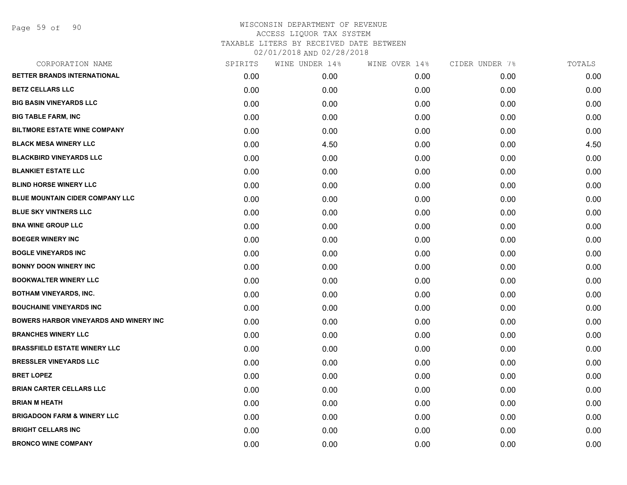Page 59 of 90

| CORPORATION NAME                              | SPIRITS | WINE UNDER 14% | WINE OVER 14% | CIDER UNDER 7% | TOTALS |
|-----------------------------------------------|---------|----------------|---------------|----------------|--------|
| BETTER BRANDS INTERNATIONAL                   | 0.00    | 0.00           | 0.00          | 0.00           | 0.00   |
| <b>BETZ CELLARS LLC</b>                       | 0.00    | 0.00           | 0.00          | 0.00           | 0.00   |
| <b>BIG BASIN VINEYARDS LLC</b>                | 0.00    | 0.00           | 0.00          | 0.00           | 0.00   |
| <b>BIG TABLE FARM, INC</b>                    | 0.00    | 0.00           | 0.00          | 0.00           | 0.00   |
| <b>BILTMORE ESTATE WINE COMPANY</b>           | 0.00    | 0.00           | 0.00          | 0.00           | 0.00   |
| <b>BLACK MESA WINERY LLC</b>                  | 0.00    | 4.50           | 0.00          | 0.00           | 4.50   |
| <b>BLACKBIRD VINEYARDS LLC</b>                | 0.00    | 0.00           | 0.00          | 0.00           | 0.00   |
| <b>BLANKIET ESTATE LLC</b>                    | 0.00    | 0.00           | 0.00          | 0.00           | 0.00   |
| <b>BLIND HORSE WINERY LLC</b>                 | 0.00    | 0.00           | 0.00          | 0.00           | 0.00   |
| BLUE MOUNTAIN CIDER COMPANY LLC               | 0.00    | 0.00           | 0.00          | 0.00           | 0.00   |
| <b>BLUE SKY VINTNERS LLC</b>                  | 0.00    | 0.00           | 0.00          | 0.00           | 0.00   |
| <b>BNA WINE GROUP LLC</b>                     | 0.00    | 0.00           | 0.00          | 0.00           | 0.00   |
| <b>BOEGER WINERY INC</b>                      | 0.00    | 0.00           | 0.00          | 0.00           | 0.00   |
| <b>BOGLE VINEYARDS INC</b>                    | 0.00    | 0.00           | 0.00          | 0.00           | 0.00   |
| <b>BONNY DOON WINERY INC</b>                  | 0.00    | 0.00           | 0.00          | 0.00           | 0.00   |
| <b>BOOKWALTER WINERY LLC</b>                  | 0.00    | 0.00           | 0.00          | 0.00           | 0.00   |
| <b>BOTHAM VINEYARDS, INC.</b>                 | 0.00    | 0.00           | 0.00          | 0.00           | 0.00   |
| <b>BOUCHAINE VINEYARDS INC</b>                | 0.00    | 0.00           | 0.00          | 0.00           | 0.00   |
| <b>BOWERS HARBOR VINEYARDS AND WINERY INC</b> | 0.00    | 0.00           | 0.00          | 0.00           | 0.00   |
| <b>BRANCHES WINERY LLC</b>                    | 0.00    | 0.00           | 0.00          | 0.00           | 0.00   |
| <b>BRASSFIELD ESTATE WINERY LLC</b>           | 0.00    | 0.00           | 0.00          | 0.00           | 0.00   |
| <b>BRESSLER VINEYARDS LLC</b>                 | 0.00    | 0.00           | 0.00          | 0.00           | 0.00   |
| <b>BRET LOPEZ</b>                             | 0.00    | 0.00           | 0.00          | 0.00           | 0.00   |
| <b>BRIAN CARTER CELLARS LLC</b>               | 0.00    | 0.00           | 0.00          | 0.00           | 0.00   |
| <b>BRIAN M HEATH</b>                          | 0.00    | 0.00           | 0.00          | 0.00           | 0.00   |
| <b>BRIGADOON FARM &amp; WINERY LLC</b>        | 0.00    | 0.00           | 0.00          | 0.00           | 0.00   |
| <b>BRIGHT CELLARS INC</b>                     | 0.00    | 0.00           | 0.00          | 0.00           | 0.00   |
| <b>BRONCO WINE COMPANY</b>                    | 0.00    | 0.00           | 0.00          | 0.00           | 0.00   |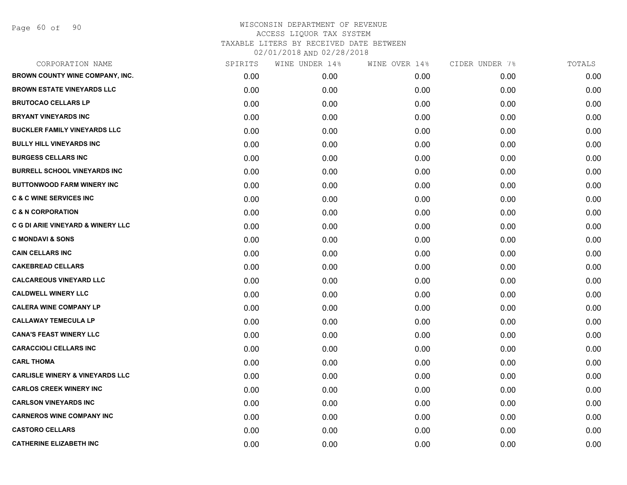Page 60 of 90

| CORPORATION NAME                             | SPIRITS | WINE UNDER 14% | WINE OVER 14% | CIDER UNDER 7% | TOTALS |
|----------------------------------------------|---------|----------------|---------------|----------------|--------|
| BROWN COUNTY WINE COMPANY, INC.              | 0.00    | 0.00           | 0.00          | 0.00           | 0.00   |
| <b>BROWN ESTATE VINEYARDS LLC</b>            | 0.00    | 0.00           | 0.00          | 0.00           | 0.00   |
| <b>BRUTOCAO CELLARS LP</b>                   | 0.00    | 0.00           | 0.00          | 0.00           | 0.00   |
| <b>BRYANT VINEYARDS INC</b>                  | 0.00    | 0.00           | 0.00          | 0.00           | 0.00   |
| <b>BUCKLER FAMILY VINEYARDS LLC</b>          | 0.00    | 0.00           | 0.00          | 0.00           | 0.00   |
| <b>BULLY HILL VINEYARDS INC</b>              | 0.00    | 0.00           | 0.00          | 0.00           | 0.00   |
| <b>BURGESS CELLARS INC</b>                   | 0.00    | 0.00           | 0.00          | 0.00           | 0.00   |
| <b>BURRELL SCHOOL VINEYARDS INC</b>          | 0.00    | 0.00           | 0.00          | 0.00           | 0.00   |
| <b>BUTTONWOOD FARM WINERY INC</b>            | 0.00    | 0.00           | 0.00          | 0.00           | 0.00   |
| <b>C &amp; C WINE SERVICES INC</b>           | 0.00    | 0.00           | 0.00          | 0.00           | 0.00   |
| <b>C &amp; N CORPORATION</b>                 | 0.00    | 0.00           | 0.00          | 0.00           | 0.00   |
| <b>C G DI ARIE VINEYARD &amp; WINERY LLC</b> | 0.00    | 0.00           | 0.00          | 0.00           | 0.00   |
| <b>C MONDAVI &amp; SONS</b>                  | 0.00    | 0.00           | 0.00          | 0.00           | 0.00   |
| <b>CAIN CELLARS INC</b>                      | 0.00    | 0.00           | 0.00          | 0.00           | 0.00   |
| <b>CAKEBREAD CELLARS</b>                     | 0.00    | 0.00           | 0.00          | 0.00           | 0.00   |
| <b>CALCAREOUS VINEYARD LLC</b>               | 0.00    | 0.00           | 0.00          | 0.00           | 0.00   |
| <b>CALDWELL WINERY LLC</b>                   | 0.00    | 0.00           | 0.00          | 0.00           | 0.00   |
| <b>CALERA WINE COMPANY LP</b>                | 0.00    | 0.00           | 0.00          | 0.00           | 0.00   |
| <b>CALLAWAY TEMECULA LP</b>                  | 0.00    | 0.00           | 0.00          | 0.00           | 0.00   |
| <b>CANA'S FEAST WINERY LLC</b>               | 0.00    | 0.00           | 0.00          | 0.00           | 0.00   |
| <b>CARACCIOLI CELLARS INC</b>                | 0.00    | 0.00           | 0.00          | 0.00           | 0.00   |
| <b>CARL THOMA</b>                            | 0.00    | 0.00           | 0.00          | 0.00           | 0.00   |
| <b>CARLISLE WINERY &amp; VINEYARDS LLC</b>   | 0.00    | 0.00           | 0.00          | 0.00           | 0.00   |
| <b>CARLOS CREEK WINERY INC</b>               | 0.00    | 0.00           | 0.00          | 0.00           | 0.00   |
| <b>CARLSON VINEYARDS INC</b>                 | 0.00    | 0.00           | 0.00          | 0.00           | 0.00   |
| <b>CARNEROS WINE COMPANY INC</b>             | 0.00    | 0.00           | 0.00          | 0.00           | 0.00   |
| <b>CASTORO CELLARS</b>                       | 0.00    | 0.00           | 0.00          | 0.00           | 0.00   |
| <b>CATHERINE ELIZABETH INC</b>               | 0.00    | 0.00           | 0.00          | 0.00           | 0.00   |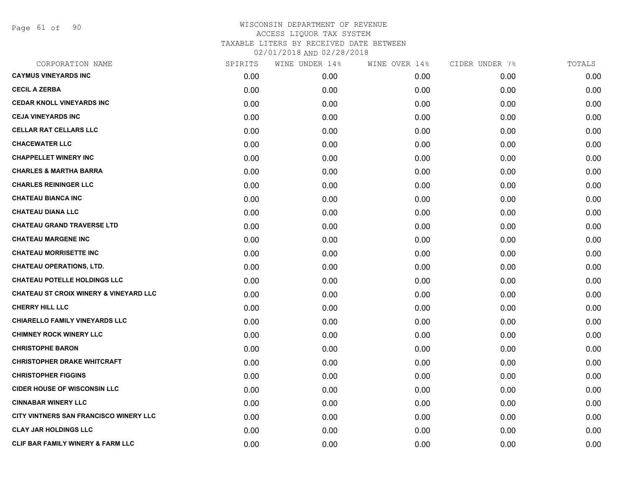Page 61 of 90

| CORPORATION NAME                                  | SPIRITS | WINE UNDER 14% | WINE OVER 14% | CIDER UNDER 7% | TOTALS |
|---------------------------------------------------|---------|----------------|---------------|----------------|--------|
| <b>CAYMUS VINEYARDS INC</b>                       | 0.00    | 0.00           | 0.00          | 0.00           | 0.00   |
| <b>CECIL A ZERBA</b>                              | 0.00    | 0.00           | 0.00          | 0.00           | 0.00   |
| <b>CEDAR KNOLL VINEYARDS INC</b>                  | 0.00    | 0.00           | 0.00          | 0.00           | 0.00   |
| <b>CEJA VINEYARDS INC</b>                         | 0.00    | 0.00           | 0.00          | 0.00           | 0.00   |
| <b>CELLAR RAT CELLARS LLC</b>                     | 0.00    | 0.00           | 0.00          | 0.00           | 0.00   |
| <b>CHACEWATER LLC</b>                             | 0.00    | 0.00           | 0.00          | 0.00           | 0.00   |
| <b>CHAPPELLET WINERY INC</b>                      | 0.00    | 0.00           | 0.00          | 0.00           | 0.00   |
| <b>CHARLES &amp; MARTHA BARRA</b>                 | 0.00    | 0.00           | 0.00          | 0.00           | 0.00   |
| <b>CHARLES REININGER LLC</b>                      | 0.00    | 0.00           | 0.00          | 0.00           | 0.00   |
| <b>CHATEAU BIANCA INC</b>                         | 0.00    | 0.00           | 0.00          | 0.00           | 0.00   |
| <b>CHATEAU DIANA LLC</b>                          | 0.00    | 0.00           | 0.00          | 0.00           | 0.00   |
| <b>CHATEAU GRAND TRAVERSE LTD</b>                 | 0.00    | 0.00           | 0.00          | 0.00           | 0.00   |
| <b>CHATEAU MARGENE INC</b>                        | 0.00    | 0.00           | 0.00          | 0.00           | 0.00   |
| <b>CHATEAU MORRISETTE INC</b>                     | 0.00    | 0.00           | 0.00          | 0.00           | 0.00   |
| <b>CHATEAU OPERATIONS, LTD.</b>                   | 0.00    | 0.00           | 0.00          | 0.00           | 0.00   |
| <b>CHATEAU POTELLE HOLDINGS LLC</b>               | 0.00    | 0.00           | 0.00          | 0.00           | 0.00   |
| <b>CHATEAU ST CROIX WINERY &amp; VINEYARD LLC</b> | 0.00    | 0.00           | 0.00          | 0.00           | 0.00   |
| <b>CHERRY HILL LLC</b>                            | 0.00    | 0.00           | 0.00          | 0.00           | 0.00   |
| <b>CHIARELLO FAMILY VINEYARDS LLC</b>             | 0.00    | 0.00           | 0.00          | 0.00           | 0.00   |
| <b>CHIMNEY ROCK WINERY LLC</b>                    | 0.00    | 0.00           | 0.00          | 0.00           | 0.00   |
| <b>CHRISTOPHE BARON</b>                           | 0.00    | 0.00           | 0.00          | 0.00           | 0.00   |
| <b>CHRISTOPHER DRAKE WHITCRAFT</b>                | 0.00    | 0.00           | 0.00          | 0.00           | 0.00   |
| <b>CHRISTOPHER FIGGINS</b>                        | 0.00    | 0.00           | 0.00          | 0.00           | 0.00   |
| <b>CIDER HOUSE OF WISCONSIN LLC</b>               | 0.00    | 0.00           | 0.00          | 0.00           | 0.00   |
| <b>CINNABAR WINERY LLC</b>                        | 0.00    | 0.00           | 0.00          | 0.00           | 0.00   |
| CITY VINTNERS SAN FRANCISCO WINERY LLC            | 0.00    | 0.00           | 0.00          | 0.00           | 0.00   |
| <b>CLAY JAR HOLDINGS LLC</b>                      | 0.00    | 0.00           | 0.00          | 0.00           | 0.00   |
| CLIF BAR FAMILY WINERY & FARM LLC                 | 0.00    | 0.00           | 0.00          | 0.00           | 0.00   |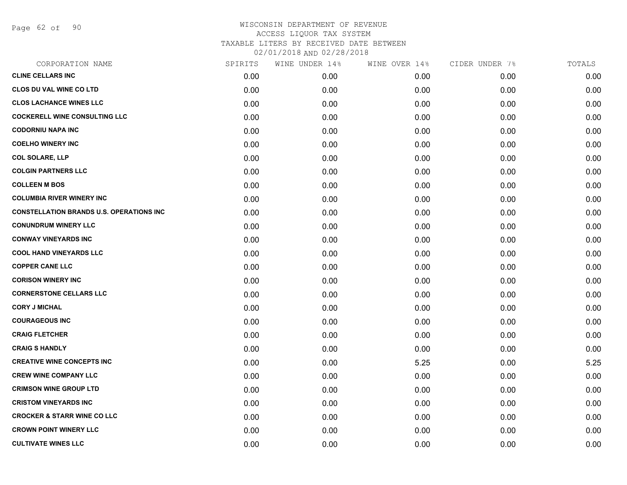Page 62 of 90

| CORPORATION NAME                                | SPIRITS | WINE UNDER 14% | WINE OVER 14% | CIDER UNDER 7% | TOTALS |
|-------------------------------------------------|---------|----------------|---------------|----------------|--------|
| <b>CLINE CELLARS INC</b>                        | 0.00    | 0.00           | 0.00          | 0.00           | 0.00   |
| <b>CLOS DU VAL WINE CO LTD</b>                  | 0.00    | 0.00           | 0.00          | 0.00           | 0.00   |
| <b>CLOS LACHANCE WINES LLC</b>                  | 0.00    | 0.00           | 0.00          | 0.00           | 0.00   |
| <b>COCKERELL WINE CONSULTING LLC</b>            | 0.00    | 0.00           | 0.00          | 0.00           | 0.00   |
| <b>CODORNIU NAPA INC</b>                        | 0.00    | 0.00           | 0.00          | 0.00           | 0.00   |
| <b>COELHO WINERY INC</b>                        | 0.00    | 0.00           | 0.00          | 0.00           | 0.00   |
| <b>COL SOLARE, LLP</b>                          | 0.00    | 0.00           | 0.00          | 0.00           | 0.00   |
| <b>COLGIN PARTNERS LLC</b>                      | 0.00    | 0.00           | 0.00          | 0.00           | 0.00   |
| <b>COLLEEN M BOS</b>                            | 0.00    | 0.00           | 0.00          | 0.00           | 0.00   |
| <b>COLUMBIA RIVER WINERY INC</b>                | 0.00    | 0.00           | 0.00          | 0.00           | 0.00   |
| <b>CONSTELLATION BRANDS U.S. OPERATIONS INC</b> | 0.00    | 0.00           | 0.00          | 0.00           | 0.00   |
| <b>CONUNDRUM WINERY LLC</b>                     | 0.00    | 0.00           | 0.00          | 0.00           | 0.00   |
| <b>CONWAY VINEYARDS INC</b>                     | 0.00    | 0.00           | 0.00          | 0.00           | 0.00   |
| <b>COOL HAND VINEYARDS LLC</b>                  | 0.00    | 0.00           | 0.00          | 0.00           | 0.00   |
| <b>COPPER CANE LLC</b>                          | 0.00    | 0.00           | 0.00          | 0.00           | 0.00   |
| <b>CORISON WINERY INC</b>                       | 0.00    | 0.00           | 0.00          | 0.00           | 0.00   |
| <b>CORNERSTONE CELLARS LLC</b>                  | 0.00    | 0.00           | 0.00          | 0.00           | 0.00   |
| <b>CORY J MICHAL</b>                            | 0.00    | 0.00           | 0.00          | 0.00           | 0.00   |
| <b>COURAGEOUS INC</b>                           | 0.00    | 0.00           | 0.00          | 0.00           | 0.00   |
| <b>CRAIG FLETCHER</b>                           | 0.00    | 0.00           | 0.00          | 0.00           | 0.00   |
| <b>CRAIG S HANDLY</b>                           | 0.00    | 0.00           | 0.00          | 0.00           | 0.00   |
| <b>CREATIVE WINE CONCEPTS INC</b>               | 0.00    | 0.00           | 5.25          | 0.00           | 5.25   |
| <b>CREW WINE COMPANY LLC</b>                    | 0.00    | 0.00           | 0.00          | 0.00           | 0.00   |
| <b>CRIMSON WINE GROUP LTD</b>                   | 0.00    | 0.00           | 0.00          | 0.00           | 0.00   |
| <b>CRISTOM VINEYARDS INC</b>                    | 0.00    | 0.00           | 0.00          | 0.00           | 0.00   |
| <b>CROCKER &amp; STARR WINE CO LLC</b>          | 0.00    | 0.00           | 0.00          | 0.00           | 0.00   |
| <b>CROWN POINT WINERY LLC</b>                   | 0.00    | 0.00           | 0.00          | 0.00           | 0.00   |
| <b>CULTIVATE WINES LLC</b>                      | 0.00    | 0.00           | 0.00          | 0.00           | 0.00   |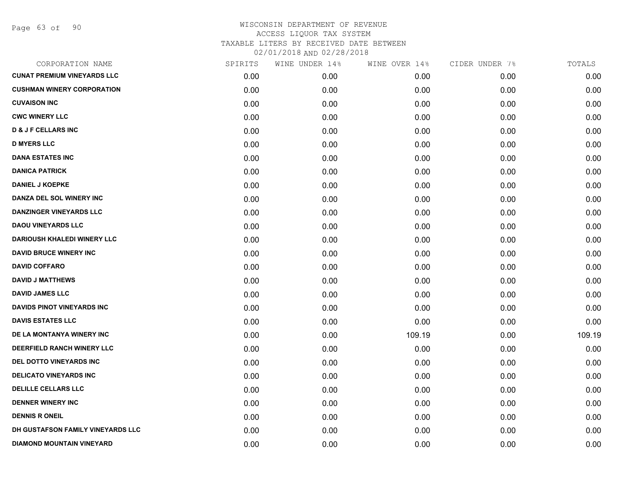Page 63 of 90

| CORPORATION NAME                   | SPIRITS | WINE UNDER 14% | WINE OVER 14% | CIDER UNDER 7% | TOTALS |
|------------------------------------|---------|----------------|---------------|----------------|--------|
| <b>CUNAT PREMIUM VINEYARDS LLC</b> | 0.00    | 0.00           | 0.00          | 0.00           | 0.00   |
| <b>CUSHMAN WINERY CORPORATION</b>  | 0.00    | 0.00           | 0.00          | 0.00           | 0.00   |
| <b>CUVAISON INC</b>                | 0.00    | 0.00           | 0.00          | 0.00           | 0.00   |
| <b>CWC WINERY LLC</b>              | 0.00    | 0.00           | 0.00          | 0.00           | 0.00   |
| <b>D &amp; J F CELLARS INC</b>     | 0.00    | 0.00           | 0.00          | 0.00           | 0.00   |
| <b>D MYERS LLC</b>                 | 0.00    | 0.00           | 0.00          | 0.00           | 0.00   |
| <b>DANA ESTATES INC</b>            | 0.00    | 0.00           | 0.00          | 0.00           | 0.00   |
| <b>DANICA PATRICK</b>              | 0.00    | 0.00           | 0.00          | 0.00           | 0.00   |
| <b>DANIEL J KOEPKE</b>             | 0.00    | 0.00           | 0.00          | 0.00           | 0.00   |
| DANZA DEL SOL WINERY INC           | 0.00    | 0.00           | 0.00          | 0.00           | 0.00   |
| <b>DANZINGER VINEYARDS LLC</b>     | 0.00    | 0.00           | 0.00          | 0.00           | 0.00   |
| <b>DAOU VINEYARDS LLC</b>          | 0.00    | 0.00           | 0.00          | 0.00           | 0.00   |
| <b>DARIOUSH KHALEDI WINERY LLC</b> | 0.00    | 0.00           | 0.00          | 0.00           | 0.00   |
| <b>DAVID BRUCE WINERY INC</b>      | 0.00    | 0.00           | 0.00          | 0.00           | 0.00   |
| <b>DAVID COFFARO</b>               | 0.00    | 0.00           | 0.00          | 0.00           | 0.00   |
| <b>DAVID J MATTHEWS</b>            | 0.00    | 0.00           | 0.00          | 0.00           | 0.00   |
| <b>DAVID JAMES LLC</b>             | 0.00    | 0.00           | 0.00          | 0.00           | 0.00   |
| <b>DAVIDS PINOT VINEYARDS INC</b>  | 0.00    | 0.00           | 0.00          | 0.00           | 0.00   |
| <b>DAVIS ESTATES LLC</b>           | 0.00    | 0.00           | 0.00          | 0.00           | 0.00   |
| DE LA MONTANYA WINERY INC          | 0.00    | 0.00           | 109.19        | 0.00           | 109.19 |
| DEERFIELD RANCH WINERY LLC         | 0.00    | 0.00           | 0.00          | 0.00           | 0.00   |
| DEL DOTTO VINEYARDS INC            | 0.00    | 0.00           | 0.00          | 0.00           | 0.00   |
| <b>DELICATO VINEYARDS INC</b>      | 0.00    | 0.00           | 0.00          | 0.00           | 0.00   |
| <b>DELILLE CELLARS LLC</b>         | 0.00    | 0.00           | 0.00          | 0.00           | 0.00   |
| <b>DENNER WINERY INC</b>           | 0.00    | 0.00           | 0.00          | 0.00           | 0.00   |
| <b>DENNIS R ONEIL</b>              | 0.00    | 0.00           | 0.00          | 0.00           | 0.00   |
| DH GUSTAFSON FAMILY VINEYARDS LLC  | 0.00    | 0.00           | 0.00          | 0.00           | 0.00   |
| <b>DIAMOND MOUNTAIN VINEYARD</b>   | 0.00    | 0.00           | 0.00          | 0.00           | 0.00   |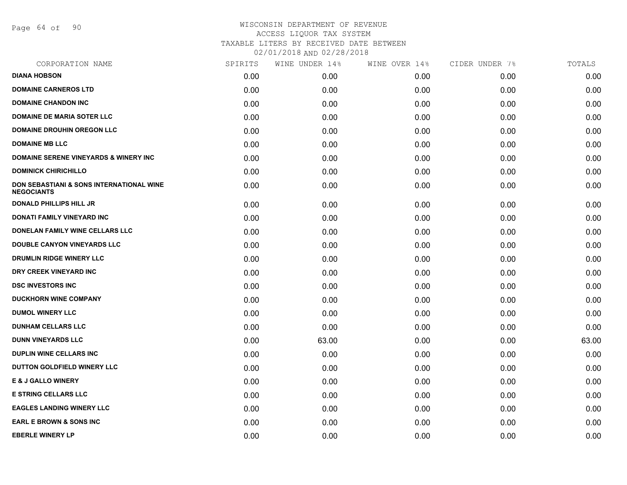Page 64 of 90

| CORPORATION NAME                                              | SPIRITS | WINE UNDER 14% | WINE OVER 14% | CIDER UNDER 7% | TOTALS |
|---------------------------------------------------------------|---------|----------------|---------------|----------------|--------|
| <b>DIANA HOBSON</b>                                           | 0.00    | 0.00           | 0.00          | 0.00           | 0.00   |
| <b>DOMAINE CARNEROS LTD</b>                                   | 0.00    | 0.00           | 0.00          | 0.00           | 0.00   |
| <b>DOMAINE CHANDON INC</b>                                    | 0.00    | 0.00           | 0.00          | 0.00           | 0.00   |
| <b>DOMAINE DE MARIA SOTER LLC</b>                             | 0.00    | 0.00           | 0.00          | 0.00           | 0.00   |
| <b>DOMAINE DROUHIN OREGON LLC</b>                             | 0.00    | 0.00           | 0.00          | 0.00           | 0.00   |
| <b>DOMAINE MB LLC</b>                                         | 0.00    | 0.00           | 0.00          | 0.00           | 0.00   |
| <b>DOMAINE SERENE VINEYARDS &amp; WINERY INC</b>              | 0.00    | 0.00           | 0.00          | 0.00           | 0.00   |
| <b>DOMINICK CHIRICHILLO</b>                                   | 0.00    | 0.00           | 0.00          | 0.00           | 0.00   |
| DON SEBASTIANI & SONS INTERNATIONAL WINE<br><b>NEGOCIANTS</b> | 0.00    | 0.00           | 0.00          | 0.00           | 0.00   |
| <b>DONALD PHILLIPS HILL JR</b>                                | 0.00    | 0.00           | 0.00          | 0.00           | 0.00   |
| DONATI FAMILY VINEYARD INC                                    | 0.00    | 0.00           | 0.00          | 0.00           | 0.00   |
| DONELAN FAMILY WINE CELLARS LLC                               | 0.00    | 0.00           | 0.00          | 0.00           | 0.00   |
| DOUBLE CANYON VINEYARDS LLC                                   | 0.00    | 0.00           | 0.00          | 0.00           | 0.00   |
| DRUMLIN RIDGE WINERY LLC                                      | 0.00    | 0.00           | 0.00          | 0.00           | 0.00   |
| DRY CREEK VINEYARD INC                                        | 0.00    | 0.00           | 0.00          | 0.00           | 0.00   |
| <b>DSC INVESTORS INC</b>                                      | 0.00    | 0.00           | 0.00          | 0.00           | 0.00   |
| <b>DUCKHORN WINE COMPANY</b>                                  | 0.00    | 0.00           | 0.00          | 0.00           | 0.00   |
| <b>DUMOL WINERY LLC</b>                                       | 0.00    | 0.00           | 0.00          | 0.00           | 0.00   |
| <b>DUNHAM CELLARS LLC</b>                                     | 0.00    | 0.00           | 0.00          | 0.00           | 0.00   |
| <b>DUNN VINEYARDS LLC</b>                                     | 0.00    | 63.00          | 0.00          | 0.00           | 63.00  |
| <b>DUPLIN WINE CELLARS INC.</b>                               | 0.00    | 0.00           | 0.00          | 0.00           | 0.00   |
| DUTTON GOLDFIELD WINERY LLC                                   | 0.00    | 0.00           | 0.00          | 0.00           | 0.00   |
| <b>E &amp; J GALLO WINERY</b>                                 | 0.00    | 0.00           | 0.00          | 0.00           | 0.00   |
| <b>E STRING CELLARS LLC</b>                                   | 0.00    | 0.00           | 0.00          | 0.00           | 0.00   |
| <b>EAGLES LANDING WINERY LLC</b>                              | 0.00    | 0.00           | 0.00          | 0.00           | 0.00   |
| <b>EARL E BROWN &amp; SONS INC</b>                            | 0.00    | 0.00           | 0.00          | 0.00           | 0.00   |
| <b>EBERLE WINERY LP</b>                                       | 0.00    | 0.00           | 0.00          | 0.00           | 0.00   |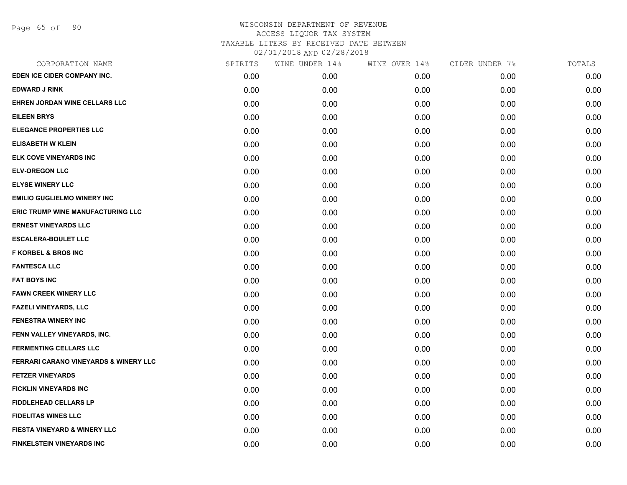| CORPORATION NAME                                 | SPIRITS | WINE UNDER 14% | WINE OVER 14% | CIDER UNDER 7% | TOTALS |
|--------------------------------------------------|---------|----------------|---------------|----------------|--------|
| EDEN ICE CIDER COMPANY INC.                      | 0.00    | 0.00           | 0.00          | 0.00           | 0.00   |
| <b>EDWARD J RINK</b>                             | 0.00    | 0.00           | 0.00          | 0.00           | 0.00   |
| EHREN JORDAN WINE CELLARS LLC                    | 0.00    | 0.00           | 0.00          | 0.00           | 0.00   |
| <b>EILEEN BRYS</b>                               | 0.00    | 0.00           | 0.00          | 0.00           | 0.00   |
| <b>ELEGANCE PROPERTIES LLC</b>                   | 0.00    | 0.00           | 0.00          | 0.00           | 0.00   |
| <b>ELISABETH W KLEIN</b>                         | 0.00    | 0.00           | 0.00          | 0.00           | 0.00   |
| ELK COVE VINEYARDS INC                           | 0.00    | 0.00           | 0.00          | 0.00           | 0.00   |
| <b>ELV-OREGON LLC</b>                            | 0.00    | 0.00           | 0.00          | 0.00           | 0.00   |
| <b>ELYSE WINERY LLC</b>                          | 0.00    | 0.00           | 0.00          | 0.00           | 0.00   |
| <b>EMILIO GUGLIELMO WINERY INC</b>               | 0.00    | 0.00           | 0.00          | 0.00           | 0.00   |
| <b>ERIC TRUMP WINE MANUFACTURING LLC</b>         | 0.00    | 0.00           | 0.00          | 0.00           | 0.00   |
| <b>ERNEST VINEYARDS LLC</b>                      | 0.00    | 0.00           | 0.00          | 0.00           | 0.00   |
| <b>ESCALERA-BOULET LLC</b>                       | 0.00    | 0.00           | 0.00          | 0.00           | 0.00   |
| <b>F KORBEL &amp; BROS INC</b>                   | 0.00    | 0.00           | 0.00          | 0.00           | 0.00   |
| <b>FANTESCA LLC</b>                              | 0.00    | 0.00           | 0.00          | 0.00           | 0.00   |
| <b>FAT BOYS INC</b>                              | 0.00    | 0.00           | 0.00          | 0.00           | 0.00   |
| <b>FAWN CREEK WINERY LLC</b>                     | 0.00    | 0.00           | 0.00          | 0.00           | 0.00   |
| <b>FAZELI VINEYARDS, LLC</b>                     | 0.00    | 0.00           | 0.00          | 0.00           | 0.00   |
| <b>FENESTRA WINERY INC</b>                       | 0.00    | 0.00           | 0.00          | 0.00           | 0.00   |
| FENN VALLEY VINEYARDS, INC.                      | 0.00    | 0.00           | 0.00          | 0.00           | 0.00   |
| <b>FERMENTING CELLARS LLC</b>                    | 0.00    | 0.00           | 0.00          | 0.00           | 0.00   |
| <b>FERRARI CARANO VINEYARDS &amp; WINERY LLC</b> | 0.00    | 0.00           | 0.00          | 0.00           | 0.00   |
| <b>FETZER VINEYARDS</b>                          | 0.00    | 0.00           | 0.00          | 0.00           | 0.00   |
| FICKLIN VINEYARDS INC                            | 0.00    | 0.00           | 0.00          | 0.00           | 0.00   |
| <b>FIDDLEHEAD CELLARS LP</b>                     | 0.00    | 0.00           | 0.00          | 0.00           | 0.00   |
| <b>FIDELITAS WINES LLC</b>                       | 0.00    | 0.00           | 0.00          | 0.00           | 0.00   |
| <b>FIESTA VINEYARD &amp; WINERY LLC</b>          | 0.00    | 0.00           | 0.00          | 0.00           | 0.00   |
| FINKELSTEIN VINEYARDS INC                        | 0.00    | 0.00           | 0.00          | 0.00           | 0.00   |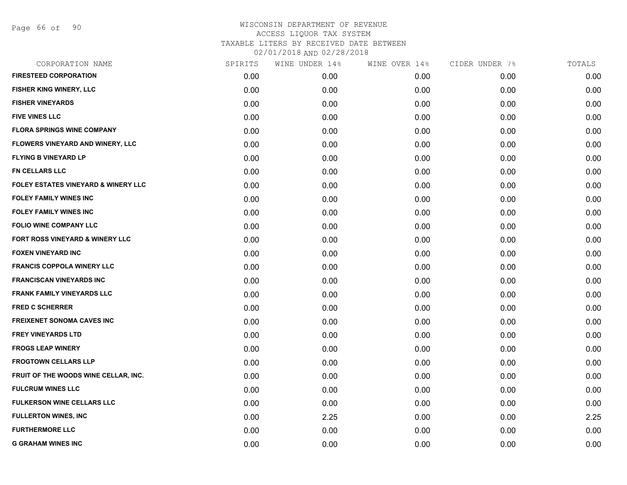| CORPORATION NAME                               | SPIRITS | WINE UNDER 14% | WINE OVER 14% | CIDER UNDER 7% | TOTALS |
|------------------------------------------------|---------|----------------|---------------|----------------|--------|
| <b>FIRESTEED CORPORATION</b>                   | 0.00    | 0.00           | 0.00          | 0.00           | 0.00   |
| <b>FISHER KING WINERY, LLC</b>                 | 0.00    | 0.00           | 0.00          | 0.00           | 0.00   |
| <b>FISHER VINEYARDS</b>                        | 0.00    | 0.00           | 0.00          | 0.00           | 0.00   |
| <b>FIVE VINES LLC</b>                          | 0.00    | 0.00           | 0.00          | 0.00           | 0.00   |
| <b>FLORA SPRINGS WINE COMPANY</b>              | 0.00    | 0.00           | 0.00          | 0.00           | 0.00   |
| FLOWERS VINEYARD AND WINERY, LLC               | 0.00    | 0.00           | 0.00          | 0.00           | 0.00   |
| <b>FLYING B VINEYARD LP</b>                    | 0.00    | 0.00           | 0.00          | 0.00           | 0.00   |
| FN CELLARS LLC                                 | 0.00    | 0.00           | 0.00          | 0.00           | 0.00   |
| <b>FOLEY ESTATES VINEYARD &amp; WINERY LLC</b> | 0.00    | 0.00           | 0.00          | 0.00           | 0.00   |
| <b>FOLEY FAMILY WINES INC</b>                  | 0.00    | 0.00           | 0.00          | 0.00           | 0.00   |
| <b>FOLEY FAMILY WINES INC</b>                  | 0.00    | 0.00           | 0.00          | 0.00           | 0.00   |
| FOLIO WINE COMPANY LLC                         | 0.00    | 0.00           | 0.00          | 0.00           | 0.00   |
| FORT ROSS VINEYARD & WINERY LLC                | 0.00    | 0.00           | 0.00          | 0.00           | 0.00   |
| <b>FOXEN VINEYARD INC</b>                      | 0.00    | 0.00           | 0.00          | 0.00           | 0.00   |
| <b>FRANCIS COPPOLA WINERY LLC</b>              | 0.00    | 0.00           | 0.00          | 0.00           | 0.00   |
| <b>FRANCISCAN VINEYARDS INC</b>                | 0.00    | 0.00           | 0.00          | 0.00           | 0.00   |
| <b>FRANK FAMILY VINEYARDS LLC</b>              | 0.00    | 0.00           | 0.00          | 0.00           | 0.00   |
| <b>FRED C SCHERRER</b>                         | 0.00    | 0.00           | 0.00          | 0.00           | 0.00   |
| <b>FREIXENET SONOMA CAVES INC</b>              | 0.00    | 0.00           | 0.00          | 0.00           | 0.00   |
| <b>FREY VINEYARDS LTD</b>                      | 0.00    | 0.00           | 0.00          | 0.00           | 0.00   |
| <b>FROGS LEAP WINERY</b>                       | 0.00    | 0.00           | 0.00          | 0.00           | 0.00   |
| <b>FROGTOWN CELLARS LLP</b>                    | 0.00    | 0.00           | 0.00          | 0.00           | 0.00   |
| FRUIT OF THE WOODS WINE CELLAR, INC.           | 0.00    | 0.00           | 0.00          | 0.00           | 0.00   |
| <b>FULCRUM WINES LLC</b>                       | 0.00    | 0.00           | 0.00          | 0.00           | 0.00   |
| FULKERSON WINE CELLARS LLC                     | 0.00    | 0.00           | 0.00          | 0.00           | 0.00   |
| <b>FULLERTON WINES, INC</b>                    | 0.00    | 2.25           | 0.00          | 0.00           | 2.25   |
| <b>FURTHERMORE LLC</b>                         | 0.00    | 0.00           | 0.00          | 0.00           | 0.00   |
| <b>G GRAHAM WINES INC</b>                      | 0.00    | 0.00           | 0.00          | 0.00           | 0.00   |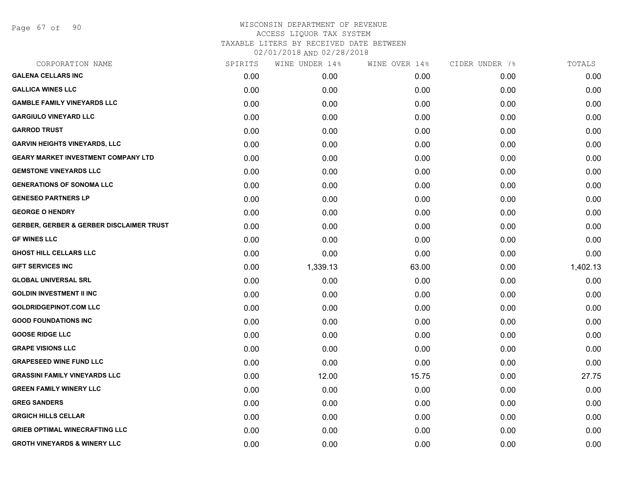Page 67 of 90

| CORPORATION NAME                                    | SPIRITS | WINE UNDER 14% | WINE OVER 14% | CIDER UNDER 7% | TOTALS   |
|-----------------------------------------------------|---------|----------------|---------------|----------------|----------|
| <b>GALENA CELLARS INC</b>                           | 0.00    | 0.00           | 0.00          | 0.00           | 0.00     |
| <b>GALLICA WINES LLC</b>                            | 0.00    | 0.00           | 0.00          | 0.00           | 0.00     |
| <b>GAMBLE FAMILY VINEYARDS LLC</b>                  | 0.00    | 0.00           | 0.00          | 0.00           | 0.00     |
| <b>GARGIULO VINEYARD LLC</b>                        | 0.00    | 0.00           | 0.00          | 0.00           | 0.00     |
| <b>GARROD TRUST</b>                                 | 0.00    | 0.00           | 0.00          | 0.00           | 0.00     |
| <b>GARVIN HEIGHTS VINEYARDS, LLC</b>                | 0.00    | 0.00           | 0.00          | 0.00           | 0.00     |
| <b>GEARY MARKET INVESTMENT COMPANY LTD</b>          | 0.00    | 0.00           | 0.00          | 0.00           | 0.00     |
| <b>GEMSTONE VINEYARDS LLC</b>                       | 0.00    | 0.00           | 0.00          | 0.00           | 0.00     |
| <b>GENERATIONS OF SONOMA LLC</b>                    | 0.00    | 0.00           | 0.00          | 0.00           | 0.00     |
| <b>GENESEO PARTNERS LP</b>                          | 0.00    | 0.00           | 0.00          | 0.00           | 0.00     |
| <b>GEORGE O HENDRY</b>                              | 0.00    | 0.00           | 0.00          | 0.00           | 0.00     |
| <b>GERBER, GERBER &amp; GERBER DISCLAIMER TRUST</b> | 0.00    | 0.00           | 0.00          | 0.00           | 0.00     |
| <b>GF WINES LLC</b>                                 | 0.00    | 0.00           | 0.00          | 0.00           | 0.00     |
| <b>GHOST HILL CELLARS LLC</b>                       | 0.00    | 0.00           | 0.00          | 0.00           | 0.00     |
| <b>GIFT SERVICES INC</b>                            | 0.00    | 1,339.13       | 63.00         | 0.00           | 1,402.13 |
| <b>GLOBAL UNIVERSAL SRL</b>                         | 0.00    | 0.00           | 0.00          | 0.00           | 0.00     |
| <b>GOLDIN INVESTMENT II INC</b>                     | 0.00    | 0.00           | 0.00          | 0.00           | 0.00     |
| <b>GOLDRIDGEPINOT.COM LLC</b>                       | 0.00    | 0.00           | 0.00          | 0.00           | 0.00     |
| <b>GOOD FOUNDATIONS INC</b>                         | 0.00    | 0.00           | 0.00          | 0.00           | 0.00     |
| <b>GOOSE RIDGE LLC</b>                              | 0.00    | 0.00           | 0.00          | 0.00           | 0.00     |
| <b>GRAPE VISIONS LLC</b>                            | 0.00    | 0.00           | 0.00          | 0.00           | 0.00     |
| <b>GRAPESEED WINE FUND LLC</b>                      | 0.00    | 0.00           | 0.00          | 0.00           | 0.00     |
| <b>GRASSINI FAMILY VINEYARDS LLC</b>                | 0.00    | 12.00          | 15.75         | 0.00           | 27.75    |
| <b>GREEN FAMILY WINERY LLC</b>                      | 0.00    | 0.00           | 0.00          | 0.00           | 0.00     |
| <b>GREG SANDERS</b>                                 | 0.00    | 0.00           | 0.00          | 0.00           | 0.00     |
| <b>GRGICH HILLS CELLAR</b>                          | 0.00    | 0.00           | 0.00          | 0.00           | 0.00     |
| <b>GRIEB OPTIMAL WINECRAFTING LLC</b>               | 0.00    | 0.00           | 0.00          | 0.00           | 0.00     |
| <b>GROTH VINEYARDS &amp; WINERY LLC</b>             | 0.00    | 0.00           | 0.00          | 0.00           | 0.00     |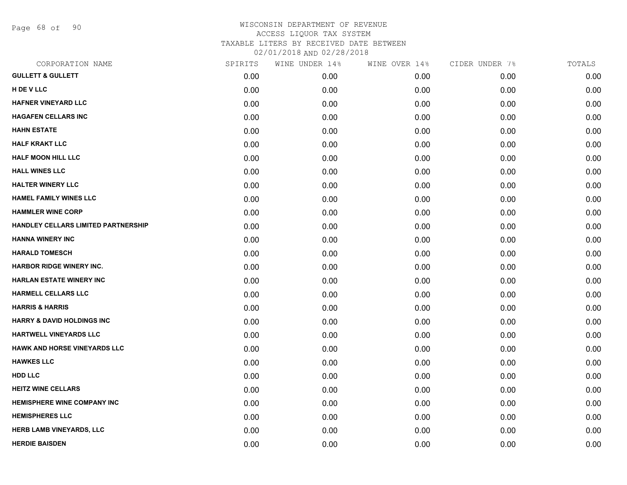Page 68 of 90

| SPIRITS | WINE UNDER 14% | WINE OVER 14% | CIDER UNDER 7% | TOTALS |
|---------|----------------|---------------|----------------|--------|
| 0.00    | 0.00           | 0.00          | 0.00           | 0.00   |
| 0.00    | 0.00           | 0.00          | 0.00           | 0.00   |
| 0.00    | 0.00           | 0.00          | 0.00           | 0.00   |
| 0.00    | 0.00           | 0.00          | 0.00           | 0.00   |
| 0.00    | 0.00           | 0.00          | 0.00           | 0.00   |
| 0.00    | 0.00           | 0.00          | 0.00           | 0.00   |
| 0.00    | 0.00           | 0.00          | 0.00           | 0.00   |
| 0.00    | 0.00           | 0.00          | 0.00           | 0.00   |
| 0.00    | 0.00           | 0.00          | 0.00           | 0.00   |
| 0.00    | 0.00           | 0.00          | 0.00           | 0.00   |
| 0.00    | 0.00           | 0.00          | 0.00           | 0.00   |
| 0.00    | 0.00           | 0.00          | 0.00           | 0.00   |
| 0.00    | 0.00           | 0.00          | 0.00           | 0.00   |
| 0.00    | 0.00           | 0.00          | 0.00           | 0.00   |
| 0.00    | 0.00           | 0.00          | 0.00           | 0.00   |
| 0.00    | 0.00           | 0.00          | 0.00           | 0.00   |
| 0.00    | 0.00           | 0.00          | 0.00           | 0.00   |
| 0.00    | 0.00           | 0.00          | 0.00           | 0.00   |
| 0.00    | 0.00           | 0.00          | 0.00           | 0.00   |
| 0.00    | 0.00           | 0.00          | 0.00           | 0.00   |
| 0.00    | 0.00           | 0.00          | 0.00           | 0.00   |
| 0.00    | 0.00           | 0.00          | 0.00           | 0.00   |
| 0.00    | 0.00           | 0.00          | 0.00           | 0.00   |
| 0.00    | 0.00           | 0.00          | 0.00           | 0.00   |
| 0.00    | 0.00           | 0.00          | 0.00           | 0.00   |
| 0.00    | 0.00           | 0.00          | 0.00           | 0.00   |
| 0.00    | 0.00           | 0.00          | 0.00           | 0.00   |
| 0.00    | 0.00           | 0.00          | 0.00           | 0.00   |
|         |                |               |                |        |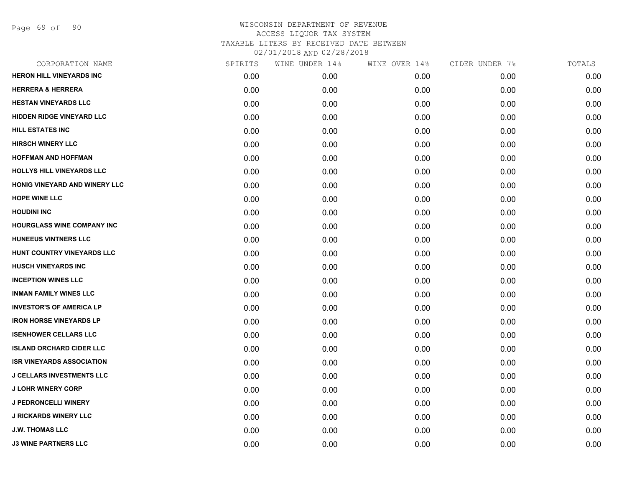Page 69 of 90

| CORPORATION NAME                 | SPIRITS | WINE UNDER 14% | WINE OVER 14% | CIDER UNDER 7% | TOTALS |
|----------------------------------|---------|----------------|---------------|----------------|--------|
| <b>HERON HILL VINEYARDS INC</b>  | 0.00    | 0.00           | 0.00          | 0.00           | 0.00   |
| <b>HERRERA &amp; HERRERA</b>     | 0.00    | 0.00           | 0.00          | 0.00           | 0.00   |
| <b>HESTAN VINEYARDS LLC</b>      | 0.00    | 0.00           | 0.00          | 0.00           | 0.00   |
| <b>HIDDEN RIDGE VINEYARD LLC</b> | 0.00    | 0.00           | 0.00          | 0.00           | 0.00   |
| HILL ESTATES INC                 | 0.00    | 0.00           | 0.00          | 0.00           | 0.00   |
| <b>HIRSCH WINERY LLC</b>         | 0.00    | 0.00           | 0.00          | 0.00           | 0.00   |
| <b>HOFFMAN AND HOFFMAN</b>       | 0.00    | 0.00           | 0.00          | 0.00           | 0.00   |
| HOLLYS HILL VINEYARDS LLC        | 0.00    | 0.00           | 0.00          | 0.00           | 0.00   |
| HONIG VINEYARD AND WINERY LLC    | 0.00    | 0.00           | 0.00          | 0.00           | 0.00   |
| <b>HOPE WINE LLC</b>             | 0.00    | 0.00           | 0.00          | 0.00           | 0.00   |
| <b>HOUDINI INC</b>               | 0.00    | 0.00           | 0.00          | 0.00           | 0.00   |
| HOURGLASS WINE COMPANY INC       | 0.00    | 0.00           | 0.00          | 0.00           | 0.00   |
| HUNEEUS VINTNERS LLC             | 0.00    | 0.00           | 0.00          | 0.00           | 0.00   |
| HUNT COUNTRY VINEYARDS LLC       | 0.00    | 0.00           | 0.00          | 0.00           | 0.00   |
| <b>HUSCH VINEYARDS INC</b>       | 0.00    | 0.00           | 0.00          | 0.00           | 0.00   |
| <b>INCEPTION WINES LLC</b>       | 0.00    | 0.00           | 0.00          | 0.00           | 0.00   |
| <b>INMAN FAMILY WINES LLC</b>    | 0.00    | 0.00           | 0.00          | 0.00           | 0.00   |
| <b>INVESTOR'S OF AMERICA LP</b>  | 0.00    | 0.00           | 0.00          | 0.00           | 0.00   |
| <b>IRON HORSE VINEYARDS LP</b>   | 0.00    | 0.00           | 0.00          | 0.00           | 0.00   |
| <b>ISENHOWER CELLARS LLC</b>     | 0.00    | 0.00           | 0.00          | 0.00           | 0.00   |
| <b>ISLAND ORCHARD CIDER LLC</b>  | 0.00    | 0.00           | 0.00          | 0.00           | 0.00   |
| <b>ISR VINEYARDS ASSOCIATION</b> | 0.00    | 0.00           | 0.00          | 0.00           | 0.00   |
| <b>J CELLARS INVESTMENTS LLC</b> | 0.00    | 0.00           | 0.00          | 0.00           | 0.00   |
| <b>J LOHR WINERY CORP</b>        | 0.00    | 0.00           | 0.00          | 0.00           | 0.00   |
| <b>J PEDRONCELLI WINERY</b>      | 0.00    | 0.00           | 0.00          | 0.00           | 0.00   |
| <b>J RICKARDS WINERY LLC</b>     | 0.00    | 0.00           | 0.00          | 0.00           | 0.00   |
| <b>J.W. THOMAS LLC</b>           | 0.00    | 0.00           | 0.00          | 0.00           | 0.00   |
| <b>J3 WINE PARTNERS LLC</b>      | 0.00    | 0.00           | 0.00          | 0.00           | 0.00   |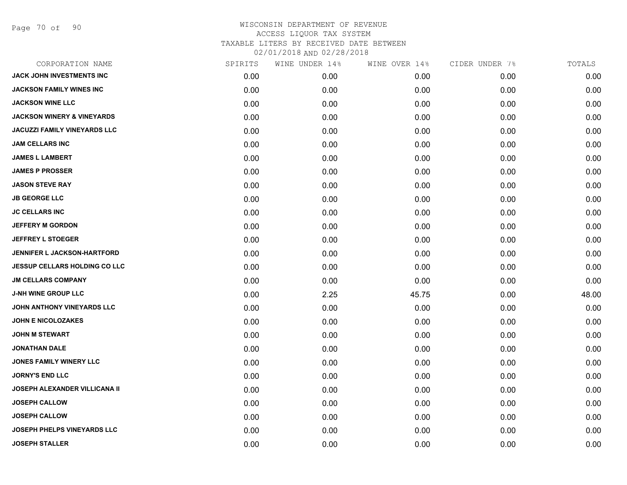| CORPORATION NAME                      | SPIRITS | WINE UNDER 14% | WINE OVER 14% | CIDER UNDER 7% | TOTALS |
|---------------------------------------|---------|----------------|---------------|----------------|--------|
| JACK JOHN INVESTMENTS INC             | 0.00    | 0.00           | 0.00          | 0.00           | 0.00   |
| JACKSON FAMILY WINES INC              | 0.00    | 0.00           | 0.00          | 0.00           | 0.00   |
| <b>JACKSON WINE LLC</b>               | 0.00    | 0.00           | 0.00          | 0.00           | 0.00   |
| <b>JACKSON WINERY &amp; VINEYARDS</b> | 0.00    | 0.00           | 0.00          | 0.00           | 0.00   |
| <b>JACUZZI FAMILY VINEYARDS LLC</b>   | 0.00    | 0.00           | 0.00          | 0.00           | 0.00   |
| <b>JAM CELLARS INC</b>                | 0.00    | 0.00           | 0.00          | 0.00           | 0.00   |
| <b>JAMES L LAMBERT</b>                | 0.00    | 0.00           | 0.00          | 0.00           | 0.00   |
| <b>JAMES P PROSSER</b>                | 0.00    | 0.00           | 0.00          | 0.00           | 0.00   |
| <b>JASON STEVE RAY</b>                | 0.00    | 0.00           | 0.00          | 0.00           | 0.00   |
| <b>JB GEORGE LLC</b>                  | 0.00    | 0.00           | 0.00          | 0.00           | 0.00   |
| <b>JC CELLARS INC</b>                 | 0.00    | 0.00           | 0.00          | 0.00           | 0.00   |
| <b>JEFFERY M GORDON</b>               | 0.00    | 0.00           | 0.00          | 0.00           | 0.00   |
| <b>JEFFREY L STOEGER</b>              | 0.00    | 0.00           | 0.00          | 0.00           | 0.00   |
| <b>JENNIFER L JACKSON-HARTFORD</b>    | 0.00    | 0.00           | 0.00          | 0.00           | 0.00   |
| <b>JESSUP CELLARS HOLDING CO LLC</b>  | 0.00    | 0.00           | 0.00          | 0.00           | 0.00   |
| <b>JM CELLARS COMPANY</b>             | 0.00    | 0.00           | 0.00          | 0.00           | 0.00   |
| <b>J-NH WINE GROUP LLC</b>            | 0.00    | 2.25           | 45.75         | 0.00           | 48.00  |
| JOHN ANTHONY VINEYARDS LLC            | 0.00    | 0.00           | 0.00          | 0.00           | 0.00   |
| <b>JOHN E NICOLOZAKES</b>             | 0.00    | 0.00           | 0.00          | 0.00           | 0.00   |
| <b>JOHN M STEWART</b>                 | 0.00    | 0.00           | 0.00          | 0.00           | 0.00   |
| <b>JONATHAN DALE</b>                  | 0.00    | 0.00           | 0.00          | 0.00           | 0.00   |
| <b>JONES FAMILY WINERY LLC</b>        | 0.00    | 0.00           | 0.00          | 0.00           | 0.00   |
| <b>JORNY'S END LLC</b>                | 0.00    | 0.00           | 0.00          | 0.00           | 0.00   |
| JOSEPH ALEXANDER VILLICANA II         | 0.00    | 0.00           | 0.00          | 0.00           | 0.00   |
| <b>JOSEPH CALLOW</b>                  | 0.00    | 0.00           | 0.00          | 0.00           | 0.00   |
| <b>JOSEPH CALLOW</b>                  | 0.00    | 0.00           | 0.00          | 0.00           | 0.00   |
| <b>JOSEPH PHELPS VINEYARDS LLC</b>    | 0.00    | 0.00           | 0.00          | 0.00           | 0.00   |
| <b>JOSEPH STALLER</b>                 | 0.00    | 0.00           | 0.00          | 0.00           | 0.00   |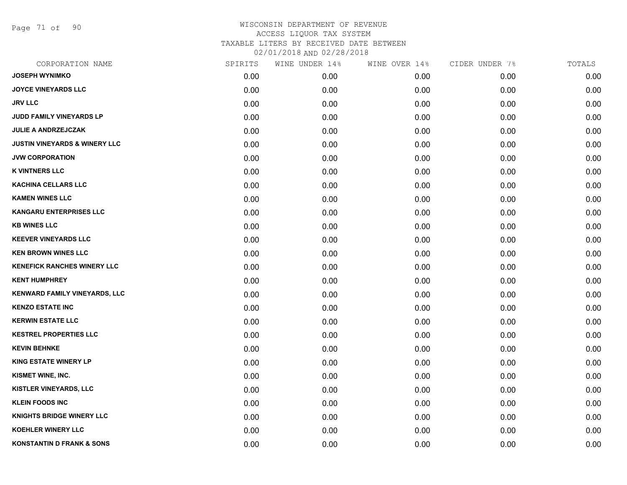Page 71 of 90

| CORPORATION NAME                         | SPIRITS | WINE UNDER 14% | WINE OVER 14% | CIDER UNDER 7% | TOTALS |
|------------------------------------------|---------|----------------|---------------|----------------|--------|
| <b>JOSEPH WYNIMKO</b>                    | 0.00    | 0.00           | 0.00          | 0.00           | 0.00   |
| <b>JOYCE VINEYARDS LLC</b>               | 0.00    | 0.00           | 0.00          | 0.00           | 0.00   |
| <b>JRV LLC</b>                           | 0.00    | 0.00           | 0.00          | 0.00           | 0.00   |
| JUDD FAMILY VINEYARDS LP                 | 0.00    | 0.00           | 0.00          | 0.00           | 0.00   |
| <b>JULIE A ANDRZEJCZAK</b>               | 0.00    | 0.00           | 0.00          | 0.00           | 0.00   |
| <b>JUSTIN VINEYARDS &amp; WINERY LLC</b> | 0.00    | 0.00           | 0.00          | 0.00           | 0.00   |
| <b>JVW CORPORATION</b>                   | 0.00    | 0.00           | 0.00          | 0.00           | 0.00   |
| <b>K VINTNERS LLC</b>                    | 0.00    | 0.00           | 0.00          | 0.00           | 0.00   |
| <b>KACHINA CELLARS LLC</b>               | 0.00    | 0.00           | 0.00          | 0.00           | 0.00   |
| <b>KAMEN WINES LLC</b>                   | 0.00    | 0.00           | 0.00          | 0.00           | 0.00   |
| <b>KANGARU ENTERPRISES LLC</b>           | 0.00    | 0.00           | 0.00          | 0.00           | 0.00   |
| <b>KB WINES LLC</b>                      | 0.00    | 0.00           | 0.00          | 0.00           | 0.00   |
| <b>KEEVER VINEYARDS LLC</b>              | 0.00    | 0.00           | 0.00          | 0.00           | 0.00   |
| <b>KEN BROWN WINES LLC</b>               | 0.00    | 0.00           | 0.00          | 0.00           | 0.00   |
| <b>KENEFICK RANCHES WINERY LLC</b>       | 0.00    | 0.00           | 0.00          | 0.00           | 0.00   |
| <b>KENT HUMPHREY</b>                     | 0.00    | 0.00           | 0.00          | 0.00           | 0.00   |
| KENWARD FAMILY VINEYARDS, LLC            | 0.00    | 0.00           | 0.00          | 0.00           | 0.00   |
| <b>KENZO ESTATE INC</b>                  | 0.00    | 0.00           | 0.00          | 0.00           | 0.00   |
| <b>KERWIN ESTATE LLC</b>                 | 0.00    | 0.00           | 0.00          | 0.00           | 0.00   |
| <b>KESTREL PROPERTIES LLC</b>            | 0.00    | 0.00           | 0.00          | 0.00           | 0.00   |
| <b>KEVIN BEHNKE</b>                      | 0.00    | 0.00           | 0.00          | 0.00           | 0.00   |
| <b>KING ESTATE WINERY LP</b>             | 0.00    | 0.00           | 0.00          | 0.00           | 0.00   |
| KISMET WINE, INC.                        | 0.00    | 0.00           | 0.00          | 0.00           | 0.00   |
| <b>KISTLER VINEYARDS, LLC</b>            | 0.00    | 0.00           | 0.00          | 0.00           | 0.00   |
| <b>KLEIN FOODS INC</b>                   | 0.00    | 0.00           | 0.00          | 0.00           | 0.00   |
| KNIGHTS BRIDGE WINERY LLC                | 0.00    | 0.00           | 0.00          | 0.00           | 0.00   |
| <b>KOEHLER WINERY LLC</b>                | 0.00    | 0.00           | 0.00          | 0.00           | 0.00   |
| <b>KONSTANTIN D FRANK &amp; SONS</b>     | 0.00    | 0.00           | 0.00          | 0.00           | 0.00   |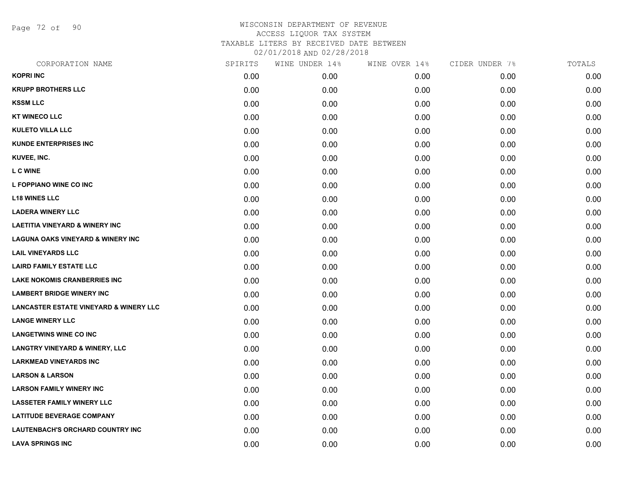Page 72 of 90

| CORPORATION NAME                                  | SPIRITS | WINE UNDER 14% | WINE OVER 14% | CIDER UNDER 7% | TOTALS |
|---------------------------------------------------|---------|----------------|---------------|----------------|--------|
| <b>KOPRI INC</b>                                  | 0.00    | 0.00           | 0.00          | 0.00           | 0.00   |
| <b>KRUPP BROTHERS LLC</b>                         | 0.00    | 0.00           | 0.00          | 0.00           | 0.00   |
| <b>KSSM LLC</b>                                   | 0.00    | 0.00           | 0.00          | 0.00           | 0.00   |
| <b>KT WINECO LLC</b>                              | 0.00    | 0.00           | 0.00          | 0.00           | 0.00   |
| <b>KULETO VILLA LLC</b>                           | 0.00    | 0.00           | 0.00          | 0.00           | 0.00   |
| <b>KUNDE ENTERPRISES INC</b>                      | 0.00    | 0.00           | 0.00          | 0.00           | 0.00   |
| KUVEE, INC.                                       | 0.00    | 0.00           | 0.00          | 0.00           | 0.00   |
| <b>L C WINE</b>                                   | 0.00    | 0.00           | 0.00          | 0.00           | 0.00   |
| L FOPPIANO WINE CO INC                            | 0.00    | 0.00           | 0.00          | 0.00           | 0.00   |
| <b>L18 WINES LLC</b>                              | 0.00    | 0.00           | 0.00          | 0.00           | 0.00   |
| <b>LADERA WINERY LLC</b>                          | 0.00    | 0.00           | 0.00          | 0.00           | 0.00   |
| <b>LAETITIA VINEYARD &amp; WINERY INC</b>         | 0.00    | 0.00           | 0.00          | 0.00           | 0.00   |
| <b>LAGUNA OAKS VINEYARD &amp; WINERY INC</b>      | 0.00    | 0.00           | 0.00          | 0.00           | 0.00   |
| <b>LAIL VINEYARDS LLC</b>                         | 0.00    | 0.00           | 0.00          | 0.00           | 0.00   |
| <b>LAIRD FAMILY ESTATE LLC</b>                    | 0.00    | 0.00           | 0.00          | 0.00           | 0.00   |
| <b>LAKE NOKOMIS CRANBERRIES INC</b>               | 0.00    | 0.00           | 0.00          | 0.00           | 0.00   |
| <b>LAMBERT BRIDGE WINERY INC</b>                  | 0.00    | 0.00           | 0.00          | 0.00           | 0.00   |
| <b>LANCASTER ESTATE VINEYARD &amp; WINERY LLC</b> | 0.00    | 0.00           | 0.00          | 0.00           | 0.00   |
| <b>LANGE WINERY LLC</b>                           | 0.00    | 0.00           | 0.00          | 0.00           | 0.00   |
| <b>LANGETWINS WINE CO INC</b>                     | 0.00    | 0.00           | 0.00          | 0.00           | 0.00   |
| <b>LANGTRY VINEYARD &amp; WINERY, LLC</b>         | 0.00    | 0.00           | 0.00          | 0.00           | 0.00   |
| <b>LARKMEAD VINEYARDS INC</b>                     | 0.00    | 0.00           | 0.00          | 0.00           | 0.00   |
| <b>LARSON &amp; LARSON</b>                        | 0.00    | 0.00           | 0.00          | 0.00           | 0.00   |
| <b>LARSON FAMILY WINERY INC</b>                   | 0.00    | 0.00           | 0.00          | 0.00           | 0.00   |
| <b>LASSETER FAMILY WINERY LLC</b>                 | 0.00    | 0.00           | 0.00          | 0.00           | 0.00   |
| <b>LATITUDE BEVERAGE COMPANY</b>                  | 0.00    | 0.00           | 0.00          | 0.00           | 0.00   |
| LAUTENBACH'S ORCHARD COUNTRY INC                  | 0.00    | 0.00           | 0.00          | 0.00           | 0.00   |
| <b>LAVA SPRINGS INC</b>                           | 0.00    | 0.00           | 0.00          | 0.00           | 0.00   |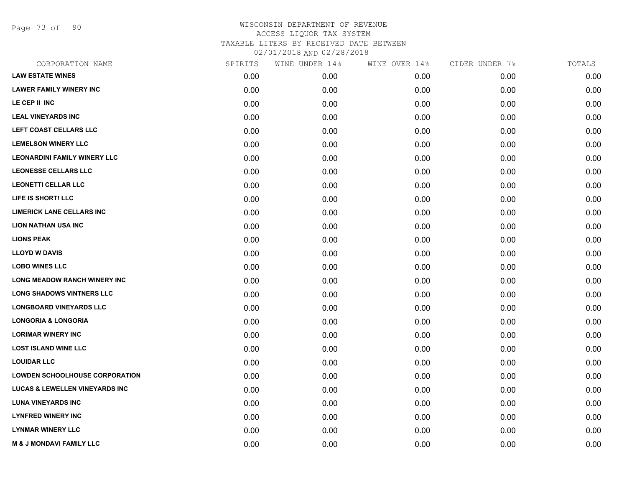Page 73 of 90

| CORPORATION NAME                          | SPIRITS | WINE UNDER 14% | WINE OVER 14% | CIDER UNDER 7% | TOTALS |
|-------------------------------------------|---------|----------------|---------------|----------------|--------|
| <b>LAW ESTATE WINES</b>                   | 0.00    | 0.00           | 0.00          | 0.00           | 0.00   |
| <b>LAWER FAMILY WINERY INC</b>            | 0.00    | 0.00           | 0.00          | 0.00           | 0.00   |
| LE CEP II INC                             | 0.00    | 0.00           | 0.00          | 0.00           | 0.00   |
| <b>LEAL VINEYARDS INC</b>                 | 0.00    | 0.00           | 0.00          | 0.00           | 0.00   |
| LEFT COAST CELLARS LLC                    | 0.00    | 0.00           | 0.00          | 0.00           | 0.00   |
| <b>LEMELSON WINERY LLC</b>                | 0.00    | 0.00           | 0.00          | 0.00           | 0.00   |
| <b>LEONARDINI FAMILY WINERY LLC</b>       | 0.00    | 0.00           | 0.00          | 0.00           | 0.00   |
| <b>LEONESSE CELLARS LLC</b>               | 0.00    | 0.00           | 0.00          | 0.00           | 0.00   |
| <b>LEONETTI CELLAR LLC</b>                | 0.00    | 0.00           | 0.00          | 0.00           | 0.00   |
| LIFE IS SHORT! LLC                        | 0.00    | 0.00           | 0.00          | 0.00           | 0.00   |
| <b>LIMERICK LANE CELLARS INC</b>          | 0.00    | 0.00           | 0.00          | 0.00           | 0.00   |
| <b>LION NATHAN USA INC</b>                | 0.00    | 0.00           | 0.00          | 0.00           | 0.00   |
| <b>LIONS PEAK</b>                         | 0.00    | 0.00           | 0.00          | 0.00           | 0.00   |
| <b>LLOYD W DAVIS</b>                      | 0.00    | 0.00           | 0.00          | 0.00           | 0.00   |
| <b>LOBO WINES LLC</b>                     | 0.00    | 0.00           | 0.00          | 0.00           | 0.00   |
| <b>LONG MEADOW RANCH WINERY INC</b>       | 0.00    | 0.00           | 0.00          | 0.00           | 0.00   |
| <b>LONG SHADOWS VINTNERS LLC</b>          | 0.00    | 0.00           | 0.00          | 0.00           | 0.00   |
| <b>LONGBOARD VINEYARDS LLC</b>            | 0.00    | 0.00           | 0.00          | 0.00           | 0.00   |
| <b>LONGORIA &amp; LONGORIA</b>            | 0.00    | 0.00           | 0.00          | 0.00           | 0.00   |
| <b>LORIMAR WINERY INC</b>                 | 0.00    | 0.00           | 0.00          | 0.00           | 0.00   |
| <b>LOST ISLAND WINE LLC</b>               | 0.00    | 0.00           | 0.00          | 0.00           | 0.00   |
| <b>LOUIDAR LLC</b>                        | 0.00    | 0.00           | 0.00          | 0.00           | 0.00   |
| <b>LOWDEN SCHOOLHOUSE CORPORATION</b>     | 0.00    | 0.00           | 0.00          | 0.00           | 0.00   |
| <b>LUCAS &amp; LEWELLEN VINEYARDS INC</b> | 0.00    | 0.00           | 0.00          | 0.00           | 0.00   |
| <b>LUNA VINEYARDS INC</b>                 | 0.00    | 0.00           | 0.00          | 0.00           | 0.00   |
| <b>LYNFRED WINERY INC</b>                 | 0.00    | 0.00           | 0.00          | 0.00           | 0.00   |
| <b>LYNMAR WINERY LLC</b>                  | 0.00    | 0.00           | 0.00          | 0.00           | 0.00   |
| <b>M &amp; J MONDAVI FAMILY LLC</b>       | 0.00    | 0.00           | 0.00          | 0.00           | 0.00   |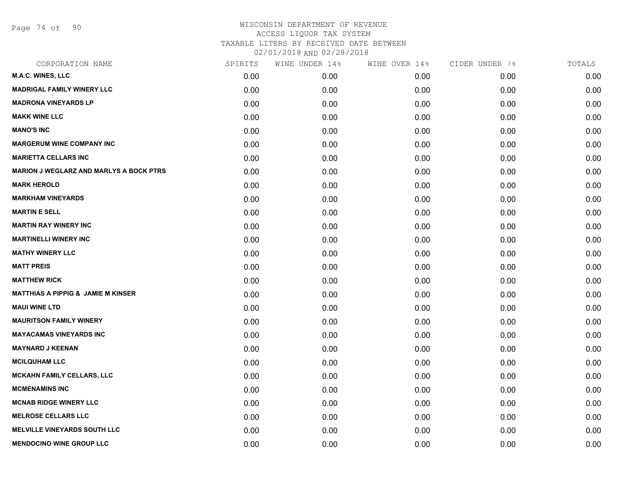Page 74 of 90

| SPIRITS | WINE UNDER 14% | WINE OVER 14% | CIDER UNDER 7% | TOTALS |
|---------|----------------|---------------|----------------|--------|
| 0.00    | 0.00           | 0.00          | 0.00           | 0.00   |
| 0.00    | 0.00           | 0.00          | 0.00           | 0.00   |
| 0.00    | 0.00           | 0.00          | 0.00           | 0.00   |
| 0.00    | 0.00           | 0.00          | 0.00           | 0.00   |
| 0.00    | 0.00           | 0.00          | 0.00           | 0.00   |
| 0.00    | 0.00           | 0.00          | 0.00           | 0.00   |
| 0.00    | 0.00           | 0.00          | 0.00           | 0.00   |
| 0.00    | 0.00           | 0.00          | 0.00           | 0.00   |
| 0.00    | 0.00           | 0.00          | 0.00           | 0.00   |
| 0.00    | 0.00           | 0.00          | 0.00           | 0.00   |
| 0.00    | 0.00           | 0.00          | 0.00           | 0.00   |
| 0.00    | 0.00           | 0.00          | 0.00           | 0.00   |
| 0.00    | 0.00           | 0.00          | 0.00           | 0.00   |
| 0.00    | 0.00           | 0.00          | 0.00           | 0.00   |
| 0.00    | 0.00           | 0.00          | 0.00           | 0.00   |
| 0.00    | 0.00           | 0.00          | 0.00           | 0.00   |
| 0.00    | 0.00           | 0.00          | 0.00           | 0.00   |
| 0.00    | 0.00           | 0.00          | 0.00           | 0.00   |
| 0.00    | 0.00           | 0.00          | 0.00           | 0.00   |
| 0.00    | 0.00           | 0.00          | 0.00           | 0.00   |
| 0.00    | 0.00           | 0.00          | 0.00           | 0.00   |
| 0.00    | 0.00           | 0.00          | 0.00           | 0.00   |
| 0.00    | 0.00           | 0.00          | 0.00           | 0.00   |
| 0.00    | 0.00           | 0.00          | 0.00           | 0.00   |
| 0.00    | 0.00           | 0.00          | 0.00           | 0.00   |
| 0.00    | 0.00           | 0.00          | 0.00           | 0.00   |
| 0.00    | 0.00           | 0.00          | 0.00           | 0.00   |
| 0.00    | 0.00           | 0.00          | 0.00           | 0.00   |
|         |                |               |                |        |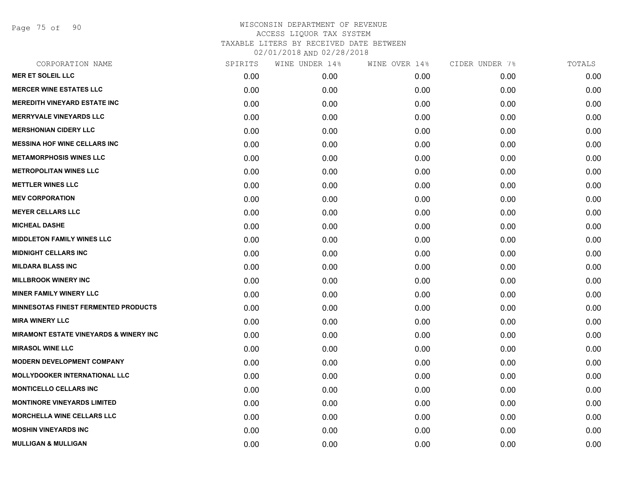Page 75 of 90

| CORPORATION NAME                                  | SPIRITS | WINE UNDER 14% | WINE OVER 14% | CIDER UNDER 7% | TOTALS |
|---------------------------------------------------|---------|----------------|---------------|----------------|--------|
| <b>MER ET SOLEIL LLC</b>                          | 0.00    | 0.00           | 0.00          | 0.00           | 0.00   |
| <b>MERCER WINE ESTATES LLC</b>                    | 0.00    | 0.00           | 0.00          | 0.00           | 0.00   |
| <b>MEREDITH VINEYARD ESTATE INC</b>               | 0.00    | 0.00           | 0.00          | 0.00           | 0.00   |
| <b>MERRYVALE VINEYARDS LLC</b>                    | 0.00    | 0.00           | 0.00          | 0.00           | 0.00   |
| <b>MERSHONIAN CIDERY LLC</b>                      | 0.00    | 0.00           | 0.00          | 0.00           | 0.00   |
| <b>MESSINA HOF WINE CELLARS INC</b>               | 0.00    | 0.00           | 0.00          | 0.00           | 0.00   |
| <b>METAMORPHOSIS WINES LLC</b>                    | 0.00    | 0.00           | 0.00          | 0.00           | 0.00   |
| <b>METROPOLITAN WINES LLC</b>                     | 0.00    | 0.00           | 0.00          | 0.00           | 0.00   |
| <b>METTLER WINES LLC</b>                          | 0.00    | 0.00           | 0.00          | 0.00           | 0.00   |
| <b>MEV CORPORATION</b>                            | 0.00    | 0.00           | 0.00          | 0.00           | 0.00   |
| <b>MEYER CELLARS LLC</b>                          | 0.00    | 0.00           | 0.00          | 0.00           | 0.00   |
| <b>MICHEAL DASHE</b>                              | 0.00    | 0.00           | 0.00          | 0.00           | 0.00   |
| <b>MIDDLETON FAMILY WINES LLC</b>                 | 0.00    | 0.00           | 0.00          | 0.00           | 0.00   |
| <b>MIDNIGHT CELLARS INC</b>                       | 0.00    | 0.00           | 0.00          | 0.00           | 0.00   |
| <b>MILDARA BLASS INC</b>                          | 0.00    | 0.00           | 0.00          | 0.00           | 0.00   |
| <b>MILLBROOK WINERY INC</b>                       | 0.00    | 0.00           | 0.00          | 0.00           | 0.00   |
| <b>MINER FAMILY WINERY LLC</b>                    | 0.00    | 0.00           | 0.00          | 0.00           | 0.00   |
| <b>MINNESOTAS FINEST FERMENTED PRODUCTS</b>       | 0.00    | 0.00           | 0.00          | 0.00           | 0.00   |
| <b>MIRA WINERY LLC</b>                            | 0.00    | 0.00           | 0.00          | 0.00           | 0.00   |
| <b>MIRAMONT ESTATE VINEYARDS &amp; WINERY INC</b> | 0.00    | 0.00           | 0.00          | 0.00           | 0.00   |
| <b>MIRASOL WINE LLC</b>                           | 0.00    | 0.00           | 0.00          | 0.00           | 0.00   |
| <b>MODERN DEVELOPMENT COMPANY</b>                 | 0.00    | 0.00           | 0.00          | 0.00           | 0.00   |
| <b>MOLLYDOOKER INTERNATIONAL LLC</b>              | 0.00    | 0.00           | 0.00          | 0.00           | 0.00   |
| <b>MONTICELLO CELLARS INC</b>                     | 0.00    | 0.00           | 0.00          | 0.00           | 0.00   |
| <b>MONTINORE VINEYARDS LIMITED</b>                | 0.00    | 0.00           | 0.00          | 0.00           | 0.00   |
| <b>MORCHELLA WINE CELLARS LLC</b>                 | 0.00    | 0.00           | 0.00          | 0.00           | 0.00   |
| <b>MOSHIN VINEYARDS INC</b>                       | 0.00    | 0.00           | 0.00          | 0.00           | 0.00   |
| <b>MULLIGAN &amp; MULLIGAN</b>                    | 0.00    | 0.00           | 0.00          | 0.00           | 0.00   |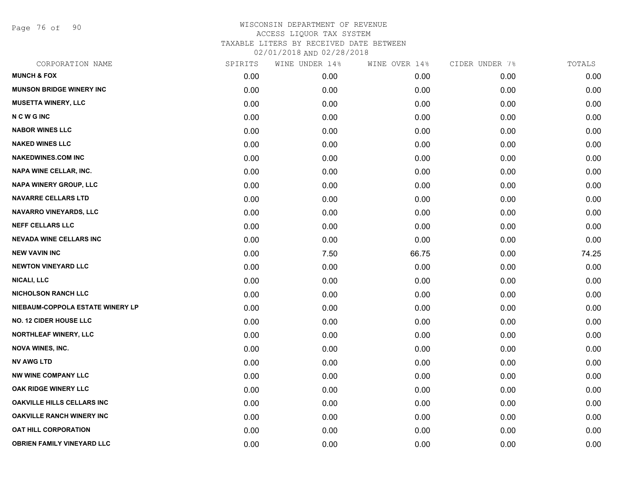Page 76 of 90

| CORPORATION NAME                  | SPIRITS | WINE UNDER 14% | WINE OVER 14% | CIDER UNDER 7% | TOTALS |
|-----------------------------------|---------|----------------|---------------|----------------|--------|
| <b>MUNCH &amp; FOX</b>            | 0.00    | 0.00           | 0.00          | 0.00           | 0.00   |
| <b>MUNSON BRIDGE WINERY INC</b>   | 0.00    | 0.00           | 0.00          | 0.00           | 0.00   |
| <b>MUSETTA WINERY, LLC</b>        | 0.00    | 0.00           | 0.00          | 0.00           | 0.00   |
| <b>NCWGINC</b>                    | 0.00    | 0.00           | 0.00          | 0.00           | 0.00   |
| <b>NABOR WINES LLC</b>            | 0.00    | 0.00           | 0.00          | 0.00           | 0.00   |
| <b>NAKED WINES LLC</b>            | 0.00    | 0.00           | 0.00          | 0.00           | 0.00   |
| <b>NAKEDWINES.COM INC</b>         | 0.00    | 0.00           | 0.00          | 0.00           | 0.00   |
| NAPA WINE CELLAR, INC.            | 0.00    | 0.00           | 0.00          | 0.00           | 0.00   |
| NAPA WINERY GROUP, LLC            | 0.00    | 0.00           | 0.00          | 0.00           | 0.00   |
| <b>NAVARRE CELLARS LTD</b>        | 0.00    | 0.00           | 0.00          | 0.00           | 0.00   |
| NAVARRO VINEYARDS, LLC            | 0.00    | 0.00           | 0.00          | 0.00           | 0.00   |
| <b>NEFF CELLARS LLC</b>           | 0.00    | 0.00           | 0.00          | 0.00           | 0.00   |
| <b>NEVADA WINE CELLARS INC</b>    | 0.00    | 0.00           | 0.00          | 0.00           | 0.00   |
| <b>NEW VAVIN INC</b>              | 0.00    | 7.50           | 66.75         | 0.00           | 74.25  |
| <b>NEWTON VINEYARD LLC</b>        | 0.00    | 0.00           | 0.00          | 0.00           | 0.00   |
| NICALI, LLC                       | 0.00    | 0.00           | 0.00          | 0.00           | 0.00   |
| <b>NICHOLSON RANCH LLC</b>        | 0.00    | 0.00           | 0.00          | 0.00           | 0.00   |
| NIEBAUM-COPPOLA ESTATE WINERY LP  | 0.00    | 0.00           | 0.00          | 0.00           | 0.00   |
| <b>NO. 12 CIDER HOUSE LLC</b>     | 0.00    | 0.00           | 0.00          | 0.00           | 0.00   |
| <b>NORTHLEAF WINERY, LLC</b>      | 0.00    | 0.00           | 0.00          | 0.00           | 0.00   |
| <b>NOVA WINES, INC.</b>           | 0.00    | 0.00           | 0.00          | 0.00           | 0.00   |
| <b>NV AWG LTD</b>                 | 0.00    | 0.00           | 0.00          | 0.00           | 0.00   |
| <b>NW WINE COMPANY LLC</b>        | 0.00    | 0.00           | 0.00          | 0.00           | 0.00   |
| OAK RIDGE WINERY LLC              | 0.00    | 0.00           | 0.00          | 0.00           | 0.00   |
| <b>OAKVILLE HILLS CELLARS INC</b> | 0.00    | 0.00           | 0.00          | 0.00           | 0.00   |
| <b>OAKVILLE RANCH WINERY INC</b>  | 0.00    | 0.00           | 0.00          | 0.00           | 0.00   |
| <b>OAT HILL CORPORATION</b>       | 0.00    | 0.00           | 0.00          | 0.00           | 0.00   |
| <b>OBRIEN FAMILY VINEYARD LLC</b> | 0.00    | 0.00           | 0.00          | 0.00           | 0.00   |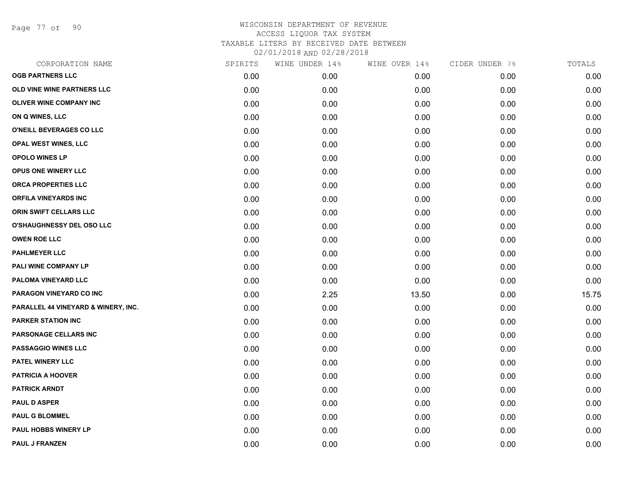Page 77 of 90

| CORPORATION NAME                    | SPIRITS | WINE UNDER 14% | WINE OVER 14% | CIDER UNDER 7% | TOTALS |
|-------------------------------------|---------|----------------|---------------|----------------|--------|
| <b>OGB PARTNERS LLC</b>             | 0.00    | 0.00           | 0.00          | 0.00           | 0.00   |
| OLD VINE WINE PARTNERS LLC          | 0.00    | 0.00           | 0.00          | 0.00           | 0.00   |
| <b>OLIVER WINE COMPANY INC</b>      | 0.00    | 0.00           | 0.00          | 0.00           | 0.00   |
| ON Q WINES, LLC                     | 0.00    | 0.00           | 0.00          | 0.00           | 0.00   |
| O'NEILL BEVERAGES CO LLC            | 0.00    | 0.00           | 0.00          | 0.00           | 0.00   |
| OPAL WEST WINES, LLC                | 0.00    | 0.00           | 0.00          | 0.00           | 0.00   |
| <b>OPOLO WINES LP</b>               | 0.00    | 0.00           | 0.00          | 0.00           | 0.00   |
| <b>OPUS ONE WINERY LLC</b>          | 0.00    | 0.00           | 0.00          | 0.00           | 0.00   |
| <b>ORCA PROPERTIES LLC</b>          | 0.00    | 0.00           | 0.00          | 0.00           | 0.00   |
| <b>ORFILA VINEYARDS INC</b>         | 0.00    | 0.00           | 0.00          | 0.00           | 0.00   |
| ORIN SWIFT CELLARS LLC              | 0.00    | 0.00           | 0.00          | 0.00           | 0.00   |
| O'SHAUGHNESSY DEL OSO LLC           | 0.00    | 0.00           | 0.00          | 0.00           | 0.00   |
| <b>OWEN ROE LLC</b>                 | 0.00    | 0.00           | 0.00          | 0.00           | 0.00   |
| <b>PAHLMEYER LLC</b>                | 0.00    | 0.00           | 0.00          | 0.00           | 0.00   |
| PALI WINE COMPANY LP                | 0.00    | 0.00           | 0.00          | 0.00           | 0.00   |
| PALOMA VINEYARD LLC                 | 0.00    | 0.00           | 0.00          | 0.00           | 0.00   |
| PARAGON VINEYARD CO INC             | 0.00    | 2.25           | 13.50         | 0.00           | 15.75  |
| PARALLEL 44 VINEYARD & WINERY, INC. | 0.00    | 0.00           | 0.00          | 0.00           | 0.00   |
| <b>PARKER STATION INC</b>           | 0.00    | 0.00           | 0.00          | 0.00           | 0.00   |
| PARSONAGE CELLARS INC               | 0.00    | 0.00           | 0.00          | 0.00           | 0.00   |
| PASSAGGIO WINES LLC                 | 0.00    | 0.00           | 0.00          | 0.00           | 0.00   |
| PATEL WINERY LLC                    | 0.00    | 0.00           | 0.00          | 0.00           | 0.00   |
| <b>PATRICIA A HOOVER</b>            | 0.00    | 0.00           | 0.00          | 0.00           | 0.00   |
| <b>PATRICK ARNDT</b>                | 0.00    | 0.00           | 0.00          | 0.00           | 0.00   |
| <b>PAUL D ASPER</b>                 | 0.00    | 0.00           | 0.00          | 0.00           | 0.00   |
| <b>PAUL G BLOMMEL</b>               | 0.00    | 0.00           | 0.00          | 0.00           | 0.00   |
| <b>PAUL HOBBS WINERY LP</b>         | 0.00    | 0.00           | 0.00          | 0.00           | 0.00   |
| <b>PAUL J FRANZEN</b>               | 0.00    | 0.00           | 0.00          | 0.00           | 0.00   |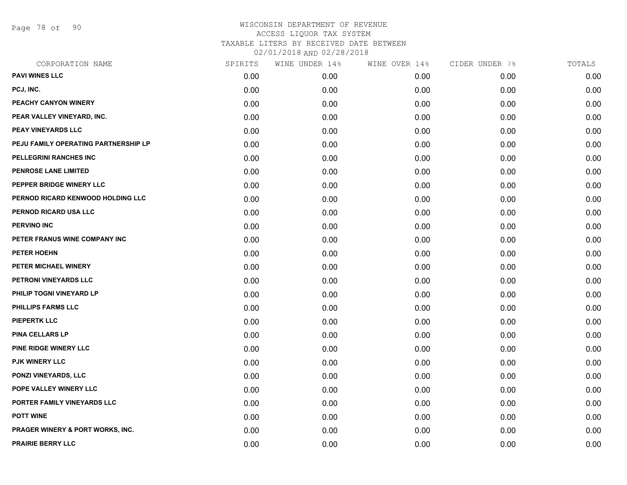Page 78 of 90

| CORPORATION NAME                     | SPIRITS | WINE UNDER 14% | WINE OVER 14% | CIDER UNDER 7% | TOTALS |
|--------------------------------------|---------|----------------|---------------|----------------|--------|
| <b>PAVI WINES LLC</b>                | 0.00    | 0.00           | 0.00          | 0.00           | 0.00   |
| PCJ, INC.                            | 0.00    | 0.00           | 0.00          | 0.00           | 0.00   |
| PEACHY CANYON WINERY                 | 0.00    | 0.00           | 0.00          | 0.00           | 0.00   |
| PEAR VALLEY VINEYARD, INC.           | 0.00    | 0.00           | 0.00          | 0.00           | 0.00   |
| <b>PEAY VINEYARDS LLC</b>            | 0.00    | 0.00           | 0.00          | 0.00           | 0.00   |
| PEJU FAMILY OPERATING PARTNERSHIP LP | 0.00    | 0.00           | 0.00          | 0.00           | 0.00   |
| <b>PELLEGRINI RANCHES INC</b>        | 0.00    | 0.00           | 0.00          | 0.00           | 0.00   |
| PENROSE LANE LIMITED                 | 0.00    | 0.00           | 0.00          | 0.00           | 0.00   |
| PEPPER BRIDGE WINERY LLC             | 0.00    | 0.00           | 0.00          | 0.00           | 0.00   |
| PERNOD RICARD KENWOOD HOLDING LLC    | 0.00    | 0.00           | 0.00          | 0.00           | 0.00   |
| PERNOD RICARD USA LLC                | 0.00    | 0.00           | 0.00          | 0.00           | 0.00   |
| <b>PERVINO INC</b>                   | 0.00    | 0.00           | 0.00          | 0.00           | 0.00   |
| PETER FRANUS WINE COMPANY INC        | 0.00    | 0.00           | 0.00          | 0.00           | 0.00   |
| PETER HOEHN                          | 0.00    | 0.00           | 0.00          | 0.00           | 0.00   |
| PETER MICHAEL WINERY                 | 0.00    | 0.00           | 0.00          | 0.00           | 0.00   |
| PETRONI VINEYARDS LLC                | 0.00    | 0.00           | 0.00          | 0.00           | 0.00   |
| PHILIP TOGNI VINEYARD LP             | 0.00    | 0.00           | 0.00          | 0.00           | 0.00   |
| <b>PHILLIPS FARMS LLC</b>            | 0.00    | 0.00           | 0.00          | 0.00           | 0.00   |
| <b>PIEPERTK LLC</b>                  | 0.00    | 0.00           | 0.00          | 0.00           | 0.00   |
| <b>PINA CELLARS LP</b>               | 0.00    | 0.00           | 0.00          | 0.00           | 0.00   |
| PINE RIDGE WINERY LLC                | 0.00    | 0.00           | 0.00          | 0.00           | 0.00   |
| <b>PJK WINERY LLC</b>                | 0.00    | 0.00           | 0.00          | 0.00           | 0.00   |
| PONZI VINEYARDS, LLC                 | 0.00    | 0.00           | 0.00          | 0.00           | 0.00   |
| POPE VALLEY WINERY LLC               | 0.00    | 0.00           | 0.00          | 0.00           | 0.00   |
| PORTER FAMILY VINEYARDS LLC          | 0.00    | 0.00           | 0.00          | 0.00           | 0.00   |
| <b>POTT WINE</b>                     | 0.00    | 0.00           | 0.00          | 0.00           | 0.00   |
| PRAGER WINERY & PORT WORKS, INC.     | 0.00    | 0.00           | 0.00          | 0.00           | 0.00   |
| <b>PRAIRIE BERRY LLC</b>             | 0.00    | 0.00           | 0.00          | 0.00           | 0.00   |
|                                      |         |                |               |                |        |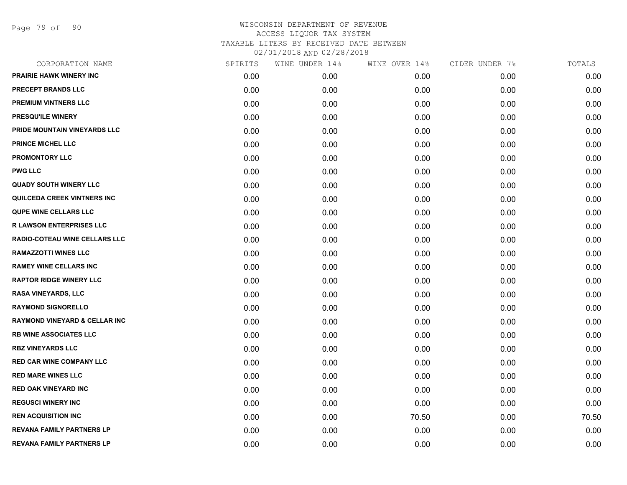Page 79 of 90

| CORPORATION NAME                         | SPIRITS | WINE UNDER 14% | WINE OVER 14% | CIDER UNDER 7% | TOTALS |
|------------------------------------------|---------|----------------|---------------|----------------|--------|
| <b>PRAIRIE HAWK WINERY INC</b>           | 0.00    | 0.00           | 0.00          | 0.00           | 0.00   |
| <b>PRECEPT BRANDS LLC</b>                | 0.00    | 0.00           | 0.00          | 0.00           | 0.00   |
| PREMIUM VINTNERS LLC                     | 0.00    | 0.00           | 0.00          | 0.00           | 0.00   |
| <b>PRESQU'ILE WINERY</b>                 | 0.00    | 0.00           | 0.00          | 0.00           | 0.00   |
| PRIDE MOUNTAIN VINEYARDS LLC             | 0.00    | 0.00           | 0.00          | 0.00           | 0.00   |
| <b>PRINCE MICHEL LLC</b>                 | 0.00    | 0.00           | 0.00          | 0.00           | 0.00   |
| <b>PROMONTORY LLC</b>                    | 0.00    | 0.00           | 0.00          | 0.00           | 0.00   |
| <b>PWG LLC</b>                           | 0.00    | 0.00           | 0.00          | 0.00           | 0.00   |
| <b>QUADY SOUTH WINERY LLC</b>            | 0.00    | 0.00           | 0.00          | 0.00           | 0.00   |
| <b>QUILCEDA CREEK VINTNERS INC</b>       | 0.00    | 0.00           | 0.00          | 0.00           | 0.00   |
| <b>QUPE WINE CELLARS LLC</b>             | 0.00    | 0.00           | 0.00          | 0.00           | 0.00   |
| <b>R LAWSON ENTERPRISES LLC</b>          | 0.00    | 0.00           | 0.00          | 0.00           | 0.00   |
| RADIO-COTEAU WINE CELLARS LLC            | 0.00    | 0.00           | 0.00          | 0.00           | 0.00   |
| <b>RAMAZZOTTI WINES LLC</b>              | 0.00    | 0.00           | 0.00          | 0.00           | 0.00   |
| <b>RAMEY WINE CELLARS INC</b>            | 0.00    | 0.00           | 0.00          | 0.00           | 0.00   |
| <b>RAPTOR RIDGE WINERY LLC</b>           | 0.00    | 0.00           | 0.00          | 0.00           | 0.00   |
| <b>RASA VINEYARDS, LLC</b>               | 0.00    | 0.00           | 0.00          | 0.00           | 0.00   |
| <b>RAYMOND SIGNORELLO</b>                | 0.00    | 0.00           | 0.00          | 0.00           | 0.00   |
| <b>RAYMOND VINEYARD &amp; CELLAR INC</b> | 0.00    | 0.00           | 0.00          | 0.00           | 0.00   |
| <b>RB WINE ASSOCIATES LLC</b>            | 0.00    | 0.00           | 0.00          | 0.00           | 0.00   |
| <b>RBZ VINEYARDS LLC</b>                 | 0.00    | 0.00           | 0.00          | 0.00           | 0.00   |
| <b>RED CAR WINE COMPANY LLC</b>          | 0.00    | 0.00           | 0.00          | 0.00           | 0.00   |
| <b>RED MARE WINES LLC</b>                | 0.00    | 0.00           | 0.00          | 0.00           | 0.00   |
| <b>RED OAK VINEYARD INC</b>              | 0.00    | 0.00           | 0.00          | 0.00           | 0.00   |
| <b>REGUSCI WINERY INC</b>                | 0.00    | 0.00           | 0.00          | 0.00           | 0.00   |
| <b>REN ACQUISITION INC</b>               | 0.00    | 0.00           | 70.50         | 0.00           | 70.50  |
| <b>REVANA FAMILY PARTNERS LP</b>         | 0.00    | 0.00           | 0.00          | 0.00           | 0.00   |
| <b>REVANA FAMILY PARTNERS LP</b>         | 0.00    | 0.00           | 0.00          | 0.00           | 0.00   |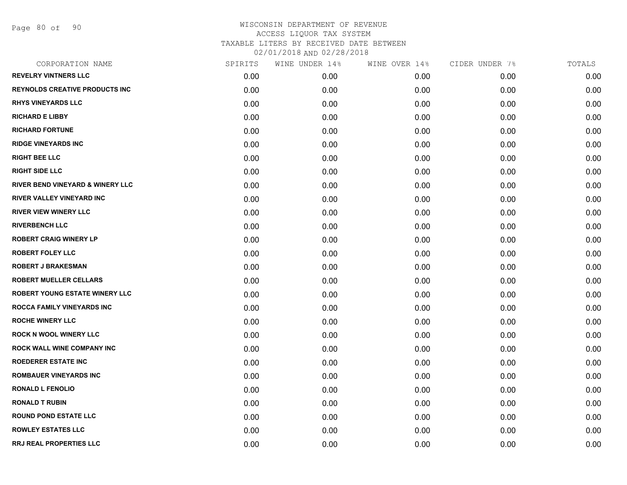Page 80 of 90

| CORPORATION NAME                            | SPIRITS | WINE UNDER 14% | WINE OVER 14% | CIDER UNDER 7% | TOTALS |
|---------------------------------------------|---------|----------------|---------------|----------------|--------|
| <b>REVELRY VINTNERS LLC</b>                 | 0.00    | 0.00           | 0.00          | 0.00           | 0.00   |
| <b>REYNOLDS CREATIVE PRODUCTS INC</b>       | 0.00    | 0.00           | 0.00          | 0.00           | 0.00   |
| <b>RHYS VINEYARDS LLC</b>                   | 0.00    | 0.00           | 0.00          | 0.00           | 0.00   |
| <b>RICHARD E LIBBY</b>                      | 0.00    | 0.00           | 0.00          | 0.00           | 0.00   |
| <b>RICHARD FORTUNE</b>                      | 0.00    | 0.00           | 0.00          | 0.00           | 0.00   |
| <b>RIDGE VINEYARDS INC</b>                  | 0.00    | 0.00           | 0.00          | 0.00           | 0.00   |
| <b>RIGHT BEE LLC</b>                        | 0.00    | 0.00           | 0.00          | 0.00           | 0.00   |
| <b>RIGHT SIDE LLC</b>                       | 0.00    | 0.00           | 0.00          | 0.00           | 0.00   |
| <b>RIVER BEND VINEYARD &amp; WINERY LLC</b> | 0.00    | 0.00           | 0.00          | 0.00           | 0.00   |
| <b>RIVER VALLEY VINEYARD INC</b>            | 0.00    | 0.00           | 0.00          | 0.00           | 0.00   |
| <b>RIVER VIEW WINERY LLC</b>                | 0.00    | 0.00           | 0.00          | 0.00           | 0.00   |
| <b>RIVERBENCH LLC</b>                       | 0.00    | 0.00           | 0.00          | 0.00           | 0.00   |
| <b>ROBERT CRAIG WINERY LP</b>               | 0.00    | 0.00           | 0.00          | 0.00           | 0.00   |
| <b>ROBERT FOLEY LLC</b>                     | 0.00    | 0.00           | 0.00          | 0.00           | 0.00   |
| <b>ROBERT J BRAKESMAN</b>                   | 0.00    | 0.00           | 0.00          | 0.00           | 0.00   |
| <b>ROBERT MUELLER CELLARS</b>               | 0.00    | 0.00           | 0.00          | 0.00           | 0.00   |
| ROBERT YOUNG ESTATE WINERY LLC              | 0.00    | 0.00           | 0.00          | 0.00           | 0.00   |
| ROCCA FAMILY VINEYARDS INC                  | 0.00    | 0.00           | 0.00          | 0.00           | 0.00   |
| <b>ROCHE WINERY LLC</b>                     | 0.00    | 0.00           | 0.00          | 0.00           | 0.00   |
| <b>ROCK N WOOL WINERY LLC</b>               | 0.00    | 0.00           | 0.00          | 0.00           | 0.00   |
| ROCK WALL WINE COMPANY INC                  | 0.00    | 0.00           | 0.00          | 0.00           | 0.00   |
| <b>ROEDERER ESTATE INC</b>                  | 0.00    | 0.00           | 0.00          | 0.00           | 0.00   |
| <b>ROMBAUER VINEYARDS INC</b>               | 0.00    | 0.00           | 0.00          | 0.00           | 0.00   |
| <b>RONALD L FENOLIO</b>                     | 0.00    | 0.00           | 0.00          | 0.00           | 0.00   |
| <b>RONALD T RUBIN</b>                       | 0.00    | 0.00           | 0.00          | 0.00           | 0.00   |
| <b>ROUND POND ESTATE LLC</b>                | 0.00    | 0.00           | 0.00          | 0.00           | 0.00   |
| <b>ROWLEY ESTATES LLC</b>                   | 0.00    | 0.00           | 0.00          | 0.00           | 0.00   |
| <b>RRJ REAL PROPERTIES LLC</b>              | 0.00    | 0.00           | 0.00          | 0.00           | 0.00   |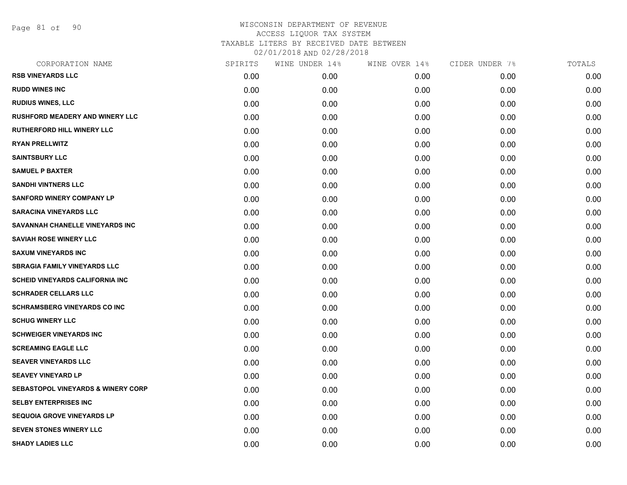Page 81 of 90

| CORPORATION NAME                              | SPIRITS | WINE UNDER 14% | WINE OVER 14% | CIDER UNDER 7% | TOTALS |
|-----------------------------------------------|---------|----------------|---------------|----------------|--------|
| <b>RSB VINEYARDS LLC</b>                      | 0.00    | 0.00           | 0.00          | 0.00           | 0.00   |
| <b>RUDD WINES INC</b>                         | 0.00    | 0.00           | 0.00          | 0.00           | 0.00   |
| <b>RUDIUS WINES, LLC</b>                      | 0.00    | 0.00           | 0.00          | 0.00           | 0.00   |
| <b>RUSHFORD MEADERY AND WINERY LLC</b>        | 0.00    | 0.00           | 0.00          | 0.00           | 0.00   |
| <b>RUTHERFORD HILL WINERY LLC</b>             | 0.00    | 0.00           | 0.00          | 0.00           | 0.00   |
| <b>RYAN PRELLWITZ</b>                         | 0.00    | 0.00           | 0.00          | 0.00           | 0.00   |
| <b>SAINTSBURY LLC</b>                         | 0.00    | 0.00           | 0.00          | 0.00           | 0.00   |
| <b>SAMUEL P BAXTER</b>                        | 0.00    | 0.00           | 0.00          | 0.00           | 0.00   |
| <b>SANDHI VINTNERS LLC</b>                    | 0.00    | 0.00           | 0.00          | 0.00           | 0.00   |
| <b>SANFORD WINERY COMPANY LP</b>              | 0.00    | 0.00           | 0.00          | 0.00           | 0.00   |
| <b>SARACINA VINEYARDS LLC</b>                 | 0.00    | 0.00           | 0.00          | 0.00           | 0.00   |
| SAVANNAH CHANELLE VINEYARDS INC               | 0.00    | 0.00           | 0.00          | 0.00           | 0.00   |
| <b>SAVIAH ROSE WINERY LLC</b>                 | 0.00    | 0.00           | 0.00          | 0.00           | 0.00   |
| <b>SAXUM VINEYARDS INC</b>                    | 0.00    | 0.00           | 0.00          | 0.00           | 0.00   |
| <b>SBRAGIA FAMILY VINEYARDS LLC</b>           | 0.00    | 0.00           | 0.00          | 0.00           | 0.00   |
| <b>SCHEID VINEYARDS CALIFORNIA INC</b>        | 0.00    | 0.00           | 0.00          | 0.00           | 0.00   |
| <b>SCHRADER CELLARS LLC</b>                   | 0.00    | 0.00           | 0.00          | 0.00           | 0.00   |
| <b>SCHRAMSBERG VINEYARDS CO INC</b>           | 0.00    | 0.00           | 0.00          | 0.00           | 0.00   |
| <b>SCHUG WINERY LLC</b>                       | 0.00    | 0.00           | 0.00          | 0.00           | 0.00   |
| <b>SCHWEIGER VINEYARDS INC</b>                | 0.00    | 0.00           | 0.00          | 0.00           | 0.00   |
| <b>SCREAMING EAGLE LLC</b>                    | 0.00    | 0.00           | 0.00          | 0.00           | 0.00   |
| <b>SEAVER VINEYARDS LLC</b>                   | 0.00    | 0.00           | 0.00          | 0.00           | 0.00   |
| <b>SEAVEY VINEYARD LP</b>                     | 0.00    | 0.00           | 0.00          | 0.00           | 0.00   |
| <b>SEBASTOPOL VINEYARDS &amp; WINERY CORP</b> | 0.00    | 0.00           | 0.00          | 0.00           | 0.00   |
| <b>SELBY ENTERPRISES INC</b>                  | 0.00    | 0.00           | 0.00          | 0.00           | 0.00   |
| <b>SEQUOIA GROVE VINEYARDS LP</b>             | 0.00    | 0.00           | 0.00          | 0.00           | 0.00   |
| <b>SEVEN STONES WINERY LLC</b>                | 0.00    | 0.00           | 0.00          | 0.00           | 0.00   |
| <b>SHADY LADIES LLC</b>                       | 0.00    | 0.00           | 0.00          | 0.00           | 0.00   |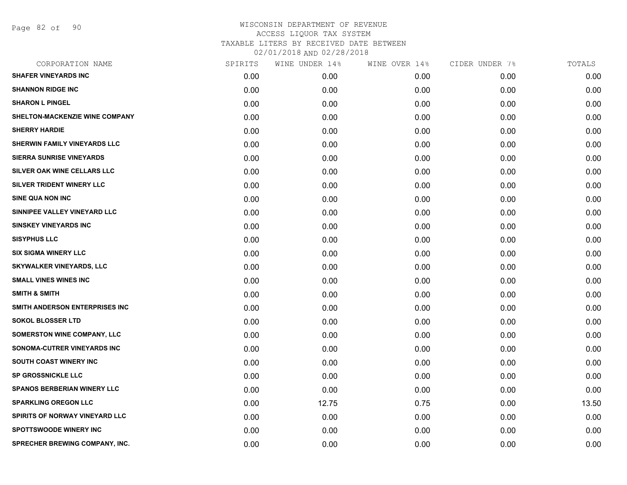Page 82 of 90

| CORPORATION NAME                   | SPIRITS | WINE UNDER 14% | WINE OVER 14% | CIDER UNDER 7% | TOTALS |
|------------------------------------|---------|----------------|---------------|----------------|--------|
| <b>SHAFER VINEYARDS INC</b>        | 0.00    | 0.00           | 0.00          | 0.00           | 0.00   |
| <b>SHANNON RIDGE INC</b>           | 0.00    | 0.00           | 0.00          | 0.00           | 0.00   |
| <b>SHARON L PINGEL</b>             | 0.00    | 0.00           | 0.00          | 0.00           | 0.00   |
| SHELTON-MACKENZIE WINE COMPANY     | 0.00    | 0.00           | 0.00          | 0.00           | 0.00   |
| <b>SHERRY HARDIE</b>               | 0.00    | 0.00           | 0.00          | 0.00           | 0.00   |
| SHERWIN FAMILY VINEYARDS LLC       | 0.00    | 0.00           | 0.00          | 0.00           | 0.00   |
| <b>SIERRA SUNRISE VINEYARDS</b>    | 0.00    | 0.00           | 0.00          | 0.00           | 0.00   |
| SILVER OAK WINE CELLARS LLC        | 0.00    | 0.00           | 0.00          | 0.00           | 0.00   |
| SILVER TRIDENT WINERY LLC          | 0.00    | 0.00           | 0.00          | 0.00           | 0.00   |
| SINE QUA NON INC                   | 0.00    | 0.00           | 0.00          | 0.00           | 0.00   |
| SINNIPEE VALLEY VINEYARD LLC       | 0.00    | 0.00           | 0.00          | 0.00           | 0.00   |
| <b>SINSKEY VINEYARDS INC</b>       | 0.00    | 0.00           | 0.00          | 0.00           | 0.00   |
| <b>SISYPHUS LLC</b>                | 0.00    | 0.00           | 0.00          | 0.00           | 0.00   |
| <b>SIX SIGMA WINERY LLC</b>        | 0.00    | 0.00           | 0.00          | 0.00           | 0.00   |
| <b>SKYWALKER VINEYARDS, LLC</b>    | 0.00    | 0.00           | 0.00          | 0.00           | 0.00   |
| <b>SMALL VINES WINES INC</b>       | 0.00    | 0.00           | 0.00          | 0.00           | 0.00   |
| <b>SMITH &amp; SMITH</b>           | 0.00    | 0.00           | 0.00          | 0.00           | 0.00   |
| SMITH ANDERSON ENTERPRISES INC     | 0.00    | 0.00           | 0.00          | 0.00           | 0.00   |
| <b>SOKOL BLOSSER LTD</b>           | 0.00    | 0.00           | 0.00          | 0.00           | 0.00   |
| <b>SOMERSTON WINE COMPANY, LLC</b> | 0.00    | 0.00           | 0.00          | 0.00           | 0.00   |
| SONOMA-CUTRER VINEYARDS INC        | 0.00    | 0.00           | 0.00          | 0.00           | 0.00   |
| <b>SOUTH COAST WINERY INC</b>      | 0.00    | 0.00           | 0.00          | 0.00           | 0.00   |
| <b>SP GROSSNICKLE LLC</b>          | 0.00    | 0.00           | 0.00          | 0.00           | 0.00   |
| <b>SPANOS BERBERIAN WINERY LLC</b> | 0.00    | 0.00           | 0.00          | 0.00           | 0.00   |
| <b>SPARKLING OREGON LLC</b>        | 0.00    | 12.75          | 0.75          | 0.00           | 13.50  |
| SPIRITS OF NORWAY VINEYARD LLC     | 0.00    | 0.00           | 0.00          | 0.00           | 0.00   |
| <b>SPOTTSWOODE WINERY INC</b>      | 0.00    | 0.00           | 0.00          | 0.00           | 0.00   |
| SPRECHER BREWING COMPANY, INC.     | 0.00    | 0.00           | 0.00          | 0.00           | 0.00   |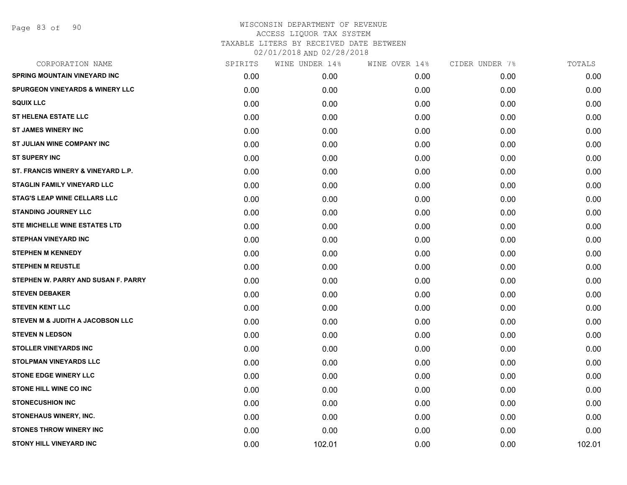| CORPORATION NAME                           | SPIRITS | WINE UNDER 14% | WINE OVER 14% | CIDER UNDER 7% | TOTALS |
|--------------------------------------------|---------|----------------|---------------|----------------|--------|
| <b>SPRING MOUNTAIN VINEYARD INC</b>        | 0.00    | 0.00           | 0.00          | 0.00           | 0.00   |
| <b>SPURGEON VINEYARDS &amp; WINERY LLC</b> | 0.00    | 0.00           | 0.00          | 0.00           | 0.00   |
| <b>SQUIX LLC</b>                           | 0.00    | 0.00           | 0.00          | 0.00           | 0.00   |
| <b>ST HELENA ESTATE LLC</b>                | 0.00    | 0.00           | 0.00          | 0.00           | 0.00   |
| <b>ST JAMES WINERY INC</b>                 | 0.00    | 0.00           | 0.00          | 0.00           | 0.00   |
| ST JULIAN WINE COMPANY INC                 | 0.00    | 0.00           | 0.00          | 0.00           | 0.00   |
| <b>ST SUPERY INC</b>                       | 0.00    | 0.00           | 0.00          | 0.00           | 0.00   |
| ST. FRANCIS WINERY & VINEYARD L.P.         | 0.00    | 0.00           | 0.00          | 0.00           | 0.00   |
| STAGLIN FAMILY VINEYARD LLC                | 0.00    | 0.00           | 0.00          | 0.00           | 0.00   |
| <b>STAG'S LEAP WINE CELLARS LLC</b>        | 0.00    | 0.00           | 0.00          | 0.00           | 0.00   |
| <b>STANDING JOURNEY LLC</b>                | 0.00    | 0.00           | 0.00          | 0.00           | 0.00   |
| STE MICHELLE WINE ESTATES LTD              | 0.00    | 0.00           | 0.00          | 0.00           | 0.00   |
| <b>STEPHAN VINEYARD INC</b>                | 0.00    | 0.00           | 0.00          | 0.00           | 0.00   |
| <b>STEPHEN M KENNEDY</b>                   | 0.00    | 0.00           | 0.00          | 0.00           | 0.00   |
| <b>STEPHEN M REUSTLE</b>                   | 0.00    | 0.00           | 0.00          | 0.00           | 0.00   |
| STEPHEN W. PARRY AND SUSAN F. PARRY        | 0.00    | 0.00           | 0.00          | 0.00           | 0.00   |
| <b>STEVEN DEBAKER</b>                      | 0.00    | 0.00           | 0.00          | 0.00           | 0.00   |
| <b>STEVEN KENT LLC</b>                     | 0.00    | 0.00           | 0.00          | 0.00           | 0.00   |
| STEVEN M & JUDITH A JACOBSON LLC           | 0.00    | 0.00           | 0.00          | 0.00           | 0.00   |
| <b>STEVEN N LEDSON</b>                     | 0.00    | 0.00           | 0.00          | 0.00           | 0.00   |
| <b>STOLLER VINEYARDS INC</b>               | 0.00    | 0.00           | 0.00          | 0.00           | 0.00   |
| <b>STOLPMAN VINEYARDS LLC</b>              | 0.00    | 0.00           | 0.00          | 0.00           | 0.00   |
| <b>STONE EDGE WINERY LLC</b>               | 0.00    | 0.00           | 0.00          | 0.00           | 0.00   |
| <b>STONE HILL WINE CO INC</b>              | 0.00    | 0.00           | 0.00          | 0.00           | 0.00   |
| <b>STONECUSHION INC</b>                    | 0.00    | 0.00           | 0.00          | 0.00           | 0.00   |
| STONEHAUS WINERY, INC.                     | 0.00    | 0.00           | 0.00          | 0.00           | 0.00   |
| <b>STONES THROW WINERY INC</b>             | 0.00    | 0.00           | 0.00          | 0.00           | 0.00   |
| <b>STONY HILL VINEYARD INC</b>             | 0.00    | 102.01         | 0.00          | 0.00           | 102.01 |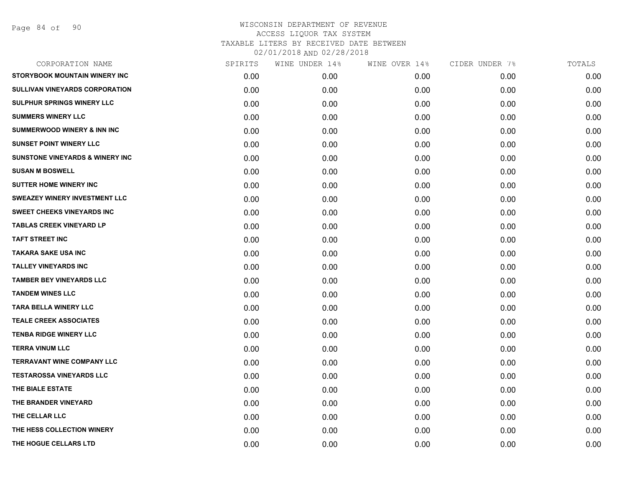Page 84 of 90

| CORPORATION NAME                           | SPIRITS | WINE UNDER 14%    | WINE OVER 14% | CIDER UNDER 7% | TOTALS |
|--------------------------------------------|---------|-------------------|---------------|----------------|--------|
| <b>STORYBOOK MOUNTAIN WINERY INC</b>       | 0.00    | 0.00 <sub>1</sub> | 0.00          | 0.00           | 0.00   |
| SULLIVAN VINEYARDS CORPORATION             | 0.00    | 0.00              | 0.00          | 0.00           | 0.00   |
| <b>SULPHUR SPRINGS WINERY LLC</b>          | 0.00    | 0.00              | 0.00          | 0.00           | 0.00   |
| <b>SUMMERS WINERY LLC</b>                  | 0.00    | 0.00              | 0.00          | 0.00           | 0.00   |
| <b>SUMMERWOOD WINERY &amp; INN INC</b>     | 0.00    | 0.00              | 0.00          | 0.00           | 0.00   |
| <b>SUNSET POINT WINERY LLC</b>             | 0.00    | 0.00              | 0.00          | 0.00           | 0.00   |
| <b>SUNSTONE VINEYARDS &amp; WINERY INC</b> | 0.00    | 0.00              | 0.00          | 0.00           | 0.00   |
| <b>SUSAN M BOSWELL</b>                     | 0.00    | 0.00              | 0.00          | 0.00           | 0.00   |
| <b>SUTTER HOME WINERY INC</b>              | 0.00    | 0.00              | 0.00          | 0.00           | 0.00   |
| SWEAZEY WINERY INVESTMENT LLC              | 0.00    | 0.00              | 0.00          | 0.00           | 0.00   |
| <b>SWEET CHEEKS VINEYARDS INC</b>          | 0.00    | 0.00              | 0.00          | 0.00           | 0.00   |
| <b>TABLAS CREEK VINEYARD LP</b>            | 0.00    | 0.00              | 0.00          | 0.00           | 0.00   |
| <b>TAFT STREET INC</b>                     | 0.00    | 0.00              | 0.00          | 0.00           | 0.00   |
| <b>TAKARA SAKE USA INC</b>                 | 0.00    | 0.00              | 0.00          | 0.00           | 0.00   |
| <b>TALLEY VINEYARDS INC</b>                | 0.00    | 0.00              | 0.00          | 0.00           | 0.00   |
| <b>TAMBER BEY VINEYARDS LLC</b>            | 0.00    | 0.00              | 0.00          | 0.00           | 0.00   |
| <b>TANDEM WINES LLC</b>                    | 0.00    | 0.00              | 0.00          | 0.00           | 0.00   |
| <b>TARA BELLA WINERY LLC</b>               | 0.00    | 0.00              | 0.00          | 0.00           | 0.00   |
| <b>TEALE CREEK ASSOCIATES</b>              | 0.00    | 0.00              | 0.00          | 0.00           | 0.00   |
| <b>TENBA RIDGE WINERY LLC</b>              | 0.00    | 0.00              | 0.00          | 0.00           | 0.00   |
| <b>TERRA VINUM LLC</b>                     | 0.00    | 0.00              | 0.00          | 0.00           | 0.00   |
| <b>TERRAVANT WINE COMPANY LLC</b>          | 0.00    | 0.00              | 0.00          | 0.00           | 0.00   |
| <b>TESTAROSSA VINEYARDS LLC</b>            | 0.00    | 0.00              | 0.00          | 0.00           | 0.00   |
| THE BIALE ESTATE                           | 0.00    | 0.00              | 0.00          | 0.00           | 0.00   |
| THE BRANDER VINEYARD                       | 0.00    | 0.00              | 0.00          | 0.00           | 0.00   |
| THE CELLAR LLC                             | 0.00    | 0.00              | 0.00          | 0.00           | 0.00   |
| THE HESS COLLECTION WINERY                 | 0.00    | 0.00              | 0.00          | 0.00           | 0.00   |
| THE HOGUE CELLARS LTD                      | 0.00    | 0.00              | 0.00          | 0.00           | 0.00   |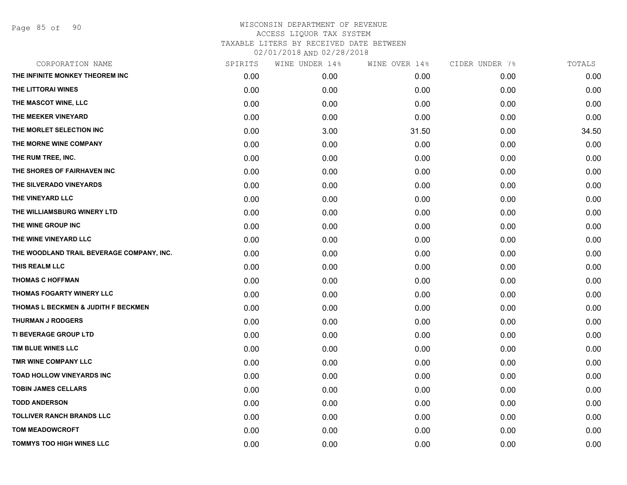Page 85 of 90

| CORPORATION NAME                          | SPIRITS | WINE UNDER 14% | WINE OVER 14% | CIDER UNDER 7% | TOTALS |
|-------------------------------------------|---------|----------------|---------------|----------------|--------|
| THE INFINITE MONKEY THEOREM INC           | 0.00    | 0.00           | 0.00          | 0.00           | 0.00   |
| THE LITTORAI WINES                        | 0.00    | 0.00           | 0.00          | 0.00           | 0.00   |
| THE MASCOT WINE, LLC                      | 0.00    | 0.00           | 0.00          | 0.00           | 0.00   |
| THE MEEKER VINEYARD                       | 0.00    | 0.00           | 0.00          | 0.00           | 0.00   |
| THE MORLET SELECTION INC                  | 0.00    | 3.00           | 31.50         | 0.00           | 34.50  |
| THE MORNE WINE COMPANY                    | 0.00    | 0.00           | 0.00          | 0.00           | 0.00   |
| THE RUM TREE, INC.                        | 0.00    | 0.00           | 0.00          | 0.00           | 0.00   |
| THE SHORES OF FAIRHAVEN INC               | 0.00    | 0.00           | 0.00          | 0.00           | 0.00   |
| THE SILVERADO VINEYARDS                   | 0.00    | 0.00           | 0.00          | 0.00           | 0.00   |
| THE VINEYARD LLC                          | 0.00    | 0.00           | 0.00          | 0.00           | 0.00   |
| THE WILLIAMSBURG WINERY LTD               | 0.00    | 0.00           | 0.00          | 0.00           | 0.00   |
| THE WINE GROUP INC                        | 0.00    | 0.00           | 0.00          | 0.00           | 0.00   |
| THE WINE VINEYARD LLC                     | 0.00    | 0.00           | 0.00          | 0.00           | 0.00   |
| THE WOODLAND TRAIL BEVERAGE COMPANY, INC. | 0.00    | 0.00           | 0.00          | 0.00           | 0.00   |
| THIS REALM LLC                            | 0.00    | 0.00           | 0.00          | 0.00           | 0.00   |
| <b>THOMAS C HOFFMAN</b>                   | 0.00    | 0.00           | 0.00          | 0.00           | 0.00   |
| THOMAS FOGARTY WINERY LLC                 | 0.00    | 0.00           | 0.00          | 0.00           | 0.00   |
| THOMAS L BECKMEN & JUDITH F BECKMEN       | 0.00    | 0.00           | 0.00          | 0.00           | 0.00   |
| <b>THURMAN J RODGERS</b>                  | 0.00    | 0.00           | 0.00          | 0.00           | 0.00   |
| TI BEVERAGE GROUP LTD                     | 0.00    | 0.00           | 0.00          | 0.00           | 0.00   |
| TIM BLUE WINES LLC                        | 0.00    | 0.00           | 0.00          | 0.00           | 0.00   |
| TMR WINE COMPANY LLC                      | 0.00    | 0.00           | 0.00          | 0.00           | 0.00   |
| <b>TOAD HOLLOW VINEYARDS INC</b>          | 0.00    | 0.00           | 0.00          | 0.00           | 0.00   |
| <b>TOBIN JAMES CELLARS</b>                | 0.00    | 0.00           | 0.00          | 0.00           | 0.00   |
| <b>TODD ANDERSON</b>                      | 0.00    | 0.00           | 0.00          | 0.00           | 0.00   |
| <b>TOLLIVER RANCH BRANDS LLC</b>          | 0.00    | 0.00           | 0.00          | 0.00           | 0.00   |
| <b>TOM MEADOWCROFT</b>                    | 0.00    | 0.00           | 0.00          | 0.00           | 0.00   |
| <b>TOMMYS TOO HIGH WINES LLC</b>          | 0.00    | 0.00           | 0.00          | 0.00           | 0.00   |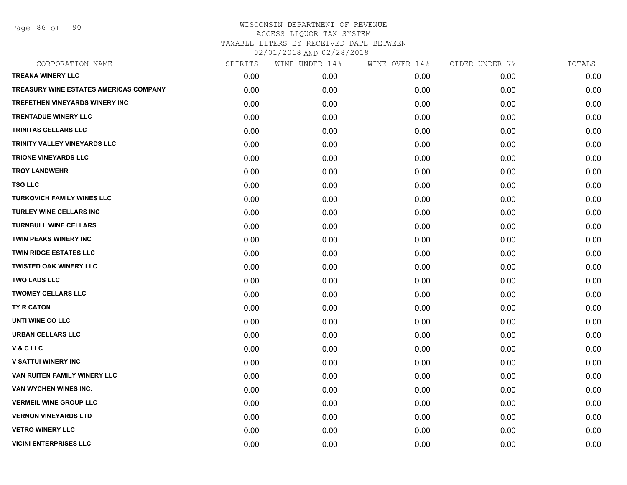Page 86 of 90

| CORPORATION NAME                              | SPIRITS | WINE UNDER 14% | WINE OVER 14% | CIDER UNDER 7% | TOTALS |
|-----------------------------------------------|---------|----------------|---------------|----------------|--------|
| <b>TREANA WINERY LLC</b>                      | 0.00    | 0.00           | 0.00          | 0.00           | 0.00   |
| <b>TREASURY WINE ESTATES AMERICAS COMPANY</b> | 0.00    | 0.00           | 0.00          | 0.00           | 0.00   |
| TREFETHEN VINEYARDS WINERY INC                | 0.00    | 0.00           | 0.00          | 0.00           | 0.00   |
| <b>TRENTADUE WINERY LLC</b>                   | 0.00    | 0.00           | 0.00          | 0.00           | 0.00   |
| <b>TRINITAS CELLARS LLC</b>                   | 0.00    | 0.00           | 0.00          | 0.00           | 0.00   |
| TRINITY VALLEY VINEYARDS LLC                  | 0.00    | 0.00           | 0.00          | 0.00           | 0.00   |
| <b>TRIONE VINEYARDS LLC</b>                   | 0.00    | 0.00           | 0.00          | 0.00           | 0.00   |
| <b>TROY LANDWEHR</b>                          | 0.00    | 0.00           | 0.00          | 0.00           | 0.00   |
| <b>TSG LLC</b>                                | 0.00    | 0.00           | 0.00          | 0.00           | 0.00   |
| <b>TURKOVICH FAMILY WINES LLC</b>             | 0.00    | 0.00           | 0.00          | 0.00           | 0.00   |
| <b>TURLEY WINE CELLARS INC</b>                | 0.00    | 0.00           | 0.00          | 0.00           | 0.00   |
| <b>TURNBULL WINE CELLARS</b>                  | 0.00    | 0.00           | 0.00          | 0.00           | 0.00   |
| TWIN PEAKS WINERY INC                         | 0.00    | 0.00           | 0.00          | 0.00           | 0.00   |
| <b>TWIN RIDGE ESTATES LLC</b>                 | 0.00    | 0.00           | 0.00          | 0.00           | 0.00   |
| <b>TWISTED OAK WINERY LLC</b>                 | 0.00    | 0.00           | 0.00          | 0.00           | 0.00   |
| <b>TWO LADS LLC</b>                           | 0.00    | 0.00           | 0.00          | 0.00           | 0.00   |
| <b>TWOMEY CELLARS LLC</b>                     | 0.00    | 0.00           | 0.00          | 0.00           | 0.00   |
| TY R CATON                                    | 0.00    | 0.00           | 0.00          | 0.00           | 0.00   |
| UNTI WINE CO LLC                              | 0.00    | 0.00           | 0.00          | 0.00           | 0.00   |
| URBAN CELLARS LLC                             | 0.00    | 0.00           | 0.00          | 0.00           | 0.00   |
| V & C LLC                                     | 0.00    | 0.00           | 0.00          | 0.00           | 0.00   |
| <b>V SATTUI WINERY INC</b>                    | 0.00    | 0.00           | 0.00          | 0.00           | 0.00   |
| <b>VAN RUITEN FAMILY WINERY LLC</b>           | 0.00    | 0.00           | 0.00          | 0.00           | 0.00   |
| VAN WYCHEN WINES INC.                         | 0.00    | 0.00           | 0.00          | 0.00           | 0.00   |
| <b>VERMEIL WINE GROUP LLC</b>                 | 0.00    | 0.00           | 0.00          | 0.00           | 0.00   |
| <b>VERNON VINEYARDS LTD</b>                   | 0.00    | 0.00           | 0.00          | 0.00           | 0.00   |
| <b>VETRO WINERY LLC</b>                       | 0.00    | 0.00           | 0.00          | 0.00           | 0.00   |
| <b>VICINI ENTERPRISES LLC</b>                 | 0.00    | 0.00           | 0.00          | 0.00           | 0.00   |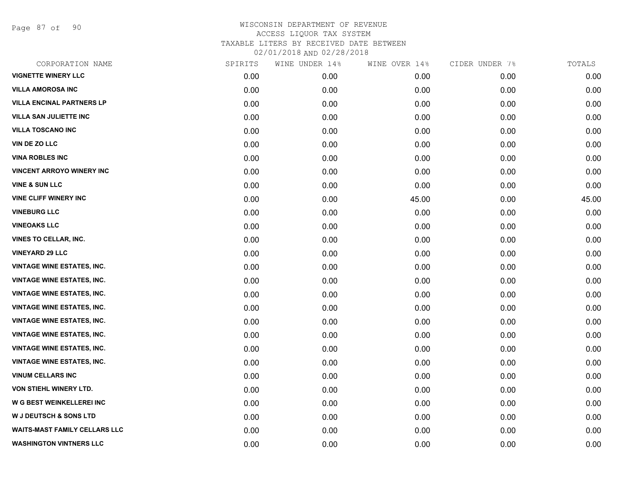Page 87 of 90

| SPIRITS | WINE UNDER 14% | WINE OVER 14% | CIDER UNDER 7% | TOTALS |
|---------|----------------|---------------|----------------|--------|
| 0.00    | 0.00           | 0.00          | 0.00           | 0.00   |
| 0.00    | 0.00           | 0.00          | 0.00           | 0.00   |
| 0.00    | 0.00           | 0.00          | 0.00           | 0.00   |
| 0.00    | 0.00           | 0.00          | 0.00           | 0.00   |
| 0.00    | 0.00           | 0.00          | 0.00           | 0.00   |
| 0.00    | 0.00           | 0.00          | 0.00           | 0.00   |
| 0.00    | 0.00           | 0.00          | 0.00           | 0.00   |
| 0.00    | 0.00           | 0.00          | 0.00           | 0.00   |
| 0.00    | 0.00           | 0.00          | 0.00           | 0.00   |
| 0.00    | 0.00           | 45.00         | 0.00           | 45.00  |
| 0.00    | 0.00           | 0.00          | 0.00           | 0.00   |
| 0.00    | 0.00           | 0.00          | 0.00           | 0.00   |
| 0.00    | 0.00           | 0.00          | 0.00           | 0.00   |
| 0.00    | 0.00           | 0.00          | 0.00           | 0.00   |
| 0.00    | 0.00           | 0.00          | 0.00           | 0.00   |
| 0.00    | 0.00           | 0.00          | 0.00           | 0.00   |
| 0.00    | 0.00           | 0.00          | 0.00           | 0.00   |
| 0.00    | 0.00           | 0.00          | 0.00           | 0.00   |
| 0.00    | 0.00           | 0.00          | 0.00           | 0.00   |
| 0.00    | 0.00           | 0.00          | 0.00           | 0.00   |
| 0.00    | 0.00           | 0.00          | 0.00           | 0.00   |
| 0.00    | 0.00           | 0.00          | 0.00           | 0.00   |
| 0.00    | 0.00           | 0.00          | 0.00           | 0.00   |
| 0.00    | 0.00           | 0.00          | 0.00           | 0.00   |
| 0.00    | 0.00           | 0.00          | 0.00           | 0.00   |
| 0.00    | 0.00           | 0.00          | 0.00           | 0.00   |
| 0.00    | 0.00           | 0.00          | 0.00           | 0.00   |
| 0.00    | 0.00           | 0.00          | 0.00           | 0.00   |
|         |                |               |                |        |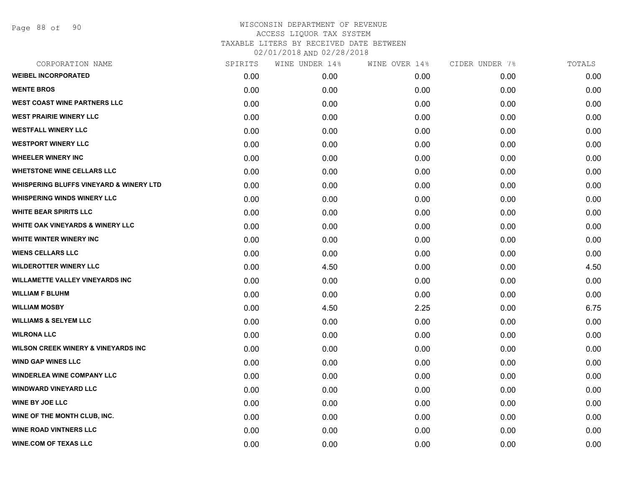Page 88 of 90

| CORPORATION NAME                                   | SPIRITS | WINE UNDER 14% | WINE OVER 14% | CIDER UNDER 7% | TOTALS |
|----------------------------------------------------|---------|----------------|---------------|----------------|--------|
| <b>WEIBEL INCORPORATED</b>                         | 0.00    | 0.00           | 0.00          | 0.00           | 0.00   |
| <b>WENTE BROS</b>                                  | 0.00    | 0.00           | 0.00          | 0.00           | 0.00   |
| <b>WEST COAST WINE PARTNERS LLC</b>                | 0.00    | 0.00           | 0.00          | 0.00           | 0.00   |
| <b>WEST PRAIRIE WINERY LLC</b>                     | 0.00    | 0.00           | 0.00          | 0.00           | 0.00   |
| <b>WESTFALL WINERY LLC</b>                         | 0.00    | 0.00           | 0.00          | 0.00           | 0.00   |
| <b>WESTPORT WINERY LLC</b>                         | 0.00    | 0.00           | 0.00          | 0.00           | 0.00   |
| <b>WHEELER WINERY INC</b>                          | 0.00    | 0.00           | 0.00          | 0.00           | 0.00   |
| <b>WHETSTONE WINE CELLARS LLC</b>                  | 0.00    | 0.00           | 0.00          | 0.00           | 0.00   |
| <b>WHISPERING BLUFFS VINEYARD &amp; WINERY LTD</b> | 0.00    | 0.00           | 0.00          | 0.00           | 0.00   |
| <b>WHISPERING WINDS WINERY LLC</b>                 | 0.00    | 0.00           | 0.00          | 0.00           | 0.00   |
| <b>WHITE BEAR SPIRITS LLC</b>                      | 0.00    | 0.00           | 0.00          | 0.00           | 0.00   |
| WHITE OAK VINEYARDS & WINERY LLC                   | 0.00    | 0.00           | 0.00          | 0.00           | 0.00   |
| WHITE WINTER WINERY INC                            | 0.00    | 0.00           | 0.00          | 0.00           | 0.00   |
| <b>WIENS CELLARS LLC</b>                           | 0.00    | 0.00           | 0.00          | 0.00           | 0.00   |
| <b>WILDEROTTER WINERY LLC</b>                      | 0.00    | 4.50           | 0.00          | 0.00           | 4.50   |
| <b>WILLAMETTE VALLEY VINEYARDS INC</b>             | 0.00    | 0.00           | 0.00          | 0.00           | 0.00   |
| <b>WILLIAM F BLUHM</b>                             | 0.00    | 0.00           | 0.00          | 0.00           | 0.00   |
| <b>WILLIAM MOSBY</b>                               | 0.00    | 4.50           | 2.25          | 0.00           | 6.75   |
| <b>WILLIAMS &amp; SELYEM LLC</b>                   | 0.00    | 0.00           | 0.00          | 0.00           | 0.00   |
| <b>WILRONA LLC</b>                                 | 0.00    | 0.00           | 0.00          | 0.00           | 0.00   |
| <b>WILSON CREEK WINERY &amp; VINEYARDS INC</b>     | 0.00    | 0.00           | 0.00          | 0.00           | 0.00   |
| <b>WIND GAP WINES LLC</b>                          | 0.00    | 0.00           | 0.00          | 0.00           | 0.00   |
| <b>WINDERLEA WINE COMPANY LLC</b>                  | 0.00    | 0.00           | 0.00          | 0.00           | 0.00   |
| <b>WINDWARD VINEYARD LLC</b>                       | 0.00    | 0.00           | 0.00          | 0.00           | 0.00   |
| <b>WINE BY JOE LLC</b>                             | 0.00    | 0.00           | 0.00          | 0.00           | 0.00   |
| WINE OF THE MONTH CLUB, INC.                       | 0.00    | 0.00           | 0.00          | 0.00           | 0.00   |
| <b>WINE ROAD VINTNERS LLC</b>                      | 0.00    | 0.00           | 0.00          | 0.00           | 0.00   |
| <b>WINE.COM OF TEXAS LLC</b>                       | 0.00    | 0.00           | 0.00          | 0.00           | 0.00   |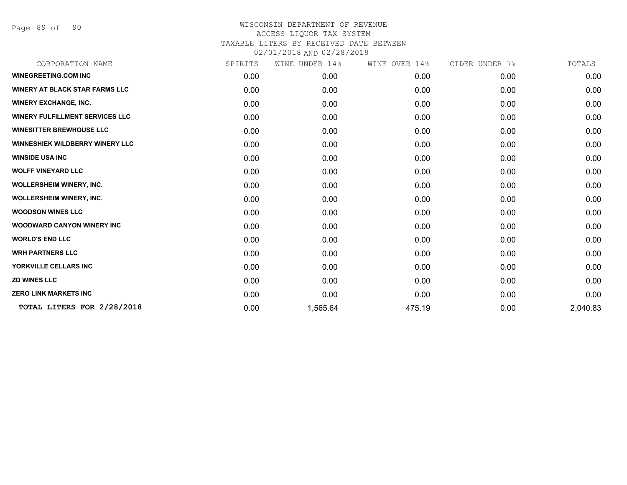Page 89 of 90

| SPIRITS | UNDER 14%<br>WINE | WINE OVER 14% | CIDER UNDER 7% | TOTALS   |
|---------|-------------------|---------------|----------------|----------|
| 0.00    | 0.00              | 0.00          | 0.00           | 0.00     |
| 0.00    | 0.00              | 0.00          | 0.00           | 0.00     |
| 0.00    | 0.00              | 0.00          | 0.00           | 0.00     |
| 0.00    | 0.00              | 0.00          | 0.00           | 0.00     |
| 0.00    | 0.00              | 0.00          | 0.00           | 0.00     |
| 0.00    | 0.00              | 0.00          | 0.00           | 0.00     |
| 0.00    | 0.00              | 0.00          | 0.00           | 0.00     |
| 0.00    | 0.00              | 0.00          | 0.00           | 0.00     |
| 0.00    | 0.00              | 0.00          | 0.00           | 0.00     |
| 0.00    | 0.00              | 0.00          | 0.00           | 0.00     |
| 0.00    | 0.00              | 0.00          | 0.00           | 0.00     |
| 0.00    | 0.00              | 0.00          | 0.00           | 0.00     |
| 0.00    | 0.00              | 0.00          | 0.00           | 0.00     |
| 0.00    | 0.00              | 0.00          | 0.00           | 0.00     |
| 0.00    | 0.00              | 0.00          | 0.00           | 0.00     |
| 0.00    | 0.00              | 0.00          | 0.00           | 0.00     |
| 0.00    | 0.00              | 0.00          | 0.00           | 0.00     |
| 0.00    | 1,565.64          | 475.19        | 0.00           | 2,040.83 |
|         |                   |               |                |          |